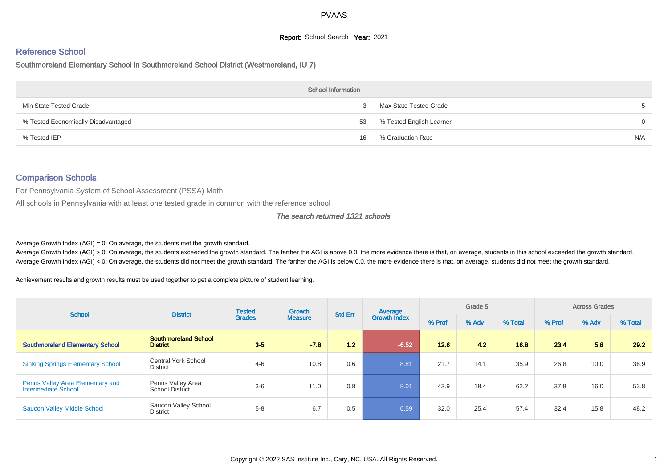#### **Report:** School Search **Year:** 2021

# Reference School

Southmoreland Elementary School in Southmoreland School District (Westmoreland, IU 7)

|                                     | <b>School Information</b> |                          |          |
|-------------------------------------|---------------------------|--------------------------|----------|
| Min State Tested Grade              |                           | Max State Tested Grade   |          |
| % Tested Economically Disadvantaged | 53                        | % Tested English Learner | $\Omega$ |
| % Tested IEP                        | 16                        | % Graduation Rate        | N/A      |

#### Comparison Schools

For Pennsylvania System of School Assessment (PSSA) Math

All schools in Pennsylvania with at least one tested grade in common with the reference school

#### The search returned 1321 schools

Average Growth Index  $(AGI) = 0$ : On average, the students met the growth standard.

Average Growth Index (AGI) > 0: On average, the students exceeded the growth standard. The farther the AGI is above 0.0, the more evidence there is that, on average, students in this school exceeded the growth standard. Average Growth Index (AGI) < 0: On average, the students did not meet the growth standard. The farther the AGI is below 0.0, the more evidence there is that, on average, students did not meet the growth standard.

Achievement results and growth results must be used together to get a complete picture of student learning.

| <b>School</b>                                           | <b>District</b>                               | <b>Tested</b> | Growth         | <b>Std Err</b> | Average             | Grade 5 |       |         | <b>Across Grades</b> |       |         |
|---------------------------------------------------------|-----------------------------------------------|---------------|----------------|----------------|---------------------|---------|-------|---------|----------------------|-------|---------|
|                                                         |                                               | <b>Grades</b> | <b>Measure</b> |                | <b>Growth Index</b> | % Prof  | % Adv | % Total | % Prof               | % Adv | % Total |
| <b>Southmoreland Elementary School</b>                  | <b>Southmoreland School</b><br>District       | $3-5$         | $-7.8$         | 1.2            | $-6.52$             | 12.6    | 4.2   | 16.8    | 23.4                 | 5.8   | 29.2    |
| <b>Sinking Springs Elementary School</b>                | <b>Central York School</b><br><b>District</b> | $4 - 6$       | 10.8           | 0.6            | 8.81                | 21.7    | 14.1  | 35.9    | 26.8                 | 10.0  | 36.9    |
| Penns Valley Area Elementary and<br>Intermediate School | Penns Valley Area<br><b>School District</b>   | $3-6$         | 11.0           | 0.8            | 8.01                | 43.9    | 18.4  | 62.2    | 37.8                 | 16.0  | 53.8    |
| <b>Saucon Valley Middle School</b>                      | Saucon Valley School<br>District              | $5 - 8$       | 6.7            | 0.5            | 6.59                | 32.0    | 25.4  | 57.4    | 32.4                 | 15.8  | 48.2    |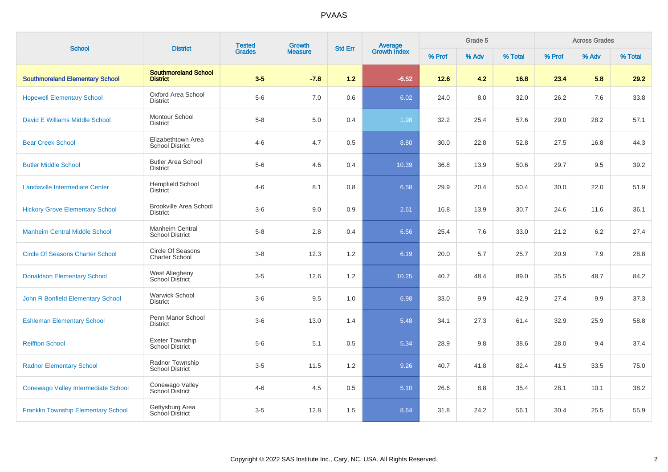| <b>School</b>                              | <b>District</b>                                  | <b>Tested</b> | Growth         | <b>Std Err</b> | Average<br>Growth Index |        | Grade 5 |         |        | <b>Across Grades</b> |         |
|--------------------------------------------|--------------------------------------------------|---------------|----------------|----------------|-------------------------|--------|---------|---------|--------|----------------------|---------|
|                                            |                                                  | <b>Grades</b> | <b>Measure</b> |                |                         | % Prof | % Adv   | % Total | % Prof | % Adv                | % Total |
| <b>Southmoreland Elementary School</b>     | <b>Southmoreland School</b><br><b>District</b>   | $3-5$         | $-7.8$         | 1.2            | $-6.52$                 | $12.6$ | 4.2     | 16.8    | 23.4   | 5.8                  | 29.2    |
| <b>Hopewell Elementary School</b>          | Oxford Area School<br><b>District</b>            | $5-6$         | 7.0            | 0.6            | 6.02                    | 24.0   | 8.0     | 32.0    | 26.2   | 7.6                  | 33.8    |
| David E Williams Middle School             | Montour School<br><b>District</b>                | $5 - 8$       | 5.0            | 0.4            | 1.98                    | 32.2   | 25.4    | 57.6    | 29.0   | 28.2                 | 57.1    |
| <b>Bear Creek School</b>                   | Elizabethtown Area<br><b>School District</b>     | $4 - 6$       | 4.7            | 0.5            | 8.80                    | 30.0   | 22.8    | 52.8    | 27.5   | 16.8                 | 44.3    |
| <b>Butler Middle School</b>                | <b>Butler Area School</b><br><b>District</b>     | $5-6$         | 4.6            | 0.4            | 10.39                   | 36.8   | 13.9    | 50.6    | 29.7   | 9.5                  | 39.2    |
| <b>Landisville Intermediate Center</b>     | Hempfield School<br><b>District</b>              | $4 - 6$       | 8.1            | 0.8            | 6.58                    | 29.9   | 20.4    | 50.4    | 30.0   | 22.0                 | 51.9    |
| <b>Hickory Grove Elementary School</b>     | <b>Brookville Area School</b><br><b>District</b> | $3-6$         | 9.0            | 0.9            | 2.61                    | 16.8   | 13.9    | 30.7    | 24.6   | 11.6                 | 36.1    |
| <b>Manheim Central Middle School</b>       | Manheim Central<br><b>School District</b>        | $5 - 8$       | 2.8            | 0.4            | 6.56                    | 25.4   | 7.6     | 33.0    | 21.2   | 6.2                  | 27.4    |
| <b>Circle Of Seasons Charter School</b>    | Circle Of Seasons<br><b>Charter School</b>       | $3 - 8$       | 12.3           | 1.2            | 6.19                    | 20.0   | 5.7     | 25.7    | 20.9   | 7.9                  | 28.8    |
| <b>Donaldson Elementary School</b>         | West Allegheny<br>School District                | $3-5$         | 12.6           | 1.2            | 10.25                   | 40.7   | 48.4    | 89.0    | 35.5   | 48.7                 | 84.2    |
| John R Bonfield Elementary School          | <b>Warwick School</b><br><b>District</b>         | $3-6$         | 9.5            | 1.0            | 6.98                    | 33.0   | 9.9     | 42.9    | 27.4   | 9.9                  | 37.3    |
| <b>Eshleman Elementary School</b>          | Penn Manor School<br><b>District</b>             | $3-6$         | 13.0           | 1.4            | 5.48                    | 34.1   | 27.3    | 61.4    | 32.9   | 25.9                 | 58.8    |
| <b>Reiffton School</b>                     | <b>Exeter Township</b><br><b>School District</b> | $5-6$         | 5.1            | 0.5            | 5.34                    | 28.9   | 9.8     | 38.6    | 28.0   | 9.4                  | 37.4    |
| <b>Radnor Elementary School</b>            | Radnor Township<br><b>School District</b>        | $3-5$         | 11.5           | 1.2            | 9.26                    | 40.7   | 41.8    | 82.4    | 41.5   | 33.5                 | 75.0    |
| Conewago Valley Intermediate School        | Conewago Valley<br>School District               | $4 - 6$       | 4.5            | 0.5            | 5.10                    | 26.6   | 8.8     | 35.4    | 28.1   | 10.1                 | 38.2    |
| <b>Franklin Township Elementary School</b> | Gettysburg Area<br>School District               | $3-5$         | 12.8           | 1.5            | 8.64                    | 31.8   | 24.2    | 56.1    | 30.4   | 25.5                 | 55.9    |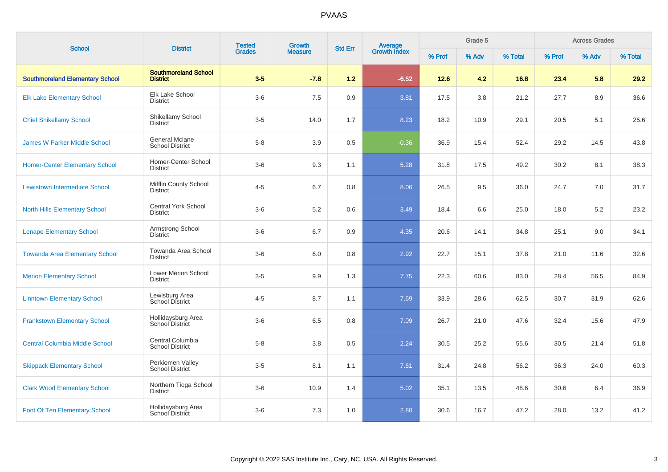| <b>School</b>                          | <b>District</b>                                 | <b>Tested</b> | Growth         | <b>Std Err</b> |                                |        | Grade 5 |         |        | <b>Across Grades</b> |         |
|----------------------------------------|-------------------------------------------------|---------------|----------------|----------------|--------------------------------|--------|---------|---------|--------|----------------------|---------|
|                                        |                                                 | <b>Grades</b> | <b>Measure</b> |                | <b>Average</b><br>Growth Index | % Prof | % Adv   | % Total | % Prof | % Adv                | % Total |
| <b>Southmoreland Elementary School</b> | <b>Southmoreland School</b><br><b>District</b>  | $3-5$         | $-7.8$         | $1.2$          | $-6.52$                        | $12.6$ | 4.2     | 16.8    | 23.4   | 5.8                  | 29.2    |
| <b>Elk Lake Elementary School</b>      | Elk Lake School<br><b>District</b>              | $3-6$         | 7.5            | $0.9\,$        | 3.81                           | 17.5   | 3.8     | 21.2    | 27.7   | 8.9                  | 36.6    |
| <b>Chief Shikellamy School</b>         | Shikellamy School<br><b>District</b>            | $3-5$         | 14.0           | 1.7            | 8.23                           | 18.2   | 10.9    | 29.1    | 20.5   | 5.1                  | 25.6    |
| <b>James W Parker Middle School</b>    | <b>General Mclane</b><br><b>School District</b> | $5-8$         | 3.9            | 0.5            | $-0.36$                        | 36.9   | 15.4    | 52.4    | 29.2   | 14.5                 | 43.8    |
| <b>Homer-Center Elementary School</b>  | Homer-Center School<br><b>District</b>          | $3-6$         | 9.3            | 1.1            | 5.28                           | 31.8   | 17.5    | 49.2    | 30.2   | 8.1                  | 38.3    |
| Lewistown Intermediate School          | <b>Mifflin County School</b><br><b>District</b> | $4 - 5$       | 6.7            | 0.8            | 8.06                           | 26.5   | 9.5     | 36.0    | 24.7   | 7.0                  | 31.7    |
| <b>North Hills Elementary School</b>   | <b>Central York School</b><br><b>District</b>   | $3-6$         | 5.2            | 0.6            | 3.49                           | 18.4   | 6.6     | 25.0    | 18.0   | 5.2                  | 23.2    |
| <b>Lenape Elementary School</b>        | Armstrong School<br><b>District</b>             | $3-6$         | 6.7            | 0.9            | 4.35                           | 20.6   | 14.1    | 34.8    | 25.1   | 9.0                  | 34.1    |
| <b>Towanda Area Elementary School</b>  | Towanda Area School<br><b>District</b>          | $3-6$         | 6.0            | 0.8            | 2.92                           | 22.7   | 15.1    | 37.8    | 21.0   | 11.6                 | 32.6    |
| <b>Merion Elementary School</b>        | Lower Merion School<br><b>District</b>          | $3-5$         | 9.9            | 1.3            | 7.75                           | 22.3   | 60.6    | 83.0    | 28.4   | 56.5                 | 84.9    |
| <b>Linntown Elementary School</b>      | Lewisburg Area<br>School District               | $4 - 5$       | 8.7            | 1.1            | 7.69                           | 33.9   | 28.6    | 62.5    | 30.7   | 31.9                 | 62.6    |
| <b>Frankstown Elementary School</b>    | Hollidaysburg Area<br>School District           | $3-6$         | 6.5            | 0.8            | 7.09                           | 26.7   | 21.0    | 47.6    | 32.4   | 15.6                 | 47.9    |
| <b>Central Columbia Middle School</b>  | Central Columbia<br><b>School District</b>      | $5-8$         | 3.8            | 0.5            | 2.24                           | 30.5   | 25.2    | 55.6    | 30.5   | 21.4                 | 51.8    |
| <b>Skippack Elementary School</b>      | Perkiomen Valley<br><b>School District</b>      | $3-5$         | 8.1            | 1.1            | 7.61                           | 31.4   | 24.8    | 56.2    | 36.3   | 24.0                 | 60.3    |
| <b>Clark Wood Elementary School</b>    | Northern Tioga School<br><b>District</b>        | $3-6$         | 10.9           | 1.4            | 5.02                           | 35.1   | 13.5    | 48.6    | 30.6   | 6.4                  | 36.9    |
| <b>Foot Of Ten Elementary School</b>   | Hollidaysburg Area<br>School District           | $3-6$         | 7.3            | 1.0            | 2.80                           | 30.6   | 16.7    | 47.2    | 28.0   | 13.2                 | 41.2    |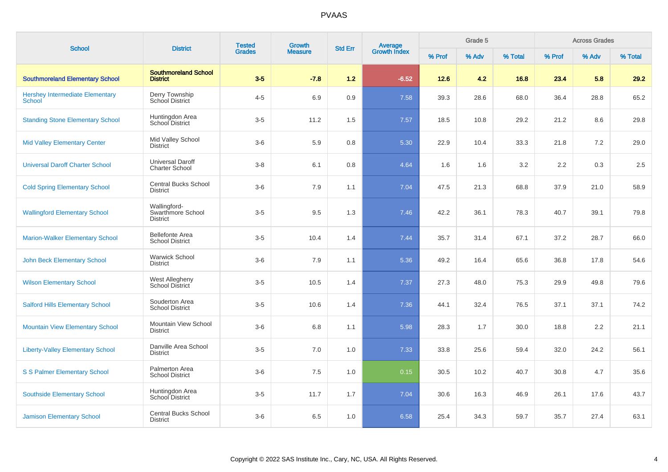| <b>School</b>                                           | <b>District</b>                                      | <b>Tested</b> | Growth         | <b>Std Err</b> |                                |        | Grade 5 |         |        | <b>Across Grades</b> |         |
|---------------------------------------------------------|------------------------------------------------------|---------------|----------------|----------------|--------------------------------|--------|---------|---------|--------|----------------------|---------|
|                                                         |                                                      | <b>Grades</b> | <b>Measure</b> |                | <b>Average</b><br>Growth Index | % Prof | % Adv   | % Total | % Prof | % Adv                | % Total |
| <b>Southmoreland Elementary School</b>                  | <b>Southmoreland School</b><br><b>District</b>       | $3-5$         | $-7.8$         | 1.2            | $-6.52$                        | 12.6   | 4.2     | 16.8    | 23.4   | 5.8                  | 29.2    |
| <b>Hershey Intermediate Elementary</b><br><b>School</b> | Derry Township<br>School District                    | $4 - 5$       | 6.9            | 0.9            | 7.58                           | 39.3   | 28.6    | 68.0    | 36.4   | 28.8                 | 65.2    |
| <b>Standing Stone Elementary School</b>                 | Huntingdon Area<br>School District                   | $3-5$         | 11.2           | 1.5            | 7.57                           | 18.5   | 10.8    | 29.2    | 21.2   | 8.6                  | 29.8    |
| <b>Mid Valley Elementary Center</b>                     | Mid Valley School<br><b>District</b>                 | $3-6$         | 5.9            | 0.8            | 5.30                           | 22.9   | 10.4    | 33.3    | 21.8   | 7.2                  | 29.0    |
| <b>Universal Daroff Charter School</b>                  | Universal Daroff<br><b>Charter School</b>            | $3 - 8$       | 6.1            | 0.8            | 4.64                           | 1.6    | 1.6     | 3.2     | 2.2    | 0.3                  | 2.5     |
| <b>Cold Spring Elementary School</b>                    | <b>Central Bucks School</b><br><b>District</b>       | $3-6$         | 7.9            | 1.1            | 7.04                           | 47.5   | 21.3    | 68.8    | 37.9   | 21.0                 | 58.9    |
| <b>Wallingford Elementary School</b>                    | Wallingford-<br>Swarthmore School<br><b>District</b> | $3-5$         | 9.5            | 1.3            | 7.46                           | 42.2   | 36.1    | 78.3    | 40.7   | 39.1                 | 79.8    |
| <b>Marion-Walker Elementary School</b>                  | <b>Bellefonte Area</b><br><b>School District</b>     | $3-5$         | 10.4           | 1.4            | 7.44                           | 35.7   | 31.4    | 67.1    | 37.2   | 28.7                 | 66.0    |
| <b>John Beck Elementary School</b>                      | <b>Warwick School</b><br><b>District</b>             | $3-6$         | 7.9            | 1.1            | 5.36                           | 49.2   | 16.4    | 65.6    | 36.8   | 17.8                 | 54.6    |
| <b>Wilson Elementary School</b>                         | West Allegheny<br>School District                    | $3-5$         | 10.5           | 1.4            | 7.37                           | 27.3   | 48.0    | 75.3    | 29.9   | 49.8                 | 79.6    |
| <b>Salford Hills Elementary School</b>                  | Souderton Area<br><b>School District</b>             | $3-5$         | 10.6           | 1.4            | 7.36                           | 44.1   | 32.4    | 76.5    | 37.1   | 37.1                 | 74.2    |
| <b>Mountain View Elementary School</b>                  | Mountain View School<br><b>District</b>              | $3-6$         | 6.8            | 1.1            | 5.98                           | 28.3   | 1.7     | 30.0    | 18.8   | 2.2                  | 21.1    |
| <b>Liberty-Valley Elementary School</b>                 | Danville Area School<br><b>District</b>              | $3-5$         | 7.0            | 1.0            | 7.33                           | 33.8   | 25.6    | 59.4    | 32.0   | 24.2                 | 56.1    |
| <b>S S Palmer Elementary School</b>                     | Palmerton Area<br><b>School District</b>             | $3-6$         | 7.5            | 1.0            | 0.15                           | 30.5   | 10.2    | 40.7    | 30.8   | 4.7                  | 35.6    |
| <b>Southside Elementary School</b>                      | Huntingdon Area<br><b>School District</b>            | $3-5$         | 11.7           | 1.7            | 7.04                           | 30.6   | 16.3    | 46.9    | 26.1   | 17.6                 | 43.7    |
| <b>Jamison Elementary School</b>                        | <b>Central Bucks School</b><br><b>District</b>       | $3-6$         | 6.5            | 1.0            | 6.58                           | 25.4   | 34.3    | 59.7    | 35.7   | 27.4                 | 63.1    |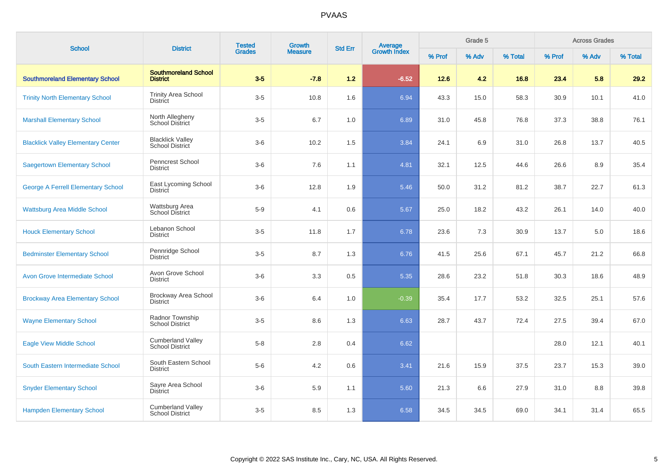| <b>School</b>                             | <b>District</b>                                    | <b>Tested</b> | Growth         | <b>Std Err</b> |                                |        | Grade 5 |         |        | <b>Across Grades</b> |         |
|-------------------------------------------|----------------------------------------------------|---------------|----------------|----------------|--------------------------------|--------|---------|---------|--------|----------------------|---------|
|                                           |                                                    | <b>Grades</b> | <b>Measure</b> |                | <b>Average</b><br>Growth Index | % Prof | % Adv   | % Total | % Prof | % Adv                | % Total |
| <b>Southmoreland Elementary School</b>    | <b>Southmoreland School</b><br><b>District</b>     | $3 - 5$       | $-7.8$         | 1.2            | $-6.52$                        | $12.6$ | 4.2     | 16.8    | 23.4   | 5.8                  | 29.2    |
| <b>Trinity North Elementary School</b>    | <b>Trinity Area School</b><br><b>District</b>      | $3-5$         | 10.8           | 1.6            | 6.94                           | 43.3   | 15.0    | 58.3    | 30.9   | 10.1                 | 41.0    |
| <b>Marshall Elementary School</b>         | North Allegheny<br><b>School District</b>          | $3-5$         | 6.7            | 1.0            | 6.89                           | 31.0   | 45.8    | 76.8    | 37.3   | 38.8                 | 76.1    |
| <b>Blacklick Valley Elementary Center</b> | <b>Blacklick Valley</b><br>School District         | $3-6$         | 10.2           | 1.5            | 3.84                           | 24.1   | 6.9     | 31.0    | 26.8   | 13.7                 | 40.5    |
| <b>Saegertown Elementary School</b>       | Penncrest School<br><b>District</b>                | $3-6$         | 7.6            | 1.1            | 4.81                           | 32.1   | 12.5    | 44.6    | 26.6   | 8.9                  | 35.4    |
| <b>George A Ferrell Elementary School</b> | East Lycoming School<br><b>District</b>            | $3-6$         | 12.8           | 1.9            | 5.46                           | 50.0   | 31.2    | 81.2    | 38.7   | 22.7                 | 61.3    |
| <b>Wattsburg Area Middle School</b>       | Wattsburg Area<br><b>School District</b>           | $5-9$         | 4.1            | 0.6            | 5.67                           | 25.0   | 18.2    | 43.2    | 26.1   | 14.0                 | 40.0    |
| <b>Houck Elementary School</b>            | Lebanon School<br><b>District</b>                  | $3-5$         | 11.8           | 1.7            | 6.78                           | 23.6   | 7.3     | 30.9    | 13.7   | 5.0                  | 18.6    |
| <b>Bedminster Elementary School</b>       | Pennridge School<br><b>District</b>                | $3-5$         | 8.7            | 1.3            | 6.76                           | 41.5   | 25.6    | 67.1    | 45.7   | 21.2                 | 66.8    |
| <b>Avon Grove Intermediate School</b>     | Avon Grove School<br><b>District</b>               | $3-6$         | 3.3            | 0.5            | 5.35                           | 28.6   | 23.2    | 51.8    | 30.3   | 18.6                 | 48.9    |
| <b>Brockway Area Elementary School</b>    | Brockway Area School<br><b>District</b>            | $3-6$         | 6.4            | 1.0            | $-0.39$                        | 35.4   | 17.7    | 53.2    | 32.5   | 25.1                 | 57.6    |
| <b>Wayne Elementary School</b>            | Radnor Township<br><b>School District</b>          | $3-5$         | 8.6            | 1.3            | 6.63                           | 28.7   | 43.7    | 72.4    | 27.5   | 39.4                 | 67.0    |
| <b>Eagle View Middle School</b>           | <b>Cumberland Valley</b><br><b>School District</b> | $5-8$         | 2.8            | 0.4            | 6.62                           |        |         |         | 28.0   | 12.1                 | 40.1    |
| South Eastern Intermediate School         | South Eastern School<br><b>District</b>            | $5-6$         | 4.2            | 0.6            | 3.41                           | 21.6   | 15.9    | 37.5    | 23.7   | 15.3                 | 39.0    |
| <b>Snyder Elementary School</b>           | Sayre Area School<br><b>District</b>               | $3-6$         | 5.9            | 1.1            | 5.60                           | 21.3   | 6.6     | 27.9    | 31.0   | 8.8                  | 39.8    |
| <b>Hampden Elementary School</b>          | <b>Cumberland Valley</b><br><b>School District</b> | $3-5$         | 8.5            | 1.3            | 6.58                           | 34.5   | 34.5    | 69.0    | 34.1   | 31.4                 | 65.5    |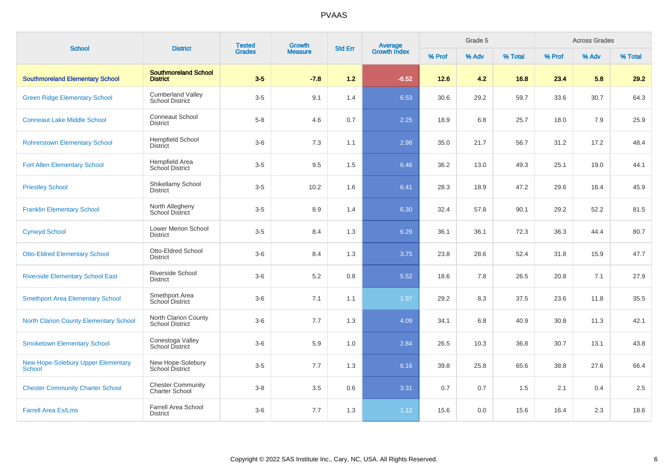| <b>School</b>                                       | <b>District</b>                                    | <b>Tested</b> | Growth         | <b>Std Err</b> | <b>Average</b><br>Growth Index |        | Grade 5 |         |        | <b>Across Grades</b> |         |
|-----------------------------------------------------|----------------------------------------------------|---------------|----------------|----------------|--------------------------------|--------|---------|---------|--------|----------------------|---------|
|                                                     |                                                    | <b>Grades</b> | <b>Measure</b> |                |                                | % Prof | % Adv   | % Total | % Prof | % Adv                | % Total |
| <b>Southmoreland Elementary School</b>              | <b>Southmoreland School</b><br><b>District</b>     | $3-5$         | $-7.8$         | 1.2            | $-6.52$                        | $12.6$ | 4.2     | 16.8    | 23.4   | 5.8                  | 29.2    |
| <b>Green Ridge Elementary School</b>                | <b>Cumberland Valley</b><br><b>School District</b> | $3-5$         | 9.1            | 1.4            | 6.53                           | 30.6   | 29.2    | 59.7    | 33.6   | 30.7                 | 64.3    |
| <b>Conneaut Lake Middle School</b>                  | <b>Conneaut School</b><br><b>District</b>          | $5 - 8$       | 4.6            | 0.7            | 2.25                           | 18.9   | 6.8     | 25.7    | 18.0   | 7.9                  | 25.9    |
| <b>Rohrerstown Elementary School</b>                | <b>Hempfield School</b><br><b>District</b>         | $3-6$         | 7.3            | 1.1            | 2.98                           | 35.0   | 21.7    | 56.7    | 31.2   | 17.2                 | 48.4    |
| <b>Fort Allen Elementary School</b>                 | Hempfield Area<br>School District                  | $3-5$         | 9.5            | 1.5            | 6.46                           | 36.2   | 13.0    | 49.3    | 25.1   | 19.0                 | 44.1    |
| <b>Priestley School</b>                             | Shikellamy School<br>District                      | $3-5$         | 10.2           | 1.6            | 6.41                           | 28.3   | 18.9    | 47.2    | 29.6   | 16.4                 | 45.9    |
| <b>Franklin Elementary School</b>                   | North Allegheny<br><b>School District</b>          | $3-5$         | 8.9            | 1.4            | 6.30                           | 32.4   | 57.8    | 90.1    | 29.2   | 52.2                 | 81.5    |
| <b>Cynwyd School</b>                                | Lower Merion School<br><b>District</b>             | $3-5$         | 8.4            | 1.3            | 6.29                           | 36.1   | 36.1    | 72.3    | 36.3   | 44.4                 | 80.7    |
| <b>Otto-Eldred Elementary School</b>                | Otto-Eldred School<br><b>District</b>              | $3-6$         | 8.4            | 1.3            | 3.75                           | 23.8   | 28.6    | 52.4    | 31.8   | 15.9                 | 47.7    |
| <b>Riverside Elementary School East</b>             | Riverside School<br><b>District</b>                | $3-6$         | 5.2            | 0.8            | 5.52                           | 18.6   | 7.8     | 26.5    | 20.8   | 7.1                  | 27.9    |
| <b>Smethport Area Elementary School</b>             | Smethport Area<br>School District                  | $3-6$         | 7.1            | 1.1            | 1.97                           | 29.2   | 8.3     | 37.5    | 23.6   | 11.8                 | 35.5    |
| <b>North Clarion County Elementary School</b>       | North Clarion County<br><b>School District</b>     | $3-6$         | 7.7            | 1.3            | 4.09                           | 34.1   | 6.8     | 40.9    | 30.8   | 11.3                 | 42.1    |
| <b>Smoketown Elementary School</b>                  | Conestoga Valley<br>School District                | $3-6$         | 5.9            | 1.0            | 2.84                           | 26.5   | 10.3    | 36.8    | 30.7   | 13.1                 | 43.8    |
| New Hope-Solebury Upper Elementary<br><b>School</b> | New Hope-Solebury<br>School District               | $3-5$         | 7.7            | 1.3            | 6.16                           | 39.8   | 25.8    | 65.6    | 38.8   | 27.6                 | 66.4    |
| <b>Chester Community Charter School</b>             | <b>Chester Community</b><br><b>Charter School</b>  | $3 - 8$       | 3.5            | 0.6            | 3.31                           | 0.7    | 0.7     | 1.5     | 2.1    | 0.4                  | 2.5     |
| <b>Farrell Area Es/Lms</b>                          | <b>Farrell Area School</b><br><b>District</b>      | $3-6$         | 7.7            | 1.3            | 1.12                           | 15.6   | 0.0     | 15.6    | 16.4   | 2.3                  | 18.6    |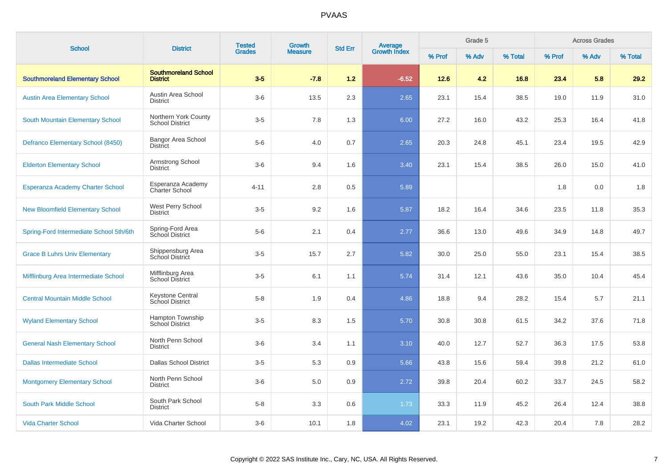| <b>School</b>                           |                                                | <b>Tested</b> | <b>Growth</b>  |                |                         |        | Grade 5 |         |        | <b>Across Grades</b> |         |
|-----------------------------------------|------------------------------------------------|---------------|----------------|----------------|-------------------------|--------|---------|---------|--------|----------------------|---------|
|                                         | <b>District</b>                                | <b>Grades</b> | <b>Measure</b> | <b>Std Err</b> | Average<br>Growth Index | % Prof | % Adv   | % Total | % Prof | % Adv                | % Total |
| <b>Southmoreland Elementary School</b>  | <b>Southmoreland School</b><br><b>District</b> | $3-5$         | $-7.8$         | 1.2            | $-6.52$                 | 12.6   | 4.2     | 16.8    | 23.4   | 5.8                  | 29.2    |
| <b>Austin Area Elementary School</b>    | Austin Area School<br><b>District</b>          | $3-6$         | 13.5           | 2.3            | 2.65                    | 23.1   | 15.4    | 38.5    | 19.0   | 11.9                 | 31.0    |
| South Mountain Elementary School        | Northern York County<br><b>School District</b> | $3-5$         | 7.8            | 1.3            | 6.00                    | 27.2   | 16.0    | 43.2    | 25.3   | 16.4                 | 41.8    |
| Defranco Elementary School (8450)       | Bangor Area School<br><b>District</b>          | $5-6$         | 4.0            | 0.7            | 2.65                    | 20.3   | 24.8    | 45.1    | 23.4   | 19.5                 | 42.9    |
| <b>Elderton Elementary School</b>       | Armstrong School<br><b>District</b>            | $3-6$         | 9.4            | 1.6            | 3.40                    | 23.1   | 15.4    | 38.5    | 26.0   | 15.0                 | 41.0    |
| Esperanza Academy Charter School        | Esperanza Academy<br><b>Charter School</b>     | $4 - 11$      | 2.8            | 0.5            | 5.89                    |        |         |         | 1.8    | 0.0                  | 1.8     |
| <b>New Bloomfield Elementary School</b> | West Perry School<br><b>District</b>           | $3-5$         | 9.2            | 1.6            | 5.87                    | 18.2   | 16.4    | 34.6    | 23.5   | 11.8                 | 35.3    |
| Spring-Ford Intermediate School 5th/6th | Spring-Ford Area<br>School District            | $5-6$         | 2.1            | 0.4            | 2.77                    | 36.6   | 13.0    | 49.6    | 34.9   | 14.8                 | 49.7    |
| <b>Grace B Luhrs Univ Elementary</b>    | Shippensburg Area<br>School District           | $3-5$         | 15.7           | 2.7            | 5.82                    | 30.0   | 25.0    | 55.0    | 23.1   | 15.4                 | 38.5    |
| Mifflinburg Area Intermediate School    | Mifflinburg Area<br>School District            | $3-5$         | 6.1            | 1.1            | 5.74                    | 31.4   | 12.1    | 43.6    | 35.0   | 10.4                 | 45.4    |
| <b>Central Mountain Middle School</b>   | Keystone Central<br>School District            | $5 - 8$       | 1.9            | 0.4            | 4.86                    | 18.8   | 9.4     | 28.2    | 15.4   | 5.7                  | 21.1    |
| <b>Wyland Elementary School</b>         | Hampton Township<br><b>School District</b>     | $3-5$         | 8.3            | 1.5            | 5.70                    | 30.8   | 30.8    | 61.5    | 34.2   | 37.6                 | 71.8    |
| <b>General Nash Elementary School</b>   | North Penn School<br><b>District</b>           | $3-6$         | 3.4            | 1.1            | 3.10                    | 40.0   | 12.7    | 52.7    | 36.3   | 17.5                 | 53.8    |
| <b>Dallas Intermediate School</b>       | <b>Dallas School District</b>                  | $3-5$         | 5.3            | 0.9            | 5.66                    | 43.8   | 15.6    | 59.4    | 39.8   | 21.2                 | 61.0    |
| <b>Montgomery Elementary School</b>     | North Penn School<br><b>District</b>           | $3-6$         | 5.0            | 0.9            | 2.72                    | 39.8   | 20.4    | 60.2    | 33.7   | 24.5                 | 58.2    |
| South Park Middle School                | South Park School<br><b>District</b>           | $5-8$         | 3.3            | 0.6            | 1.73                    | 33.3   | 11.9    | 45.2    | 26.4   | 12.4                 | 38.8    |
| <b>Vida Charter School</b>              | Vida Charter School                            | $3-6$         | 10.1           | 1.8            | 4.02                    | 23.1   | 19.2    | 42.3    | 20.4   | 7.8                  | 28.2    |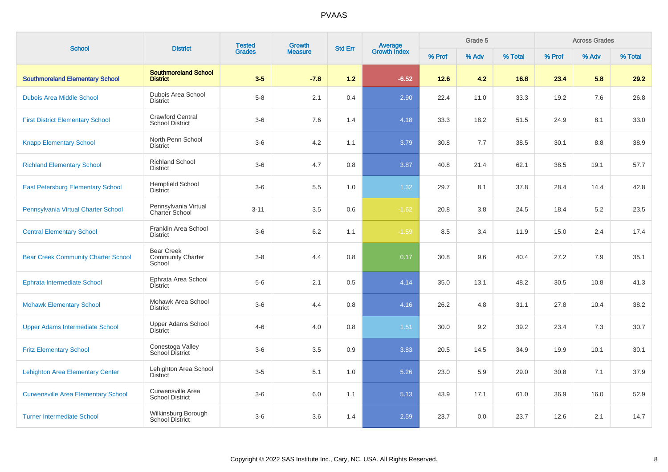| <b>School</b>                              | <b>District</b>                                         | <b>Tested</b> | <b>Growth</b>  | <b>Std Err</b> | Average<br>Growth Index |        | Grade 5 |         |        | <b>Across Grades</b> |         |
|--------------------------------------------|---------------------------------------------------------|---------------|----------------|----------------|-------------------------|--------|---------|---------|--------|----------------------|---------|
|                                            |                                                         | <b>Grades</b> | <b>Measure</b> |                |                         | % Prof | % Adv   | % Total | % Prof | % Adv                | % Total |
| <b>Southmoreland Elementary School</b>     | <b>Southmoreland School</b><br><b>District</b>          | $3-5$         | $-7.8$         | 1.2            | $-6.52$                 | 12.6   | 4.2     | 16.8    | 23.4   | 5.8                  | 29.2    |
| <b>Dubois Area Middle School</b>           | Dubois Area School<br><b>District</b>                   | $5-8$         | 2.1            | 0.4            | 2.90                    | 22.4   | 11.0    | 33.3    | 19.2   | 7.6                  | 26.8    |
| <b>First District Elementary School</b>    | <b>Crawford Central</b><br><b>School District</b>       | $3-6$         | 7.6            | 1.4            | 4.18                    | 33.3   | 18.2    | 51.5    | 24.9   | 8.1                  | 33.0    |
| <b>Knapp Elementary School</b>             | North Penn School<br><b>District</b>                    | $3-6$         | 4.2            | 1.1            | 3.79                    | 30.8   | 7.7     | 38.5    | 30.1   | 8.8                  | 38.9    |
| <b>Richland Elementary School</b>          | <b>Richland School</b><br><b>District</b>               | $3-6$         | 4.7            | 0.8            | 3.87                    | 40.8   | 21.4    | 62.1    | 38.5   | 19.1                 | 57.7    |
| <b>East Petersburg Elementary School</b>   | <b>Hempfield School</b><br><b>District</b>              | $3-6$         | 5.5            | 1.0            | 1.32                    | 29.7   | 8.1     | 37.8    | 28.4   | 14.4                 | 42.8    |
| Pennsylvania Virtual Charter School        | Pennsylvania Virtual<br>Charter School                  | $3 - 11$      | 3.5            | 0.6            | $-1.62$                 | 20.8   | 3.8     | 24.5    | 18.4   | 5.2                  | 23.5    |
| <b>Central Elementary School</b>           | Franklin Area School<br><b>District</b>                 | $3-6$         | 6.2            | 1.1            | $-1.59$                 | 8.5    | 3.4     | 11.9    | 15.0   | 2.4                  | 17.4    |
| <b>Bear Creek Community Charter School</b> | <b>Bear Creek</b><br><b>Community Charter</b><br>School | $3 - 8$       | 4.4            | 0.8            | 0.17                    | 30.8   | 9.6     | 40.4    | 27.2   | 7.9                  | 35.1    |
| <b>Ephrata Intermediate School</b>         | Ephrata Area School<br><b>District</b>                  | $5-6$         | 2.1            | 0.5            | 4.14                    | 35.0   | 13.1    | 48.2    | 30.5   | 10.8                 | 41.3    |
| <b>Mohawk Elementary School</b>            | Mohawk Area School<br><b>District</b>                   | $3-6$         | 4.4            | 0.8            | 4.16                    | 26.2   | 4.8     | 31.1    | 27.8   | 10.4                 | 38.2    |
| <b>Upper Adams Intermediate School</b>     | Upper Adams School<br><b>District</b>                   | $4 - 6$       | 4.0            | 0.8            | $1.51$                  | 30.0   | 9.2     | 39.2    | 23.4   | 7.3                  | 30.7    |
| <b>Fritz Elementary School</b>             | Conestoga Valley<br><b>School District</b>              | $3-6$         | 3.5            | 0.9            | 3.83                    | 20.5   | 14.5    | 34.9    | 19.9   | 10.1                 | 30.1    |
| <b>Lehighton Area Elementary Center</b>    | Lehighton Area School<br><b>District</b>                | $3-5$         | 5.1            | 1.0            | 5.26                    | 23.0   | 5.9     | 29.0    | 30.8   | 7.1                  | 37.9    |
| <b>Curwensville Area Elementary School</b> | Curwensville Area<br><b>School District</b>             | $3-6$         | 6.0            | 1.1            | 5.13                    | 43.9   | 17.1    | 61.0    | 36.9   | 16.0                 | 52.9    |
| <b>Turner Intermediate School</b>          | Wilkinsburg Borough<br>School District                  | $3-6$         | 3.6            | 1.4            | 2.59                    | 23.7   | 0.0     | 23.7    | 12.6   | 2.1                  | 14.7    |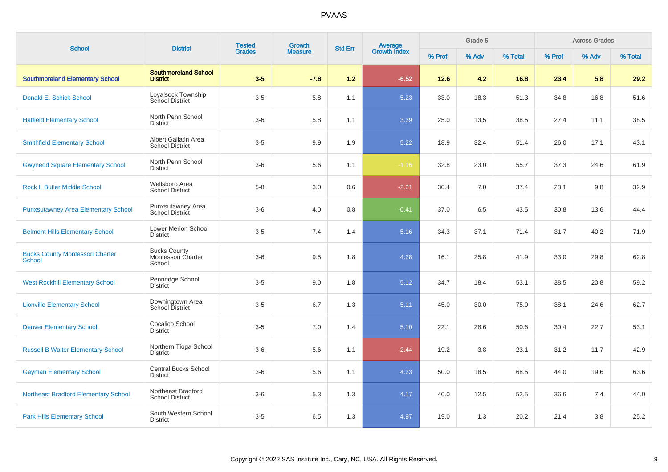| <b>School</b>                                           | <b>District</b>                                     | <b>Tested</b> | <b>Growth</b>  | <b>Std Err</b> | <b>Average</b><br>Growth Index |        | Grade 5 |         |        | <b>Across Grades</b> |         |
|---------------------------------------------------------|-----------------------------------------------------|---------------|----------------|----------------|--------------------------------|--------|---------|---------|--------|----------------------|---------|
|                                                         |                                                     | <b>Grades</b> | <b>Measure</b> |                |                                | % Prof | % Adv   | % Total | % Prof | % Adv                | % Total |
| <b>Southmoreland Elementary School</b>                  | <b>Southmoreland School</b><br><b>District</b>      | $3-5$         | $-7.8$         | 1.2            | $-6.52$                        | 12.6   | 4.2     | 16.8    | 23.4   | 5.8                  | 29.2    |
| Donald E. Schick School                                 | Loyalsock Township<br><b>School District</b>        | $3-5$         | 5.8            | 1.1            | 5.23                           | 33.0   | 18.3    | 51.3    | 34.8   | 16.8                 | 51.6    |
| <b>Hatfield Elementary School</b>                       | North Penn School<br><b>District</b>                | $3-6$         | 5.8            | 1.1            | 3.29                           | 25.0   | 13.5    | 38.5    | 27.4   | 11.1                 | 38.5    |
| <b>Smithfield Elementary School</b>                     | Albert Gallatin Area<br><b>School District</b>      | $3-5$         | 9.9            | 1.9            | 5.22                           | 18.9   | 32.4    | 51.4    | 26.0   | 17.1                 | 43.1    |
| <b>Gwynedd Square Elementary School</b>                 | North Penn School<br><b>District</b>                | $3-6$         | 5.6            | 1.1            | $-1.16$                        | 32.8   | 23.0    | 55.7    | 37.3   | 24.6                 | 61.9    |
| <b>Rock L Butler Middle School</b>                      | Wellsboro Area<br><b>School District</b>            | $5 - 8$       | 3.0            | 0.6            | $-2.21$                        | 30.4   | 7.0     | 37.4    | 23.1   | 9.8                  | 32.9    |
| <b>Punxsutawney Area Elementary School</b>              | Punxsutawney Area<br><b>School District</b>         | $3-6$         | 4.0            | 0.8            | $-0.41$                        | 37.0   | 6.5     | 43.5    | 30.8   | 13.6                 | 44.4    |
| <b>Belmont Hills Elementary School</b>                  | Lower Merion School<br><b>District</b>              | $3-5$         | 7.4            | 1.4            | 5.16                           | 34.3   | 37.1    | 71.4    | 31.7   | 40.2                 | 71.9    |
| <b>Bucks County Montessori Charter</b><br><b>School</b> | <b>Bucks County</b><br>Montessori Charter<br>School | $3-6$         | 9.5            | 1.8            | 4.28                           | 16.1   | 25.8    | 41.9    | 33.0   | 29.8                 | 62.8    |
| <b>West Rockhill Elementary School</b>                  | Pennridge School<br><b>District</b>                 | $3-5$         | 9.0            | 1.8            | 5.12                           | 34.7   | 18.4    | 53.1    | 38.5   | 20.8                 | 59.2    |
| <b>Lionville Elementary School</b>                      | Downingtown Area<br>School District                 | $3-5$         | 6.7            | 1.3            | 5.11                           | 45.0   | 30.0    | 75.0    | 38.1   | 24.6                 | 62.7    |
| <b>Denver Elementary School</b>                         | Cocalico School<br><b>District</b>                  | $3-5$         | 7.0            | 1.4            | 5.10                           | 22.1   | 28.6    | 50.6    | 30.4   | 22.7                 | 53.1    |
| <b>Russell B Walter Elementary School</b>               | Northern Tioga School<br><b>District</b>            | $3-6$         | 5.6            | 1.1            | $-2.44$                        | 19.2   | 3.8     | 23.1    | 31.2   | 11.7                 | 42.9    |
| <b>Gayman Elementary School</b>                         | <b>Central Bucks School</b><br><b>District</b>      | $3-6$         | 5.6            | 1.1            | 4.23                           | 50.0   | 18.5    | 68.5    | 44.0   | 19.6                 | 63.6    |
| <b>Northeast Bradford Elementary School</b>             | Northeast Bradford<br><b>School District</b>        | $3-6$         | 5.3            | 1.3            | 4.17                           | 40.0   | 12.5    | 52.5    | 36.6   | 7.4                  | 44.0    |
| <b>Park Hills Elementary School</b>                     | South Western School<br><b>District</b>             | $3-5$         | 6.5            | 1.3            | 4.97                           | 19.0   | 1.3     | 20.2    | 21.4   | 3.8                  | 25.2    |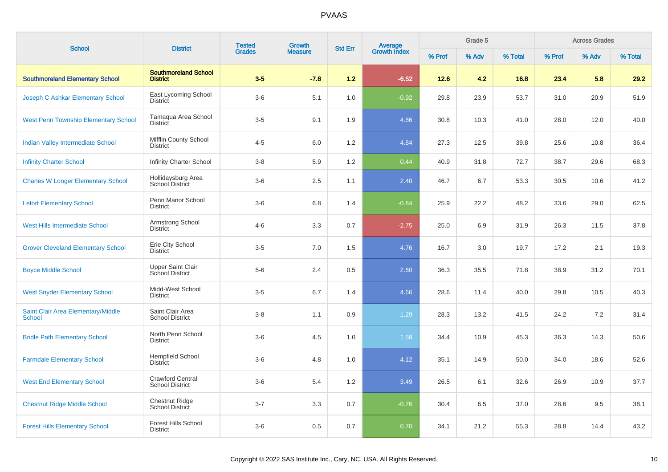| <b>School</b>                                | <b>District</b>                                    | <b>Tested</b> | <b>Growth</b>  | <b>Std Err</b> |                                |        | Grade 5 |         |        | <b>Across Grades</b> |         |
|----------------------------------------------|----------------------------------------------------|---------------|----------------|----------------|--------------------------------|--------|---------|---------|--------|----------------------|---------|
|                                              |                                                    | <b>Grades</b> | <b>Measure</b> |                | <b>Average</b><br>Growth Index | % Prof | % Adv   | % Total | % Prof | % Adv                | % Total |
| <b>Southmoreland Elementary School</b>       | <b>Southmoreland School</b><br><b>District</b>     | $3-5$         | $-7.8$         | 1.2            | $-6.52$                        | 12.6   | 4.2     | 16.8    | 23.4   | 5.8                  | 29.2    |
| Joseph C Ashkar Elementary School            | East Lycoming School<br>District                   | $3-6$         | 5.1            | 1.0            | $-0.92$                        | 29.8   | 23.9    | 53.7    | 31.0   | 20.9                 | 51.9    |
| <b>West Penn Township Elementary School</b>  | Tamagua Area School<br>District                    | $3-5$         | 9.1            | 1.9            | 4.86                           | 30.8   | 10.3    | 41.0    | 28.0   | 12.0                 | 40.0    |
| Indian Valley Intermediate School            | Mifflin County School<br><b>District</b>           | $4 - 5$       | 6.0            | 1.2            | 4.84                           | 27.3   | 12.5    | 39.8    | 25.6   | 10.8                 | 36.4    |
| <b>Infinity Charter School</b>               | Infinity Charter School                            | $3 - 8$       | 5.9            | 1.2            | 0.44                           | 40.9   | 31.8    | 72.7    | 38.7   | 29.6                 | 68.3    |
| <b>Charles W Longer Elementary School</b>    | Hollidaysburg Area<br>School District              | $3-6$         | 2.5            | 1.1            | 2.40                           | 46.7   | 6.7     | 53.3    | 30.5   | 10.6                 | 41.2    |
| <b>Letort Elementary School</b>              | Penn Manor School<br><b>District</b>               | $3-6$         | 6.8            | 1.4            | $-0.84$                        | 25.9   | 22.2    | 48.2    | 33.6   | 29.0                 | 62.5    |
| West Hills Intermediate School               | Armstrong School<br><b>District</b>                | $4-6$         | 3.3            | 0.7            | $-2.75$                        | 25.0   | 6.9     | 31.9    | 26.3   | 11.5                 | 37.8    |
| <b>Grover Cleveland Elementary School</b>    | Erie City School<br><b>District</b>                | $3-5$         | 7.0            | 1.5            | 4.76                           | 16.7   | 3.0     | 19.7    | 17.2   | 2.1                  | 19.3    |
| <b>Boyce Middle School</b>                   | <b>Upper Saint Clair</b><br><b>School District</b> | $5-6$         | 2.4            | 0.5            | 2.60                           | 36.3   | 35.5    | 71.8    | 38.9   | 31.2                 | 70.1    |
| <b>West Snyder Elementary School</b>         | Midd-West School<br><b>District</b>                | $3-5$         | 6.7            | 1.4            | 4.66                           | 28.6   | 11.4    | 40.0    | 29.8   | 10.5                 | 40.3    |
| Saint Clair Area Elementary/Middle<br>School | Saint Clair Area<br><b>School District</b>         | $3 - 8$       | 1.1            | 0.9            | 1.29                           | 28.3   | 13.2    | 41.5    | 24.2   | 7.2                  | 31.4    |
| <b>Bridle Path Elementary School</b>         | North Penn School<br><b>District</b>               | $3-6$         | 4.5            | 1.0            | 1.58                           | 34.4   | 10.9    | 45.3    | 36.3   | 14.3                 | 50.6    |
| <b>Farmdale Elementary School</b>            | <b>Hempfield School</b><br>District                | $3-6$         | 4.8            | 1.0            | 4.12                           | 35.1   | 14.9    | 50.0    | 34.0   | 18.6                 | 52.6    |
| <b>West End Elementary School</b>            | <b>Crawford Central</b><br><b>School District</b>  | $3-6$         | 5.4            | 1.2            | 3.49                           | 26.5   | 6.1     | 32.6    | 26.9   | 10.9                 | 37.7    |
| <b>Chestnut Ridge Middle School</b>          | <b>Chestnut Ridge</b><br>School District           | $3 - 7$       | 3.3            | 0.7            | $-0.76$                        | 30.4   | 6.5     | 37.0    | 28.6   | 9.5                  | 38.1    |
| <b>Forest Hills Elementary School</b>        | <b>Forest Hills School</b><br><b>District</b>      | $3-6$         | 0.5            | 0.7            | 0.70                           | 34.1   | 21.2    | 55.3    | 28.8   | 14.4                 | 43.2    |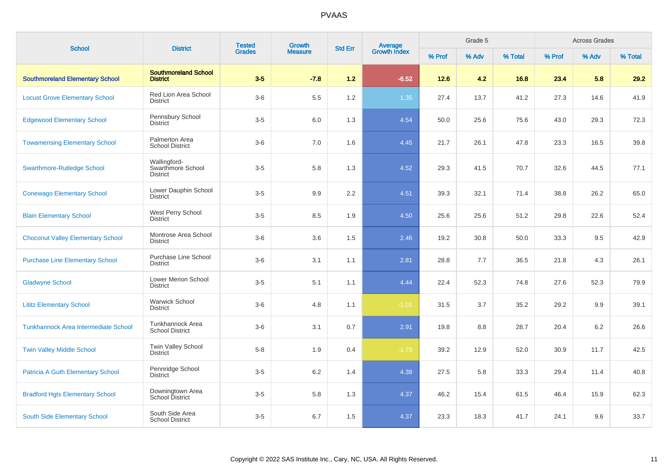| <b>School</b>                            | <b>District</b>                                      | <b>Tested</b> | <b>Growth</b>  | <b>Std Err</b> | Average<br>Growth Index |        | Grade 5 |         |        | <b>Across Grades</b> |         |
|------------------------------------------|------------------------------------------------------|---------------|----------------|----------------|-------------------------|--------|---------|---------|--------|----------------------|---------|
|                                          |                                                      | <b>Grades</b> | <b>Measure</b> |                |                         | % Prof | % Adv   | % Total | % Prof | % Adv                | % Total |
| <b>Southmoreland Elementary School</b>   | <b>Southmoreland School</b><br><b>District</b>       | $3-5$         | $-7.8$         | 1.2            | $-6.52$                 | 12.6   | 4.2     | 16.8    | 23.4   | 5.8                  | 29.2    |
| <b>Locust Grove Elementary School</b>    | Red Lion Area School<br><b>District</b>              | $3-6$         | 5.5            | 1.2            | 1.35                    | 27.4   | 13.7    | 41.2    | 27.3   | 14.6                 | 41.9    |
| <b>Edgewood Elementary School</b>        | Pennsbury School<br><b>District</b>                  | $3-5$         | 6.0            | 1.3            | 4.54                    | 50.0   | 25.6    | 75.6    | 43.0   | 29.3                 | 72.3    |
| <b>Towamensing Elementary School</b>     | Palmerton Area<br><b>School District</b>             | $3-6$         | $7.0\,$        | 1.6            | 4.45                    | 21.7   | 26.1    | 47.8    | 23.3   | 16.5                 | 39.8    |
| <b>Swarthmore-Rutledge School</b>        | Wallingford-<br>Swarthmore School<br><b>District</b> | $3-5$         | 5.8            | 1.3            | 4.52                    | 29.3   | 41.5    | 70.7    | 32.6   | 44.5                 | 77.1    |
| <b>Conewago Elementary School</b>        | Lower Dauphin School<br><b>District</b>              | $3-5$         | 9.9            | 2.2            | 4.51                    | 39.3   | 32.1    | 71.4    | 38.8   | 26.2                 | 65.0    |
| <b>Blain Elementary School</b>           | West Perry School<br><b>District</b>                 | $3-5$         | 8.5            | 1.9            | 4.50                    | 25.6   | 25.6    | 51.2    | 29.8   | 22.6                 | 52.4    |
| <b>Choconut Valley Elementary School</b> | Montrose Area School<br><b>District</b>              | $3-6$         | 3.6            | 1.5            | 2.46                    | 19.2   | 30.8    | 50.0    | 33.3   | 9.5                  | 42.9    |
| <b>Purchase Line Elementary School</b>   | Purchase Line School<br><b>District</b>              | $3-6$         | 3.1            | 1.1            | 2.81                    | 28.8   | 7.7     | 36.5    | 21.8   | 4.3                  | 26.1    |
| <b>Gladwyne School</b>                   | Lower Merion School<br><b>District</b>               | $3-5$         | 5.1            | 1.1            | 4.44                    | 22.4   | 52.3    | 74.8    | 27.6   | 52.3                 | 79.9    |
| <b>Lititz Elementary School</b>          | <b>Warwick School</b><br><b>District</b>             | $3-6$         | 4.8            | 1.1            | $-1.01$                 | 31.5   | 3.7     | 35.2    | 29.2   | 9.9                  | 39.1    |
| Tunkhannock Area Intermediate School     | Tunkhannock Area<br><b>School District</b>           | $3-6$         | 3.1            | 0.7            | 2.91                    | 19.8   | 8.8     | 28.7    | 20.4   | 6.2                  | 26.6    |
| <b>Twin Valley Middle School</b>         | Twin Valley School<br><b>District</b>                | $5-8$         | 1.9            | 0.4            | $-1.79$                 | 39.2   | 12.9    | 52.0    | 30.9   | 11.7                 | 42.5    |
| <b>Patricia A Guth Elementary School</b> | Pennridge School<br><b>District</b>                  | $3-5$         | 6.2            | 1.4            | 4.38                    | 27.5   | 5.8     | 33.3    | 29.4   | 11.4                 | 40.8    |
| <b>Bradford Hgts Elementary School</b>   | Downingtown Area<br><b>School District</b>           | $3-5$         | 5.8            | 1.3            | 4.37                    | 46.2   | 15.4    | 61.5    | 46.4   | 15.9                 | 62.3    |
| South Side Elementary School             | South Side Area<br><b>School District</b>            | $3-5$         | 6.7            | 1.5            | 4.37                    | 23.3   | 18.3    | 41.7    | 24.1   | 9.6                  | 33.7    |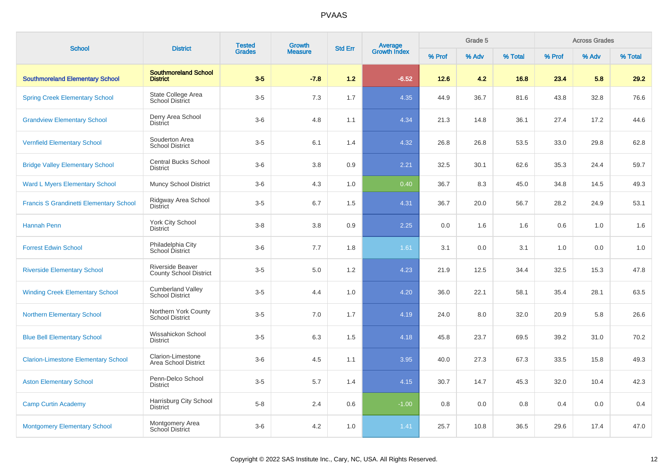| <b>School</b>                                  | <b>District</b>                                    | <b>Tested</b> | <b>Growth</b>  | <b>Std Err</b> |                                |        | Grade 5 |         |        | <b>Across Grades</b> |         |
|------------------------------------------------|----------------------------------------------------|---------------|----------------|----------------|--------------------------------|--------|---------|---------|--------|----------------------|---------|
|                                                |                                                    | <b>Grades</b> | <b>Measure</b> |                | <b>Average</b><br>Growth Index | % Prof | % Adv   | % Total | % Prof | % Adv                | % Total |
| <b>Southmoreland Elementary School</b>         | <b>Southmoreland School</b><br><b>District</b>     | $3-5$         | $-7.8$         | 1.2            | $-6.52$                        | 12.6   | 4.2     | 16.8    | 23.4   | 5.8                  | 29.2    |
| <b>Spring Creek Elementary School</b>          | State College Area<br><b>School District</b>       | $3-5$         | 7.3            | 1.7            | 4.35                           | 44.9   | 36.7    | 81.6    | 43.8   | 32.8                 | 76.6    |
| <b>Grandview Elementary School</b>             | Derry Area School<br><b>District</b>               | $3-6$         | 4.8            | 1.1            | 4.34                           | 21.3   | 14.8    | 36.1    | 27.4   | 17.2                 | 44.6    |
| <b>Vernfield Elementary School</b>             | Souderton Area<br><b>School District</b>           | $3-5$         | 6.1            | 1.4            | 4.32                           | 26.8   | 26.8    | 53.5    | 33.0   | 29.8                 | 62.8    |
| <b>Bridge Valley Elementary School</b>         | <b>Central Bucks School</b><br><b>District</b>     | $3-6$         | 3.8            | 0.9            | 2.21                           | 32.5   | 30.1    | 62.6    | 35.3   | 24.4                 | 59.7    |
| <b>Ward L Myers Elementary School</b>          | <b>Muncy School District</b>                       | $3-6$         | 4.3            | 1.0            | 0.40                           | 36.7   | 8.3     | 45.0    | 34.8   | 14.5                 | 49.3    |
| <b>Francis S Grandinetti Elementary School</b> | Ridgway Area School<br><b>District</b>             | $3-5$         | 6.7            | 1.5            | 4.31                           | 36.7   | 20.0    | 56.7    | 28.2   | 24.9                 | 53.1    |
| Hannah Penn                                    | York City School<br><b>District</b>                | $3-8$         | 3.8            | 0.9            | 2.25                           | 0.0    | 1.6     | 1.6     | 0.6    | 1.0                  | 1.6     |
| <b>Forrest Edwin School</b>                    | Philadelphia City<br>School District               | $3-6$         | 7.7            | 1.8            | 1.61                           | 3.1    | 0.0     | 3.1     | 1.0    | 0.0                  | 1.0     |
| <b>Riverside Elementary School</b>             | Riverside Beaver<br><b>County School District</b>  | $3-5$         | 5.0            | 1.2            | 4.23                           | 21.9   | 12.5    | 34.4    | 32.5   | 15.3                 | 47.8    |
| <b>Winding Creek Elementary School</b>         | <b>Cumberland Valley</b><br><b>School District</b> | $3-5$         | 4.4            | 1.0            | 4.20                           | 36.0   | 22.1    | 58.1    | 35.4   | 28.1                 | 63.5    |
| <b>Northern Elementary School</b>              | Northern York County<br><b>School District</b>     | $3-5$         | 7.0            | 1.7            | 4.19                           | 24.0   | 8.0     | 32.0    | 20.9   | 5.8                  | 26.6    |
| <b>Blue Bell Elementary School</b>             | Wissahickon School<br><b>District</b>              | $3-5$         | 6.3            | 1.5            | 4.18                           | 45.8   | 23.7    | 69.5    | 39.2   | 31.0                 | 70.2    |
| <b>Clarion-Limestone Elementary School</b>     | Clarion-Limestone<br>Area School District          | $3-6$         | 4.5            | 1.1            | 3.95                           | 40.0   | 27.3    | 67.3    | 33.5   | 15.8                 | 49.3    |
| <b>Aston Elementary School</b>                 | Penn-Delco School<br><b>District</b>               | $3-5$         | 5.7            | 1.4            | 4.15                           | 30.7   | 14.7    | 45.3    | 32.0   | 10.4                 | 42.3    |
| <b>Camp Curtin Academy</b>                     | Harrisburg City School<br><b>District</b>          | $5-8$         | 2.4            | 0.6            | $-1.00$                        | 0.8    | 0.0     | 0.8     | 0.4    | 0.0                  | 0.4     |
| <b>Montgomery Elementary School</b>            | Montgomery Area<br>School District                 | $3-6$         | 4.2            | 1.0            | 1.41                           | 25.7   | 10.8    | 36.5    | 29.6   | 17.4                 | 47.0    |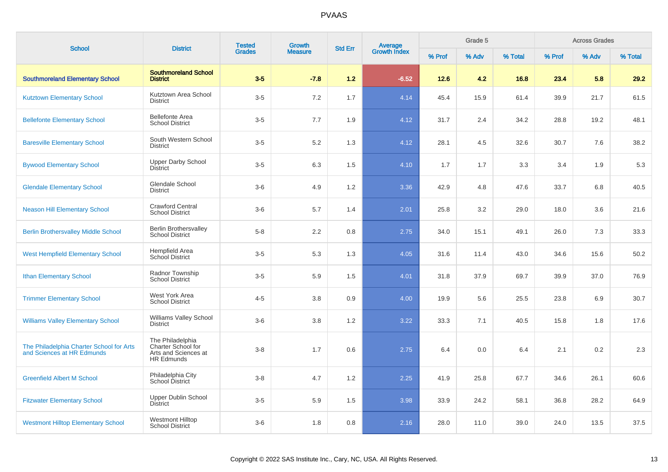| <b>School</b>                                                          | <b>District</b>                                                                     | <b>Tested</b> | <b>Growth</b>  | <b>Std Err</b> | <b>Average</b><br>Growth Index |        | Grade 5 |         |        | <b>Across Grades</b> |         |
|------------------------------------------------------------------------|-------------------------------------------------------------------------------------|---------------|----------------|----------------|--------------------------------|--------|---------|---------|--------|----------------------|---------|
|                                                                        |                                                                                     | <b>Grades</b> | <b>Measure</b> |                |                                | % Prof | % Adv   | % Total | % Prof | % Adv                | % Total |
| <b>Southmoreland Elementary School</b>                                 | <b>Southmoreland School</b><br><b>District</b>                                      | $3-5$         | $-7.8$         | 1.2            | $-6.52$                        | $12.6$ | 4.2     | 16.8    | 23.4   | 5.8                  | 29.2    |
| <b>Kutztown Elementary School</b>                                      | Kutztown Area School<br><b>District</b>                                             | $3-5$         | 7.2            | 1.7            | 4.14                           | 45.4   | 15.9    | 61.4    | 39.9   | 21.7                 | 61.5    |
| <b>Bellefonte Elementary School</b>                                    | <b>Bellefonte Area</b><br><b>School District</b>                                    | $3-5$         | 7.7            | 1.9            | 4.12                           | 31.7   | 2.4     | 34.2    | 28.8   | 19.2                 | 48.1    |
| <b>Baresville Elementary School</b>                                    | South Western School<br><b>District</b>                                             | $3-5$         | 5.2            | 1.3            | 4.12                           | 28.1   | 4.5     | 32.6    | 30.7   | 7.6                  | 38.2    |
| <b>Bywood Elementary School</b>                                        | <b>Upper Darby School</b><br><b>District</b>                                        | $3-5$         | 6.3            | 1.5            | 4.10                           | 1.7    | 1.7     | 3.3     | 3.4    | 1.9                  | 5.3     |
| <b>Glendale Elementary School</b>                                      | <b>Glendale School</b><br><b>District</b>                                           | $3-6$         | 4.9            | 1.2            | 3.36                           | 42.9   | 4.8     | 47.6    | 33.7   | 6.8                  | 40.5    |
| <b>Neason Hill Elementary School</b>                                   | <b>Crawford Central</b><br><b>School District</b>                                   | $3-6$         | 5.7            | 1.4            | 2.01                           | 25.8   | 3.2     | 29.0    | 18.0   | 3.6                  | 21.6    |
| <b>Berlin Brothersvalley Middle School</b>                             | <b>Berlin Brothersvalley</b><br><b>School District</b>                              | $5-8$         | 2.2            | 0.8            | 2.75                           | 34.0   | 15.1    | 49.1    | 26.0   | 7.3                  | 33.3    |
| <b>West Hempfield Elementary School</b>                                | Hempfield Area<br>School District                                                   | $3-5$         | 5.3            | 1.3            | 4.05                           | 31.6   | 11.4    | 43.0    | 34.6   | 15.6                 | 50.2    |
| <b>Ithan Elementary School</b>                                         | Radnor Township<br><b>School District</b>                                           | $3-5$         | 5.9            | 1.5            | 4.01                           | 31.8   | 37.9    | 69.7    | 39.9   | 37.0                 | 76.9    |
| <b>Trimmer Elementary School</b>                                       | West York Area<br><b>School District</b>                                            | $4 - 5$       | 3.8            | 0.9            | 4.00                           | 19.9   | 5.6     | 25.5    | 23.8   | 6.9                  | 30.7    |
| <b>Williams Valley Elementary School</b>                               | Williams Valley School<br><b>District</b>                                           | $3-6$         | 3.8            | 1.2            | 3.22                           | 33.3   | 7.1     | 40.5    | 15.8   | 1.8                  | 17.6    |
| The Philadelphia Charter School for Arts<br>and Sciences at HR Edmunds | The Philadelphia<br>Charter School for<br>Arts and Sciences at<br><b>HR Edmunds</b> | $3 - 8$       | 1.7            | 0.6            | 2.75                           | 6.4    | 0.0     | 6.4     | 2.1    | 0.2                  | 2.3     |
| <b>Greenfield Albert M School</b>                                      | Philadelphia City<br>School District                                                | $3 - 8$       | 4.7            | 1.2            | 2.25                           | 41.9   | 25.8    | 67.7    | 34.6   | 26.1                 | 60.6    |
| <b>Fitzwater Elementary School</b>                                     | <b>Upper Dublin School</b><br>District                                              | $3-5$         | 5.9            | 1.5            | 3.98                           | 33.9   | 24.2    | 58.1    | 36.8   | 28.2                 | 64.9    |
| <b>Westmont Hilltop Elementary School</b>                              | <b>Westmont Hilltop</b><br><b>School District</b>                                   | $3-6$         | 1.8            | 0.8            | 2.16                           | 28.0   | 11.0    | 39.0    | 24.0   | 13.5                 | 37.5    |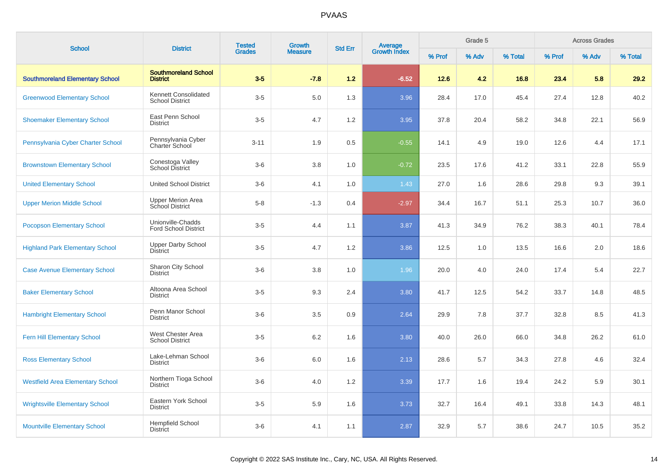| <b>School</b>                           | <b>District</b>                                  | <b>Tested</b> | <b>Growth</b>  | <b>Std Err</b> |                                |        | Grade 5 |         |        | <b>Across Grades</b> |         |
|-----------------------------------------|--------------------------------------------------|---------------|----------------|----------------|--------------------------------|--------|---------|---------|--------|----------------------|---------|
|                                         |                                                  | <b>Grades</b> | <b>Measure</b> |                | <b>Average</b><br>Growth Index | % Prof | % Adv   | % Total | % Prof | % Adv                | % Total |
| <b>Southmoreland Elementary School</b>  | <b>Southmoreland School</b><br><b>District</b>   | $3-5$         | $-7.8$         | 1.2            | $-6.52$                        | 12.6   | 4.2     | 16.8    | 23.4   | 5.8                  | 29.2    |
| <b>Greenwood Elementary School</b>      | Kennett Consolidated<br><b>School District</b>   | $3-5$         | 5.0            | 1.3            | 3.96                           | 28.4   | 17.0    | 45.4    | 27.4   | 12.8                 | 40.2    |
| <b>Shoemaker Elementary School</b>      | East Penn School<br><b>District</b>              | $3-5$         | 4.7            | 1.2            | 3.95                           | 37.8   | 20.4    | 58.2    | 34.8   | 22.1                 | 56.9    |
| Pennsylvania Cyber Charter School       | Pennsylvania Cyber<br>Charter School             | $3 - 11$      | 1.9            | 0.5            | $-0.55$                        | 14.1   | 4.9     | 19.0    | 12.6   | 4.4                  | 17.1    |
| <b>Brownstown Elementary School</b>     | Conestoga Valley<br><b>School District</b>       | $3-6$         | 3.8            | 1.0            | $-0.72$                        | 23.5   | 17.6    | 41.2    | 33.1   | 22.8                 | 55.9    |
| <b>United Elementary School</b>         | <b>United School District</b>                    | $3-6$         | 4.1            | 1.0            | 1.43                           | 27.0   | 1.6     | 28.6    | 29.8   | 9.3                  | 39.1    |
| <b>Upper Merion Middle School</b>       | <b>Upper Merion Area</b><br>School District      | $5-8$         | $-1.3$         | 0.4            | $-2.97$                        | 34.4   | 16.7    | 51.1    | 25.3   | 10.7                 | 36.0    |
| <b>Pocopson Elementary School</b>       | Unionville-Chadds<br><b>Ford School District</b> | $3-5$         | 4.4            | 1.1            | 3.87                           | 41.3   | 34.9    | 76.2    | 38.3   | 40.1                 | 78.4    |
| <b>Highland Park Elementary School</b>  | <b>Upper Darby School</b><br>District            | $3-5$         | 4.7            | 1.2            | 3.86                           | 12.5   | 1.0     | 13.5    | 16.6   | 2.0                  | 18.6    |
| <b>Case Avenue Elementary School</b>    | Sharon City School<br><b>District</b>            | $3-6$         | 3.8            | 1.0            | 1.96                           | 20.0   | 4.0     | 24.0    | 17.4   | 5.4                  | 22.7    |
| <b>Baker Elementary School</b>          | Altoona Area School<br><b>District</b>           | $3-5$         | 9.3            | 2.4            | 3.80                           | 41.7   | 12.5    | 54.2    | 33.7   | 14.8                 | 48.5    |
| <b>Hambright Elementary School</b>      | Penn Manor School<br><b>District</b>             | $3-6$         | 3.5            | 0.9            | 2.64                           | 29.9   | 7.8     | 37.7    | 32.8   | 8.5                  | 41.3    |
| <b>Fern Hill Elementary School</b>      | West Chester Area<br><b>School District</b>      | $3-5$         | 6.2            | 1.6            | 3.80                           | 40.0   | 26.0    | 66.0    | 34.8   | 26.2                 | 61.0    |
| <b>Ross Elementary School</b>           | Lake-Lehman School<br><b>District</b>            | $3-6$         | 6.0            | 1.6            | 2.13                           | 28.6   | 5.7     | 34.3    | 27.8   | 4.6                  | 32.4    |
| <b>Westfield Area Elementary School</b> | Northern Tioga School<br><b>District</b>         | $3-6$         | 4.0            | 1.2            | 3.39                           | 17.7   | 1.6     | 19.4    | 24.2   | 5.9                  | 30.1    |
| <b>Wrightsville Elementary School</b>   | Eastern York School<br><b>District</b>           | $3-5$         | 5.9            | 1.6            | 3.73                           | 32.7   | 16.4    | 49.1    | 33.8   | 14.3                 | 48.1    |
| <b>Mountville Elementary School</b>     | <b>Hempfield School</b><br><b>District</b>       | $3-6$         | 4.1            | 1.1            | 2.87                           | 32.9   | 5.7     | 38.6    | 24.7   | 10.5                 | 35.2    |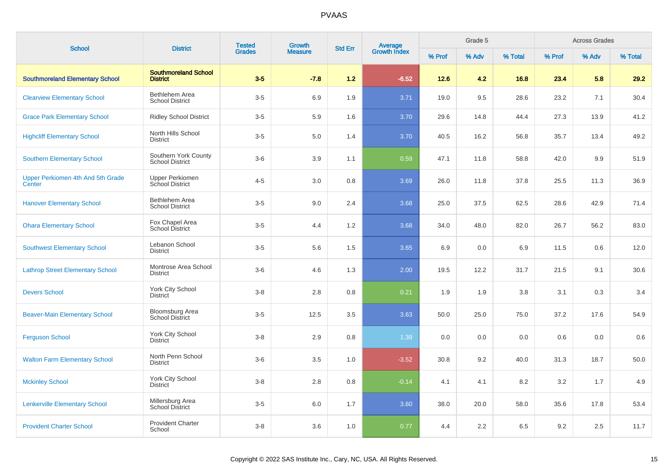| <b>School</b>                               | <b>District</b>                                | <b>Tested</b> | <b>Growth</b>  | <b>Std Err</b> |                                |        | Grade 5 |         |        | <b>Across Grades</b> |         |
|---------------------------------------------|------------------------------------------------|---------------|----------------|----------------|--------------------------------|--------|---------|---------|--------|----------------------|---------|
|                                             |                                                | <b>Grades</b> | <b>Measure</b> |                | <b>Average</b><br>Growth Index | % Prof | % Adv   | % Total | % Prof | % Adv                | % Total |
| <b>Southmoreland Elementary School</b>      | <b>Southmoreland School</b><br><b>District</b> | $3-5$         | $-7.8$         | 1.2            | $-6.52$                        | 12.6   | 4.2     | 16.8    | 23.4   | 5.8                  | 29.2    |
| <b>Clearview Elementary School</b>          | Bethlehem Area<br><b>School District</b>       | $3-5$         | 6.9            | 1.9            | 3.71                           | 19.0   | 9.5     | 28.6    | 23.2   | 7.1                  | 30.4    |
| <b>Grace Park Elementary School</b>         | <b>Ridley School District</b>                  | $3-5$         | 5.9            | 1.6            | 3.70                           | 29.6   | 14.8    | 44.4    | 27.3   | 13.9                 | 41.2    |
| <b>Highcliff Elementary School</b>          | North Hills School<br><b>District</b>          | $3-5$         | 5.0            | 1.4            | 3.70                           | 40.5   | 16.2    | 56.8    | 35.7   | 13.4                 | 49.2    |
| <b>Southern Elementary School</b>           | Southern York County<br><b>School District</b> | $3-6$         | 3.9            | 1.1            | 0.59                           | 47.1   | 11.8    | 58.8    | 42.0   | 9.9                  | 51.9    |
| Upper Perkiomen 4th And 5th Grade<br>Center | <b>Upper Perkiomen</b><br>School District      | $4 - 5$       | 3.0            | 0.8            | 3.69                           | 26.0   | 11.8    | 37.8    | 25.5   | 11.3                 | 36.9    |
| <b>Hanover Elementary School</b>            | Bethlehem Area<br><b>School District</b>       | $3-5$         | 9.0            | 2.4            | 3.68                           | 25.0   | 37.5    | 62.5    | 28.6   | 42.9                 | 71.4    |
| <b>Ohara Elementary School</b>              | Fox Chapel Area<br>School District             | $3-5$         | 4.4            | 1.2            | 3.68                           | 34.0   | 48.0    | 82.0    | 26.7   | 56.2                 | 83.0    |
| <b>Southwest Elementary School</b>          | Lebanon School<br><b>District</b>              | $3-5$         | 5.6            | 1.5            | 3.65                           | 6.9    | 0.0     | 6.9     | 11.5   | 0.6                  | 12.0    |
| <b>Lathrop Street Elementary School</b>     | Montrose Area School<br><b>District</b>        | $3-6$         | 4.6            | 1.3            | 2.00                           | 19.5   | 12.2    | 31.7    | 21.5   | 9.1                  | 30.6    |
| <b>Devers School</b>                        | York City School<br><b>District</b>            | $3-8$         | 2.8            | 0.8            | 0.21                           | 1.9    | 1.9     | 3.8     | 3.1    | 0.3                  | 3.4     |
| <b>Beaver-Main Elementary School</b>        | <b>Bloomsburg Area</b><br>School District      | $3-5$         | 12.5           | 3.5            | 3.63                           | 50.0   | 25.0    | 75.0    | 37.2   | 17.6                 | 54.9    |
| <b>Ferguson School</b>                      | York City School<br><b>District</b>            | $3-8$         | 2.9            | 0.8            | 1.39                           | 0.0    | 0.0     | 0.0     | 0.6    | 0.0                  | 0.6     |
| <b>Walton Farm Elementary School</b>        | North Penn School<br><b>District</b>           | $3-6$         | 3.5            | 1.0            | $-3.52$                        | 30.8   | 9.2     | 40.0    | 31.3   | 18.7                 | 50.0    |
| <b>Mckinley School</b>                      | York City School<br><b>District</b>            | $3-8$         | 2.8            | 0.8            | $-0.14$                        | 4.1    | 4.1     | 8.2     | 3.2    | 1.7                  | 4.9     |
| <b>Lenkerville Elementary School</b>        | Millersburg Area<br>School District            | $3-5$         | 6.0            | 1.7            | 3.60                           | 38.0   | 20.0    | 58.0    | 35.6   | 17.8                 | 53.4    |
| <b>Provident Charter School</b>             | <b>Provident Charter</b><br>School             | $3-8$         | 3.6            | 1.0            | 0.77                           | 4.4    | 2.2     | 6.5     | 9.2    | 2.5                  | 11.7    |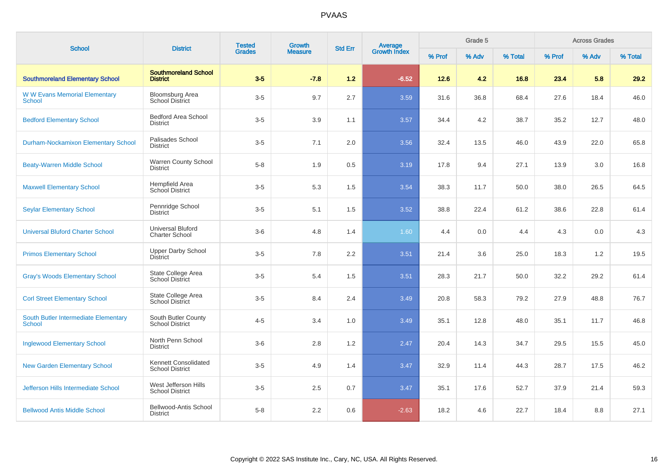| <b>School</b>                                  | <b>District</b>                                   | <b>Tested</b><br>Growth<br><b>Grades</b><br><b>Measure</b> |        | <b>Average</b><br>Growth Index<br><b>Std Err</b> |         |        | Grade 5 |         |        | <b>Across Grades</b> |         |
|------------------------------------------------|---------------------------------------------------|------------------------------------------------------------|--------|--------------------------------------------------|---------|--------|---------|---------|--------|----------------------|---------|
|                                                |                                                   |                                                            |        |                                                  |         | % Prof | % Adv   | % Total | % Prof | % Adv                | % Total |
| <b>Southmoreland Elementary School</b>         | <b>Southmoreland School</b><br><b>District</b>    | $3 - 5$                                                    | $-7.8$ | 1.2                                              | $-6.52$ | $12.6$ | 4.2     | 16.8    | 23.4   | 5.8                  | 29.2    |
| <b>WW Evans Memorial Elementary</b><br>School  | <b>Bloomsburg Area</b><br><b>School District</b>  | $3-5$                                                      | 9.7    | 2.7                                              | 3.59    | 31.6   | 36.8    | 68.4    | 27.6   | 18.4                 | 46.0    |
| <b>Bedford Elementary School</b>               | <b>Bedford Area School</b><br><b>District</b>     | $3-5$                                                      | 3.9    | 1.1                                              | 3.57    | 34.4   | 4.2     | 38.7    | 35.2   | 12.7                 | 48.0    |
| <b>Durham-Nockamixon Elementary School</b>     | Palisades School<br><b>District</b>               | $3-5$                                                      | 7.1    | 2.0                                              | 3.56    | 32.4   | 13.5    | 46.0    | 43.9   | 22.0                 | 65.8    |
| <b>Beaty-Warren Middle School</b>              | <b>Warren County School</b><br><b>District</b>    | $5-8$                                                      | 1.9    | 0.5                                              | 3.19    | 17.8   | 9.4     | 27.1    | 13.9   | 3.0                  | 16.8    |
| <b>Maxwell Elementary School</b>               | Hempfield Area<br>School District                 | $3-5$                                                      | 5.3    | 1.5                                              | 3.54    | 38.3   | 11.7    | 50.0    | 38.0   | 26.5                 | 64.5    |
| <b>Seylar Elementary School</b>                | Pennridge School<br><b>District</b>               | $3-5$                                                      | 5.1    | 1.5                                              | 3.52    | 38.8   | 22.4    | 61.2    | 38.6   | 22.8                 | 61.4    |
| <b>Universal Bluford Charter School</b>        | <b>Universal Bluford</b><br><b>Charter School</b> | $3-6$                                                      | 4.8    | 1.4                                              | 1.60    | 4.4    | 0.0     | 4.4     | 4.3    | 0.0                  | 4.3     |
| <b>Primos Elementary School</b>                | <b>Upper Darby School</b><br><b>District</b>      | $3-5$                                                      | 7.8    | 2.2                                              | 3.51    | 21.4   | 3.6     | 25.0    | 18.3   | 1.2                  | 19.5    |
| <b>Gray's Woods Elementary School</b>          | State College Area<br><b>School District</b>      | $3-5$                                                      | 5.4    | 1.5                                              | 3.51    | 28.3   | 21.7    | 50.0    | 32.2   | 29.2                 | 61.4    |
| <b>Corl Street Elementary School</b>           | State College Area<br><b>School District</b>      | $3-5$                                                      | 8.4    | 2.4                                              | 3.49    | 20.8   | 58.3    | 79.2    | 27.9   | 48.8                 | 76.7    |
| South Butler Intermediate Elementary<br>School | South Butler County<br><b>School District</b>     | $4 - 5$                                                    | 3.4    | 1.0                                              | 3.49    | 35.1   | 12.8    | 48.0    | 35.1   | 11.7                 | 46.8    |
| <b>Inglewood Elementary School</b>             | North Penn School<br><b>District</b>              | $3-6$                                                      | 2.8    | 1.2                                              | 2.47    | 20.4   | 14.3    | 34.7    | 29.5   | 15.5                 | 45.0    |
| <b>New Garden Elementary School</b>            | Kennett Consolidated<br><b>School District</b>    | $3-5$                                                      | 4.9    | 1.4                                              | 3.47    | 32.9   | 11.4    | 44.3    | 28.7   | 17.5                 | 46.2    |
| Jefferson Hills Intermediate School            | West Jefferson Hills<br><b>School District</b>    | $3-5$                                                      | 2.5    | 0.7                                              | 3.47    | 35.1   | 17.6    | 52.7    | 37.9   | 21.4                 | 59.3    |
| <b>Bellwood Antis Middle School</b>            | Bellwood-Antis School<br><b>District</b>          | $5 - 8$                                                    | 2.2    | 0.6                                              | $-2.63$ | 18.2   | 4.6     | 22.7    | 18.4   | 8.8                  | 27.1    |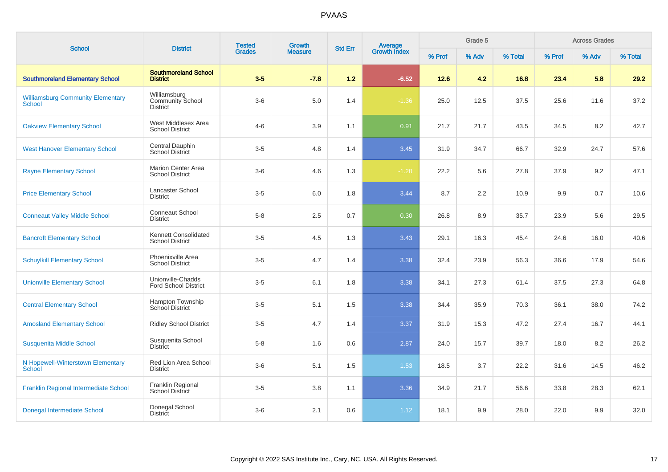| <b>School</b>                                      | <b>District</b>                                            | <b>Tested</b><br><b>Grades</b> | Growth         | <b>Std Err</b> | Average<br>Growth Index |        | Grade 5 |         |        | <b>Across Grades</b> |         |
|----------------------------------------------------|------------------------------------------------------------|--------------------------------|----------------|----------------|-------------------------|--------|---------|---------|--------|----------------------|---------|
|                                                    |                                                            |                                | <b>Measure</b> |                |                         | % Prof | % Adv   | % Total | % Prof | % Adv                | % Total |
| <b>Southmoreland Elementary School</b>             | <b>Southmoreland School</b><br><b>District</b>             | $3-5$                          | $-7.8$         | 1.2            | $-6.52$                 | $12.6$ | 4.2     | 16.8    | 23.4   | 5.8                  | 29.2    |
| <b>Williamsburg Community Elementary</b><br>School | Williamsburg<br><b>Community School</b><br><b>District</b> | $3-6$                          | 5.0            | 1.4            | $-1.36$                 | 25.0   | 12.5    | 37.5    | 25.6   | 11.6                 | 37.2    |
| <b>Oakview Elementary School</b>                   | West Middlesex Area<br><b>School District</b>              | $4 - 6$                        | 3.9            | 1.1            | 0.91                    | 21.7   | 21.7    | 43.5    | 34.5   | 8.2                  | 42.7    |
| <b>West Hanover Elementary School</b>              | Central Dauphin<br><b>School District</b>                  | $3-5$                          | 4.8            | 1.4            | 3.45                    | 31.9   | 34.7    | 66.7    | 32.9   | 24.7                 | 57.6    |
| <b>Rayne Elementary School</b>                     | <b>Marion Center Area</b><br><b>School District</b>        | $3-6$                          | 4.6            | 1.3            | $-1.20$                 | 22.2   | 5.6     | 27.8    | 37.9   | 9.2                  | 47.1    |
| <b>Price Elementary School</b>                     | Lancaster School<br><b>District</b>                        | $3-5$                          | 6.0            | 1.8            | 3.44                    | 8.7    | 2.2     | 10.9    | 9.9    | 0.7                  | 10.6    |
| <b>Conneaut Valley Middle School</b>               | Conneaut School<br><b>District</b>                         | $5 - 8$                        | 2.5            | 0.7            | 0.30                    | 26.8   | 8.9     | 35.7    | 23.9   | 5.6                  | 29.5    |
| <b>Bancroft Elementary School</b>                  | Kennett Consolidated<br><b>School District</b>             | $3-5$                          | 4.5            | 1.3            | 3.43                    | 29.1   | 16.3    | 45.4    | 24.6   | 16.0                 | 40.6    |
| <b>Schuylkill Elementary School</b>                | Phoenixville Area<br><b>School District</b>                | $3-5$                          | 4.7            | 1.4            | 3.38                    | 32.4   | 23.9    | 56.3    | 36.6   | 17.9                 | 54.6    |
| <b>Unionville Elementary School</b>                | Unionville-Chadds<br><b>Ford School District</b>           | $3-5$                          | 6.1            | 1.8            | 3.38                    | 34.1   | 27.3    | 61.4    | 37.5   | 27.3                 | 64.8    |
| <b>Central Elementary School</b>                   | Hampton Township<br><b>School District</b>                 | $3-5$                          | 5.1            | 1.5            | 3.38                    | 34.4   | 35.9    | 70.3    | 36.1   | 38.0                 | 74.2    |
| <b>Amosland Elementary School</b>                  | <b>Ridley School District</b>                              | $3-5$                          | 4.7            | 1.4            | 3.37                    | 31.9   | 15.3    | 47.2    | 27.4   | 16.7                 | 44.1    |
| Susquenita Middle School                           | Susquenita School<br><b>District</b>                       | $5 - 8$                        | 1.6            | 0.6            | 2.87                    | 24.0   | 15.7    | 39.7    | 18.0   | 8.2                  | 26.2    |
| N Hopewell-Winterstown Elementary<br>School        | Red Lion Area School<br><b>District</b>                    | $3-6$                          | 5.1            | 1.5            | 1.53                    | 18.5   | 3.7     | 22.2    | 31.6   | 14.5                 | 46.2    |
| Franklin Regional Intermediate School              | <b>Franklin Regional</b><br>School District                | $3-5$                          | 3.8            | 1.1            | 3.36                    | 34.9   | 21.7    | 56.6    | 33.8   | 28.3                 | 62.1    |
| Donegal Intermediate School                        | Donegal School<br><b>District</b>                          | $3-6$                          | 2.1            | 0.6            | 1.12                    | 18.1   | 9.9     | 28.0    | 22.0   | 9.9                  | 32.0    |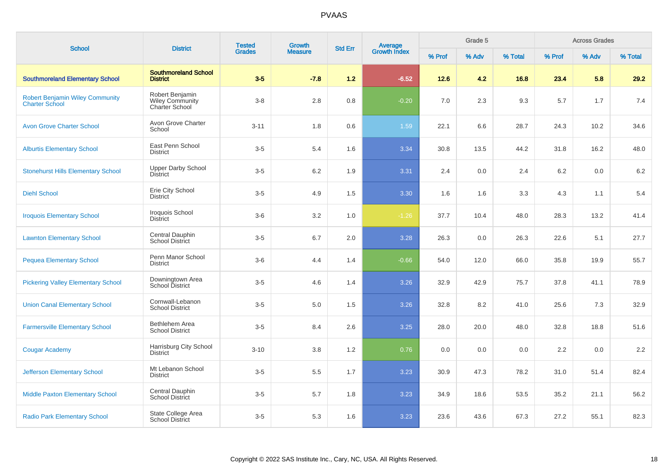| <b>School</b>                                                   | <b>District</b>                                      | <b>Tested</b> | <b>Growth</b>  | <b>Std Err</b> | Average<br>Growth Index |        | Grade 5 |         |        | <b>Across Grades</b> |         |
|-----------------------------------------------------------------|------------------------------------------------------|---------------|----------------|----------------|-------------------------|--------|---------|---------|--------|----------------------|---------|
|                                                                 |                                                      | <b>Grades</b> | <b>Measure</b> |                |                         | % Prof | % Adv   | % Total | % Prof | % Adv                | % Total |
| <b>Southmoreland Elementary School</b>                          | <b>Southmoreland School</b><br><b>District</b>       | $3-5$         | $-7.8$         | 1.2            | $-6.52$                 | 12.6   | 4.2     | 16.8    | 23.4   | 5.8                  | 29.2    |
| <b>Robert Benjamin Wiley Community</b><br><b>Charter School</b> | Robert Benjamin<br>Wiley Community<br>Charter School | $3 - 8$       | 2.8            | 0.8            | $-0.20$                 | 7.0    | 2.3     | 9.3     | 5.7    | 1.7                  | 7.4     |
| <b>Avon Grove Charter School</b>                                | Avon Grove Charter<br>School                         | $3 - 11$      | 1.8            | 0.6            | 1.59                    | 22.1   | 6.6     | 28.7    | 24.3   | 10.2                 | 34.6    |
| <b>Alburtis Elementary School</b>                               | East Penn School<br><b>District</b>                  | $3-5$         | 5.4            | 1.6            | 3.34                    | 30.8   | 13.5    | 44.2    | 31.8   | 16.2                 | 48.0    |
| <b>Stonehurst Hills Elementary School</b>                       | <b>Upper Darby School</b><br><b>District</b>         | $3-5$         | 6.2            | 1.9            | 3.31                    | 2.4    | 0.0     | 2.4     | 6.2    | 0.0                  | 6.2     |
| <b>Diehl School</b>                                             | Erie City School<br><b>District</b>                  | $3-5$         | 4.9            | 1.5            | 3.30                    | 1.6    | 1.6     | 3.3     | 4.3    | 1.1                  | 5.4     |
| <b>Iroquois Elementary School</b>                               | Iroquois School<br><b>District</b>                   | $3-6$         | 3.2            | 1.0            | $-1.26$                 | 37.7   | 10.4    | 48.0    | 28.3   | 13.2                 | 41.4    |
| <b>Lawnton Elementary School</b>                                | Central Dauphin<br>School District                   | $3-5$         | 6.7            | 2.0            | 3.28                    | 26.3   | 0.0     | 26.3    | 22.6   | 5.1                  | 27.7    |
| <b>Pequea Elementary School</b>                                 | Penn Manor School<br><b>District</b>                 | $3-6$         | 4.4            | 1.4            | $-0.66$                 | 54.0   | 12.0    | 66.0    | 35.8   | 19.9                 | 55.7    |
| <b>Pickering Valley Elementary School</b>                       | Downingtown Area<br>School District                  | $3-5$         | 4.6            | 1.4            | 3.26                    | 32.9   | 42.9    | 75.7    | 37.8   | 41.1                 | 78.9    |
| <b>Union Canal Elementary School</b>                            | Cornwall-Lebanon<br><b>School District</b>           | $3-5$         | 5.0            | 1.5            | 3.26                    | 32.8   | 8.2     | 41.0    | 25.6   | 7.3                  | 32.9    |
| <b>Farmersville Elementary School</b>                           | <b>Bethlehem Area</b><br><b>School District</b>      | $3-5$         | 8.4            | 2.6            | 3.25                    | 28.0   | 20.0    | 48.0    | 32.8   | 18.8                 | 51.6    |
| <b>Cougar Academy</b>                                           | Harrisburg City School<br><b>District</b>            | $3 - 10$      | 3.8            | 1.2            | 0.76                    | 0.0    | 0.0     | 0.0     | 2.2    | 0.0                  | 2.2     |
| <b>Jefferson Elementary School</b>                              | Mt Lebanon School<br><b>District</b>                 | $3-5$         | 5.5            | 1.7            | 3.23                    | 30.9   | 47.3    | 78.2    | 31.0   | 51.4                 | 82.4    |
| <b>Middle Paxton Elementary School</b>                          | Central Dauphin<br><b>School District</b>            | $3-5$         | 5.7            | 1.8            | 3.23                    | 34.9   | 18.6    | 53.5    | 35.2   | 21.1                 | 56.2    |
| <b>Radio Park Elementary School</b>                             | State College Area<br><b>School District</b>         | $3-5$         | 5.3            | 1.6            | 3.23                    | 23.6   | 43.6    | 67.3    | 27.2   | 55.1                 | 82.3    |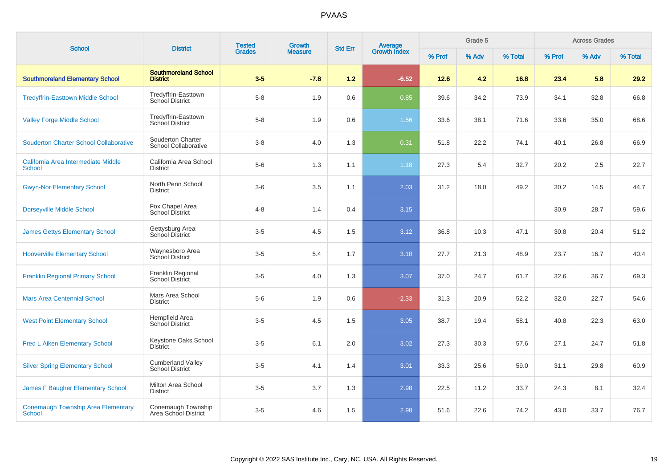| <b>School</b>                                              | <b>District</b>                                    | <b>Tested</b><br><b>Grades</b> | Growth         | <b>Std Err</b> |                                |        | Grade 5 |         |        | <b>Across Grades</b> |         |
|------------------------------------------------------------|----------------------------------------------------|--------------------------------|----------------|----------------|--------------------------------|--------|---------|---------|--------|----------------------|---------|
|                                                            |                                                    |                                | <b>Measure</b> |                | <b>Average</b><br>Growth Index | % Prof | % Adv   | % Total | % Prof | % Adv                | % Total |
| <b>Southmoreland Elementary School</b>                     | <b>Southmoreland School</b><br><b>District</b>     | $3-5$                          | $-7.8$         | 1.2            | $-6.52$                        | $12.6$ | 4.2     | 16.8    | 23.4   | 5.8                  | 29.2    |
| <b>Tredyffrin-Easttown Middle School</b>                   | Tredyffrin-Easttown<br><b>School District</b>      | $5 - 8$                        | 1.9            | 0.6            | 0.85                           | 39.6   | 34.2    | 73.9    | 34.1   | 32.8                 | 66.8    |
| <b>Valley Forge Middle School</b>                          | Tredyffrin-Easttown<br>School District             | $5-8$                          | 1.9            | 0.6            | 1.56                           | 33.6   | 38.1    | 71.6    | 33.6   | 35.0                 | 68.6    |
| <b>Souderton Charter School Collaborative</b>              | Souderton Charter<br>School Collaborative          | $3 - 8$                        | 4.0            | 1.3            | 0.31                           | 51.8   | 22.2    | 74.1    | 40.1   | 26.8                 | 66.9    |
| California Area Intermediate Middle<br><b>School</b>       | California Area School<br><b>District</b>          | $5-6$                          | 1.3            | 1.1            | 1.18                           | 27.3   | 5.4     | 32.7    | 20.2   | 2.5                  | 22.7    |
| <b>Gwyn-Nor Elementary School</b>                          | North Penn School<br><b>District</b>               | $3-6$                          | 3.5            | 1.1            | 2.03                           | 31.2   | 18.0    | 49.2    | 30.2   | 14.5                 | 44.7    |
| <b>Dorseyville Middle School</b>                           | Fox Chapel Area<br>School District                 | $4 - 8$                        | 1.4            | 0.4            | 3.15                           |        |         |         | 30.9   | 28.7                 | 59.6    |
| <b>James Gettys Elementary School</b>                      | Gettysburg Area<br>School District                 | $3-5$                          | 4.5            | 1.5            | 3.12                           | 36.8   | 10.3    | 47.1    | 30.8   | 20.4                 | 51.2    |
| <b>Hooverville Elementary School</b>                       | Waynesboro Area<br>School District                 | $3-5$                          | 5.4            | 1.7            | 3.10                           | 27.7   | 21.3    | 48.9    | 23.7   | 16.7                 | 40.4    |
| <b>Franklin Regional Primary School</b>                    | Franklin Regional<br><b>School District</b>        | $3-5$                          | 4.0            | 1.3            | 3.07                           | 37.0   | 24.7    | 61.7    | 32.6   | 36.7                 | 69.3    |
| <b>Mars Area Centennial School</b>                         | Mars Area School<br><b>District</b>                | $5-6$                          | 1.9            | 0.6            | $-2.33$                        | 31.3   | 20.9    | 52.2    | 32.0   | 22.7                 | 54.6    |
| <b>West Point Elementary School</b>                        | Hempfield Area<br><b>School District</b>           | $3-5$                          | 4.5            | 1.5            | 3.05                           | 38.7   | 19.4    | 58.1    | 40.8   | 22.3                 | 63.0    |
| <b>Fred L Aiken Elementary School</b>                      | Keystone Oaks School<br><b>District</b>            | $3-5$                          | 6.1            | 2.0            | 3.02                           | 27.3   | 30.3    | 57.6    | 27.1   | 24.7                 | 51.8    |
| <b>Silver Spring Elementary School</b>                     | <b>Cumberland Valley</b><br><b>School District</b> | $3-5$                          | 4.1            | 1.4            | 3.01                           | 33.3   | 25.6    | 59.0    | 31.1   | 29.8                 | 60.9    |
| James F Baugher Elementary School                          | Milton Area School<br><b>District</b>              | $3-5$                          | 3.7            | 1.3            | 2.98                           | 22.5   | 11.2    | 33.7    | 24.3   | 8.1                  | 32.4    |
| <b>Conemaugh Township Area Elementary</b><br><b>School</b> | Conemaugh Township<br>Area School District         | $3-5$                          | 4.6            | 1.5            | 2.98                           | 51.6   | 22.6    | 74.2    | 43.0   | 33.7                 | 76.7    |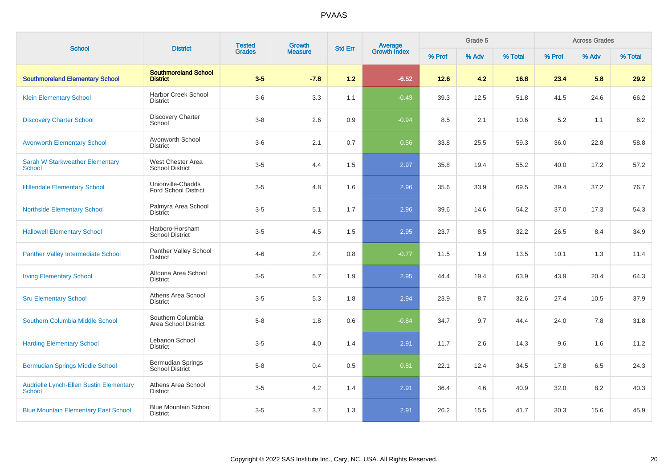| <b>School</b>                                                   | <b>District</b>                                    | <b>Tested</b> | Growth         | <b>Std Err</b> |                                |        | Grade 5 |         |        | <b>Across Grades</b> |         |
|-----------------------------------------------------------------|----------------------------------------------------|---------------|----------------|----------------|--------------------------------|--------|---------|---------|--------|----------------------|---------|
|                                                                 |                                                    | <b>Grades</b> | <b>Measure</b> |                | <b>Average</b><br>Growth Index | % Prof | % Adv   | % Total | % Prof | % Adv                | % Total |
| <b>Southmoreland Elementary School</b>                          | <b>Southmoreland School</b><br><b>District</b>     | $3-5$         | $-7.8$         | $1.2$          | $-6.52$                        | $12.6$ | 4.2     | 16.8    | 23.4   | 5.8                  | 29.2    |
| <b>Klein Elementary School</b>                                  | <b>Harbor Creek School</b><br><b>District</b>      | $3-6$         | 3.3            | 1.1            | $-0.43$                        | 39.3   | 12.5    | 51.8    | 41.5   | 24.6                 | 66.2    |
| <b>Discovery Charter School</b>                                 | <b>Discovery Charter</b><br>School                 | $3 - 8$       | 2.6            | 0.9            | $-0.94$                        | 8.5    | 2.1     | 10.6    | 5.2    | 1.1                  | 6.2     |
| <b>Avonworth Elementary School</b>                              | Avonworth School<br><b>District</b>                | $3-6$         | 2.1            | 0.7            | 0.56                           | 33.8   | 25.5    | 59.3    | 36.0   | 22.8                 | 58.8    |
| <b>Sarah W Starkweather Elementary</b><br>School                | West Chester Area<br><b>School District</b>        | $3-5$         | 4.4            | 1.5            | 2.97                           | 35.8   | 19.4    | 55.2    | 40.0   | 17.2                 | 57.2    |
| <b>Hillendale Elementary School</b>                             | Unionville-Chadds<br><b>Ford School District</b>   | $3-5$         | 4.8            | 1.6            | 2.96                           | 35.6   | 33.9    | 69.5    | 39.4   | 37.2                 | 76.7    |
| <b>Northside Elementary School</b>                              | Palmyra Area School<br><b>District</b>             | $3-5$         | 5.1            | 1.7            | 2.96                           | 39.6   | 14.6    | 54.2    | 37.0   | 17.3                 | 54.3    |
| <b>Hallowell Elementary School</b>                              | Hatboro-Horsham<br><b>School District</b>          | $3-5$         | 4.5            | 1.5            | 2.95                           | 23.7   | 8.5     | 32.2    | 26.5   | 8.4                  | 34.9    |
| <b>Panther Valley Intermediate School</b>                       | Panther Valley School<br><b>District</b>           | $4 - 6$       | 2.4            | 0.8            | $-0.77$                        | 11.5   | 1.9     | 13.5    | 10.1   | 1.3                  | 11.4    |
| <b>Irving Elementary School</b>                                 | Altoona Area School<br><b>District</b>             | $3-5$         | 5.7            | 1.9            | 2.95                           | 44.4   | 19.4    | 63.9    | 43.9   | 20.4                 | 64.3    |
| <b>Sru Elementary School</b>                                    | Athens Area School<br><b>District</b>              | $3-5$         | 5.3            | 1.8            | 2.94                           | 23.9   | 8.7     | 32.6    | 27.4   | 10.5                 | 37.9    |
| Southern Columbia Middle School                                 | Southern Columbia<br>Area School District          | $5-8$         | 1.8            | 0.6            | $-0.84$                        | 34.7   | 9.7     | 44.4    | 24.0   | 7.8                  | 31.8    |
| <b>Harding Elementary School</b>                                | Lebanon School<br><b>District</b>                  | $3-5$         | 4.0            | 1.4            | 2.91                           | 11.7   | 2.6     | 14.3    | 9.6    | 1.6                  | 11.2    |
| <b>Bermudian Springs Middle School</b>                          | <b>Bermudian Springs</b><br><b>School District</b> | $5 - 8$       | 0.4            | 0.5            | 0.81                           | 22.1   | 12.4    | 34.5    | 17.8   | 6.5                  | 24.3    |
| <b>Audrielle Lynch-Ellen Bustin Elementary</b><br><b>School</b> | Athens Area School<br><b>District</b>              | $3-5$         | 4.2            | 1.4            | 2.91                           | 36.4   | 4.6     | 40.9    | 32.0   | 8.2                  | 40.3    |
| <b>Blue Mountain Elementary East School</b>                     | <b>Blue Mountain School</b><br><b>District</b>     | $3-5$         | 3.7            | 1.3            | 2.91                           | 26.2   | 15.5    | 41.7    | 30.3   | 15.6                 | 45.9    |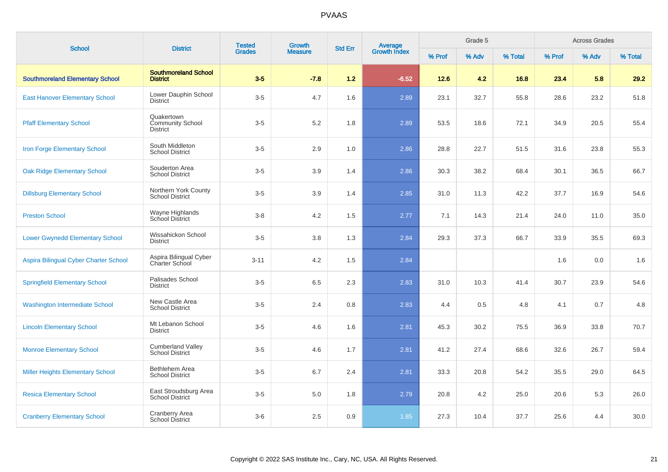| <b>School</b>                           | <b>District</b>                                    | <b>Tested</b> | <b>Growth</b>  | <b>Std Err</b> |                                |        | Grade 5 |         |        | <b>Across Grades</b> |         |
|-----------------------------------------|----------------------------------------------------|---------------|----------------|----------------|--------------------------------|--------|---------|---------|--------|----------------------|---------|
|                                         |                                                    | <b>Grades</b> | <b>Measure</b> |                | <b>Average</b><br>Growth Index | % Prof | % Adv   | % Total | % Prof | % Adv                | % Total |
| <b>Southmoreland Elementary School</b>  | <b>Southmoreland School</b><br><b>District</b>     | $3-5$         | $-7.8$         | 1.2            | $-6.52$                        | 12.6   | 4.2     | 16.8    | 23.4   | 5.8                  | 29.2    |
| <b>East Hanover Elementary School</b>   | Lower Dauphin School<br><b>District</b>            | $3-5$         | 4.7            | 1.6            | 2.89                           | 23.1   | 32.7    | 55.8    | 28.6   | 23.2                 | 51.8    |
| <b>Pfaff Elementary School</b>          | Quakertown<br><b>Community School</b><br>District  | $3-5$         | 5.2            | 1.8            | 2.89                           | 53.5   | 18.6    | 72.1    | 34.9   | 20.5                 | 55.4    |
| Iron Forge Elementary School            | South Middleton<br><b>School District</b>          | $3-5$         | 2.9            | 1.0            | 2.86                           | 28.8   | 22.7    | 51.5    | 31.6   | 23.8                 | 55.3    |
| <b>Oak Ridge Elementary School</b>      | Souderton Area<br><b>School District</b>           | $3-5$         | 3.9            | 1.4            | 2.86                           | 30.3   | 38.2    | 68.4    | 30.1   | 36.5                 | 66.7    |
| <b>Dillsburg Elementary School</b>      | Northern York County<br><b>School District</b>     | $3-5$         | 3.9            | 1.4            | 2.85                           | 31.0   | 11.3    | 42.2    | 37.7   | 16.9                 | 54.6    |
| <b>Preston School</b>                   | Wayne Highlands<br>School District                 | $3 - 8$       | 4.2            | 1.5            | 2.77                           | 7.1    | 14.3    | 21.4    | 24.0   | 11.0                 | 35.0    |
| <b>Lower Gwynedd Elementary School</b>  | Wissahickon School<br><b>District</b>              | $3-5$         | 3.8            | 1.3            | 2.84                           | 29.3   | 37.3    | 66.7    | 33.9   | 35.5                 | 69.3    |
| Aspira Bilingual Cyber Charter School   | Aspira Bilingual Cyber<br>Charter School           | $3 - 11$      | 4.2            | 1.5            | 2.84                           |        |         |         | 1.6    | 0.0                  | 1.6     |
| <b>Springfield Elementary School</b>    | <b>Palisades School</b><br><b>District</b>         | $3-5$         | 6.5            | 2.3            | 2.83                           | 31.0   | 10.3    | 41.4    | 30.7   | 23.9                 | 54.6    |
| <b>Washington Intermediate School</b>   | New Castle Area<br><b>School District</b>          | $3-5$         | 2.4            | 0.8            | 2.83                           | 4.4    | 0.5     | 4.8     | 4.1    | 0.7                  | 4.8     |
| <b>Lincoln Elementary School</b>        | Mt Lebanon School<br>District                      | $3-5$         | 4.6            | 1.6            | 2.81                           | 45.3   | 30.2    | 75.5    | 36.9   | 33.8                 | 70.7    |
| <b>Monroe Elementary School</b>         | <b>Cumberland Valley</b><br><b>School District</b> | $3-5$         | 4.6            | 1.7            | 2.81                           | 41.2   | 27.4    | 68.6    | 32.6   | 26.7                 | 59.4    |
| <b>Miller Heights Elementary School</b> | Bethlehem Area<br><b>School District</b>           | $3-5$         | 6.7            | 2.4            | 2.81                           | 33.3   | 20.8    | 54.2    | 35.5   | 29.0                 | 64.5    |
| <b>Resica Elementary School</b>         | East Stroudsburg Area<br><b>School District</b>    | $3-5$         | $5.0\,$        | 1.8            | 2.79                           | 20.8   | 4.2     | 25.0    | 20.6   | 5.3                  | 26.0    |
| <b>Cranberry Elementary School</b>      | Cranberry Area<br>School District                  | $3-6$         | 2.5            | 0.9            | 1.85                           | 27.3   | 10.4    | 37.7    | 25.6   | 4.4                  | 30.0    |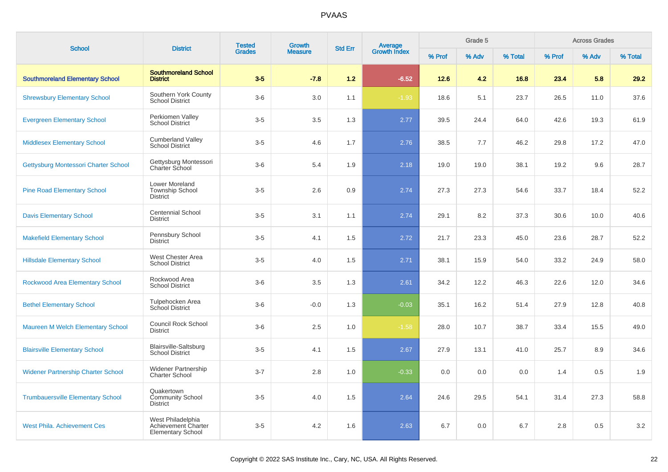| <b>School</b>                             | <b>District</b>                                                      | <b>Tested</b> | <b>Growth</b><br><b>Grades</b><br><b>Measure</b> | <b>Std Err</b> | <b>Average</b><br>Growth Index |        |       | Grade 5 |        |       | <b>Across Grades</b> |  |
|-------------------------------------------|----------------------------------------------------------------------|---------------|--------------------------------------------------|----------------|--------------------------------|--------|-------|---------|--------|-------|----------------------|--|
|                                           |                                                                      |               |                                                  |                |                                | % Prof | % Adv | % Total | % Prof | % Adv | % Total              |  |
| <b>Southmoreland Elementary School</b>    | <b>Southmoreland School</b><br><b>District</b>                       | $3-5$         | $-7.8$                                           | 1.2            | $-6.52$                        | 12.6   | 4.2   | 16.8    | 23.4   | 5.8   | 29.2                 |  |
| <b>Shrewsbury Elementary School</b>       | Southern York County<br><b>School District</b>                       | $3-6$         | 3.0                                              | 1.1            | $-1.93$                        | 18.6   | 5.1   | 23.7    | 26.5   | 11.0  | 37.6                 |  |
| <b>Evergreen Elementary School</b>        | Perkiomen Valley<br><b>School District</b>                           | $3-5$         | 3.5                                              | 1.3            | 2.77                           | 39.5   | 24.4  | 64.0    | 42.6   | 19.3  | 61.9                 |  |
| <b>Middlesex Elementary School</b>        | <b>Cumberland Valley</b><br><b>School District</b>                   | $3-5$         | 4.6                                              | 1.7            | 2.76                           | 38.5   | 7.7   | 46.2    | 29.8   | 17.2  | 47.0                 |  |
| Gettysburg Montessori Charter School      | Gettysburg Montessori<br><b>Charter School</b>                       | $3-6$         | 5.4                                              | 1.9            | 2.18                           | 19.0   | 19.0  | 38.1    | 19.2   | 9.6   | 28.7                 |  |
| <b>Pine Road Elementary School</b>        | Lower Moreland<br><b>Township School</b><br>District                 | $3-5$         | 2.6                                              | 0.9            | 2.74                           | 27.3   | 27.3  | 54.6    | 33.7   | 18.4  | 52.2                 |  |
| <b>Davis Elementary School</b>            | <b>Centennial School</b><br><b>District</b>                          | $3-5$         | 3.1                                              | 1.1            | 2.74                           | 29.1   | 8.2   | 37.3    | 30.6   | 10.0  | 40.6                 |  |
| <b>Makefield Elementary School</b>        | Pennsbury School<br><b>District</b>                                  | $3-5$         | 4.1                                              | 1.5            | 2.72                           | 21.7   | 23.3  | 45.0    | 23.6   | 28.7  | 52.2                 |  |
| <b>Hillsdale Elementary School</b>        | West Chester Area<br><b>School District</b>                          | $3-5$         | 4.0                                              | 1.5            | 2.71                           | 38.1   | 15.9  | 54.0    | 33.2   | 24.9  | 58.0                 |  |
| <b>Rockwood Area Elementary School</b>    | Rockwood Area<br><b>School District</b>                              | $3-6$         | 3.5                                              | 1.3            | 2.61                           | 34.2   | 12.2  | 46.3    | 22.6   | 12.0  | 34.6                 |  |
| <b>Bethel Elementary School</b>           | Tulpehocken Area<br>School District                                  | $3-6$         | $-0.0$                                           | 1.3            | $-0.03$                        | 35.1   | 16.2  | 51.4    | 27.9   | 12.8  | 40.8                 |  |
| Maureen M Welch Elementary School         | <b>Council Rock School</b><br>District                               | $3-6$         | 2.5                                              | 1.0            | $-1.58$                        | 28.0   | 10.7  | 38.7    | 33.4   | 15.5  | 49.0                 |  |
| <b>Blairsville Elementary School</b>      | <b>Blairsville-Saltsburg</b><br><b>School District</b>               | $3-5$         | 4.1                                              | 1.5            | 2.67                           | 27.9   | 13.1  | 41.0    | 25.7   | 8.9   | 34.6                 |  |
| <b>Widener Partnership Charter School</b> | <b>Widener Partnership</b><br><b>Charter School</b>                  | $3 - 7$       | 2.8                                              | 1.0            | $-0.33$                        | 0.0    | 0.0   | 0.0     | 1.4    | 0.5   | 1.9                  |  |
| <b>Trumbauersville Elementary School</b>  | Quakertown<br><b>Community School</b><br>District                    | $3-5$         | 4.0                                              | 1.5            | 2.64                           | 24.6   | 29.5  | 54.1    | 31.4   | 27.3  | 58.8                 |  |
| <b>West Phila. Achievement Ces</b>        | West Philadelphia<br>Achievement Charter<br><b>Elementary School</b> | $3-5$         | 4.2                                              | 1.6            | 2.63                           | 6.7    | 0.0   | 6.7     | 2.8    | 0.5   | 3.2                  |  |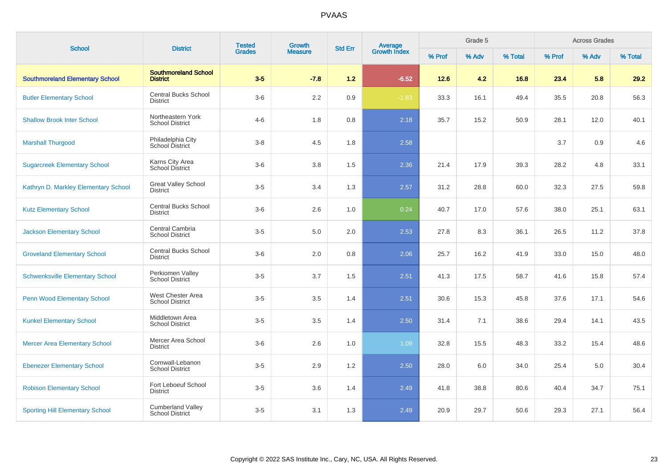| <b>School</b>                          | <b>District</b>                                    | <b>Tested</b><br><b>Grades</b> | Growth         | <b>Std Err</b> |                                |        | Grade 5 |         |        | <b>Across Grades</b> |         |
|----------------------------------------|----------------------------------------------------|--------------------------------|----------------|----------------|--------------------------------|--------|---------|---------|--------|----------------------|---------|
|                                        |                                                    |                                | <b>Measure</b> |                | <b>Average</b><br>Growth Index | % Prof | % Adv   | % Total | % Prof | % Adv                | % Total |
| <b>Southmoreland Elementary School</b> | <b>Southmoreland School</b><br><b>District</b>     | $3-5$                          | $-7.8$         | $1.2$          | $-6.52$                        | $12.6$ | 4.2     | 16.8    | 23.4   | 5.8                  | 29.2    |
| <b>Butler Elementary School</b>        | <b>Central Bucks School</b><br>District            | $3-6$                          | 2.2            | 0.9            | $-1.83$                        | 33.3   | 16.1    | 49.4    | 35.5   | 20.8                 | 56.3    |
| <b>Shallow Brook Inter School</b>      | Northeastern York<br><b>School District</b>        | $4 - 6$                        | 1.8            | 0.8            | 2.18                           | 35.7   | 15.2    | 50.9    | 28.1   | 12.0                 | 40.1    |
| <b>Marshall Thurgood</b>               | Philadelphia City<br>School District               | $3 - 8$                        | 4.5            | 1.8            | 2.58                           |        |         |         | 3.7    | 0.9                  | 4.6     |
| <b>Sugarcreek Elementary School</b>    | Karns City Area<br><b>School District</b>          | $3-6$                          | 3.8            | 1.5            | 2.36                           | 21.4   | 17.9    | 39.3    | 28.2   | 4.8                  | 33.1    |
| Kathryn D. Markley Elementary School   | <b>Great Valley School</b><br><b>District</b>      | $3-5$                          | 3.4            | 1.3            | 2.57                           | 31.2   | 28.8    | 60.0    | 32.3   | 27.5                 | 59.8    |
| <b>Kutz Elementary School</b>          | <b>Central Bucks School</b><br><b>District</b>     | $3-6$                          | 2.6            | 1.0            | 0.24                           | 40.7   | 17.0    | 57.6    | 38.0   | 25.1                 | 63.1    |
| <b>Jackson Elementary School</b>       | Central Cambria<br><b>School District</b>          | $3-5$                          | 5.0            | 2.0            | 2.53                           | 27.8   | 8.3     | 36.1    | 26.5   | 11.2                 | 37.8    |
| <b>Groveland Elementary School</b>     | <b>Central Bucks School</b><br><b>District</b>     | $3-6$                          | 2.0            | 0.8            | 2.06                           | 25.7   | 16.2    | 41.9    | 33.0   | 15.0                 | 48.0    |
| <b>Schwenksville Elementary School</b> | Perkiomen Valley<br><b>School District</b>         | $3-5$                          | 3.7            | 1.5            | 2.51                           | 41.3   | 17.5    | 58.7    | 41.6   | 15.8                 | 57.4    |
| Penn Wood Elementary School            | West Chester Area<br><b>School District</b>        | $3-5$                          | 3.5            | 1.4            | 2.51                           | 30.6   | 15.3    | 45.8    | 37.6   | 17.1                 | 54.6    |
| <b>Kunkel Elementary School</b>        | Middletown Area<br><b>School District</b>          | $3-5$                          | 3.5            | 1.4            | 2.50                           | 31.4   | 7.1     | 38.6    | 29.4   | 14.1                 | 43.5    |
| <b>Mercer Area Elementary School</b>   | Mercer Area School<br><b>District</b>              | $3-6$                          | 2.6            | 1.0            | 1.09                           | 32.8   | 15.5    | 48.3    | 33.2   | 15.4                 | 48.6    |
| <b>Ebenezer Elementary School</b>      | Cornwall-Lebanon<br><b>School District</b>         | $3-5$                          | 2.9            | 1.2            | 2.50                           | 28.0   | 6.0     | 34.0    | 25.4   | 5.0                  | 30.4    |
| <b>Robison Elementary School</b>       | Fort Leboeuf School<br>District                    | $3-5$                          | 3.6            | 1.4            | 2.49                           | 41.8   | 38.8    | 80.6    | 40.4   | 34.7                 | 75.1    |
| <b>Sporting Hill Elementary School</b> | <b>Cumberland Valley</b><br><b>School District</b> | $3-5$                          | 3.1            | 1.3            | 2.49                           | 20.9   | 29.7    | 50.6    | 29.3   | 27.1                 | 56.4    |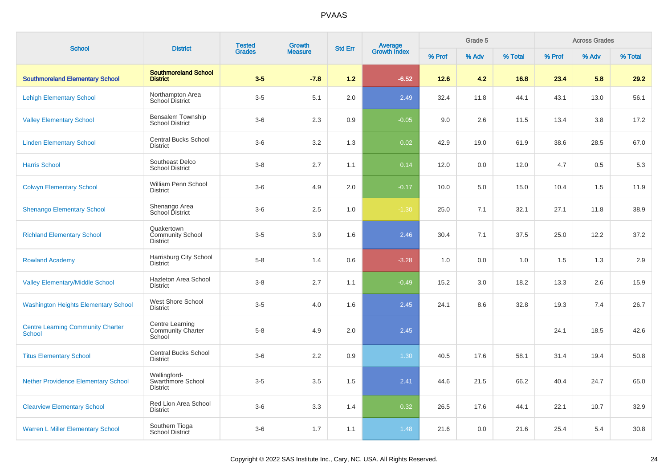| <b>School</b>                                             |                                                          | <b>Tested</b><br><b>Grades</b> | <b>Growth</b>  | <b>Std Err</b> |                                |        | Grade 5 |         |        | <b>Across Grades</b> |         |
|-----------------------------------------------------------|----------------------------------------------------------|--------------------------------|----------------|----------------|--------------------------------|--------|---------|---------|--------|----------------------|---------|
|                                                           | <b>District</b>                                          |                                | <b>Measure</b> |                | <b>Average</b><br>Growth Index | % Prof | % Adv   | % Total | % Prof | % Adv                | % Total |
| <b>Southmoreland Elementary School</b>                    | <b>Southmoreland School</b><br><b>District</b>           | $3-5$                          | $-7.8$         | 1.2            | $-6.52$                        | 12.6   | 4.2     | 16.8    | 23.4   | 5.8                  | 29.2    |
| <b>Lehigh Elementary School</b>                           | Northampton Area<br>School District                      | $3-5$                          | 5.1            | 2.0            | 2.49                           | 32.4   | 11.8    | 44.1    | 43.1   | 13.0                 | 56.1    |
| <b>Valley Elementary School</b>                           | Bensalem Township<br><b>School District</b>              | $3-6$                          | 2.3            | 0.9            | $-0.05$                        | 9.0    | 2.6     | 11.5    | 13.4   | 3.8                  | 17.2    |
| <b>Linden Elementary School</b>                           | Central Bucks School<br><b>District</b>                  | $3-6$                          | 3.2            | 1.3            | 0.02                           | 42.9   | 19.0    | 61.9    | 38.6   | 28.5                 | 67.0    |
| <b>Harris School</b>                                      | Southeast Delco<br><b>School District</b>                | $3 - 8$                        | 2.7            | 1.1            | 0.14                           | 12.0   | 0.0     | 12.0    | 4.7    | 0.5                  | 5.3     |
| <b>Colwyn Elementary School</b>                           | William Penn School<br><b>District</b>                   | $3-6$                          | 4.9            | 2.0            | $-0.17$                        | 10.0   | 5.0     | 15.0    | 10.4   | 1.5                  | 11.9    |
| <b>Shenango Elementary School</b>                         | Shenango Area<br>School District                         | $3-6$                          | 2.5            | 1.0            | $-1.30$                        | 25.0   | 7.1     | 32.1    | 27.1   | 11.8                 | 38.9    |
| <b>Richland Elementary School</b>                         | Quakertown<br><b>Community School</b><br><b>District</b> | $3-5$                          | 3.9            | 1.6            | 2.46                           | 30.4   | 7.1     | 37.5    | 25.0   | 12.2                 | 37.2    |
| <b>Rowland Academy</b>                                    | Harrisburg City School<br><b>District</b>                | $5-8$                          | 1.4            | 0.6            | $-3.28$                        | 1.0    | 0.0     | 1.0     | 1.5    | 1.3                  | 2.9     |
| <b>Valley Elementary/Middle School</b>                    | Hazleton Area School<br><b>District</b>                  | $3 - 8$                        | 2.7            | 1.1            | $-0.49$                        | 15.2   | 3.0     | 18.2    | 13.3   | 2.6                  | 15.9    |
| <b>Washington Heights Elementary School</b>               | West Shore School<br><b>District</b>                     | $3-5$                          | 4.0            | 1.6            | 2.45                           | 24.1   | 8.6     | 32.8    | 19.3   | 7.4                  | 26.7    |
| <b>Centre Learning Community Charter</b><br><b>School</b> | Centre Learning<br><b>Community Charter</b><br>School    | $5 - 8$                        | 4.9            | 2.0            | 2.45                           |        |         |         | 24.1   | 18.5                 | 42.6    |
| <b>Titus Elementary School</b>                            | <b>Central Bucks School</b><br><b>District</b>           | $3-6$                          | 2.2            | 0.9            | 1.30                           | 40.5   | 17.6    | 58.1    | 31.4   | 19.4                 | 50.8    |
| <b>Nether Providence Elementary School</b>                | Wallingford-<br>Swarthmore School<br><b>District</b>     | $3-5$                          | 3.5            | 1.5            | 2.41                           | 44.6   | 21.5    | 66.2    | 40.4   | 24.7                 | 65.0    |
| <b>Clearview Elementary School</b>                        | Red Lion Area School<br><b>District</b>                  | $3-6$                          | 3.3            | 1.4            | 0.32                           | 26.5   | 17.6    | 44.1    | 22.1   | 10.7                 | 32.9    |
| <b>Warren L Miller Elementary School</b>                  | Southern Tioga<br>School District                        | $3-6$                          | 1.7            | 1.1            | 1.48                           | 21.6   | 0.0     | 21.6    | 25.4   | 5.4                  | 30.8    |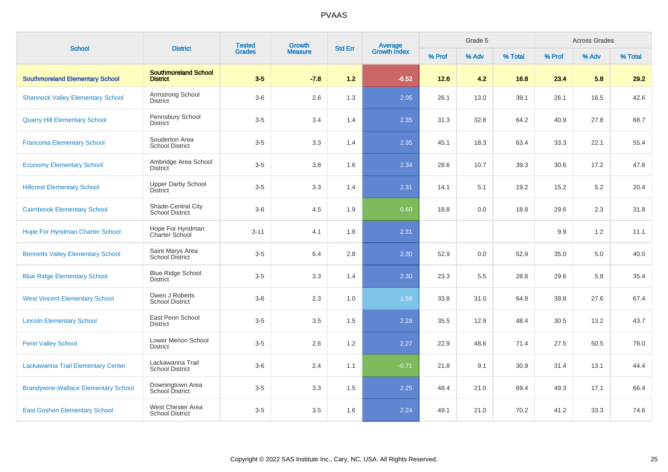| <b>School</b>                               | <b>District</b>                                | <b>Tested</b><br><b>Grades</b> | Growth         | <b>Std Err</b> |                                |        | Grade 5 |         |        | <b>Across Grades</b> |         |
|---------------------------------------------|------------------------------------------------|--------------------------------|----------------|----------------|--------------------------------|--------|---------|---------|--------|----------------------|---------|
|                                             |                                                |                                | <b>Measure</b> |                | <b>Average</b><br>Growth Index | % Prof | % Adv   | % Total | % Prof | % Adv                | % Total |
| <b>Southmoreland Elementary School</b>      | <b>Southmoreland School</b><br><b>District</b> | $3 - 5$                        | $-7.8$         | 1.2            | $-6.52$                        | $12.6$ | 4.2     | 16.8    | 23.4   | 5.8                  | 29.2    |
| <b>Shannock Valley Elementary School</b>    | Armstrong School<br>District                   | $3-6$                          | 2.6            | 1.3            | 2.05                           | 26.1   | 13.0    | 39.1    | 26.1   | 16.5                 | 42.6    |
| <b>Quarry Hill Elementary School</b>        | Pennsbury School<br><b>District</b>            | $3-5$                          | 3.4            | 1.4            | 2.35                           | 31.3   | 32.8    | 64.2    | 40.9   | 27.8                 | 68.7    |
| <b>Franconia Elementary School</b>          | Souderton Area<br><b>School District</b>       | $3-5$                          | 3.3            | 1.4            | 2.35                           | 45.1   | 18.3    | 63.4    | 33.3   | 22.1                 | 55.4    |
| <b>Economy Elementary School</b>            | Ambridge Area School<br>District               | $3-5$                          | 3.8            | 1.6            | 2.34                           | 28.6   | 10.7    | 39.3    | 30.6   | 17.2                 | 47.8    |
| <b>Hillcrest Elementary School</b>          | <b>Upper Darby School</b><br><b>District</b>   | $3-5$                          | 3.3            | 1.4            | 2.31                           | 14.1   | 5.1     | 19.2    | 15.2   | 5.2                  | 20.4    |
| <b>Cairnbrook Elementary School</b>         | Shade-Central City<br><b>School District</b>   | $3-6$                          | 4.5            | 1.9            | 0.60                           | 18.8   | 0.0     | 18.8    | 29.6   | 2.3                  | 31.8    |
| Hope For Hyndman Charter School             | Hope For Hyndman<br>Charter School             | $3 - 11$                       | 4.1            | 1.8            | 2.31                           |        |         |         | 9.9    | 1.2                  | 11.1    |
| <b>Bennetts Valley Elementary School</b>    | Saint Marys Area<br><b>School District</b>     | $3-5$                          | 6.4            | 2.8            | 2.30                           | 52.9   | 0.0     | 52.9    | 35.0   | 5.0                  | 40.0    |
| <b>Blue Ridge Elementary School</b>         | <b>Blue Ridge School</b><br>District           | $3-5$                          | 3.3            | 1.4            | 2.30                           | 23.3   | 5.5     | 28.8    | 29.6   | 5.8                  | 35.4    |
| <b>West Vincent Elementary School</b>       | Owen J Roberts<br><b>School District</b>       | $3-6$                          | 2.3            | 1.0            | 1.59                           | 33.8   | 31.0    | 64.8    | 39.8   | 27.6                 | 67.4    |
| <b>Lincoln Elementary School</b>            | East Penn School<br><b>District</b>            | $3-5$                          | 3.5            | 1.5            | 2.29                           | 35.5   | 12.9    | 48.4    | 30.5   | 13.2                 | 43.7    |
| <b>Penn Valley School</b>                   | Lower Merion School<br><b>District</b>         | $3-5$                          | 2.6            | 1.2            | 2.27                           | 22.9   | 48.6    | 71.4    | 27.5   | 50.5                 | 78.0    |
| Lackawanna Trail Elementary Center          | Lackawanna Trail<br><b>School District</b>     | $3-6$                          | 2.4            | 1.1            | $-0.71$                        | 21.8   | 9.1     | 30.9    | 31.4   | 13.1                 | 44.4    |
| <b>Brandywine-Wallace Elementary School</b> | Downingtown Area<br><b>School District</b>     | $3-5$                          | 3.3            | 1.5            | 2.25                           | 48.4   | 21.0    | 69.4    | 49.3   | 17.1                 | 66.4    |
| <b>East Goshen Elementary School</b>        | West Chester Area<br><b>School District</b>    | $3-5$                          | 3.5            | 1.6            | 2.24                           | 49.1   | 21.0    | 70.2    | 41.2   | 33.3                 | 74.6    |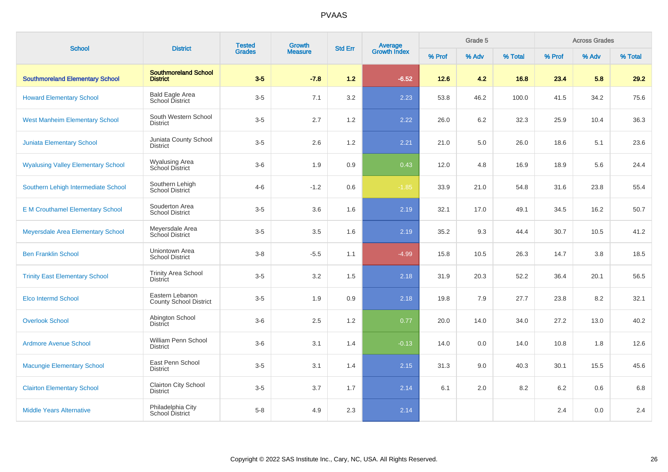| <b>School</b>                             | <b>District</b>                                  | <b>Tested</b><br><b>Grades</b> | Growth         | <b>Std Err</b> | Average<br>Growth Index |        | Grade 5 |         |         | <b>Across Grades</b> |         |
|-------------------------------------------|--------------------------------------------------|--------------------------------|----------------|----------------|-------------------------|--------|---------|---------|---------|----------------------|---------|
|                                           |                                                  |                                | <b>Measure</b> |                |                         | % Prof | % Adv   | % Total | % Prof  | % Adv                | % Total |
| <b>Southmoreland Elementary School</b>    | <b>Southmoreland School</b><br><b>District</b>   | $3 - 5$                        | $-7.8$         | $1.2$          | $-6.52$                 | $12.6$ | 4.2     | 16.8    | 23.4    | 5.8                  | 29.2    |
| <b>Howard Elementary School</b>           | <b>Bald Eagle Area</b><br>School District        | $3-5$                          | 7.1            | 3.2            | 2.23                    | 53.8   | 46.2    | 100.0   | 41.5    | 34.2                 | 75.6    |
| <b>West Manheim Elementary School</b>     | South Western School<br><b>District</b>          | $3-5$                          | 2.7            | 1.2            | 2.22                    | 26.0   | 6.2     | 32.3    | 25.9    | 10.4                 | 36.3    |
| <b>Juniata Elementary School</b>          | Juniata County School<br><b>District</b>         | $3-5$                          | 2.6            | 1.2            | 2.21                    | 21.0   | 5.0     | 26.0    | 18.6    | 5.1                  | 23.6    |
| <b>Wyalusing Valley Elementary School</b> | <b>Wyalusing Area</b><br>School District         | $3-6$                          | 1.9            | 0.9            | 0.43                    | 12.0   | 4.8     | 16.9    | 18.9    | 5.6                  | 24.4    |
| Southern Lehigh Intermediate School       | Southern Lehigh<br>School District               | $4 - 6$                        | $-1.2$         | 0.6            | $-1.85$                 | 33.9   | 21.0    | 54.8    | 31.6    | 23.8                 | 55.4    |
| <b>EM Crouthamel Elementary School</b>    | Souderton Area<br><b>School District</b>         | $3-5$                          | 3.6            | 1.6            | 2.19                    | 32.1   | 17.0    | 49.1    | 34.5    | 16.2                 | 50.7    |
| Meyersdale Area Elementary School         | Meyersdale Area<br>School District               | $3-5$                          | 3.5            | 1.6            | 2.19                    | 35.2   | 9.3     | 44.4    | 30.7    | 10.5                 | 41.2    |
| <b>Ben Franklin School</b>                | Uniontown Area<br><b>School District</b>         | $3 - 8$                        | $-5.5$         | 1.1            | $-4.99$                 | 15.8   | 10.5    | 26.3    | 14.7    | 3.8                  | 18.5    |
| <b>Trinity East Elementary School</b>     | <b>Trinity Area School</b><br><b>District</b>    | $3-5$                          | 3.2            | 1.5            | 2.18                    | 31.9   | 20.3    | 52.2    | 36.4    | 20.1                 | 56.5    |
| Elco Intermd School                       | Eastern Lebanon<br><b>County School District</b> | $3-5$                          | 1.9            | 0.9            | 2.18                    | 19.8   | 7.9     | 27.7    | 23.8    | 8.2                  | 32.1    |
| <b>Overlook School</b>                    | Abington School<br><b>District</b>               | $3-6$                          | 2.5            | 1.2            | 0.77                    | 20.0   | 14.0    | 34.0    | 27.2    | 13.0                 | 40.2    |
| <b>Ardmore Avenue School</b>              | William Penn School<br><b>District</b>           | $3-6$                          | 3.1            | 1.4            | $-0.13$                 | 14.0   | 0.0     | 14.0    | 10.8    | 1.8                  | 12.6    |
| <b>Macungie Elementary School</b>         | East Penn School<br><b>District</b>              | $3-5$                          | 3.1            | 1.4            | 2.15                    | 31.3   | 9.0     | 40.3    | 30.1    | 15.5                 | 45.6    |
| <b>Clairton Elementary School</b>         | Clairton City School<br><b>District</b>          | $3-5$                          | 3.7            | 1.7            | 2.14                    | 6.1    | 2.0     | 8.2     | $6.2\,$ | 0.6                  | 6.8     |
| <b>Middle Years Alternative</b>           | Philadelphia City<br>School District             | $5 - 8$                        | 4.9            | 2.3            | 2.14                    |        |         |         | 2.4     | 0.0                  | 2.4     |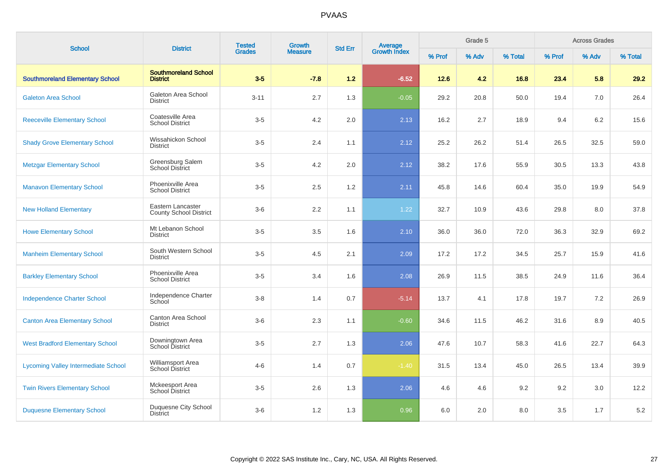| <b>School</b>                              | <b>District</b>                                    | <b>Tested</b> | Growth         | <b>Std Err</b> |                                |        | Grade 5 |         |        | <b>Across Grades</b> |         |
|--------------------------------------------|----------------------------------------------------|---------------|----------------|----------------|--------------------------------|--------|---------|---------|--------|----------------------|---------|
|                                            |                                                    | <b>Grades</b> | <b>Measure</b> |                | <b>Average</b><br>Growth Index | % Prof | % Adv   | % Total | % Prof | % Adv                | % Total |
| <b>Southmoreland Elementary School</b>     | <b>Southmoreland School</b><br><b>District</b>     | $3-5$         | $-7.8$         | $1.2$          | $-6.52$                        | $12.6$ | 4.2     | 16.8    | 23.4   | 5.8                  | 29.2    |
| <b>Galeton Area School</b>                 | Galeton Area School<br><b>District</b>             | $3 - 11$      | 2.7            | 1.3            | $-0.05$                        | 29.2   | 20.8    | 50.0    | 19.4   | 7.0                  | 26.4    |
| <b>Reeceville Elementary School</b>        | Coatesville Area<br><b>School District</b>         | $3-5$         | 4.2            | 2.0            | 2.13                           | 16.2   | 2.7     | 18.9    | 9.4    | 6.2                  | 15.6    |
| <b>Shady Grove Elementary School</b>       | Wissahickon School<br><b>District</b>              | $3-5$         | 2.4            | 1.1            | 2.12                           | 25.2   | 26.2    | 51.4    | 26.5   | 32.5                 | 59.0    |
| <b>Metzgar Elementary School</b>           | Greensburg Salem<br>School District                | $3-5$         | 4.2            | 2.0            | 2.12                           | 38.2   | 17.6    | 55.9    | 30.5   | 13.3                 | 43.8    |
| <b>Manavon Elementary School</b>           | Phoenixville Area<br><b>School District</b>        | $3-5$         | 2.5            | 1.2            | 2.11                           | 45.8   | 14.6    | 60.4    | 35.0   | 19.9                 | 54.9    |
| <b>New Holland Elementary</b>              | Eastern Lancaster<br><b>County School District</b> | $3-6$         | 2.2            | 1.1            | 1.22                           | 32.7   | 10.9    | 43.6    | 29.8   | 8.0                  | 37.8    |
| <b>Howe Elementary School</b>              | Mt Lebanon School<br><b>District</b>               | $3-5$         | 3.5            | 1.6            | 2.10                           | 36.0   | 36.0    | 72.0    | 36.3   | 32.9                 | 69.2    |
| <b>Manheim Elementary School</b>           | South Western School<br><b>District</b>            | $3-5$         | 4.5            | 2.1            | 2.09                           | 17.2   | 17.2    | 34.5    | 25.7   | 15.9                 | 41.6    |
| <b>Barkley Elementary School</b>           | Phoenixville Area<br><b>School District</b>        | $3-5$         | 3.4            | 1.6            | 2.08                           | 26.9   | 11.5    | 38.5    | 24.9   | 11.6                 | 36.4    |
| <b>Independence Charter School</b>         | Independence Charter<br>School                     | $3 - 8$       | 1.4            | 0.7            | $-5.14$                        | 13.7   | 4.1     | 17.8    | 19.7   | 7.2                  | 26.9    |
| <b>Canton Area Elementary School</b>       | Canton Area School<br><b>District</b>              | $3-6$         | 2.3            | 1.1            | $-0.60$                        | 34.6   | 11.5    | 46.2    | 31.6   | 8.9                  | 40.5    |
| <b>West Bradford Elementary School</b>     | Downingtown Area<br><b>School District</b>         | $3-5$         | 2.7            | 1.3            | 2.06                           | 47.6   | 10.7    | 58.3    | 41.6   | 22.7                 | 64.3    |
| <b>Lycoming Valley Intermediate School</b> | Williamsport Area<br><b>School District</b>        | $4 - 6$       | 1.4            | 0.7            | $-1.40$                        | 31.5   | 13.4    | 45.0    | 26.5   | 13.4                 | 39.9    |
| <b>Twin Rivers Elementary School</b>       | Mckeesport Area<br><b>School District</b>          | $3-5$         | 2.6            | 1.3            | 2.06                           | 4.6    | 4.6     | 9.2     | 9.2    | 3.0                  | 12.2    |
| <b>Duquesne Elementary School</b>          | Duquesne City School<br><b>District</b>            | $3-6$         | 1.2            | 1.3            | 0.96                           | 6.0    | 2.0     | 8.0     | 3.5    | 1.7                  | $5.2\,$ |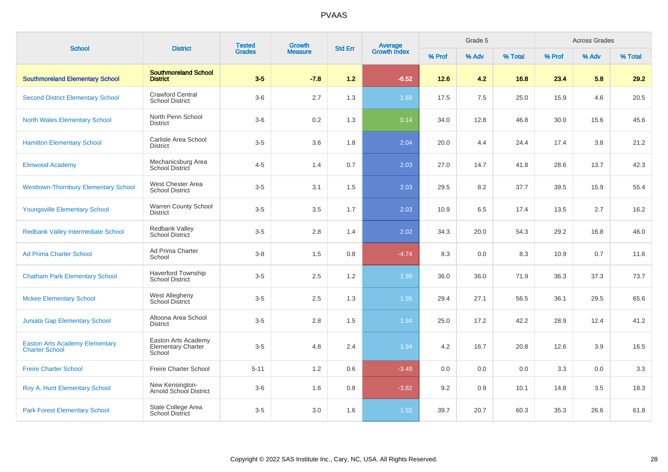| <b>School</b>                                                  | <b>District</b>                                            | <b>Tested</b><br><b>Grades</b> | Growth         | <b>Std Err</b> | Average<br>Growth Index |        | Grade 5 |         |        | <b>Across Grades</b> |         |
|----------------------------------------------------------------|------------------------------------------------------------|--------------------------------|----------------|----------------|-------------------------|--------|---------|---------|--------|----------------------|---------|
|                                                                |                                                            |                                | <b>Measure</b> |                |                         | % Prof | % Adv   | % Total | % Prof | % Adv                | % Total |
| <b>Southmoreland Elementary School</b>                         | <b>Southmoreland School</b><br><b>District</b>             | $3-5$                          | $-7.8$         | 1.2            | $-6.52$                 | $12.6$ | 4.2     | 16.8    | 23.4   | 5.8                  | 29.2    |
| <b>Second District Elementary School</b>                       | <b>Crawford Central</b><br><b>School District</b>          | $3-6$                          | 2.7            | 1.3            | 1.69                    | 17.5   | 7.5     | 25.0    | 15.9   | 4.6                  | 20.5    |
| <b>North Wales Elementary School</b>                           | North Penn School<br><b>District</b>                       | $3-6$                          | 0.2            | 1.3            | 0.14                    | 34.0   | 12.8    | 46.8    | 30.0   | 15.6                 | 45.6    |
| <b>Hamilton Elementary School</b>                              | Carlisle Area School<br><b>District</b>                    | $3-5$                          | 3.6            | 1.8            | 2.04                    | 20.0   | 4.4     | 24.4    | 17.4   | 3.8                  | 21.2    |
| <b>Elmwood Academy</b>                                         | Mechanicsburg Area<br>School District                      | $4 - 5$                        | 1.4            | 0.7            | 2.03                    | 27.0   | 14.7    | 41.8    | 28.6   | 13.7                 | 42.3    |
| <b>Westtown-Thornbury Elementary School</b>                    | West Chester Area<br><b>School District</b>                | $3-5$                          | 3.1            | 1.5            | 2.03                    | 29.5   | 8.2     | 37.7    | 39.5   | 15.9                 | 55.4    |
| <b>Youngsville Elementary School</b>                           | Warren County School<br><b>District</b>                    | $3-5$                          | 3.5            | 1.7            | 2.03                    | 10.9   | 6.5     | 17.4    | 13.5   | 2.7                  | 16.2    |
| <b>Redbank Valley Intermediate School</b>                      | Redbank Valley<br><b>School District</b>                   | $3-5$                          | 2.8            | 1.4            | 2.02                    | 34.3   | 20.0    | 54.3    | 29.2   | 16.8                 | 46.0    |
| <b>Ad Prima Charter School</b>                                 | Ad Prima Charter<br>School                                 | $3 - 8$                        | 1.5            | 0.8            | $-4.74$                 | 8.3    | 0.0     | 8.3     | 10.9   | 0.7                  | 11.6    |
| <b>Chatham Park Elementary School</b>                          | <b>Haverford Township</b><br><b>School District</b>        | $3-5$                          | 2.5            | 1.2            | 1.99                    | 36.0   | 36.0    | 71.9    | 36.3   | 37.3                 | 73.7    |
| <b>Mckee Elementary School</b>                                 | <b>West Allegheny</b><br>School District                   | $3-5$                          | 2.5            | 1.3            | 1.95                    | 29.4   | 27.1    | 56.5    | 36.1   | 29.5                 | 65.6    |
| <b>Juniata Gap Elementary School</b>                           | Altoona Area School<br><b>District</b>                     | $3-5$                          | 2.8            | 1.5            | 1.94                    | 25.0   | 17.2    | 42.2    | 28.9   | 12.4                 | 41.2    |
| <b>Easton Arts Academy Elementary</b><br><b>Charter School</b> | Easton Arts Academy<br><b>Elementary Charter</b><br>School | $3-5$                          | 4.8            | 2.4            | 1.94                    | 4.2    | 16.7    | 20.8    | 12.6   | 3.9                  | 16.5    |
| <b>Freire Charter School</b>                                   | Freire Charter School                                      | $5 - 11$                       | 1.2            | 0.6            | $-3.49$                 | 0.0    | 0.0     | 0.0     | 3.3    | 0.0                  | 3.3     |
| Roy A. Hunt Elementary School                                  | New Kensington-<br>Arnold School District                  | $3-6$                          | 1.6            | 0.8            | $-3.82$                 | 9.2    | 0.9     | 10.1    | 14.8   | 3.5                  | 18.3    |
| <b>Park Forest Elementary School</b>                           | State College Area<br><b>School District</b>               | $3-5$                          | 3.0            | 1.6            | 1.92                    | 39.7   | 20.7    | 60.3    | 35.3   | 26.6                 | 61.8    |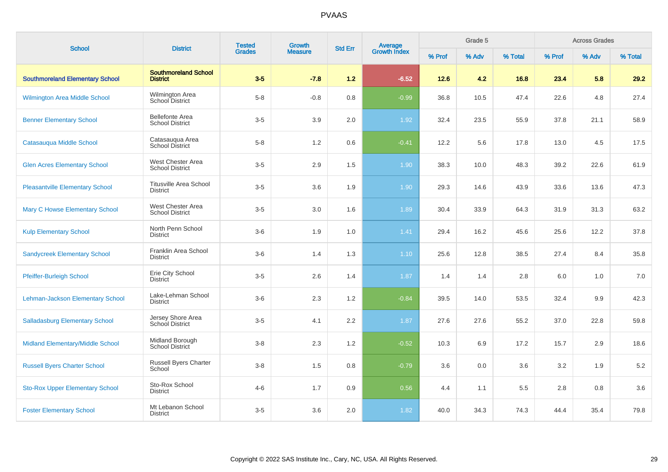| <b>School</b>                          | <b>District</b>                                  | <b>Tested</b><br><b>Grades</b> | <b>Growth</b>  | <b>Std Err</b>   |                                |        | Grade 5 |         |         | <b>Across Grades</b> |         |
|----------------------------------------|--------------------------------------------------|--------------------------------|----------------|------------------|--------------------------------|--------|---------|---------|---------|----------------------|---------|
|                                        |                                                  |                                | <b>Measure</b> |                  | <b>Average</b><br>Growth Index | % Prof | % Adv   | % Total | % Prof  | % Adv                | % Total |
| <b>Southmoreland Elementary School</b> | <b>Southmoreland School</b><br><b>District</b>   | $3-5$                          | $-7.8$         | 1.2              | $-6.52$                        | 12.6   | 4.2     | 16.8    | 23.4    | 5.8                  | 29.2    |
| Wilmington Area Middle School          | Wilmington Area<br><b>School District</b>        | $5 - 8$                        | $-0.8$         | 0.8              | $-0.99$                        | 36.8   | 10.5    | 47.4    | 22.6    | 4.8                  | 27.4    |
| <b>Benner Elementary School</b>        | <b>Bellefonte Area</b><br><b>School District</b> | $3-5$                          | 3.9            | 2.0              | 1.92                           | 32.4   | 23.5    | 55.9    | 37.8    | 21.1                 | 58.9    |
| Catasauqua Middle School               | Catasauqua Area<br><b>School District</b>        | $5 - 8$                        | 1.2            | 0.6              | $-0.41$                        | 12.2   | 5.6     | 17.8    | 13.0    | 4.5                  | 17.5    |
| <b>Glen Acres Elementary School</b>    | West Chester Area<br><b>School District</b>      | $3-5$                          | 2.9            | 1.5              | 1.90                           | 38.3   | 10.0    | 48.3    | 39.2    | 22.6                 | 61.9    |
| <b>Pleasantville Elementary School</b> | <b>Titusville Area School</b><br><b>District</b> | $3-5$                          | 3.6            | 1.9              | 1.90                           | 29.3   | 14.6    | 43.9    | 33.6    | 13.6                 | 47.3    |
| <b>Mary C Howse Elementary School</b>  | West Chester Area<br><b>School District</b>      | $3-5$                          | 3.0            | 1.6              | 1.89                           | 30.4   | 33.9    | 64.3    | 31.9    | 31.3                 | 63.2    |
| <b>Kulp Elementary School</b>          | North Penn School<br><b>District</b>             | $3-6$                          | 1.9            | 1.0              | 1.41                           | 29.4   | 16.2    | 45.6    | 25.6    | 12.2                 | 37.8    |
| <b>Sandycreek Elementary School</b>    | Franklin Area School<br><b>District</b>          | $3-6$                          | 1.4            | 1.3              | 1.10                           | 25.6   | 12.8    | 38.5    | 27.4    | 8.4                  | 35.8    |
| Pfeiffer-Burleigh School               | Erie City School<br><b>District</b>              | $3-5$                          | 2.6            | 1.4              | 1.87                           | 1.4    | 1.4     | 2.8     | $6.0\,$ | 1.0                  | 7.0     |
| Lehman-Jackson Elementary School       | Lake-Lehman School<br><b>District</b>            | $3-6$                          | 2.3            | 1.2              | $-0.84$                        | 39.5   | 14.0    | 53.5    | 32.4    | 9.9                  | 42.3    |
| <b>Salladasburg Elementary School</b>  | Jersey Shore Area<br>School District             | $3-5$                          | 4.1            | $2.2\phantom{0}$ | 1.87                           | 27.6   | 27.6    | 55.2    | 37.0    | 22.8                 | 59.8    |
| Midland Elementary/Middle School       | Midland Borough<br>School District               | $3-8$                          | 2.3            | 1.2              | $-0.52$                        | 10.3   | 6.9     | 17.2    | 15.7    | 2.9                  | 18.6    |
| <b>Russell Byers Charter School</b>    | Russell Byers Charter<br>School                  | $3 - 8$                        | 1.5            | 0.8              | $-0.79$                        | 3.6    | 0.0     | 3.6     | 3.2     | 1.9                  | $5.2\,$ |
| <b>Sto-Rox Upper Elementary School</b> | Sto-Rox School<br><b>District</b>                | $4 - 6$                        | 1.7            | 0.9              | 0.56                           | 4.4    | 1.1     | 5.5     | $2.8\,$ | 0.8                  | 3.6     |
| <b>Foster Elementary School</b>        | Mt Lebanon School<br><b>District</b>             | $3-5$                          | 3.6            | 2.0              | 1.82                           | 40.0   | 34.3    | 74.3    | 44.4    | 35.4                 | 79.8    |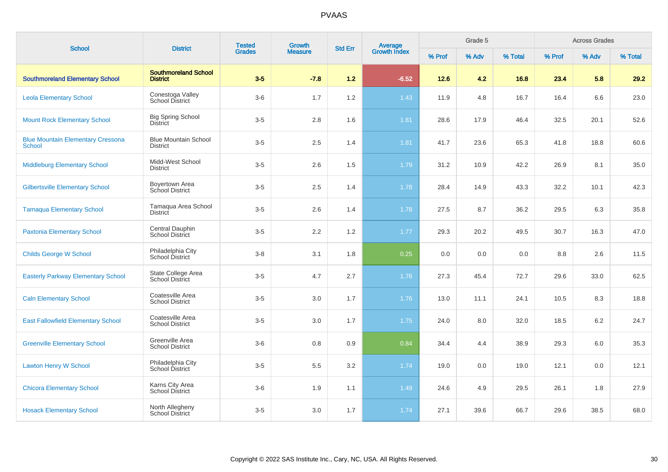| <b>School</b>                                             | <b>District</b>                                | <b>Tested</b> | Growth         | <b>Std Err</b> |                                |        | Grade 5 |         |        | <b>Across Grades</b> |         |
|-----------------------------------------------------------|------------------------------------------------|---------------|----------------|----------------|--------------------------------|--------|---------|---------|--------|----------------------|---------|
|                                                           |                                                | <b>Grades</b> | <b>Measure</b> |                | <b>Average</b><br>Growth Index | % Prof | % Adv   | % Total | % Prof | % Adv                | % Total |
| <b>Southmoreland Elementary School</b>                    | <b>Southmoreland School</b><br><b>District</b> | $3-5$         | $-7.8$         | $1.2$          | $-6.52$                        | $12.6$ | 4.2     | 16.8    | 23.4   | 5.8                  | 29.2    |
| <b>Leola Elementary School</b>                            | Conestoga Valley<br><b>School District</b>     | $3-6$         | 1.7            | 1.2            | 1.43                           | 11.9   | 4.8     | 16.7    | 16.4   | 6.6                  | 23.0    |
| <b>Mount Rock Elementary School</b>                       | <b>Big Spring School</b><br><b>District</b>    | $3-5$         | 2.8            | 1.6            | 1.81                           | 28.6   | 17.9    | 46.4    | 32.5   | 20.1                 | 52.6    |
| <b>Blue Mountain Elementary Cressona</b><br><b>School</b> | <b>Blue Mountain School</b><br><b>District</b> | $3-5$         | 2.5            | 1.4            | 1.81                           | 41.7   | 23.6    | 65.3    | 41.8   | 18.8                 | 60.6    |
| <b>Middleburg Elementary School</b>                       | Midd-West School<br>District                   | $3-5$         | 2.6            | 1.5            | 1.79                           | 31.2   | 10.9    | 42.2    | 26.9   | 8.1                  | 35.0    |
| <b>Gilbertsville Elementary School</b>                    | <b>Boyertown Area</b><br>School District       | $3-5$         | 2.5            | 1.4            | 1.78                           | 28.4   | 14.9    | 43.3    | 32.2   | 10.1                 | 42.3    |
| <b>Tamaqua Elementary School</b>                          | Tamaqua Area School<br>District                | $3-5$         | 2.6            | 1.4            | 1.78                           | 27.5   | 8.7     | 36.2    | 29.5   | 6.3                  | 35.8    |
| <b>Paxtonia Elementary School</b>                         | Central Dauphin<br><b>School District</b>      | $3-5$         | 2.2            | 1.2            | 1.77                           | 29.3   | 20.2    | 49.5    | 30.7   | 16.3                 | 47.0    |
| <b>Childs George W School</b>                             | Philadelphia City<br>School District           | $3 - 8$       | 3.1            | 1.8            | 0.25                           | 0.0    | 0.0     | 0.0     | 8.8    | 2.6                  | 11.5    |
| <b>Easterly Parkway Elementary School</b>                 | State College Area<br><b>School District</b>   | $3-5$         | 4.7            | 2.7            | 1.76                           | 27.3   | 45.4    | 72.7    | 29.6   | 33.0                 | 62.5    |
| <b>Caln Elementary School</b>                             | Coatesville Area<br><b>School District</b>     | $3-5$         | 3.0            | 1.7            | 1.76                           | 13.0   | 11.1    | 24.1    | 10.5   | 8.3                  | 18.8    |
| <b>East Fallowfield Elementary School</b>                 | Coatesville Area<br><b>School District</b>     | $3-5$         | 3.0            | 1.7            | 1.75                           | 24.0   | 8.0     | 32.0    | 18.5   | 6.2                  | 24.7    |
| <b>Greenville Elementary School</b>                       | Greenville Area<br><b>School District</b>      | $3-6$         | 0.8            | 0.9            | 0.84                           | 34.4   | 4.4     | 38.9    | 29.3   | 6.0                  | 35.3    |
| <b>Lawton Henry W School</b>                              | Philadelphia City<br>School District           | $3-5$         | 5.5            | 3.2            | 1.74                           | 19.0   | 0.0     | 19.0    | 12.1   | 0.0                  | 12.1    |
| <b>Chicora Elementary School</b>                          | Karns City Area<br>School District             | $3-6$         | 1.9            | 1.1            | 1.49                           | 24.6   | 4.9     | 29.5    | 26.1   | 1.8                  | 27.9    |
| <b>Hosack Elementary School</b>                           | North Allegheny<br>School District             | $3-5$         | 3.0            | 1.7            | 1.74                           | 27.1   | 39.6    | 66.7    | 29.6   | 38.5                 | 68.0    |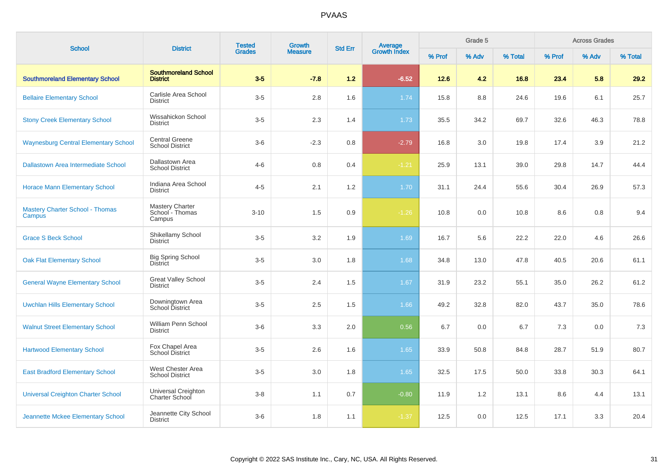| <b>School</b>                                    | <b>District</b>                                     | <b>Tested</b> | <b>Growth</b>  | <b>Std Err</b> | Average<br>Growth Index |        | Grade 5 |         |        | <b>Across Grades</b> |         |
|--------------------------------------------------|-----------------------------------------------------|---------------|----------------|----------------|-------------------------|--------|---------|---------|--------|----------------------|---------|
|                                                  |                                                     | <b>Grades</b> | <b>Measure</b> |                |                         | % Prof | % Adv   | % Total | % Prof | % Adv                | % Total |
| <b>Southmoreland Elementary School</b>           | <b>Southmoreland School</b><br><b>District</b>      | $3-5$         | $-7.8$         | 1.2            | $-6.52$                 | 12.6   | 4.2     | 16.8    | 23.4   | 5.8                  | 29.2    |
| <b>Bellaire Elementary School</b>                | Carlisle Area School<br><b>District</b>             | $3-5$         | 2.8            | 1.6            | 1.74                    | 15.8   | 8.8     | 24.6    | 19.6   | 6.1                  | 25.7    |
| <b>Stony Creek Elementary School</b>             | Wissahickon School<br><b>District</b>               | $3-5$         | 2.3            | 1.4            | 1.73                    | 35.5   | 34.2    | 69.7    | 32.6   | 46.3                 | 78.8    |
| <b>Waynesburg Central Elementary School</b>      | <b>Central Greene</b><br><b>School District</b>     | $3-6$         | $-2.3$         | 0.8            | $-2.79$                 | 16.8   | 3.0     | 19.8    | 17.4   | 3.9                  | 21.2    |
| <b>Dallastown Area Intermediate School</b>       | Dallastown Area<br><b>School District</b>           | $4 - 6$       | 0.8            | 0.4            | $-1.21$                 | 25.9   | 13.1    | 39.0    | 29.8   | 14.7                 | 44.4    |
| <b>Horace Mann Elementary School</b>             | Indiana Area School<br><b>District</b>              | $4 - 5$       | 2.1            | 1.2            | 1.70                    | 31.1   | 24.4    | 55.6    | 30.4   | 26.9                 | 57.3    |
| <b>Mastery Charter School - Thomas</b><br>Campus | <b>Mastery Charter</b><br>School - Thomas<br>Campus | $3 - 10$      | 1.5            | 0.9            | $-1.26$                 | 10.8   | 0.0     | 10.8    | 8.6    | 0.8                  | 9.4     |
| <b>Grace S Beck School</b>                       | Shikellamy School<br><b>District</b>                | $3-5$         | 3.2            | 1.9            | 1.69                    | 16.7   | 5.6     | 22.2    | 22.0   | 4.6                  | 26.6    |
| <b>Oak Flat Elementary School</b>                | <b>Big Spring School</b><br><b>District</b>         | $3-5$         | 3.0            | 1.8            | 1.68                    | 34.8   | 13.0    | 47.8    | 40.5   | 20.6                 | 61.1    |
| <b>General Wayne Elementary School</b>           | <b>Great Valley School</b><br><b>District</b>       | $3-5$         | 2.4            | 1.5            | 1.67                    | 31.9   | 23.2    | 55.1    | 35.0   | 26.2                 | 61.2    |
| <b>Uwchlan Hills Elementary School</b>           | Downingtown Area<br>School District                 | $3-5$         | 2.5            | 1.5            | 1.66                    | 49.2   | 32.8    | 82.0    | 43.7   | 35.0                 | 78.6    |
| <b>Walnut Street Elementary School</b>           | William Penn School<br><b>District</b>              | $3-6$         | 3.3            | 2.0            | 0.56                    | 6.7    | 0.0     | 6.7     | 7.3    | 0.0                  | 7.3     |
| <b>Hartwood Elementary School</b>                | Fox Chapel Area<br>School District                  | $3-5$         | 2.6            | 1.6            | 1.65                    | 33.9   | 50.8    | 84.8    | 28.7   | 51.9                 | 80.7    |
| <b>East Bradford Elementary School</b>           | West Chester Area<br><b>School District</b>         | $3-5$         | 3.0            | 1.8            | 1.65                    | 32.5   | 17.5    | 50.0    | 33.8   | 30.3                 | 64.1    |
| <b>Universal Creighton Charter School</b>        | Universal Creighton<br>Charter School               | $3-8$         | 1.1            | 0.7            | $-0.80$                 | 11.9   | 1.2     | 13.1    | 8.6    | 4.4                  | 13.1    |
| Jeannette Mckee Elementary School                | Jeannette City School<br><b>District</b>            | $3-6$         | 1.8            | 1.1            | $-1.37$                 | 12.5   | 0.0     | 12.5    | 17.1   | 3.3                  | 20.4    |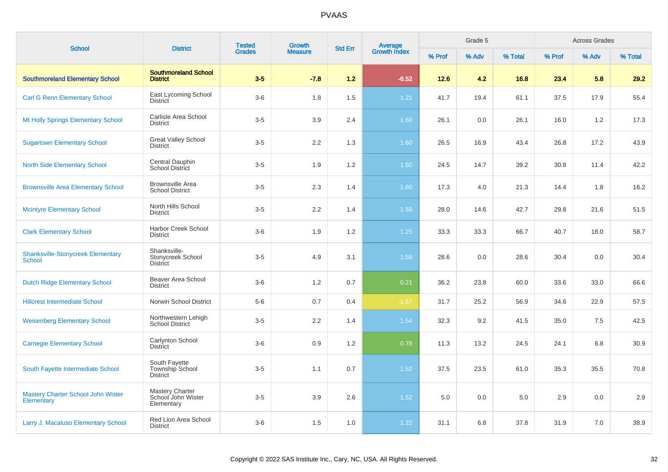| <b>School</b>                                      | <b>District</b>                                            | <b>Tested</b> | Growth         | <b>Std Err</b> |                                |        | Grade 5 |         |        | <b>Across Grades</b> |         |
|----------------------------------------------------|------------------------------------------------------------|---------------|----------------|----------------|--------------------------------|--------|---------|---------|--------|----------------------|---------|
|                                                    |                                                            | <b>Grades</b> | <b>Measure</b> |                | <b>Average</b><br>Growth Index | % Prof | % Adv   | % Total | % Prof | % Adv                | % Total |
| <b>Southmoreland Elementary School</b>             | <b>Southmoreland School</b><br><b>District</b>             | $3-5$         | $-7.8$         | 1.2            | $-6.52$                        | 12.6   | 4.2     | 16.8    | 23.4   | 5.8                  | 29.2    |
| <b>Carl G Renn Elementary School</b>               | East Lycoming School<br><b>District</b>                    | $3-6$         | 1.8            | 1.5            | 1.21                           | 41.7   | 19.4    | 61.1    | 37.5   | 17.9                 | 55.4    |
| Mt Holly Springs Elementary School                 | Carlisle Area School<br><b>District</b>                    | $3-5$         | 3.9            | 2.4            | 1.60                           | 26.1   | 0.0     | 26.1    | 16.0   | 1.2                  | 17.3    |
| <b>Sugartown Elementary School</b>                 | <b>Great Valley School</b><br><b>District</b>              | $3-5$         | $2.2\,$        | 1.3            | 1.60                           | 26.5   | 16.9    | 43.4    | 26.8   | 17.2                 | 43.9    |
| <b>North Side Elementary School</b>                | Central Dauphin<br><b>School District</b>                  | $3-5$         | 1.9            | 1.2            | 1.60                           | 24.5   | 14.7    | 39.2    | 30.8   | 11.4                 | 42.2    |
| <b>Brownsville Area Elementary School</b>          | <b>Brownsville Area</b><br><b>School District</b>          | $3-5$         | 2.3            | 1.4            | 1.60                           | 17.3   | 4.0     | 21.3    | 14.4   | 1.8                  | 16.2    |
| <b>Mcintyre Elementary School</b>                  | North Hills School<br><b>District</b>                      | $3-5$         | $2.2\,$        | 1.4            | 1.59                           | 28.0   | 14.6    | 42.7    | 29.8   | 21.6                 | 51.5    |
| <b>Clark Elementary School</b>                     | Harbor Creek School<br><b>District</b>                     | $3-6$         | 1.9            | 1.2            | 1.25                           | 33.3   | 33.3    | 66.7    | 40.7   | 18.0                 | 58.7    |
| <b>Shanksville-Stonycreek Elementary</b><br>School | Shanksville-<br>Stonycreek School<br><b>District</b>       | $3-5$         | 4.9            | 3.1            | 1.58                           | 28.6   | 0.0     | 28.6    | 30.4   | 0.0                  | 30.4    |
| <b>Dutch Ridge Elementary School</b>               | Beaver Area School<br><b>District</b>                      | $3-6$         | 1.2            | 0.7            | 0.21                           | 36.2   | 23.8    | 60.0    | 33.6   | 33.0                 | 66.6    |
| <b>Hillcrest Intermediate School</b>               | Norwin School District                                     | $5-6$         | 0.7            | 0.4            | $-1.67$                        | 31.7   | 25.2    | 56.9    | 34.6   | 22.9                 | 57.5    |
| <b>Weisenberg Elementary School</b>                | Northwestern Lehigh<br><b>School District</b>              | $3-5$         | 2.2            | 1.4            | 1.54                           | 32.3   | 9.2     | 41.5    | 35.0   | 7.5                  | 42.5    |
| <b>Carnegie Elementary School</b>                  | Carlynton School<br><b>District</b>                        | $3-6$         | 0.9            | 1.2            | 0.78                           | 11.3   | 13.2    | 24.5    | 24.1   | 6.8                  | 30.9    |
| South Fayette Intermediate School                  | South Fayette<br><b>Township School</b><br><b>District</b> | $3-5$         | 1.1            | 0.7            | 1.52                           | 37.5   | 23.5    | 61.0    | 35.3   | 35.5                 | 70.8    |
| Mastery Charter School John Wister<br>Elementary   | <b>Mastery Charter</b><br>School John Wister<br>Elementary | $3-5$         | 3.9            | 2.6            | 1.52                           | 5.0    | 0.0     | 5.0     | 2.9    | 0.0                  | 2.9     |
| Larry J. Macaluso Elementary School                | Red Lion Area School<br><b>District</b>                    | $3-6$         | 1.5            | 1.0            | 1.22                           | 31.1   | 6.8     | 37.8    | 31.9   | 7.0                  | 38.9    |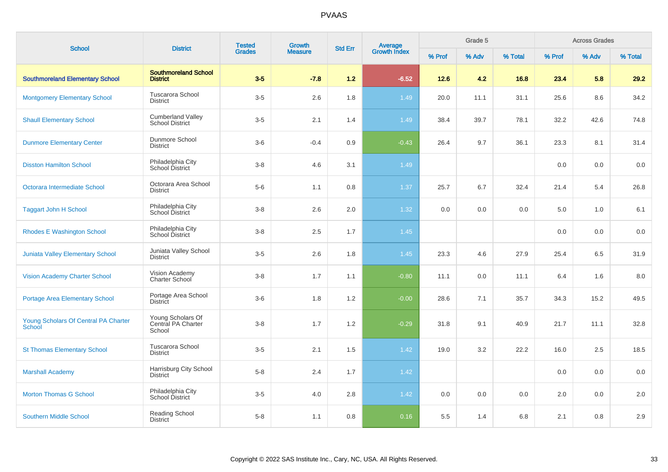| <b>School</b>                                         | <b>District</b>                                    | <b>Tested</b> | Growth         | <b>Std Err</b> | Average<br>Growth Index |        | Grade 5 |         |        | <b>Across Grades</b> |         |
|-------------------------------------------------------|----------------------------------------------------|---------------|----------------|----------------|-------------------------|--------|---------|---------|--------|----------------------|---------|
|                                                       |                                                    | <b>Grades</b> | <b>Measure</b> |                |                         | % Prof | % Adv   | % Total | % Prof | % Adv                | % Total |
| <b>Southmoreland Elementary School</b>                | <b>Southmoreland School</b><br><b>District</b>     | $3-5$         | $-7.8$         | $1.2$          | $-6.52$                 | 12.6   | 4.2     | 16.8    | 23.4   | 5.8                  | 29.2    |
| <b>Montgomery Elementary School</b>                   | <b>Tuscarora School</b><br><b>District</b>         | $3-5$         | 2.6            | 1.8            | 1.49                    | 20.0   | 11.1    | 31.1    | 25.6   | 8.6                  | 34.2    |
| <b>Shaull Elementary School</b>                       | <b>Cumberland Valley</b><br><b>School District</b> | $3-5$         | 2.1            | 1.4            | 1.49                    | 38.4   | 39.7    | 78.1    | 32.2   | 42.6                 | 74.8    |
| <b>Dunmore Elementary Center</b>                      | Dunmore School<br><b>District</b>                  | $3-6$         | $-0.4$         | 0.9            | $-0.43$                 | 26.4   | 9.7     | 36.1    | 23.3   | 8.1                  | 31.4    |
| <b>Disston Hamilton School</b>                        | Philadelphia City<br>School District               | $3 - 8$       | 4.6            | 3.1            | 1.49                    |        |         |         | 0.0    | 0.0                  | 0.0     |
| Octorara Intermediate School                          | Octorara Area School<br><b>District</b>            | $5-6$         | 1.1            | 0.8            | 1.37                    | 25.7   | 6.7     | 32.4    | 21.4   | 5.4                  | 26.8    |
| <b>Taggart John H School</b>                          | Philadelphia City<br>School District               | $3 - 8$       | 2.6            | 2.0            | 1.32                    | 0.0    | 0.0     | 0.0     | 5.0    | 1.0                  | 6.1     |
| <b>Rhodes E Washington School</b>                     | Philadelphia City<br>School District               | $3 - 8$       | 2.5            | 1.7            | 1.45                    |        |         |         | 0.0    | 0.0                  | $0.0\,$ |
| <b>Juniata Valley Elementary School</b>               | Juniata Valley School<br><b>District</b>           | $3-5$         | 2.6            | 1.8            | 1.45                    | 23.3   | 4.6     | 27.9    | 25.4   | 6.5                  | 31.9    |
| <b>Vision Academy Charter School</b>                  | Vision Academy<br>Charter School                   | $3 - 8$       | 1.7            | 1.1            | $-0.80$                 | 11.1   | 0.0     | 11.1    | 6.4    | 1.6                  | 8.0     |
| <b>Portage Area Elementary School</b>                 | Portage Area School<br><b>District</b>             | $3-6$         | 1.8            | 1.2            | $-0.00$                 | 28.6   | 7.1     | 35.7    | 34.3   | 15.2                 | 49.5    |
| Young Scholars Of Central PA Charter<br><b>School</b> | Young Scholars Of<br>Central PA Charter<br>School  | $3 - 8$       | 1.7            | 1.2            | $-0.29$                 | 31.8   | 9.1     | 40.9    | 21.7   | 11.1                 | 32.8    |
| <b>St Thomas Elementary School</b>                    | Tuscarora School<br><b>District</b>                | $3-5$         | 2.1            | 1.5            | 1.42                    | 19.0   | 3.2     | 22.2    | 16.0   | 2.5                  | 18.5    |
| <b>Marshall Academy</b>                               | Harrisburg City School<br><b>District</b>          | $5 - 8$       | 2.4            | 1.7            | 1.42                    |        |         |         | 0.0    | 0.0                  | 0.0     |
| <b>Morton Thomas G School</b>                         | Philadelphia City<br><b>School District</b>        | $3-5$         | 4.0            | 2.8            | 1.42                    | 0.0    | 0.0     | 0.0     | 2.0    | 0.0                  | 2.0     |
| <b>Southern Middle School</b>                         | Reading School<br><b>District</b>                  | $5 - 8$       | 1.1            | 0.8            | 0.16                    | 5.5    | 1.4     | 6.8     | 2.1    | 0.8                  | $2.9\,$ |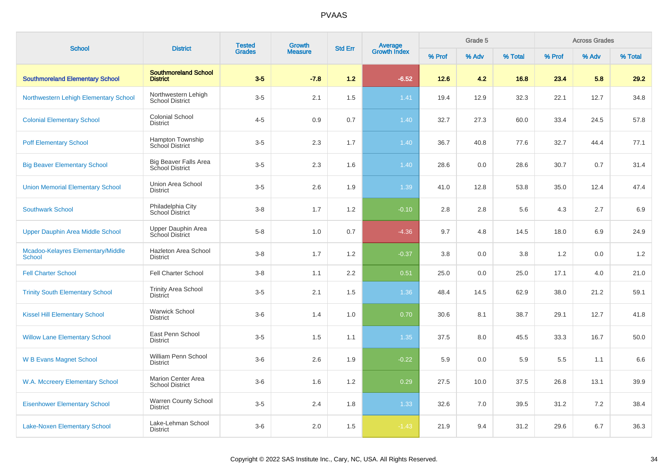| <b>School</b>                                      | <b>District</b>                                        | <b>Tested</b> | <b>Growth</b><br><b>Measure</b> | <b>Std Err</b> |                                |        | Grade 5 |         |        | <b>Across Grades</b> |         |
|----------------------------------------------------|--------------------------------------------------------|---------------|---------------------------------|----------------|--------------------------------|--------|---------|---------|--------|----------------------|---------|
|                                                    |                                                        | <b>Grades</b> |                                 |                | <b>Average</b><br>Growth Index | % Prof | % Adv   | % Total | % Prof | % Adv                | % Total |
| <b>Southmoreland Elementary School</b>             | <b>Southmoreland School</b><br><b>District</b>         | $3-5$         | $-7.8$                          | 1.2            | $-6.52$                        | 12.6   | 4.2     | 16.8    | 23.4   | 5.8                  | 29.2    |
| Northwestern Lehigh Elementary School              | Northwestern Lehigh<br><b>School District</b>          | $3-5$         | 2.1                             | 1.5            | 1.41                           | 19.4   | 12.9    | 32.3    | 22.1   | 12.7                 | 34.8    |
| <b>Colonial Elementary School</b>                  | <b>Colonial School</b><br><b>District</b>              | $4 - 5$       | 0.9                             | 0.7            | 1.40                           | 32.7   | 27.3    | 60.0    | 33.4   | 24.5                 | 57.8    |
| <b>Poff Elementary School</b>                      | Hampton Township<br>School District                    | $3-5$         | 2.3                             | 1.7            | 1.40                           | 36.7   | 40.8    | 77.6    | 32.7   | 44.4                 | 77.1    |
| <b>Big Beaver Elementary School</b>                | <b>Big Beaver Falls Area</b><br><b>School District</b> | $3-5$         | 2.3                             | 1.6            | 1.40                           | 28.6   | 0.0     | 28.6    | 30.7   | 0.7                  | 31.4    |
| <b>Union Memorial Elementary School</b>            | Union Area School<br><b>District</b>                   | $3-5$         | 2.6                             | 1.9            | 1.39                           | 41.0   | 12.8    | 53.8    | 35.0   | 12.4                 | 47.4    |
| <b>Southwark School</b>                            | Philadelphia City<br>School District                   | $3 - 8$       | 1.7                             | 1.2            | $-0.10$                        | 2.8    | 2.8     | 5.6     | 4.3    | 2.7                  | 6.9     |
| <b>Upper Dauphin Area Middle School</b>            | Upper Dauphin Area<br>School District                  | $5-8$         | 1.0                             | 0.7            | $-4.36$                        | 9.7    | 4.8     | 14.5    | 18.0   | 6.9                  | 24.9    |
| Mcadoo-Kelayres Elementary/Middle<br><b>School</b> | Hazleton Area School<br><b>District</b>                | $3 - 8$       | 1.7                             | 1.2            | $-0.37$                        | 3.8    | 0.0     | 3.8     | 1.2    | 0.0                  | 1.2     |
| <b>Fell Charter School</b>                         | Fell Charter School                                    | $3 - 8$       | 1.1                             | 2.2            | 0.51                           | 25.0   | 0.0     | 25.0    | 17.1   | 4.0                  | 21.0    |
| <b>Trinity South Elementary School</b>             | <b>Trinity Area School</b><br>District                 | $3-5$         | 2.1                             | 1.5            | 1.36                           | 48.4   | 14.5    | 62.9    | 38.0   | 21.2                 | 59.1    |
| <b>Kissel Hill Elementary School</b>               | <b>Warwick School</b><br><b>District</b>               | $3-6$         | 1.4                             | 1.0            | 0.70                           | 30.6   | 8.1     | 38.7    | 29.1   | 12.7                 | 41.8    |
| <b>Willow Lane Elementary School</b>               | East Penn School<br><b>District</b>                    | $3-5$         | 1.5                             | 1.1            | 1.35                           | 37.5   | 8.0     | 45.5    | 33.3   | 16.7                 | 50.0    |
| <b>W B Evans Magnet School</b>                     | William Penn School<br><b>District</b>                 | $3-6$         | 2.6                             | 1.9            | $-0.22$                        | 5.9    | 0.0     | 5.9     | 5.5    | 1.1                  | 6.6     |
| W.A. Mccreery Elementary School                    | <b>Marion Center Area</b><br><b>School District</b>    | $3-6$         | 1.6                             | 1.2            | 0.29                           | 27.5   | 10.0    | 37.5    | 26.8   | 13.1                 | 39.9    |
| <b>Eisenhower Elementary School</b>                | Warren County School<br><b>District</b>                | $3-5$         | 2.4                             | 1.8            | 1.33                           | 32.6   | 7.0     | 39.5    | 31.2   | 7.2                  | 38.4    |
| <b>Lake-Noxen Elementary School</b>                | Lake-Lehman School<br><b>District</b>                  | $3-6$         | 2.0                             | 1.5            | $-1.43$                        | 21.9   | 9.4     | 31.2    | 29.6   | 6.7                  | 36.3    |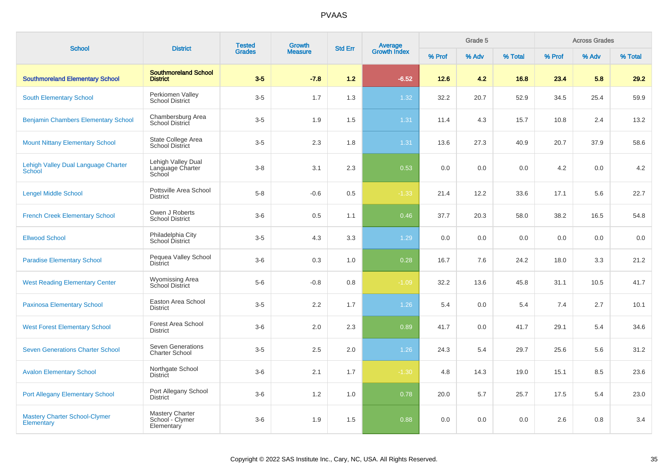| <b>School</b>                                      | <b>District</b>                                   | <b>Tested</b> | Growth         | <b>Std Err</b> | Average<br>Growth Index |        | Grade 5 |         |        | <b>Across Grades</b> |         |
|----------------------------------------------------|---------------------------------------------------|---------------|----------------|----------------|-------------------------|--------|---------|---------|--------|----------------------|---------|
|                                                    |                                                   | <b>Grades</b> | <b>Measure</b> |                |                         | % Prof | % Adv   | % Total | % Prof | % Adv                | % Total |
| <b>Southmoreland Elementary School</b>             | <b>Southmoreland School</b><br><b>District</b>    | $3-5$         | $-7.8$         | 1.2            | $-6.52$                 | 12.6   | 4.2     | 16.8    | 23.4   | 5.8                  | 29.2    |
| <b>South Elementary School</b>                     | Perkiomen Valley<br><b>School District</b>        | $3-5$         | 1.7            | 1.3            | 1.32                    | 32.2   | 20.7    | 52.9    | 34.5   | 25.4                 | 59.9    |
| <b>Benjamin Chambers Elementary School</b>         | Chambersburg Area<br>School District              | $3-5$         | 1.9            | 1.5            | 1.31                    | 11.4   | 4.3     | 15.7    | 10.8   | 2.4                  | 13.2    |
| <b>Mount Nittany Elementary School</b>             | State College Area<br><b>School District</b>      | $3-5$         | 2.3            | 1.8            | 1.31                    | 13.6   | 27.3    | 40.9    | 20.7   | 37.9                 | 58.6    |
| Lehigh Valley Dual Language Charter<br>School      | Lehigh Valley Dual<br>Language Charter<br>School  | $3 - 8$       | 3.1            | 2.3            | 0.53                    | 0.0    | 0.0     | 0.0     | 4.2    | 0.0                  | 4.2     |
| <b>Lengel Middle School</b>                        | Pottsville Area School<br><b>District</b>         | $5 - 8$       | $-0.6$         | 0.5            | $-1.33$                 | 21.4   | 12.2    | 33.6    | 17.1   | 5.6                  | 22.7    |
| <b>French Creek Elementary School</b>              | Owen J Roberts<br><b>School District</b>          | $3-6$         | 0.5            | 1.1            | 0.46                    | 37.7   | 20.3    | 58.0    | 38.2   | 16.5                 | 54.8    |
| <b>Ellwood School</b>                              | Philadelphia City<br>School District              | $3-5$         | 4.3            | 3.3            | 1.29                    | 0.0    | 0.0     | 0.0     | 0.0    | 0.0                  | 0.0     |
| <b>Paradise Elementary School</b>                  | Pequea Valley School<br><b>District</b>           | $3-6$         | 0.3            | 1.0            | 0.28                    | 16.7   | 7.6     | 24.2    | 18.0   | 3.3                  | 21.2    |
| <b>West Reading Elementary Center</b>              | <b>Wyomissing Area</b><br>School District         | $5-6$         | $-0.8$         | 0.8            | $-1.09$                 | 32.2   | 13.6    | 45.8    | 31.1   | 10.5                 | 41.7    |
| <b>Paxinosa Elementary School</b>                  | Easton Area School<br><b>District</b>             | $3-5$         | 2.2            | 1.7            | 1.26                    | 5.4    | 0.0     | 5.4     | 7.4    | 2.7                  | 10.1    |
| <b>West Forest Elementary School</b>               | Forest Area School<br><b>District</b>             | $3-6$         | 2.0            | 2.3            | 0.89                    | 41.7   | 0.0     | 41.7    | 29.1   | 5.4                  | 34.6    |
| <b>Seven Generations Charter School</b>            | <b>Seven Generations</b><br><b>Charter School</b> | $3-5$         | 2.5            | 2.0            | 1.26                    | 24.3   | 5.4     | 29.7    | 25.6   | 5.6                  | 31.2    |
| <b>Avalon Elementary School</b>                    | Northgate School<br><b>District</b>               | $3-6$         | 2.1            | 1.7            | $-1.30$                 | 4.8    | 14.3    | 19.0    | 15.1   | 8.5                  | 23.6    |
| <b>Port Allegany Elementary School</b>             | Port Allegany School<br><b>District</b>           | $3-6$         | 1.2            | 1.0            | 0.78                    | 20.0   | 5.7     | 25.7    | 17.5   | 5.4                  | 23.0    |
| <b>Mastery Charter School-Clymer</b><br>Elementary | Mastery Charter<br>School - Clymer<br>Elementary  | $3-6$         | 1.9            | 1.5            | 0.88                    | 0.0    | 0.0     | 0.0     | 2.6    | 0.8                  | 3.4     |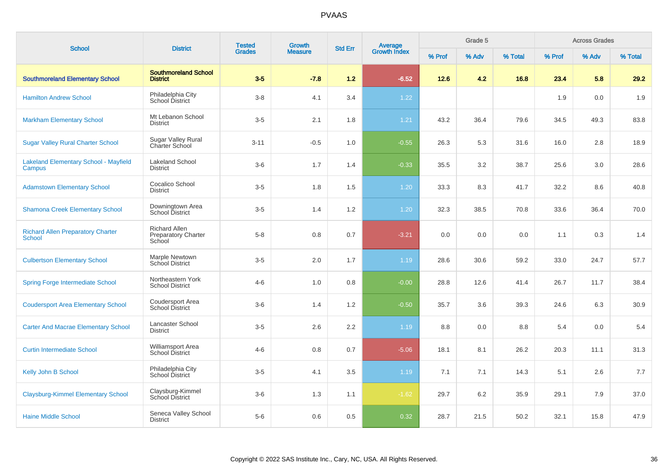| <b>School</b>                                             | <b>District</b>                                              | <b>Tested</b><br><b>Grades</b> | <b>Growth</b><br><b>Measure</b> | <b>Std Err</b>   | <b>Average</b><br>Growth Index | Grade 5 |       |         | <b>Across Grades</b> |       |         |
|-----------------------------------------------------------|--------------------------------------------------------------|--------------------------------|---------------------------------|------------------|--------------------------------|---------|-------|---------|----------------------|-------|---------|
|                                                           |                                                              |                                |                                 |                  |                                | % Prof  | % Adv | % Total | % Prof               | % Adv | % Total |
| <b>Southmoreland Elementary School</b>                    | <b>Southmoreland School</b><br><b>District</b>               | $3-5$                          | $-7.8$                          | 1.2              | $-6.52$                        | 12.6    | 4.2   | 16.8    | 23.4                 | 5.8   | 29.2    |
| <b>Hamilton Andrew School</b>                             | Philadelphia City<br>School District                         | $3-8$                          | 4.1                             | 3.4              | 1.22                           |         |       |         | 1.9                  | 0.0   | 1.9     |
| <b>Markham Elementary School</b>                          | Mt Lebanon School<br><b>District</b>                         | $3-5$                          | 2.1                             | 1.8              | 1.21                           | 43.2    | 36.4  | 79.6    | 34.5                 | 49.3  | 83.8    |
| <b>Sugar Valley Rural Charter School</b>                  | <b>Sugar Valley Rural</b><br>Charter School                  | $3 - 11$                       | $-0.5$                          | 1.0              | $-0.55$                        | 26.3    | 5.3   | 31.6    | 16.0                 | 2.8   | 18.9    |
| <b>Lakeland Elementary School - Mayfield</b><br>Campus    | <b>Lakeland School</b><br><b>District</b>                    | $3-6$                          | 1.7                             | 1.4              | $-0.33$                        | 35.5    | 3.2   | 38.7    | 25.6                 | 3.0   | 28.6    |
| <b>Adamstown Elementary School</b>                        | Cocalico School<br><b>District</b>                           | $3-5$                          | 1.8                             | 1.5              | 1.20                           | 33.3    | 8.3   | 41.7    | 32.2                 | 8.6   | 40.8    |
| <b>Shamona Creek Elementary School</b>                    | Downingtown Area<br>School District                          | $3-5$                          | 1.4                             | $1.2\,$          | 1.20                           | 32.3    | 38.5  | 70.8    | 33.6                 | 36.4  | 70.0    |
| <b>Richard Allen Preparatory Charter</b><br><b>School</b> | <b>Richard Allen</b><br><b>Preparatory Charter</b><br>School | $5 - 8$                        | 0.8                             | 0.7              | $-3.21$                        | 0.0     | 0.0   | 0.0     | 1.1                  | 0.3   | 1.4     |
| <b>Culbertson Elementary School</b>                       | Marple Newtown<br><b>School District</b>                     | $3-5$                          | 2.0                             | 1.7              | 1.19                           | 28.6    | 30.6  | 59.2    | 33.0                 | 24.7  | 57.7    |
| <b>Spring Forge Intermediate School</b>                   | Northeastern York<br><b>School District</b>                  | $4 - 6$                        | 1.0                             | 0.8              | $-0.00$                        | 28.8    | 12.6  | 41.4    | 26.7                 | 11.7  | 38.4    |
| <b>Coudersport Area Elementary School</b>                 | Coudersport Area<br><b>School District</b>                   | $3-6$                          | 1.4                             | 1.2              | $-0.50$                        | 35.7    | 3.6   | 39.3    | 24.6                 | 6.3   | 30.9    |
| <b>Carter And Macrae Elementary School</b>                | Lancaster School<br><b>District</b>                          | $3-5$                          | 2.6                             | $2.2\phantom{0}$ | 1.19                           | 8.8     | 0.0   | 8.8     | 5.4                  | 0.0   | 5.4     |
| <b>Curtin Intermediate School</b>                         | Williamsport Area<br><b>School District</b>                  | $4 - 6$                        | 0.8                             | 0.7              | $-5.06$                        | 18.1    | 8.1   | 26.2    | 20.3                 | 11.1  | 31.3    |
| Kelly John B School                                       | Philadelphia City<br>School District                         | $3-5$                          | 4.1                             | 3.5              | 1.19                           | 7.1     | 7.1   | 14.3    | 5.1                  | 2.6   | 7.7     |
| <b>Claysburg-Kimmel Elementary School</b>                 | Claysburg-Kimmel<br><b>School District</b>                   | $3-6$                          | 1.3                             | 1.1              | $-1.62$                        | 29.7    | 6.2   | 35.9    | 29.1                 | 7.9   | 37.0    |
| <b>Haine Middle School</b>                                | Seneca Valley School<br><b>District</b>                      | $5-6$                          | 0.6                             | 0.5              | 0.32                           | 28.7    | 21.5  | 50.2    | 32.1                 | 15.8  | 47.9    |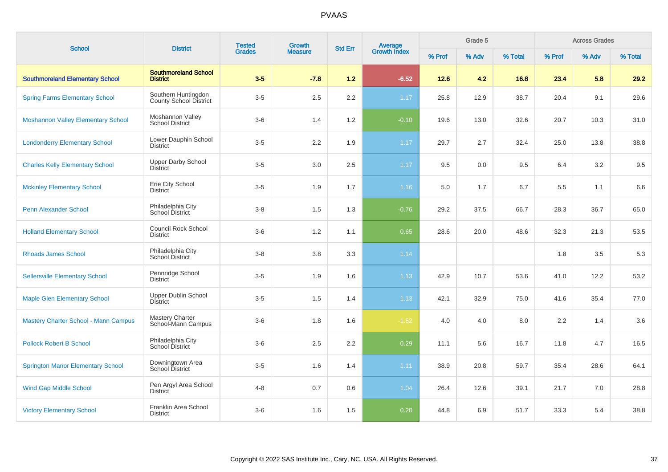| <b>School</b>                               | <b>District</b>                                      | <b>Tested</b> | Growth         | <b>Std Err</b> | <b>Average</b><br>Growth Index |        | Grade 5 |         |        | <b>Across Grades</b> |         |
|---------------------------------------------|------------------------------------------------------|---------------|----------------|----------------|--------------------------------|--------|---------|---------|--------|----------------------|---------|
|                                             |                                                      | <b>Grades</b> | <b>Measure</b> |                |                                | % Prof | % Adv   | % Total | % Prof | % Adv                | % Total |
| <b>Southmoreland Elementary School</b>      | <b>Southmoreland School</b><br><b>District</b>       | $3-5$         | $-7.8$         | $1.2$          | $-6.52$                        | $12.6$ | 4.2     | 16.8    | 23.4   | 5.8                  | 29.2    |
| <b>Spring Farms Elementary School</b>       | Southern Huntingdon<br><b>County School District</b> | $3-5$         | 2.5            | $2.2\,$        | 1.17                           | 25.8   | 12.9    | 38.7    | 20.4   | 9.1                  | 29.6    |
| <b>Moshannon Valley Elementary School</b>   | Moshannon Valley<br><b>School District</b>           | $3-6$         | 1.4            | 1.2            | $-0.10$                        | 19.6   | 13.0    | 32.6    | 20.7   | 10.3                 | 31.0    |
| <b>Londonderry Elementary School</b>        | Lower Dauphin School<br><b>District</b>              | $3-5$         | 2.2            | 1.9            | 1.17                           | 29.7   | 2.7     | 32.4    | 25.0   | 13.8                 | 38.8    |
| <b>Charles Kelly Elementary School</b>      | <b>Upper Darby School</b><br><b>District</b>         | $3-5$         | 3.0            | 2.5            | 1.17                           | 9.5    | 0.0     | 9.5     | 6.4    | 3.2                  | 9.5     |
| <b>Mckinley Elementary School</b>           | Erie City School<br><b>District</b>                  | $3-5$         | 1.9            | 1.7            | 1.16                           | 5.0    | 1.7     | 6.7     | 5.5    | 1.1                  | 6.6     |
| <b>Penn Alexander School</b>                | Philadelphia City<br>School District                 | $3-8$         | 1.5            | 1.3            | $-0.76$                        | 29.2   | 37.5    | 66.7    | 28.3   | 36.7                 | 65.0    |
| <b>Holland Elementary School</b>            | <b>Council Rock School</b><br><b>District</b>        | $3-6$         | 1.2            | 1.1            | 0.65                           | 28.6   | 20.0    | 48.6    | 32.3   | 21.3                 | 53.5    |
| <b>Rhoads James School</b>                  | Philadelphia City<br><b>School District</b>          | $3 - 8$       | 3.8            | 3.3            | 1.14                           |        |         |         | 1.8    | 3.5                  | 5.3     |
| <b>Sellersville Elementary School</b>       | Pennridge School<br><b>District</b>                  | $3-5$         | 1.9            | 1.6            | 1.13                           | 42.9   | 10.7    | 53.6    | 41.0   | 12.2                 | 53.2    |
| <b>Maple Glen Elementary School</b>         | Upper Dublin School<br><b>District</b>               | $3-5$         | 1.5            | 1.4            | 1.13                           | 42.1   | 32.9    | 75.0    | 41.6   | 35.4                 | 77.0    |
| <b>Mastery Charter School - Mann Campus</b> | <b>Mastery Charter</b><br>School-Mann Campus         | $3-6$         | 1.8            | 1.6            | $-1.82$                        | 4.0    | 4.0     | 8.0     | 2.2    | 1.4                  | 3.6     |
| <b>Pollock Robert B School</b>              | Philadelphia City<br>School District                 | $3-6$         | 2.5            | 2.2            | 0.29                           | 11.1   | 5.6     | 16.7    | 11.8   | 4.7                  | 16.5    |
| <b>Springton Manor Elementary School</b>    | Downingtown Area<br><b>School District</b>           | $3-5$         | 1.6            | 1.4            | 1.11                           | 38.9   | 20.8    | 59.7    | 35.4   | 28.6                 | 64.1    |
| <b>Wind Gap Middle School</b>               | Pen Argyl Area School<br>District                    | $4 - 8$       | 0.7            | 0.6            | 1.04                           | 26.4   | 12.6    | 39.1    | 21.7   | 7.0                  | 28.8    |
| <b>Victory Elementary School</b>            | Franklin Area School<br><b>District</b>              | $3-6$         | 1.6            | 1.5            | 0.20                           | 44.8   | 6.9     | 51.7    | 33.3   | 5.4                  | 38.8    |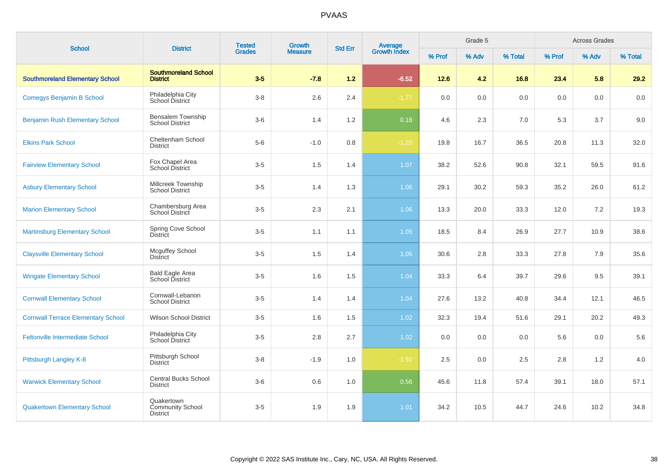| <b>School</b>                             | <b>District</b>                                          | <b>Tested</b><br><b>Grades</b> | Growth         | <b>Std Err</b> |                                |        | Grade 5 |         |         | <b>Across Grades</b> |         |
|-------------------------------------------|----------------------------------------------------------|--------------------------------|----------------|----------------|--------------------------------|--------|---------|---------|---------|----------------------|---------|
|                                           |                                                          |                                | <b>Measure</b> |                | <b>Average</b><br>Growth Index | % Prof | % Adv   | % Total | % Prof  | % Adv                | % Total |
| <b>Southmoreland Elementary School</b>    | <b>Southmoreland School</b><br><b>District</b>           | $3-5$                          | $-7.8$         | 1.2            | $-6.52$                        | $12.6$ | 4.2     | 16.8    | 23.4    | 5.8                  | 29.2    |
| <b>Comegys Benjamin B School</b>          | Philadelphia City<br>School District                     | $3 - 8$                        | 2.6            | 2.4            | $-1.77$                        | 0.0    | 0.0     | $0.0\,$ | $0.0\,$ | 0.0                  | 0.0     |
| <b>Benjamin Rush Elementary School</b>    | Bensalem Township<br><b>School District</b>              | $3-6$                          | 1.4            | 1.2            | 0.18                           | 4.6    | 2.3     | 7.0     | 5.3     | 3.7                  | 9.0     |
| <b>Elkins Park School</b>                 | Cheltenham School<br><b>District</b>                     | $5-6$                          | $-1.0$         | 0.8            | $-1.20$                        | 19.8   | 16.7    | 36.5    | 20.8    | 11.3                 | 32.0    |
| <b>Fairview Elementary School</b>         | Fox Chapel Area<br><b>School District</b>                | $3-5$                          | 1.5            | 1.4            | 1.07                           | 38.2   | 52.6    | 90.8    | 32.1    | 59.5                 | 91.6    |
| <b>Asbury Elementary School</b>           | Millcreek Township<br><b>School District</b>             | $3-5$                          | 1.4            | 1.3            | 1.06                           | 29.1   | 30.2    | 59.3    | 35.2    | 26.0                 | 61.2    |
| <b>Marion Elementary School</b>           | Chambersburg Area<br>School District                     | $3-5$                          | 2.3            | 2.1            | 1.06                           | 13.3   | 20.0    | 33.3    | 12.0    | 7.2                  | 19.3    |
| <b>Martinsburg Elementary School</b>      | Spring Cove School<br><b>District</b>                    | $3-5$                          | 1.1            | 1.1            | 1.05                           | 18.5   | 8.4     | 26.9    | 27.7    | 10.9                 | 38.6    |
| <b>Claysville Elementary School</b>       | <b>Mcguffey School</b><br><b>District</b>                | $3-5$                          | 1.5            | 1.4            | 1.05                           | 30.6   | 2.8     | 33.3    | 27.8    | 7.9                  | 35.6    |
| <b>Wingate Elementary School</b>          | <b>Bald Eagle Area</b><br>School District                | $3-5$                          | 1.6            | 1.5            | 1.04                           | 33.3   | 6.4     | 39.7    | 29.6    | 9.5                  | 39.1    |
| <b>Cornwall Elementary School</b>         | Cornwall-Lebanon<br><b>School District</b>               | $3-5$                          | 1.4            | 1.4            | 1.04                           | 27.6   | 13.2    | 40.8    | 34.4    | 12.1                 | 46.5    |
| <b>Cornwall Terrace Elementary School</b> | <b>Wilson School District</b>                            | $3-5$                          | 1.6            | 1.5            | 1.02                           | 32.3   | 19.4    | 51.6    | 29.1    | 20.2                 | 49.3    |
| <b>Feltonville Intermediate School</b>    | Philadelphia City<br>School District                     | $3-5$                          | 2.8            | 2.7            | 1.02                           | 0.0    | 0.0     | 0.0     | 5.6     | 0.0                  | 5.6     |
| Pittsburgh Langley K-8                    | Pittsburgh School<br><b>District</b>                     | $3-8$                          | $-1.9$         | 1.0            | $-1.92$                        | 2.5    | 0.0     | 2.5     | 2.8     | 1.2                  | 4.0     |
| <b>Warwick Elementary School</b>          | <b>Central Bucks School</b><br><b>District</b>           | $3-6$                          | 0.6            | 1.0            | 0.56                           | 45.6   | 11.8    | 57.4    | 39.1    | 18.0                 | 57.1    |
| <b>Quakertown Elementary School</b>       | Quakertown<br><b>Community School</b><br><b>District</b> | $3-5$                          | 1.9            | 1.9            | 1.01                           | 34.2   | 10.5    | 44.7    | 24.6    | 10.2                 | 34.8    |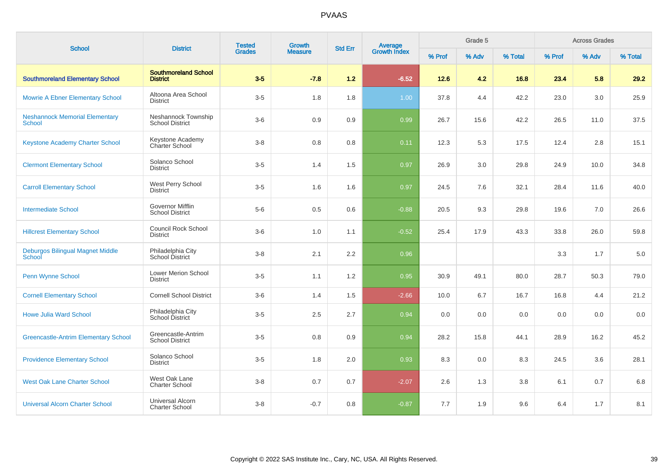| <b>School</b>                                          | <b>District</b>                                   | <b>Tested</b><br><b>Grades</b> | Growth         | <b>Std Err</b> | Average<br>Growth Index |        | Grade 5 |         |        | <b>Across Grades</b> |         |
|--------------------------------------------------------|---------------------------------------------------|--------------------------------|----------------|----------------|-------------------------|--------|---------|---------|--------|----------------------|---------|
|                                                        |                                                   |                                | <b>Measure</b> |                |                         | % Prof | % Adv   | % Total | % Prof | % Adv                | % Total |
| <b>Southmoreland Elementary School</b>                 | <b>Southmoreland School</b><br><b>District</b>    | $3-5$                          | $-7.8$         | $1.2$          | $-6.52$                 | $12.6$ | 4.2     | 16.8    | 23.4   | 5.8                  | 29.2    |
| <b>Mowrie A Ebner Elementary School</b>                | Altoona Area School<br><b>District</b>            | $3-5$                          | 1.8            | 1.8            | 1.00                    | 37.8   | 4.4     | 42.2    | 23.0   | 3.0                  | 25.9    |
| <b>Neshannock Memorial Elementary</b><br><b>School</b> | Neshannock Township<br><b>School District</b>     | $3-6$                          | 0.9            | 0.9            | 0.99                    | 26.7   | 15.6    | 42.2    | 26.5   | 11.0                 | 37.5    |
| <b>Keystone Academy Charter School</b>                 | Keystone Academy<br>Charter School                | $3 - 8$                        | 0.8            | 0.8            | 0.11                    | 12.3   | 5.3     | 17.5    | 12.4   | 2.8                  | 15.1    |
| <b>Clermont Elementary School</b>                      | Solanco School<br><b>District</b>                 | $3-5$                          | 1.4            | 1.5            | 0.97                    | 26.9   | 3.0     | 29.8    | 24.9   | 10.0                 | 34.8    |
| <b>Carroll Elementary School</b>                       | West Perry School<br><b>District</b>              | $3-5$                          | 1.6            | 1.6            | 0.97                    | 24.5   | 7.6     | 32.1    | 28.4   | 11.6                 | 40.0    |
| <b>Intermediate School</b>                             | <b>Governor Mifflin</b><br><b>School District</b> | $5-6$                          | 0.5            | 0.6            | $-0.88$                 | 20.5   | 9.3     | 29.8    | 19.6   | $7.0$                | 26.6    |
| <b>Hillcrest Elementary School</b>                     | Council Rock School<br><b>District</b>            | $3-6$                          | 1.0            | 1.1            | $-0.52$                 | 25.4   | 17.9    | 43.3    | 33.8   | 26.0                 | 59.8    |
| <b>Deburgos Bilingual Magnet Middle</b><br>School      | Philadelphia City<br>School District              | $3 - 8$                        | 2.1            | 2.2            | 0.96                    |        |         |         | 3.3    | 1.7                  | 5.0     |
| Penn Wynne School                                      | Lower Merion School<br><b>District</b>            | $3-5$                          | 1.1            | 1.2            | 0.95                    | 30.9   | 49.1    | 80.0    | 28.7   | 50.3                 | 79.0    |
| <b>Cornell Elementary School</b>                       | <b>Cornell School District</b>                    | $3-6$                          | 1.4            | 1.5            | $-2.66$                 | 10.0   | 6.7     | 16.7    | 16.8   | 4.4                  | 21.2    |
| <b>Howe Julia Ward School</b>                          | Philadelphia City<br>School District              | $3-5$                          | 2.5            | 2.7            | 0.94                    | 0.0    | 0.0     | 0.0     | 0.0    | 0.0                  | 0.0     |
| <b>Greencastle-Antrim Elementary School</b>            | Greencastle-Antrim<br><b>School District</b>      | $3-5$                          | 0.8            | 0.9            | 0.94                    | 28.2   | 15.8    | 44.1    | 28.9   | 16.2                 | 45.2    |
| <b>Providence Elementary School</b>                    | Solanco School<br><b>District</b>                 | $3-5$                          | 1.8            | 2.0            | 0.93                    | 8.3    | 0.0     | 8.3     | 24.5   | 3.6                  | 28.1    |
| <b>West Oak Lane Charter School</b>                    | West Oak Lane<br><b>Charter School</b>            | $3 - 8$                        | 0.7            | 0.7            | $-2.07$                 | 2.6    | 1.3     | 3.8     | 6.1    | 0.7                  | 6.8     |
| <b>Universal Alcorn Charter School</b>                 | <b>Universal Alcorn</b><br><b>Charter School</b>  | $3 - 8$                        | $-0.7$         | 0.8            | $-0.87$                 | 7.7    | 1.9     | 9.6     | 6.4    | 1.7                  | 8.1     |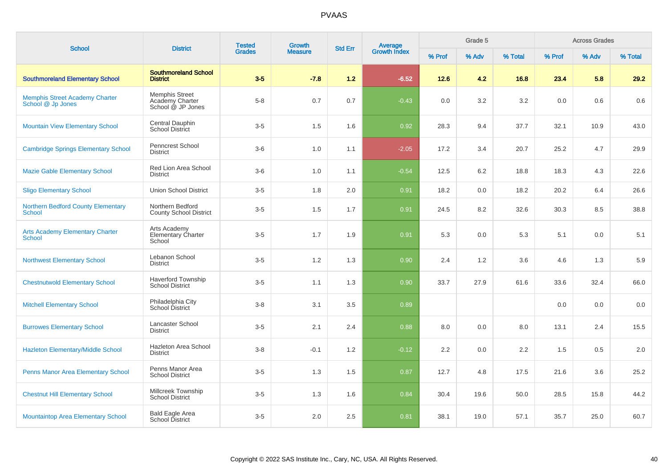| <b>School</b>                                              | <b>District</b>                                               | <b>Tested</b> | <b>Growth</b>  | <b>Std Err</b> | Average<br>Growth Index |        | Grade 5 |         |        | <b>Across Grades</b> |         |
|------------------------------------------------------------|---------------------------------------------------------------|---------------|----------------|----------------|-------------------------|--------|---------|---------|--------|----------------------|---------|
|                                                            |                                                               | <b>Grades</b> | <b>Measure</b> |                |                         | % Prof | % Adv   | % Total | % Prof | % Adv                | % Total |
| <b>Southmoreland Elementary School</b>                     | <b>Southmoreland School</b><br><b>District</b>                | $3-5$         | $-7.8$         | 1.2            | $-6.52$                 | 12.6   | 4.2     | 16.8    | 23.4   | 5.8                  | 29.2    |
| <b>Memphis Street Academy Charter</b><br>School @ Jp Jones | <b>Memphis Street</b><br>Academy Charter<br>School @ JP Jones | $5 - 8$       | 0.7            | 0.7            | $-0.43$                 | 0.0    | 3.2     | 3.2     | 0.0    | 0.6                  | 0.6     |
| <b>Mountain View Elementary School</b>                     | Central Dauphin<br>School District                            | $3-5$         | 1.5            | 1.6            | 0.92                    | 28.3   | 9.4     | 37.7    | 32.1   | 10.9                 | 43.0    |
| <b>Cambridge Springs Elementary School</b>                 | Penncrest School<br><b>District</b>                           | $3-6$         | 1.0            | 1.1            | $-2.05$                 | 17.2   | 3.4     | 20.7    | 25.2   | 4.7                  | 29.9    |
| <b>Mazie Gable Elementary School</b>                       | Red Lion Area School<br><b>District</b>                       | $3-6$         | 1.0            | 1.1            | $-0.54$                 | 12.5   | 6.2     | 18.8    | 18.3   | 4.3                  | 22.6    |
| <b>Sligo Elementary School</b>                             | <b>Union School District</b>                                  | $3-5$         | 1.8            | 2.0            | 0.91                    | 18.2   | 0.0     | 18.2    | 20.2   | 6.4                  | 26.6    |
| <b>Northern Bedford County Elementary</b><br><b>School</b> | Northern Bedford<br><b>County School District</b>             | $3-5$         | 1.5            | 1.7            | 0.91                    | 24.5   | 8.2     | 32.6    | 30.3   | 8.5                  | 38.8    |
| <b>Arts Academy Elementary Charter</b><br>School           | Arts Academy<br>Elementary Charter<br>School                  | $3-5$         | 1.7            | 1.9            | 0.91                    | 5.3    | 0.0     | 5.3     | 5.1    | 0.0                  | 5.1     |
| <b>Northwest Elementary School</b>                         | Lebanon School<br><b>District</b>                             | $3-5$         | 1.2            | 1.3            | 0.90                    | 2.4    | 1.2     | 3.6     | 4.6    | 1.3                  | 5.9     |
| <b>Chestnutwold Elementary School</b>                      | <b>Haverford Township</b><br><b>School District</b>           | $3-5$         | 1.1            | 1.3            | 0.90                    | 33.7   | 27.9    | 61.6    | 33.6   | 32.4                 | 66.0    |
| <b>Mitchell Elementary School</b>                          | Philadelphia City<br>School District                          | $3 - 8$       | 3.1            | 3.5            | 0.89                    |        |         |         | 0.0    | 0.0                  | 0.0     |
| <b>Burrowes Elementary School</b>                          | Lancaster School<br><b>District</b>                           | $3-5$         | 2.1            | 2.4            | 0.88                    | 8.0    | 0.0     | 8.0     | 13.1   | 2.4                  | 15.5    |
| <b>Hazleton Elementary/Middle School</b>                   | Hazleton Area School<br><b>District</b>                       | $3 - 8$       | $-0.1$         | 1.2            | $-0.12$                 | 2.2    | 0.0     | 2.2     | 1.5    | 0.5                  | 2.0     |
| Penns Manor Area Elementary School                         | Penns Manor Area<br><b>School District</b>                    | $3-5$         | 1.3            | 1.5            | 0.87                    | 12.7   | 4.8     | 17.5    | 21.6   | 3.6                  | 25.2    |
| <b>Chestnut Hill Elementary School</b>                     | Millcreek Township<br><b>School District</b>                  | $3-5$         | 1.3            | 1.6            | 0.84                    | 30.4   | 19.6    | 50.0    | 28.5   | 15.8                 | 44.2    |
| <b>Mountaintop Area Elementary School</b>                  | <b>Bald Eagle Area</b><br>School District                     | $3-5$         | 2.0            | 2.5            | 0.81                    | 38.1   | 19.0    | 57.1    | 35.7   | 25.0                 | 60.7    |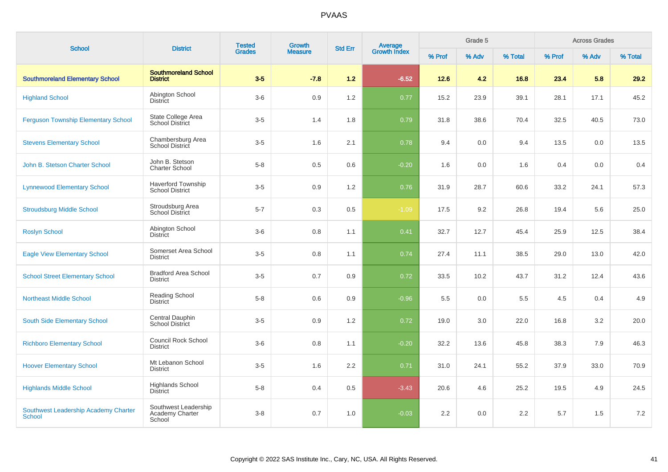| <b>School</b>                                  | <b>District</b>                                     | <b>Tested</b> | <b>Growth</b>  | <b>Std Err</b>   | <b>Average</b><br>Growth Index |        | Grade 5 |         |        | <b>Across Grades</b> |         |
|------------------------------------------------|-----------------------------------------------------|---------------|----------------|------------------|--------------------------------|--------|---------|---------|--------|----------------------|---------|
|                                                |                                                     | <b>Grades</b> | <b>Measure</b> |                  |                                | % Prof | % Adv   | % Total | % Prof | % Adv                | % Total |
| <b>Southmoreland Elementary School</b>         | <b>Southmoreland School</b><br><b>District</b>      | $3-5$         | $-7.8$         | 1.2              | $-6.52$                        | 12.6   | 4.2     | 16.8    | 23.4   | 5.8                  | 29.2    |
| <b>Highland School</b>                         | Abington School<br><b>District</b>                  | $3-6$         | 0.9            | 1.2              | 0.77                           | 15.2   | 23.9    | 39.1    | 28.1   | 17.1                 | 45.2    |
| <b>Ferguson Township Elementary School</b>     | State College Area<br><b>School District</b>        | $3-5$         | 1.4            | 1.8              | 0.79                           | 31.8   | 38.6    | 70.4    | 32.5   | 40.5                 | 73.0    |
| <b>Stevens Elementary School</b>               | Chambersburg Area<br>School District                | $3-5$         | 1.6            | 2.1              | 0.78                           | 9.4    | 0.0     | 9.4     | 13.5   | 0.0                  | 13.5    |
| John B. Stetson Charter School                 | John B. Stetson<br><b>Charter School</b>            | $5-8$         | 0.5            | 0.6              | $-0.20$                        | 1.6    | 0.0     | 1.6     | 0.4    | 0.0                  | 0.4     |
| <b>Lynnewood Elementary School</b>             | <b>Haverford Township</b><br><b>School District</b> | $3-5$         | 0.9            | 1.2              | 0.76                           | 31.9   | 28.7    | 60.6    | 33.2   | 24.1                 | 57.3    |
| <b>Stroudsburg Middle School</b>               | Stroudsburg Area<br><b>School District</b>          | $5 - 7$       | 0.3            | 0.5              | $-1.09$                        | 17.5   | 9.2     | 26.8    | 19.4   | 5.6                  | 25.0    |
| <b>Roslyn School</b>                           | Abington School<br>District                         | $3-6$         | 0.8            | 1.1              | 0.41                           | 32.7   | 12.7    | 45.4    | 25.9   | 12.5                 | 38.4    |
| <b>Eagle View Elementary School</b>            | Somerset Area School<br><b>District</b>             | $3-5$         | 0.8            | 1.1              | 0.74                           | 27.4   | 11.1    | 38.5    | 29.0   | 13.0                 | 42.0    |
| <b>School Street Elementary School</b>         | <b>Bradford Area School</b><br><b>District</b>      | $3-5$         | 0.7            | 0.9              | 0.72                           | 33.5   | 10.2    | 43.7    | 31.2   | 12.4                 | 43.6    |
| <b>Northeast Middle School</b>                 | <b>Reading School</b><br><b>District</b>            | $5 - 8$       | 0.6            | 0.9              | $-0.96$                        | 5.5    | 0.0     | 5.5     | 4.5    | 0.4                  | 4.9     |
| South Side Elementary School                   | Central Dauphin<br><b>School District</b>           | $3-5$         | 0.9            | 1.2              | 0.72                           | 19.0   | 3.0     | 22.0    | 16.8   | 3.2                  | 20.0    |
| <b>Richboro Elementary School</b>              | Council Rock School<br><b>District</b>              | $3-6$         | 0.8            | 1.1              | $-0.20$                        | 32.2   | 13.6    | 45.8    | 38.3   | 7.9                  | 46.3    |
| <b>Hoover Elementary School</b>                | Mt Lebanon School<br><b>District</b>                | $3-5$         | 1.6            | $2.2\phantom{0}$ | 0.71                           | 31.0   | 24.1    | 55.2    | 37.9   | 33.0                 | 70.9    |
| <b>Highlands Middle School</b>                 | <b>Highlands School</b><br><b>District</b>          | $5 - 8$       | 0.4            | 0.5              | $-3.43$                        | 20.6   | 4.6     | 25.2    | 19.5   | 4.9                  | 24.5    |
| Southwest Leadership Academy Charter<br>School | Southwest Leadership<br>Academy Charter<br>School   | $3 - 8$       | 0.7            | 1.0              | $-0.03$                        | 2.2    | 0.0     | 2.2     | 5.7    | 1.5                  | 7.2     |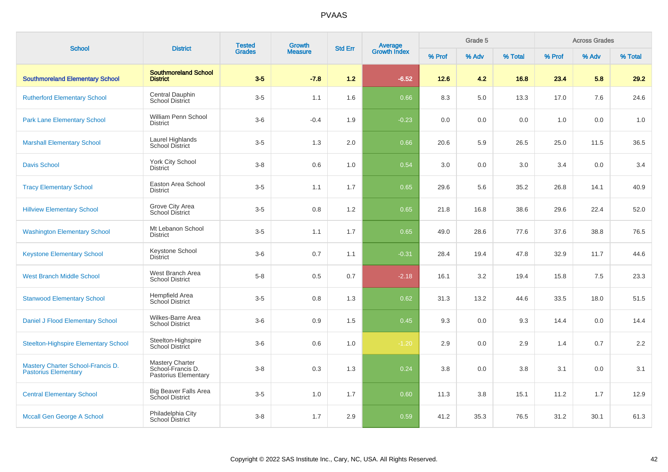| <b>School</b>                                                    | <b>District</b>                                                     | <b>Tested</b><br><b>Grades</b> | <b>Growth</b>  | <b>Std Err</b> |                                |        | Grade 5 |         |        | <b>Across Grades</b> |         |
|------------------------------------------------------------------|---------------------------------------------------------------------|--------------------------------|----------------|----------------|--------------------------------|--------|---------|---------|--------|----------------------|---------|
|                                                                  |                                                                     |                                | <b>Measure</b> |                | <b>Average</b><br>Growth Index | % Prof | % Adv   | % Total | % Prof | % Adv                | % Total |
| <b>Southmoreland Elementary School</b>                           | <b>Southmoreland School</b><br><b>District</b>                      | $3-5$                          | $-7.8$         | 1.2            | $-6.52$                        | 12.6   | 4.2     | 16.8    | 23.4   | 5.8                  | 29.2    |
| <b>Rutherford Elementary School</b>                              | Central Dauphin<br>School District                                  | $3-5$                          | 1.1            | 1.6            | 0.66                           | 8.3    | 5.0     | 13.3    | 17.0   | 7.6                  | 24.6    |
| <b>Park Lane Elementary School</b>                               | William Penn School<br><b>District</b>                              | $3-6$                          | $-0.4$         | 1.9            | $-0.23$                        | 0.0    | 0.0     | 0.0     | 1.0    | 0.0                  | 1.0     |
| <b>Marshall Elementary School</b>                                | Laurel Highlands<br><b>School District</b>                          | $3-5$                          | 1.3            | 2.0            | 0.66                           | 20.6   | 5.9     | 26.5    | 25.0   | 11.5                 | 36.5    |
| <b>Davis School</b>                                              | York City School<br><b>District</b>                                 | $3 - 8$                        | 0.6            | 1.0            | 0.54                           | 3.0    | 0.0     | 3.0     | 3.4    | 0.0                  | 3.4     |
| <b>Tracy Elementary School</b>                                   | Easton Area School<br><b>District</b>                               | $3-5$                          | 1.1            | 1.7            | 0.65                           | 29.6   | 5.6     | 35.2    | 26.8   | 14.1                 | 40.9    |
| <b>Hillview Elementary School</b>                                | Grove City Area<br><b>School District</b>                           | $3-5$                          | 0.8            | 1.2            | 0.65                           | 21.8   | 16.8    | 38.6    | 29.6   | 22.4                 | 52.0    |
| <b>Washington Elementary School</b>                              | Mt Lebanon School<br><b>District</b>                                | $3-5$                          | 1.1            | 1.7            | 0.65                           | 49.0   | 28.6    | 77.6    | 37.6   | 38.8                 | 76.5    |
| <b>Keystone Elementary School</b>                                | Keystone School<br><b>District</b>                                  | $3-6$                          | 0.7            | 1.1            | $-0.31$                        | 28.4   | 19.4    | 47.8    | 32.9   | 11.7                 | 44.6    |
| <b>West Branch Middle School</b>                                 | West Branch Area<br><b>School District</b>                          | $5 - 8$                        | 0.5            | 0.7            | $-2.18$                        | 16.1   | 3.2     | 19.4    | 15.8   | 7.5                  | 23.3    |
| <b>Stanwood Elementary School</b>                                | Hempfield Area<br>School District                                   | $3-5$                          | 0.8            | 1.3            | 0.62                           | 31.3   | 13.2    | 44.6    | 33.5   | 18.0                 | 51.5    |
| Daniel J Flood Elementary School                                 | Wilkes-Barre Area<br><b>School District</b>                         | $3-6$                          | 0.9            | 1.5            | 0.45                           | 9.3    | 0.0     | 9.3     | 14.4   | 0.0                  | 14.4    |
| <b>Steelton-Highspire Elementary School</b>                      | Steelton-Highspire<br>School District                               | $3-6$                          | 0.6            | 1.0            | $-1.20$                        | 2.9    | 0.0     | 2.9     | 1.4    | 0.7                  | 2.2     |
| Mastery Charter School-Francis D.<br><b>Pastorius Elementary</b> | <b>Mastery Charter</b><br>School-Francis D.<br>Pastorius Elementary | $3 - 8$                        | 0.3            | 1.3            | 0.24                           | 3.8    | 0.0     | 3.8     | 3.1    | 0.0                  | 3.1     |
| <b>Central Elementary School</b>                                 | <b>Big Beaver Falls Area</b><br><b>School District</b>              | $3-5$                          | 1.0            | 1.7            | 0.60                           | 11.3   | 3.8     | 15.1    | 11.2   | 1.7                  | 12.9    |
| Mccall Gen George A School                                       | Philadelphia City<br>School District                                | $3-8$                          | 1.7            | 2.9            | 0.59                           | 41.2   | 35.3    | 76.5    | 31.2   | 30.1                 | 61.3    |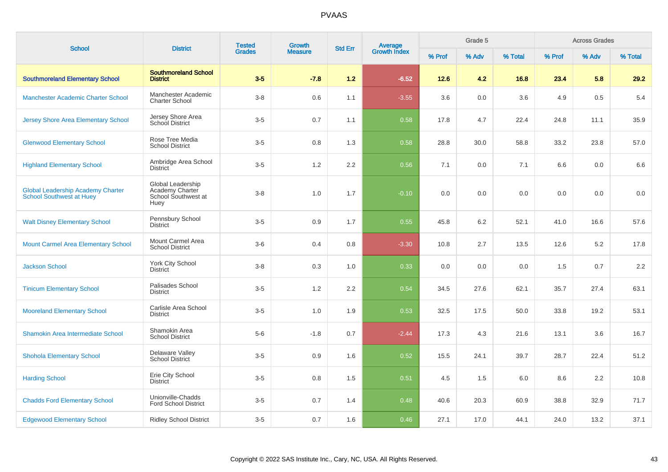| <b>School</b>                                                               | <b>District</b>                                                     | <b>Tested</b> | <b>Growth</b>  | <b>Std Err</b> |                                |        | Grade 5 |         |        | <b>Across Grades</b> |         |
|-----------------------------------------------------------------------------|---------------------------------------------------------------------|---------------|----------------|----------------|--------------------------------|--------|---------|---------|--------|----------------------|---------|
|                                                                             |                                                                     | <b>Grades</b> | <b>Measure</b> |                | <b>Average</b><br>Growth Index | % Prof | % Adv   | % Total | % Prof | % Adv                | % Total |
| <b>Southmoreland Elementary School</b>                                      | <b>Southmoreland School</b><br><b>District</b>                      | $3-5$         | $-7.8$         | 1.2            | $-6.52$                        | $12.6$ | 4.2     | 16.8    | 23.4   | 5.8                  | 29.2    |
| <b>Manchester Academic Charter School</b>                                   | Manchester Academic<br><b>Charter School</b>                        | $3-8$         | 0.6            | 1.1            | $-3.55$                        | 3.6    | 0.0     | 3.6     | 4.9    | 0.5                  | 5.4     |
| <b>Jersey Shore Area Elementary School</b>                                  | Jersey Shore Area<br><b>School District</b>                         | $3-5$         | 0.7            | 1.1            | 0.58                           | 17.8   | 4.7     | 22.4    | 24.8   | 11.1                 | 35.9    |
| <b>Glenwood Elementary School</b>                                           | Rose Tree Media<br><b>School District</b>                           | $3-5$         | 0.8            | 1.3            | 0.58                           | 28.8   | 30.0    | 58.8    | 33.2   | 23.8                 | 57.0    |
| <b>Highland Elementary School</b>                                           | Ambridge Area School<br><b>District</b>                             | $3-5$         | 1.2            | 2.2            | 0.56                           | 7.1    | 0.0     | 7.1     | 6.6    | 0.0                  | 6.6     |
| <b>Global Leadership Academy Charter</b><br><b>School Southwest at Huey</b> | Global Leadership<br>Academy Charter<br>School Southwest at<br>Huey | $3 - 8$       | 1.0            | 1.7            | $-0.10$                        | 0.0    | 0.0     | 0.0     | 0.0    | 0.0                  | 0.0     |
| <b>Walt Disney Elementary School</b>                                        | Pennsbury School<br><b>District</b>                                 | $3-5$         | 0.9            | 1.7            | 0.55                           | 45.8   | 6.2     | 52.1    | 41.0   | 16.6                 | 57.6    |
| <b>Mount Carmel Area Elementary School</b>                                  | Mount Carmel Area<br><b>School District</b>                         | $3-6$         | 0.4            | 0.8            | $-3.30$                        | 10.8   | 2.7     | 13.5    | 12.6   | 5.2                  | 17.8    |
| <b>Jackson School</b>                                                       | York City School<br><b>District</b>                                 | $3-8$         | 0.3            | 1.0            | 0.33                           | 0.0    | 0.0     | 0.0     | 1.5    | 0.7                  | 2.2     |
| <b>Tinicum Elementary School</b>                                            | Palisades School<br><b>District</b>                                 | $3-5$         | 1.2            | 2.2            | 0.54                           | 34.5   | 27.6    | 62.1    | 35.7   | 27.4                 | 63.1    |
| <b>Mooreland Elementary School</b>                                          | Carlisle Area School<br><b>District</b>                             | $3-5$         | 1.0            | 1.9            | 0.53                           | 32.5   | 17.5    | 50.0    | 33.8   | 19.2                 | 53.1    |
| Shamokin Area Intermediate School                                           | Shamokin Area<br><b>School District</b>                             | $5-6$         | $-1.8$         | 0.7            | $-2.44$                        | 17.3   | 4.3     | 21.6    | 13.1   | 3.6                  | 16.7    |
| <b>Shohola Elementary School</b>                                            | Delaware Valley<br><b>School District</b>                           | $3-5$         | 0.9            | 1.6            | 0.52                           | 15.5   | 24.1    | 39.7    | 28.7   | 22.4                 | 51.2    |
| <b>Harding School</b>                                                       | Erie City School<br><b>District</b>                                 | $3-5$         | 0.8            | 1.5            | 0.51                           | 4.5    | 1.5     | 6.0     | 8.6    | 2.2                  | 10.8    |
| <b>Chadds Ford Elementary School</b>                                        | Unionville-Chadds<br><b>Ford School District</b>                    | $3-5$         | 0.7            | 1.4            | 0.48                           | 40.6   | 20.3    | 60.9    | 38.8   | 32.9                 | 71.7    |
| <b>Edgewood Elementary School</b>                                           | <b>Ridley School District</b>                                       | $3-5$         | 0.7            | 1.6            | 0.46                           | 27.1   | 17.0    | 44.1    | 24.0   | 13.2                 | 37.1    |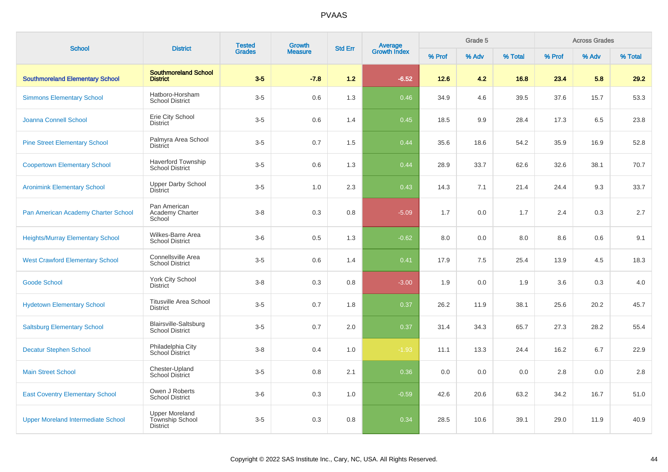| <b>School</b>                             | <b>District</b>                                             | <b>Tested</b> | Growth         | <b>Std Err</b> | Average<br>Growth Index |        | Grade 5 |         |        | <b>Across Grades</b> |         |
|-------------------------------------------|-------------------------------------------------------------|---------------|----------------|----------------|-------------------------|--------|---------|---------|--------|----------------------|---------|
|                                           |                                                             | <b>Grades</b> | <b>Measure</b> |                |                         | % Prof | % Adv   | % Total | % Prof | % Adv                | % Total |
| <b>Southmoreland Elementary School</b>    | <b>Southmoreland School</b><br><b>District</b>              | $3-5$         | $-7.8$         | $1.2$          | $-6.52$                 | 12.6   | 4.2     | 16.8    | 23.4   | 5.8                  | 29.2    |
| <b>Simmons Elementary School</b>          | Hatboro-Horsham<br><b>School District</b>                   | $3-5$         | 0.6            | 1.3            | 0.46                    | 34.9   | 4.6     | 39.5    | 37.6   | 15.7                 | 53.3    |
| Joanna Connell School                     | Erie City School<br><b>District</b>                         | $3-5$         | 0.6            | 1.4            | 0.45                    | 18.5   | 9.9     | 28.4    | 17.3   | 6.5                  | 23.8    |
| <b>Pine Street Elementary School</b>      | Palmyra Area School<br><b>District</b>                      | $3-5$         | 0.7            | 1.5            | 0.44                    | 35.6   | 18.6    | 54.2    | 35.9   | 16.9                 | 52.8    |
| <b>Coopertown Elementary School</b>       | <b>Haverford Township</b><br><b>School District</b>         | $3-5$         | 0.6            | 1.3            | 0.44                    | 28.9   | 33.7    | 62.6    | 32.6   | 38.1                 | 70.7    |
| <b>Aronimink Elementary School</b>        | <b>Upper Darby School</b><br><b>District</b>                | $3-5$         | 1.0            | 2.3            | 0.43                    | 14.3   | 7.1     | 21.4    | 24.4   | 9.3                  | 33.7    |
| Pan American Academy Charter School       | Pan American<br>Academy Charter<br>School                   | $3 - 8$       | 0.3            | 0.8            | $-5.09$                 | 1.7    | 0.0     | 1.7     | 2.4    | 0.3                  | $2.7\,$ |
| <b>Heights/Murray Elementary School</b>   | Wilkes-Barre Area<br><b>School District</b>                 | $3-6$         | 0.5            | 1.3            | $-0.62$                 | 8.0    | 0.0     | 8.0     | 8.6    | 0.6                  | 9.1     |
| <b>West Crawford Elementary School</b>    | Connellsville Area<br><b>School District</b>                | $3-5$         | 0.6            | 1.4            | 0.41                    | 17.9   | 7.5     | 25.4    | 13.9   | 4.5                  | 18.3    |
| <b>Goode School</b>                       | <b>York City School</b><br><b>District</b>                  | $3 - 8$       | 0.3            | 0.8            | $-3.00$                 | 1.9    | 0.0     | 1.9     | 3.6    | 0.3                  | 4.0     |
| <b>Hydetown Elementary School</b>         | <b>Titusville Area School</b><br><b>District</b>            | $3-5$         | 0.7            | 1.8            | 0.37                    | 26.2   | 11.9    | 38.1    | 25.6   | 20.2                 | 45.7    |
| <b>Saltsburg Elementary School</b>        | <b>Blairsville-Saltsburg</b><br><b>School District</b>      | $3-5$         | 0.7            | 2.0            | 0.37                    | 31.4   | 34.3    | 65.7    | 27.3   | 28.2                 | 55.4    |
| <b>Decatur Stephen School</b>             | Philadelphia City<br><b>School District</b>                 | $3 - 8$       | 0.4            | 1.0            | $-1.93$                 | 11.1   | 13.3    | 24.4    | 16.2   | 6.7                  | 22.9    |
| <b>Main Street School</b>                 | Chester-Upland<br>School District                           | $3-5$         | 0.8            | 2.1            | 0.36                    | 0.0    | 0.0     | 0.0     | 2.8    | 0.0                  | 2.8     |
| <b>East Coventry Elementary School</b>    | Owen J Roberts<br><b>School District</b>                    | $3-6$         | 0.3            | 1.0            | $-0.59$                 | 42.6   | 20.6    | 63.2    | 34.2   | 16.7                 | 51.0    |
| <b>Upper Moreland Intermediate School</b> | <b>Upper Moreland</b><br>Township School<br><b>District</b> | $3-5$         | 0.3            | 0.8            | 0.34                    | 28.5   | 10.6    | 39.1    | 29.0   | 11.9                 | 40.9    |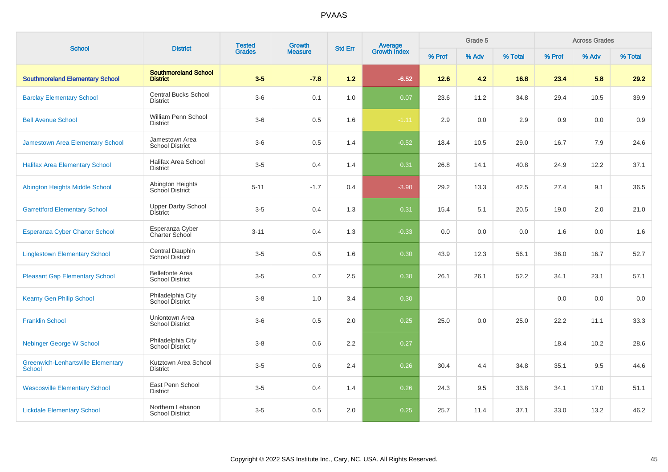| <b>School</b>                                       | <b>District</b>                                  | <b>Tested</b><br>Growth<br><b>Grades</b><br><b>Measure</b> |        | <b>Average</b><br>Growth Index<br><b>Std Err</b> |         | Grade 5 |       |         |         | <b>Across Grades</b> |         |
|-----------------------------------------------------|--------------------------------------------------|------------------------------------------------------------|--------|--------------------------------------------------|---------|---------|-------|---------|---------|----------------------|---------|
|                                                     |                                                  |                                                            |        |                                                  |         | % Prof  | % Adv | % Total | % Prof  | % Adv                | % Total |
| <b>Southmoreland Elementary School</b>              | <b>Southmoreland School</b><br><b>District</b>   | $3-5$                                                      | $-7.8$ | $1.2$                                            | $-6.52$ | $12.6$  | 4.2   | 16.8    | 23.4    | 5.8                  | 29.2    |
| <b>Barclay Elementary School</b>                    | <b>Central Bucks School</b><br><b>District</b>   | $3-6$                                                      | 0.1    | $1.0$                                            | 0.07    | 23.6    | 11.2  | 34.8    | 29.4    | 10.5                 | 39.9    |
| <b>Bell Avenue School</b>                           | William Penn School<br><b>District</b>           | $3-6$                                                      | 0.5    | 1.6                                              | $-1.11$ | 2.9     | 0.0   | 2.9     | $0.9\,$ | 0.0                  | 0.9     |
| <b>Jamestown Area Elementary School</b>             | Jamestown Area<br><b>School District</b>         | $3-6$                                                      | 0.5    | 1.4                                              | $-0.52$ | 18.4    | 10.5  | 29.0    | 16.7    | 7.9                  | 24.6    |
| <b>Halifax Area Elementary School</b>               | Halifax Area School<br><b>District</b>           | $3-5$                                                      | 0.4    | 1.4                                              | 0.31    | 26.8    | 14.1  | 40.8    | 24.9    | 12.2                 | 37.1    |
| Abington Heights Middle School                      | Abington Heights<br>School District              | $5 - 11$                                                   | $-1.7$ | 0.4                                              | $-3.90$ | 29.2    | 13.3  | 42.5    | 27.4    | 9.1                  | 36.5    |
| <b>Garrettford Elementary School</b>                | <b>Upper Darby School</b><br><b>District</b>     | $3-5$                                                      | 0.4    | 1.3                                              | 0.31    | 15.4    | 5.1   | 20.5    | 19.0    | 2.0                  | 21.0    |
| <b>Esperanza Cyber Charter School</b>               | Esperanza Cyber<br>Charter School                | $3 - 11$                                                   | 0.4    | 1.3                                              | $-0.33$ | 0.0     | 0.0   | 0.0     | 1.6     | 0.0                  | 1.6     |
| <b>Linglestown Elementary School</b>                | Central Dauphin<br>School District               | $3-5$                                                      | 0.5    | 1.6                                              | 0.30    | 43.9    | 12.3  | 56.1    | 36.0    | 16.7                 | 52.7    |
| <b>Pleasant Gap Elementary School</b>               | <b>Bellefonte Area</b><br><b>School District</b> | $3-5$                                                      | 0.7    | 2.5                                              | 0.30    | 26.1    | 26.1  | 52.2    | 34.1    | 23.1                 | 57.1    |
| <b>Kearny Gen Philip School</b>                     | Philadelphia City<br>School District             | $3 - 8$                                                    | 1.0    | 3.4                                              | 0.30    |         |       |         | $0.0\,$ | 0.0                  | 0.0     |
| <b>Franklin School</b>                              | Uniontown Area<br><b>School District</b>         | $3-6$                                                      | 0.5    | 2.0                                              | 0.25    | 25.0    | 0.0   | 25.0    | 22.2    | 11.1                 | 33.3    |
| <b>Nebinger George W School</b>                     | Philadelphia City<br>School District             | $3-8$                                                      | 0.6    | 2.2                                              | 0.27    |         |       |         | 18.4    | 10.2                 | 28.6    |
| <b>Greenwich-Lenhartsville Elementary</b><br>School | Kutztown Area School<br><b>District</b>          | $3-5$                                                      | 0.6    | 2.4                                              | 0.26    | 30.4    | 4.4   | 34.8    | 35.1    | 9.5                  | 44.6    |
| <b>Wescosville Elementary School</b>                | East Penn School<br><b>District</b>              | $3-5$                                                      | 0.4    | 1.4                                              | 0.26    | 24.3    | 9.5   | 33.8    | 34.1    | 17.0                 | 51.1    |
| <b>Lickdale Elementary School</b>                   | Northern Lebanon<br><b>School District</b>       | $3-5$                                                      | 0.5    | 2.0                                              | 0.25    | 25.7    | 11.4  | 37.1    | 33.0    | 13.2                 | 46.2    |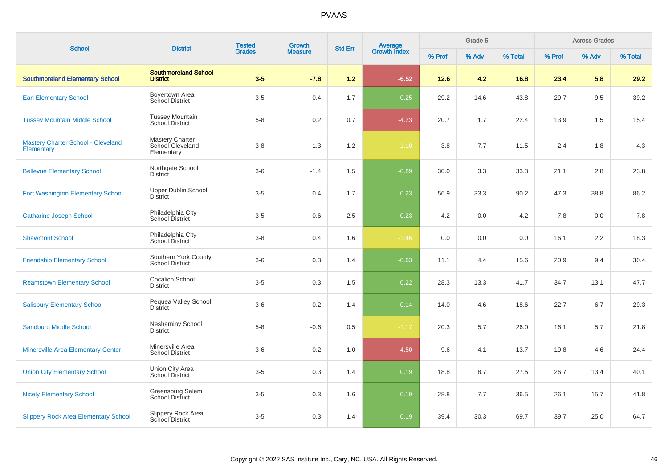| <b>School</b>                                           | <b>District</b>                                          | <b>Tested</b> | <b>Growth</b>  | <b>Std Err</b> |                                |        | Grade 5 |         |        | <b>Across Grades</b> |         |
|---------------------------------------------------------|----------------------------------------------------------|---------------|----------------|----------------|--------------------------------|--------|---------|---------|--------|----------------------|---------|
|                                                         |                                                          | <b>Grades</b> | <b>Measure</b> |                | <b>Average</b><br>Growth Index | % Prof | % Adv   | % Total | % Prof | % Adv                | % Total |
| <b>Southmoreland Elementary School</b>                  | <b>Southmoreland School</b><br><b>District</b>           | $3-5$         | $-7.8$         | 1.2            | $-6.52$                        | 12.6   | 4.2     | 16.8    | 23.4   | 5.8                  | 29.2    |
| <b>Earl Elementary School</b>                           | Boyertown Area<br>School District                        | $3-5$         | 0.4            | 1.7            | 0.25                           | 29.2   | 14.6    | 43.8    | 29.7   | 9.5                  | 39.2    |
| <b>Tussey Mountain Middle School</b>                    | <b>Tussey Mountain</b><br>School District                | $5 - 8$       | 0.2            | 0.7            | $-4.23$                        | 20.7   | 1.7     | 22.4    | 13.9   | 1.5                  | 15.4    |
| <b>Mastery Charter School - Cleveland</b><br>Elementary | <b>Mastery Charter</b><br>School-Cleveland<br>Elementary | $3 - 8$       | $-1.3$         | 1.2            | $-1.10$                        | 3.8    | 7.7     | 11.5    | 2.4    | 1.8                  | 4.3     |
| <b>Bellevue Elementary School</b>                       | Northgate School<br>District                             | $3-6$         | $-1.4$         | 1.5            | $-0.89$                        | 30.0   | 3.3     | 33.3    | 21.1   | 2.8                  | 23.8    |
| Fort Washington Elementary School                       | <b>Upper Dublin School</b><br><b>District</b>            | $3-5$         | 0.4            | 1.7            | 0.23                           | 56.9   | 33.3    | 90.2    | 47.3   | 38.8                 | 86.2    |
| <b>Catharine Joseph School</b>                          | Philadelphia City<br><b>School District</b>              | $3-5$         | 0.6            | 2.5            | 0.23                           | 4.2    | 0.0     | 4.2     | 7.8    | 0.0                  | 7.8     |
| <b>Shawmont School</b>                                  | Philadelphia City<br>School District                     | $3-8$         | 0.4            | 1.6            | $-1.46$                        | 0.0    | 0.0     | 0.0     | 16.1   | 2.2                  | 18.3    |
| <b>Friendship Elementary School</b>                     | Southern York County<br><b>School District</b>           | $3-6$         | 0.3            | 1.4            | $-0.63$                        | 11.1   | 4.4     | 15.6    | 20.9   | 9.4                  | 30.4    |
| <b>Reamstown Elementary School</b>                      | Cocalico School<br><b>District</b>                       | $3-5$         | 0.3            | 1.5            | 0.22                           | 28.3   | 13.3    | 41.7    | 34.7   | 13.1                 | 47.7    |
| <b>Salisbury Elementary School</b>                      | Pequea Valley School<br><b>District</b>                  | $3-6$         | 0.2            | 1.4            | 0.14                           | 14.0   | 4.6     | 18.6    | 22.7   | 6.7                  | 29.3    |
| <b>Sandburg Middle School</b>                           | <b>Neshaminy School</b><br><b>District</b>               | $5 - 8$       | $-0.6$         | 0.5            | $-1.17$                        | 20.3   | 5.7     | 26.0    | 16.1   | 5.7                  | 21.8    |
| <b>Minersville Area Elementary Center</b>               | Minersville Area<br><b>School District</b>               | $3-6$         | 0.2            | 1.0            | $-4.50$                        | 9.6    | 4.1     | 13.7    | 19.8   | 4.6                  | 24.4    |
| <b>Union City Elementary School</b>                     | Union City Area<br><b>School District</b>                | $3-5$         | 0.3            | 1.4            | 0.19                           | 18.8   | 8.7     | 27.5    | 26.7   | 13.4                 | 40.1    |
| <b>Nicely Elementary School</b>                         | Greensburg Salem<br><b>School District</b>               | $3-5$         | 0.3            | 1.6            | 0.19                           | 28.8   | 7.7     | 36.5    | 26.1   | 15.7                 | 41.8    |
| <b>Slippery Rock Area Elementary School</b>             | Slippery Rock Area<br>School District                    | $3-5$         | 0.3            | 1.4            | 0.19                           | 39.4   | 30.3    | 69.7    | 39.7   | 25.0                 | 64.7    |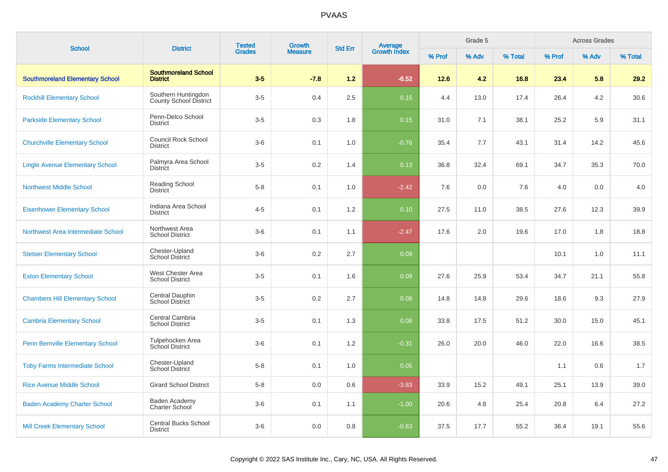|                                         |                                                      | <b>Tested</b> | <b>Growth</b>  |                |                                |        | Grade 5 |         |        | <b>Across Grades</b> |         |
|-----------------------------------------|------------------------------------------------------|---------------|----------------|----------------|--------------------------------|--------|---------|---------|--------|----------------------|---------|
| <b>School</b>                           | <b>District</b>                                      | <b>Grades</b> | <b>Measure</b> | <b>Std Err</b> | <b>Average</b><br>Growth Index | % Prof | % Adv   | % Total | % Prof | % Adv                | % Total |
| <b>Southmoreland Elementary School</b>  | <b>Southmoreland School</b><br><b>District</b>       | $3-5$         | $-7.8$         | 1.2            | $-6.52$                        | $12.6$ | 4.2     | 16.8    | 23.4   | 5.8                  | 29.2    |
| <b>Rockhill Elementary School</b>       | Southern Huntingdon<br><b>County School District</b> | $3-5$         | 0.4            | 2.5            | 0.15                           | 4.4    | 13.0    | 17.4    | 26.4   | 4.2                  | 30.6    |
| <b>Parkside Elementary School</b>       | Penn-Delco School<br><b>District</b>                 | $3-5$         | 0.3            | 1.8            | 0.15                           | 31.0   | 7.1     | 38.1    | 25.2   | 5.9                  | 31.1    |
| <b>Churchville Elementary School</b>    | <b>Council Rock School</b><br><b>District</b>        | $3-6$         | 0.1            | 1.0            | $-0.76$                        | 35.4   | 7.7     | 43.1    | 31.4   | 14.2                 | 45.6    |
| <b>Lingle Avenue Elementary School</b>  | Palmyra Area School<br><b>District</b>               | $3-5$         | 0.2            | 1.4            | 0.13                           | 36.8   | 32.4    | 69.1    | 34.7   | 35.3                 | 70.0    |
| <b>Northwest Middle School</b>          | Reading School<br><b>District</b>                    | $5 - 8$       | 0.1            | 1.0            | $-2.42$                        | 7.6    | 0.0     | 7.6     | 4.0    | 0.0                  | 4.0     |
| <b>Eisenhower Elementary School</b>     | Indiana Area School<br><b>District</b>               | $4 - 5$       | 0.1            | 1.2            | 0.10                           | 27.5   | 11.0    | 38.5    | 27.6   | 12.3                 | 39.9    |
| Northwest Area Intermediate School      | Northwest Area<br><b>School District</b>             | $3-6$         | 0.1            | 1.1            | $-2.47$                        | 17.6   | 2.0     | 19.6    | 17.0   | 1.8                  | 18.8    |
| <b>Stetser Elementary School</b>        | Chester-Upland<br><b>School District</b>             | $3-6$         | 0.2            | 2.7            | 0.09                           |        |         |         | 10.1   | 1.0                  | 11.1    |
| <b>Exton Elementary School</b>          | West Chester Area<br><b>School District</b>          | $3-5$         | 0.1            | 1.6            | 0.09                           | 27.6   | 25.9    | 53.4    | 34.7   | 21.1                 | 55.8    |
| <b>Chambers Hill Elementary School</b>  | Central Dauphin<br>School District                   | $3-5$         | 0.2            | 2.7            | 0.08                           | 14.8   | 14.8    | 29.6    | 18.6   | 9.3                  | 27.9    |
| <b>Cambria Elementary School</b>        | Central Cambria<br><b>School District</b>            | $3-5$         | 0.1            | 1.3            | 0.08                           | 33.8   | 17.5    | 51.2    | 30.0   | 15.0                 | 45.1    |
| <b>Penn Bernville Elementary School</b> | Tulpehocken Area<br>School District                  | $3-6$         | 0.1            | 1.2            | $-0.31$                        | 26.0   | 20.0    | 46.0    | 22.0   | 16.6                 | 38.5    |
| <b>Toby Farms Intermediate School</b>   | Chester-Upland<br><b>School District</b>             | $5-8$         | 0.1            | 1.0            | 0.05                           |        |         |         | 1.1    | 0.6                  | 1.7     |
| <b>Rice Avenue Middle School</b>        | <b>Girard School District</b>                        | $5-8$         | 0.0            | 0.6            | $-3.83$                        | 33.9   | 15.2    | 49.1    | 25.1   | 13.9                 | 39.0    |
| <b>Baden Academy Charter School</b>     | Baden Academy<br>Charter School                      | $3-6$         | 0.1            | 1.1            | $-1.00$                        | 20.6   | 4.8     | 25.4    | 20.8   | 6.4                  | 27.2    |
| <b>Mill Creek Elementary School</b>     | <b>Central Bucks School</b><br><b>District</b>       | $3-6$         | 0.0            | 0.8            | $-0.83$                        | 37.5   | 17.7    | 55.2    | 36.4   | 19.1                 | 55.6    |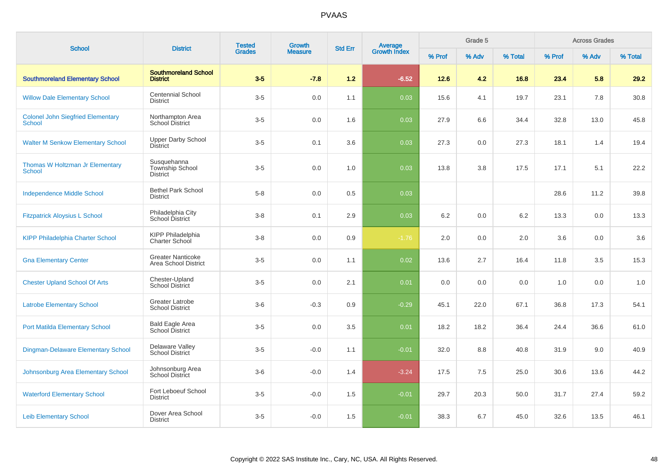| <b>School</b>                                             | <b>District</b>                                   | <b>Tested</b> | Growth         | <b>Std Err</b> |                                |        | Grade 5 |         |        | <b>Across Grades</b> |         |
|-----------------------------------------------------------|---------------------------------------------------|---------------|----------------|----------------|--------------------------------|--------|---------|---------|--------|----------------------|---------|
|                                                           |                                                   | <b>Grades</b> | <b>Measure</b> |                | <b>Average</b><br>Growth Index | % Prof | % Adv   | % Total | % Prof | % Adv                | % Total |
| <b>Southmoreland Elementary School</b>                    | <b>Southmoreland School</b><br><b>District</b>    | $3-5$         | $-7.8$         | 1.2            | $-6.52$                        | 12.6   | 4.2     | 16.8    | 23.4   | 5.8                  | 29.2    |
| <b>Willow Dale Elementary School</b>                      | <b>Centennial School</b><br><b>District</b>       | $3-5$         | 0.0            | 1.1            | 0.03                           | 15.6   | 4.1     | 19.7    | 23.1   | 7.8                  | 30.8    |
| <b>Colonel John Siegfried Elementary</b><br><b>School</b> | Northampton Area<br><b>School District</b>        | $3-5$         | 0.0            | 1.6            | 0.03                           | 27.9   | 6.6     | 34.4    | 32.8   | 13.0                 | 45.8    |
| <b>Walter M Senkow Elementary School</b>                  | <b>Upper Darby School</b><br><b>District</b>      | $3-5$         | 0.1            | 3.6            | 0.03                           | 27.3   | 0.0     | 27.3    | 18.1   | 1.4                  | 19.4    |
| Thomas W Holtzman Jr Elementary<br><b>School</b>          | Susquehanna<br>Township School<br><b>District</b> | $3-5$         | 0.0            | 1.0            | 0.03                           | 13.8   | 3.8     | 17.5    | 17.1   | 5.1                  | 22.2    |
| <b>Independence Middle School</b>                         | <b>Bethel Park School</b><br><b>District</b>      | $5 - 8$       | 0.0            | 0.5            | 0.03                           |        |         |         | 28.6   | 11.2                 | 39.8    |
| <b>Fitzpatrick Aloysius L School</b>                      | Philadelphia City<br><b>School District</b>       | $3 - 8$       | 0.1            | 2.9            | 0.03                           | 6.2    | 0.0     | 6.2     | 13.3   | 0.0                  | 13.3    |
| <b>KIPP Philadelphia Charter School</b>                   | KIPP Philadelphia<br>Charter School               | $3-8$         | 0.0            | 0.9            | $-1.76$                        | 2.0    | 0.0     | 2.0     | 3.6    | 0.0                  | 3.6     |
| <b>Gna Elementary Center</b>                              | <b>Greater Nanticoke</b><br>Area School District  | $3-5$         | 0.0            | 1.1            | 0.02                           | 13.6   | 2.7     | 16.4    | 11.8   | 3.5                  | 15.3    |
| <b>Chester Upland School Of Arts</b>                      | Chester-Upland<br><b>School District</b>          | $3-5$         | 0.0            | 2.1            | 0.01                           | 0.0    | 0.0     | 0.0     | 1.0    | 0.0                  | 1.0     |
| <b>Latrobe Elementary School</b>                          | <b>Greater Latrobe</b><br><b>School District</b>  | $3-6$         | $-0.3$         | 0.9            | $-0.29$                        | 45.1   | 22.0    | 67.1    | 36.8   | 17.3                 | 54.1    |
| <b>Port Matilda Elementary School</b>                     | Bald Eagle Area<br>School District                | $3-5$         | 0.0            | 3.5            | 0.01                           | 18.2   | 18.2    | 36.4    | 24.4   | 36.6                 | 61.0    |
| Dingman-Delaware Elementary School                        | Delaware Valley<br><b>School District</b>         | $3-5$         | $-0.0$         | 1.1            | $-0.01$                        | 32.0   | 8.8     | 40.8    | 31.9   | 9.0                  | 40.9    |
| Johnsonburg Area Elementary School                        | Johnsonburg Area<br>School District               | $3-6$         | $-0.0$         | 1.4            | $-3.24$                        | 17.5   | 7.5     | 25.0    | 30.6   | 13.6                 | 44.2    |
| <b>Waterford Elementary School</b>                        | Fort Leboeuf School<br><b>District</b>            | $3-5$         | $-0.0$         | 1.5            | $-0.01$                        | 29.7   | 20.3    | 50.0    | 31.7   | 27.4                 | 59.2    |
| <b>Leib Elementary School</b>                             | Dover Area School<br><b>District</b>              | $3-5$         | $-0.0$         | 1.5            | $-0.01$                        | 38.3   | 6.7     | 45.0    | 32.6   | 13.5                 | 46.1    |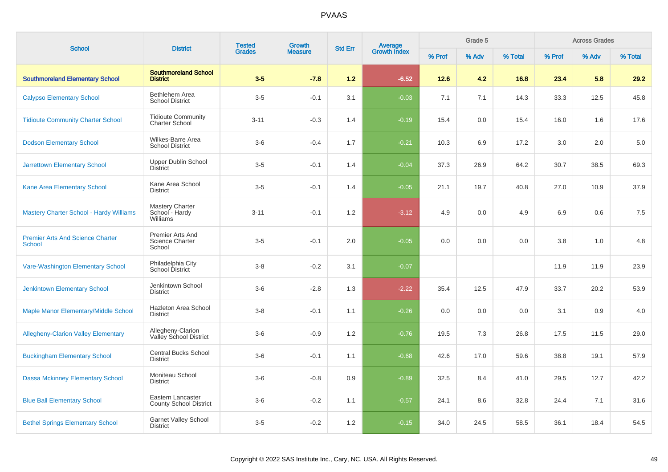| <b>School</b>                                     |                                                      | <b>Tested</b><br><b>Growth</b><br>Average<br>Growth Index<br><b>District</b><br><b>Std Err</b> |                |     | Grade 5 |        |       | <b>Across Grades</b> |        |       |         |
|---------------------------------------------------|------------------------------------------------------|------------------------------------------------------------------------------------------------|----------------|-----|---------|--------|-------|----------------------|--------|-------|---------|
|                                                   |                                                      | <b>Grades</b>                                                                                  | <b>Measure</b> |     |         | % Prof | % Adv | % Total              | % Prof | % Adv | % Total |
| <b>Southmoreland Elementary School</b>            | <b>Southmoreland School</b><br><b>District</b>       | $3-5$                                                                                          | $-7.8$         | 1.2 | $-6.52$ | 12.6   | 4.2   | 16.8                 | 23.4   | 5.8   | 29.2    |
| <b>Calypso Elementary School</b>                  | Bethlehem Area<br><b>School District</b>             | $3-5$                                                                                          | $-0.1$         | 3.1 | $-0.03$ | 7.1    | 7.1   | 14.3                 | 33.3   | 12.5  | 45.8    |
| <b>Tidioute Community Charter School</b>          | <b>Tidioute Community</b><br><b>Charter School</b>   | $3 - 11$                                                                                       | $-0.3$         | 1.4 | $-0.19$ | 15.4   | 0.0   | 15.4                 | 16.0   | 1.6   | 17.6    |
| <b>Dodson Elementary School</b>                   | Wilkes-Barre Area<br><b>School District</b>          | $3-6$                                                                                          | $-0.4$         | 1.7 | $-0.21$ | 10.3   | 6.9   | 17.2                 | 3.0    | 2.0   | 5.0     |
| <b>Jarrettown Elementary School</b>               | <b>Upper Dublin School</b><br><b>District</b>        | $3-5$                                                                                          | $-0.1$         | 1.4 | $-0.04$ | 37.3   | 26.9  | 64.2                 | 30.7   | 38.5  | 69.3    |
| Kane Area Elementary School                       | Kane Area School<br><b>District</b>                  | $3-5$                                                                                          | $-0.1$         | 1.4 | $-0.05$ | 21.1   | 19.7  | 40.8                 | 27.0   | 10.9  | 37.9    |
| <b>Mastery Charter School - Hardy Williams</b>    | Mastery Charter<br>School - Hardy<br>Williams        | $3 - 11$                                                                                       | $-0.1$         | 1.2 | $-3.12$ | 4.9    | 0.0   | 4.9                  | 6.9    | 0.6   | 7.5     |
| <b>Premier Arts And Science Charter</b><br>School | Premier Arts And<br><b>Science Charter</b><br>School | $3-5$                                                                                          | $-0.1$         | 2.0 | $-0.05$ | 0.0    | 0.0   | 0.0                  | 3.8    | 1.0   | 4.8     |
| Vare-Washington Elementary School                 | Philadelphia City<br>School District                 | $3 - 8$                                                                                        | $-0.2$         | 3.1 | $-0.07$ |        |       |                      | 11.9   | 11.9  | 23.9    |
| <b>Jenkintown Elementary School</b>               | Jenkintown School<br><b>District</b>                 | $3-6$                                                                                          | $-2.8$         | 1.3 | $-2.22$ | 35.4   | 12.5  | 47.9                 | 33.7   | 20.2  | 53.9    |
| Maple Manor Elementary/Middle School              | Hazleton Area School<br><b>District</b>              | $3 - 8$                                                                                        | $-0.1$         | 1.1 | $-0.26$ | 0.0    | 0.0   | 0.0                  | 3.1    | 0.9   | 4.0     |
| <b>Allegheny-Clarion Valley Elementary</b>        | Allegheny-Clarion<br>Valley School District          | $3-6$                                                                                          | $-0.9$         | 1.2 | $-0.76$ | 19.5   | 7.3   | 26.8                 | 17.5   | 11.5  | 29.0    |
| <b>Buckingham Elementary School</b>               | <b>Central Bucks School</b><br><b>District</b>       | $3-6$                                                                                          | $-0.1$         | 1.1 | $-0.68$ | 42.6   | 17.0  | 59.6                 | 38.8   | 19.1  | 57.9    |
| <b>Dassa Mckinney Elementary School</b>           | Moniteau School<br><b>District</b>                   | $3-6$                                                                                          | $-0.8$         | 0.9 | $-0.89$ | 32.5   | 8.4   | 41.0                 | 29.5   | 12.7  | 42.2    |
| <b>Blue Ball Elementary School</b>                | Eastern Lancaster<br><b>County School District</b>   | $3-6$                                                                                          | $-0.2$         | 1.1 | $-0.57$ | 24.1   | 8.6   | 32.8                 | 24.4   | 7.1   | 31.6    |
| <b>Bethel Springs Elementary School</b>           | <b>Garnet Valley School</b><br><b>District</b>       | $3-5$                                                                                          | $-0.2$         | 1.2 | $-0.15$ | 34.0   | 24.5  | 58.5                 | 36.1   | 18.4  | 54.5    |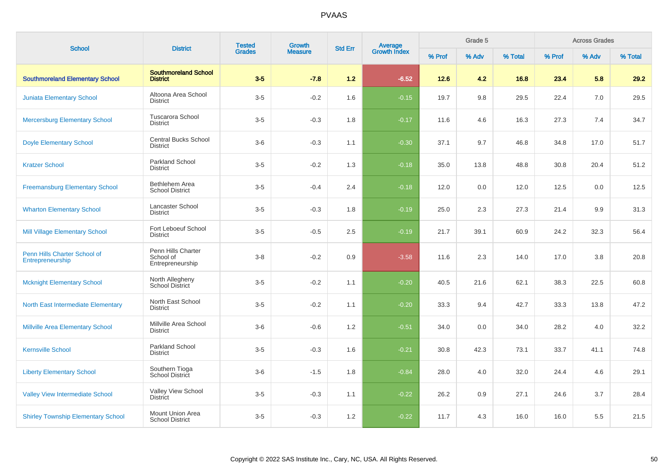| <b>School</b>                                    | <b>District</b>                                     | <b>Tested</b> | <b>Growth</b>  | <b>Std Err</b> | <b>Average</b><br>Growth Index |        | Grade 5 |         |        | <b>Across Grades</b> |         |
|--------------------------------------------------|-----------------------------------------------------|---------------|----------------|----------------|--------------------------------|--------|---------|---------|--------|----------------------|---------|
|                                                  |                                                     | <b>Grades</b> | <b>Measure</b> |                |                                | % Prof | % Adv   | % Total | % Prof | % Adv                | % Total |
| <b>Southmoreland Elementary School</b>           | <b>Southmoreland School</b><br><b>District</b>      | $3-5$         | $-7.8$         | 1.2            | $-6.52$                        | 12.6   | 4.2     | 16.8    | 23.4   | 5.8                  | 29.2    |
| <b>Juniata Elementary School</b>                 | Altoona Area School<br><b>District</b>              | $3-5$         | $-0.2$         | 1.6            | $-0.15$                        | 19.7   | 9.8     | 29.5    | 22.4   | 7.0                  | 29.5    |
| <b>Mercersburg Elementary School</b>             | <b>Tuscarora School</b><br><b>District</b>          | $3-5$         | $-0.3$         | 1.8            | $-0.17$                        | 11.6   | 4.6     | 16.3    | 27.3   | 7.4                  | 34.7    |
| <b>Doyle Elementary School</b>                   | <b>Central Bucks School</b><br><b>District</b>      | $3-6$         | $-0.3$         | 1.1            | $-0.30$                        | 37.1   | 9.7     | 46.8    | 34.8   | 17.0                 | 51.7    |
| <b>Kratzer School</b>                            | <b>Parkland School</b><br><b>District</b>           | $3-5$         | $-0.2$         | 1.3            | $-0.18$                        | 35.0   | 13.8    | 48.8    | 30.8   | 20.4                 | 51.2    |
| <b>Freemansburg Elementary School</b>            | Bethlehem Area<br><b>School District</b>            | $3-5$         | $-0.4$         | 2.4            | $-0.18$                        | 12.0   | 0.0     | 12.0    | 12.5   | 0.0                  | 12.5    |
| <b>Wharton Elementary School</b>                 | Lancaster School<br><b>District</b>                 | $3-5$         | $-0.3$         | 1.8            | $-0.19$                        | 25.0   | 2.3     | 27.3    | 21.4   | 9.9                  | 31.3    |
| <b>Mill Village Elementary School</b>            | Fort Leboeuf School<br><b>District</b>              | $3-5$         | $-0.5$         | 2.5            | $-0.19$                        | 21.7   | 39.1    | 60.9    | 24.2   | 32.3                 | 56.4    |
| Penn Hills Charter School of<br>Entrepreneurship | Penn Hills Charter<br>School of<br>Entrepreneurship | $3 - 8$       | $-0.2$         | 0.9            | $-3.58$                        | 11.6   | 2.3     | 14.0    | 17.0   | 3.8                  | 20.8    |
| <b>Mcknight Elementary School</b>                | North Allegheny<br>School District                  | $3-5$         | $-0.2$         | 1.1            | $-0.20$                        | 40.5   | 21.6    | 62.1    | 38.3   | 22.5                 | 60.8    |
| North East Intermediate Elementary               | North East School<br><b>District</b>                | $3-5$         | $-0.2$         | 1.1            | $-0.20$                        | 33.3   | 9.4     | 42.7    | 33.3   | 13.8                 | 47.2    |
| <b>Millville Area Elementary School</b>          | Millville Area School<br><b>District</b>            | $3-6$         | $-0.6$         | 1.2            | $-0.51$                        | 34.0   | 0.0     | 34.0    | 28.2   | 4.0                  | 32.2    |
| <b>Kernsville School</b>                         | Parkland School<br><b>District</b>                  | $3-5$         | $-0.3$         | 1.6            | $-0.21$                        | 30.8   | 42.3    | 73.1    | 33.7   | 41.1                 | 74.8    |
| <b>Liberty Elementary School</b>                 | Southern Tioga<br>School District                   | $3-6$         | $-1.5$         | 1.8            | $-0.84$                        | 28.0   | 4.0     | 32.0    | 24.4   | 4.6                  | 29.1    |
| <b>Valley View Intermediate School</b>           | Valley View School<br><b>District</b>               | $3-5$         | $-0.3$         | 1.1            | $-0.22$                        | 26.2   | 0.9     | 27.1    | 24.6   | 3.7                  | 28.4    |
| <b>Shirley Township Elementary School</b>        | Mount Union Area<br><b>School District</b>          | $3-5$         | $-0.3$         | 1.2            | $-0.22$                        | 11.7   | 4.3     | 16.0    | 16.0   | 5.5                  | 21.5    |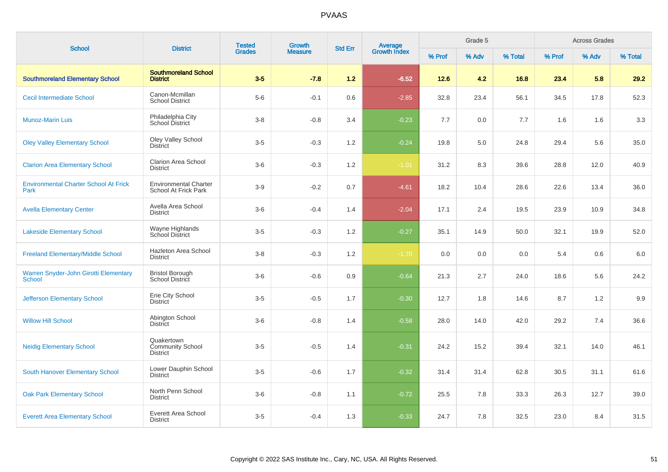| <b>School</b>                                          | <b>District</b>                                          | <b>Tested</b><br><b>Grades</b> | <b>Growth</b>  | <b>Std Err</b> | <b>Average</b><br>Growth Index |        | Grade 5 |         |        | <b>Across Grades</b> |         |
|--------------------------------------------------------|----------------------------------------------------------|--------------------------------|----------------|----------------|--------------------------------|--------|---------|---------|--------|----------------------|---------|
|                                                        |                                                          |                                | <b>Measure</b> |                |                                | % Prof | % Adv   | % Total | % Prof | % Adv                | % Total |
| <b>Southmoreland Elementary School</b>                 | <b>Southmoreland School</b><br><b>District</b>           | $3-5$                          | $-7.8$         | 1.2            | $-6.52$                        | 12.6   | 4.2     | 16.8    | 23.4   | 5.8                  | 29.2    |
| <b>Cecil Intermediate School</b>                       | Canon-Mcmillan<br><b>School District</b>                 | $5-6$                          | $-0.1$         | 0.6            | $-2.85$                        | 32.8   | 23.4    | 56.1    | 34.5   | 17.8                 | 52.3    |
| <b>Munoz-Marin Luis</b>                                | Philadelphia City<br>School District                     | $3 - 8$                        | $-0.8$         | 3.4            | $-0.23$                        | 7.7    | 0.0     | 7.7     | 1.6    | 1.6                  | 3.3     |
| <b>Oley Valley Elementary School</b>                   | Oley Valley School<br><b>District</b>                    | $3-5$                          | $-0.3$         | 1.2            | $-0.24$                        | 19.8   | 5.0     | 24.8    | 29.4   | 5.6                  | 35.0    |
| <b>Clarion Area Elementary School</b>                  | <b>Clarion Area School</b><br><b>District</b>            | $3-6$                          | $-0.3$         | 1.2            | $-1.01$                        | 31.2   | 8.3     | 39.6    | 28.8   | 12.0                 | 40.9    |
| <b>Environmental Charter School At Frick</b><br>Park   | <b>Environmental Charter</b><br>School At Frick Park     | $3-9$                          | $-0.2$         | 0.7            | $-4.61$                        | 18.2   | 10.4    | 28.6    | 22.6   | 13.4                 | 36.0    |
| <b>Avella Elementary Center</b>                        | Avella Area School<br><b>District</b>                    | $3-6$                          | $-0.4$         | 1.4            | $-2.04$                        | 17.1   | 2.4     | 19.5    | 23.9   | 10.9                 | 34.8    |
| <b>Lakeside Elementary School</b>                      | Wayne Highlands<br>School District                       | $3-5$                          | $-0.3$         | 1.2            | $-0.27$                        | 35.1   | 14.9    | 50.0    | 32.1   | 19.9                 | 52.0    |
| <b>Freeland Elementary/Middle School</b>               | Hazleton Area School<br><b>District</b>                  | $3-8$                          | $-0.3$         | 1.2            | $-1.70$                        | 0.0    | 0.0     | 0.0     | 5.4    | 0.6                  | 6.0     |
| Warren Snyder-John Girotti Elementary<br><b>School</b> | <b>Bristol Borough</b><br><b>School District</b>         | $3-6$                          | $-0.6$         | 0.9            | $-0.64$                        | 21.3   | 2.7     | 24.0    | 18.6   | 5.6                  | 24.2    |
| <b>Jefferson Elementary School</b>                     | Erie City School<br><b>District</b>                      | $3-5$                          | $-0.5$         | 1.7            | $-0.30$                        | 12.7   | 1.8     | 14.6    | 8.7    | 1.2                  | 9.9     |
| <b>Willow Hill School</b>                              | Abington School<br><b>District</b>                       | $3-6$                          | $-0.8$         | 1.4            | $-0.58$                        | 28.0   | 14.0    | 42.0    | 29.2   | 7.4                  | 36.6    |
| <b>Neidig Elementary School</b>                        | Quakertown<br><b>Community School</b><br><b>District</b> | $3-5$                          | $-0.5$         | 1.4            | $-0.31$                        | 24.2   | 15.2    | 39.4    | 32.1   | 14.0                 | 46.1    |
| <b>South Hanover Elementary School</b>                 | Lower Dauphin School<br><b>District</b>                  | $3-5$                          | $-0.6$         | 1.7            | $-0.32$                        | 31.4   | 31.4    | 62.8    | 30.5   | 31.1                 | 61.6    |
| <b>Oak Park Elementary School</b>                      | North Penn School<br><b>District</b>                     | $3-6$                          | $-0.8$         | 1.1            | $-0.72$                        | 25.5   | 7.8     | 33.3    | 26.3   | 12.7                 | 39.0    |
| <b>Everett Area Elementary School</b>                  | Everett Area School<br><b>District</b>                   | $3-5$                          | $-0.4$         | 1.3            | $-0.33$                        | 24.7   | 7.8     | 32.5    | 23.0   | 8.4                  | 31.5    |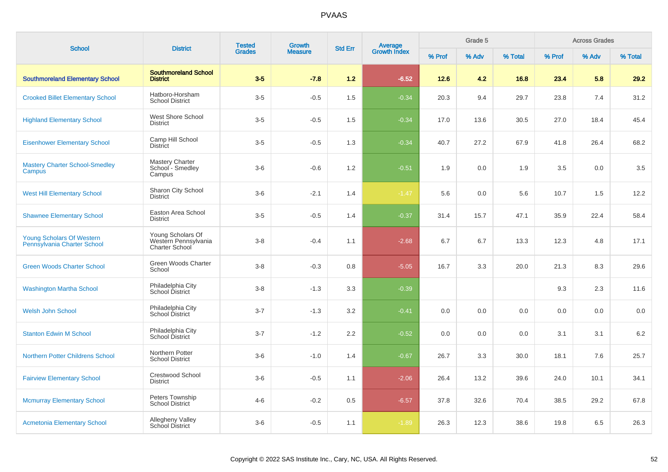| <b>School</b>                                            | <b>District</b>                                                    | <b>Tested</b><br><b>Grades</b> | <b>Growth</b>  | <b>Std Err</b> | Average<br>Growth Index |        | Grade 5 |         |         | <b>Across Grades</b> |         |
|----------------------------------------------------------|--------------------------------------------------------------------|--------------------------------|----------------|----------------|-------------------------|--------|---------|---------|---------|----------------------|---------|
|                                                          |                                                                    |                                | <b>Measure</b> |                |                         | % Prof | % Adv   | % Total | % Prof  | % Adv                | % Total |
| <b>Southmoreland Elementary School</b>                   | <b>Southmoreland School</b><br><b>District</b>                     | $3-5$                          | $-7.8$         | 1.2            | $-6.52$                 | 12.6   | 4.2     | 16.8    | 23.4    | 5.8                  | 29.2    |
| <b>Crooked Billet Elementary School</b>                  | Hatboro-Horsham<br><b>School District</b>                          | $3-5$                          | $-0.5$         | 1.5            | $-0.34$                 | 20.3   | 9.4     | 29.7    | 23.8    | 7.4                  | 31.2    |
| <b>Highland Elementary School</b>                        | West Shore School<br><b>District</b>                               | $3-5$                          | $-0.5$         | 1.5            | $-0.34$                 | 17.0   | 13.6    | 30.5    | 27.0    | 18.4                 | 45.4    |
| <b>Eisenhower Elementary School</b>                      | Camp Hill School<br><b>District</b>                                | $3-5$                          | $-0.5$         | 1.3            | $-0.34$                 | 40.7   | 27.2    | 67.9    | 41.8    | 26.4                 | 68.2    |
| <b>Mastery Charter School-Smedley</b><br>Campus          | <b>Mastery Charter</b><br>School - Smedley<br>Campus               | $3-6$                          | $-0.6$         | 1.2            | $-0.51$                 | 1.9    | 0.0     | 1.9     | $3.5\,$ | 0.0                  | 3.5     |
| <b>West Hill Elementary School</b>                       | Sharon City School<br><b>District</b>                              | $3-6$                          | $-2.1$         | 1.4            | $-1.47$                 | 5.6    | 0.0     | 5.6     | 10.7    | 1.5                  | 12.2    |
| <b>Shawnee Elementary School</b>                         | Easton Area School<br><b>District</b>                              | $3-5$                          | $-0.5$         | 1.4            | $-0.37$                 | 31.4   | 15.7    | 47.1    | 35.9    | 22.4                 | 58.4    |
| Young Scholars Of Western<br>Pennsylvania Charter School | Young Scholars Of<br>Western Pennsylvania<br><b>Charter School</b> | $3 - 8$                        | $-0.4$         | 1.1            | $-2.68$                 | 6.7    | 6.7     | 13.3    | 12.3    | 4.8                  | 17.1    |
| <b>Green Woods Charter School</b>                        | Green Woods Charter<br>School                                      | $3 - 8$                        | $-0.3$         | 0.8            | $-5.05$                 | 16.7   | 3.3     | 20.0    | 21.3    | 8.3                  | 29.6    |
| <b>Washington Martha School</b>                          | Philadelphia City<br>School District                               | $3 - 8$                        | $-1.3$         | 3.3            | $-0.39$                 |        |         |         | 9.3     | 2.3                  | 11.6    |
| <b>Welsh John School</b>                                 | Philadelphia City<br>School District                               | $3 - 7$                        | $-1.3$         | 3.2            | $-0.41$                 | 0.0    | 0.0     | 0.0     | 0.0     | 0.0                  | 0.0     |
| <b>Stanton Edwin M School</b>                            | Philadelphia City<br><b>School District</b>                        | $3 - 7$                        | $-1.2$         | 2.2            | $-0.52$                 | 0.0    | 0.0     | 0.0     | 3.1     | 3.1                  | 6.2     |
| <b>Northern Potter Childrens School</b>                  | Northern Potter<br><b>School District</b>                          | $3-6$                          | $-1.0$         | 1.4            | $-0.67$                 | 26.7   | 3.3     | 30.0    | 18.1    | 7.6                  | 25.7    |
| <b>Fairview Elementary School</b>                        | <b>Crestwood School</b><br><b>District</b>                         | $3-6$                          | $-0.5$         | 1.1            | $-2.06$                 | 26.4   | 13.2    | 39.6    | 24.0    | 10.1                 | 34.1    |
| <b>Mcmurray Elementary School</b>                        | Peters Township<br><b>School District</b>                          | $4 - 6$                        | $-0.2$         | 0.5            | $-6.57$                 | 37.8   | 32.6    | 70.4    | 38.5    | 29.2                 | 67.8    |
| <b>Acmetonia Elementary School</b>                       | Allegheny Valley<br>School District                                | $3-6$                          | $-0.5$         | 1.1            | $-1.89$                 | 26.3   | 12.3    | 38.6    | 19.8    | 6.5                  | 26.3    |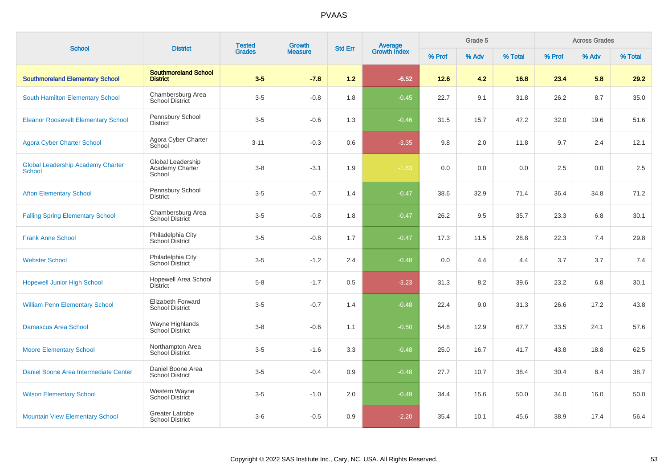| <b>School</b>                                             | <b>District</b>                                    | <b>Tested</b> | Growth         | <b>Std Err</b> |                                |        | Grade 5 |         |        | <b>Across Grades</b> |         |
|-----------------------------------------------------------|----------------------------------------------------|---------------|----------------|----------------|--------------------------------|--------|---------|---------|--------|----------------------|---------|
|                                                           |                                                    | <b>Grades</b> | <b>Measure</b> |                | <b>Average</b><br>Growth Index | % Prof | % Adv   | % Total | % Prof | % Adv                | % Total |
| <b>Southmoreland Elementary School</b>                    | <b>Southmoreland School</b><br><b>District</b>     | $3-5$         | $-7.8$         | 1.2            | $-6.52$                        | 12.6   | 4.2     | 16.8    | 23.4   | 5.8                  | 29.2    |
| <b>South Hamilton Elementary School</b>                   | Chambersburg Area<br>School District               | $3-5$         | $-0.8$         | 1.8            | $-0.45$                        | 22.7   | 9.1     | 31.8    | 26.2   | 8.7                  | 35.0    |
| <b>Eleanor Roosevelt Elementary School</b>                | Pennsbury School<br><b>District</b>                | $3-5$         | $-0.6$         | 1.3            | $-0.46$                        | 31.5   | 15.7    | 47.2    | 32.0   | 19.6                 | 51.6    |
| <b>Agora Cyber Charter School</b>                         | Agora Cyber Charter<br>School                      | $3 - 11$      | $-0.3$         | 0.6            | $-3.35$                        | 9.8    | 2.0     | 11.8    | 9.7    | 2.4                  | 12.1    |
| <b>Global Leadership Academy Charter</b><br><b>School</b> | Global Leadership<br>Academy Charter<br>School     | $3 - 8$       | $-3.1$         | 1.9            | $-1.63$                        | 0.0    | 0.0     | 0.0     | 2.5    | 0.0                  | 2.5     |
| <b>Afton Elementary School</b>                            | Pennsbury School<br>District                       | $3-5$         | $-0.7$         | 1.4            | $-0.47$                        | 38.6   | 32.9    | 71.4    | 36.4   | 34.8                 | 71.2    |
| <b>Falling Spring Elementary School</b>                   | Chambersburg Area<br><b>School District</b>        | $3-5$         | $-0.8$         | 1.8            | $-0.47$                        | 26.2   | 9.5     | 35.7    | 23.3   | 6.8                  | 30.1    |
| <b>Frank Anne School</b>                                  | Philadelphia City<br>School District               | $3-5$         | $-0.8$         | 1.7            | $-0.47$                        | 17.3   | 11.5    | 28.8    | 22.3   | 7.4                  | 29.8    |
| <b>Webster School</b>                                     | Philadelphia City<br>School District               | $3-5$         | $-1.2$         | 2.4            | $-0.48$                        | 0.0    | 4.4     | 4.4     | 3.7    | 3.7                  | 7.4     |
| <b>Hopewell Junior High School</b>                        | <b>Hopewell Area School</b><br><b>District</b>     | $5-8$         | $-1.7$         | 0.5            | $-3.23$                        | 31.3   | 8.2     | 39.6    | 23.2   | 6.8                  | 30.1    |
| <b>William Penn Elementary School</b>                     | <b>Elizabeth Forward</b><br><b>School District</b> | $3-5$         | $-0.7$         | 1.4            | $-0.48$                        | 22.4   | 9.0     | 31.3    | 26.6   | 17.2                 | 43.8    |
| <b>Damascus Area School</b>                               | Wayne Highlands<br>School District                 | $3-8$         | $-0.6$         | 1.1            | $-0.50$                        | 54.8   | 12.9    | 67.7    | 33.5   | 24.1                 | 57.6    |
| <b>Moore Elementary School</b>                            | Northampton Area<br><b>School District</b>         | $3-5$         | $-1.6$         | 3.3            | $-0.48$                        | 25.0   | 16.7    | 41.7    | 43.8   | 18.8                 | 62.5    |
| Daniel Boone Area Intermediate Center                     | Daniel Boone Area<br><b>School District</b>        | $3-5$         | $-0.4$         | 0.9            | $-0.48$                        | 27.7   | 10.7    | 38.4    | 30.4   | 8.4                  | 38.7    |
| <b>Wilson Elementary School</b>                           | Western Wayne<br>School District                   | $3-5$         | $-1.0$         | 2.0            | $-0.49$                        | 34.4   | 15.6    | 50.0    | 34.0   | 16.0                 | 50.0    |
| <b>Mountain View Elementary School</b>                    | <b>Greater Latrobe</b><br><b>School District</b>   | $3-6$         | $-0.5$         | 0.9            | $-2.20$                        | 35.4   | 10.1    | 45.6    | 38.9   | 17.4                 | 56.4    |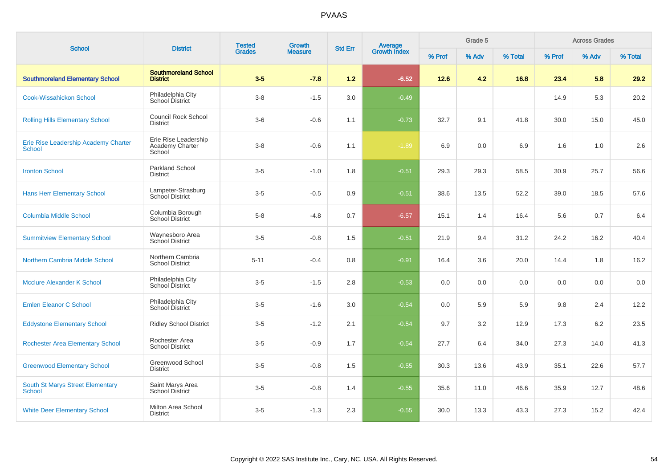| <b>School</b>                                         | <b>District</b>                                   | <b>Tested</b> | Growth         | <b>Std Err</b> | <b>Average</b><br>Growth Index |        | Grade 5 |         |        | <b>Across Grades</b> |         |
|-------------------------------------------------------|---------------------------------------------------|---------------|----------------|----------------|--------------------------------|--------|---------|---------|--------|----------------------|---------|
|                                                       |                                                   | <b>Grades</b> | <b>Measure</b> |                |                                | % Prof | % Adv   | % Total | % Prof | % Adv                | % Total |
| <b>Southmoreland Elementary School</b>                | <b>Southmoreland School</b><br><b>District</b>    | $3-5$         | $-7.8$         | 1.2            | $-6.52$                        | $12.6$ | 4.2     | 16.8    | 23.4   | 5.8                  | 29.2    |
| <b>Cook-Wissahickon School</b>                        | Philadelphia City<br><b>School District</b>       | $3 - 8$       | $-1.5$         | 3.0            | $-0.49$                        |        |         |         | 14.9   | 5.3                  | 20.2    |
| <b>Rolling Hills Elementary School</b>                | <b>Council Rock School</b><br><b>District</b>     | $3-6$         | $-0.6$         | 1.1            | $-0.73$                        | 32.7   | 9.1     | 41.8    | 30.0   | 15.0                 | 45.0    |
| Erie Rise Leadership Academy Charter<br><b>School</b> | Erie Rise Leadership<br>Academy Charter<br>School | $3 - 8$       | $-0.6$         | 1.1            | $-1.89$                        | 6.9    | 0.0     | 6.9     | 1.6    | 1.0                  | 2.6     |
| <b>Ironton School</b>                                 | <b>Parkland School</b><br><b>District</b>         | $3-5$         | $-1.0$         | 1.8            | $-0.51$                        | 29.3   | 29.3    | 58.5    | 30.9   | 25.7                 | 56.6    |
| <b>Hans Herr Elementary School</b>                    | Lampeter-Strasburg<br>School District             | $3-5$         | $-0.5$         | 0.9            | $-0.51$                        | 38.6   | 13.5    | 52.2    | 39.0   | 18.5                 | 57.6    |
| <b>Columbia Middle School</b>                         | Columbia Borough<br><b>School District</b>        | $5 - 8$       | $-4.8$         | 0.7            | $-6.57$                        | 15.1   | 1.4     | 16.4    | 5.6    | 0.7                  | 6.4     |
| <b>Summitview Elementary School</b>                   | Waynesboro Area<br>School District                | $3-5$         | $-0.8$         | 1.5            | $-0.51$                        | 21.9   | 9.4     | 31.2    | 24.2   | 16.2                 | 40.4    |
| Northern Cambria Middle School                        | Northern Cambria<br><b>School District</b>        | $5 - 11$      | $-0.4$         | 0.8            | $-0.91$                        | 16.4   | 3.6     | 20.0    | 14.4   | 1.8                  | 16.2    |
| <b>Mcclure Alexander K School</b>                     | Philadelphia City<br>School District              | $3-5$         | $-1.5$         | 2.8            | $-0.53$                        | 0.0    | 0.0     | 0.0     | 0.0    | 0.0                  | 0.0     |
| <b>Emlen Eleanor C School</b>                         | Philadelphia City<br>School District              | $3-5$         | $-1.6$         | 3.0            | $-0.54$                        | 0.0    | 5.9     | 5.9     | 9.8    | 2.4                  | 12.2    |
| <b>Eddystone Elementary School</b>                    | <b>Ridley School District</b>                     | $3-5$         | $-1.2$         | 2.1            | $-0.54$                        | 9.7    | 3.2     | 12.9    | 17.3   | 6.2                  | 23.5    |
| <b>Rochester Area Elementary School</b>               | Rochester Area<br><b>School District</b>          | $3-5$         | $-0.9$         | 1.7            | $-0.54$                        | 27.7   | 6.4     | 34.0    | 27.3   | 14.0                 | 41.3    |
| <b>Greenwood Elementary School</b>                    | Greenwood School<br><b>District</b>               | $3-5$         | $-0.8$         | 1.5            | $-0.55$                        | 30.3   | 13.6    | 43.9    | 35.1   | 22.6                 | 57.7    |
| <b>South St Marys Street Elementary</b><br>School     | Saint Marys Area<br><b>School District</b>        | $3-5$         | $-0.8$         | 1.4            | $-0.55$                        | 35.6   | 11.0    | 46.6    | 35.9   | 12.7                 | 48.6    |
| <b>White Deer Elementary School</b>                   | Milton Area School<br><b>District</b>             | $3-5$         | $-1.3$         | 2.3            | $-0.55$                        | 30.0   | 13.3    | 43.3    | 27.3   | 15.2                 | 42.4    |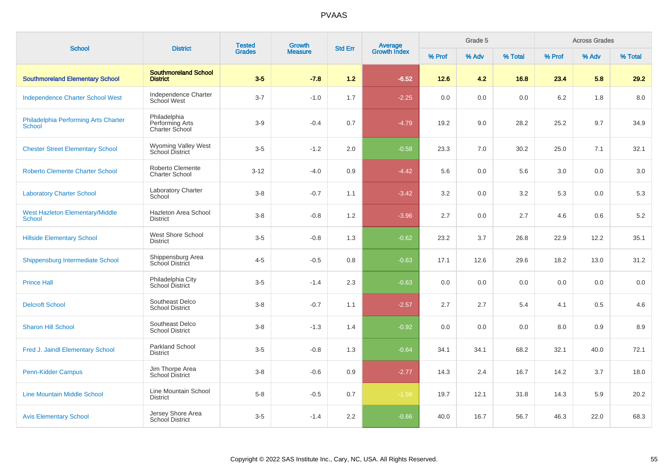| <b>School</b>                                         | <b>District</b>                                   | <b>Tested</b> | <b>Growth</b>  | <b>Std Err</b> | Average<br>Growth Index |        | Grade 5 |         |        | <b>Across Grades</b> |         |
|-------------------------------------------------------|---------------------------------------------------|---------------|----------------|----------------|-------------------------|--------|---------|---------|--------|----------------------|---------|
|                                                       |                                                   | <b>Grades</b> | <b>Measure</b> |                |                         | % Prof | % Adv   | % Total | % Prof | % Adv                | % Total |
| <b>Southmoreland Elementary School</b>                | <b>Southmoreland School</b><br><b>District</b>    | $3-5$         | $-7.8$         | 1.2            | $-6.52$                 | 12.6   | 4.2     | 16.8    | 23.4   | 5.8                  | 29.2    |
| <b>Independence Charter School West</b>               | Independence Charter<br>School West               | $3 - 7$       | $-1.0$         | 1.7            | $-2.25$                 | 0.0    | 0.0     | 0.0     | 6.2    | 1.8                  | 8.0     |
| Philadelphia Performing Arts Charter<br><b>School</b> | Philadelphia<br>Performing Arts<br>Charter School | $3-9$         | $-0.4$         | 0.7            | $-4.79$                 | 19.2   | 9.0     | 28.2    | 25.2   | 9.7                  | 34.9    |
| <b>Chester Street Elementary School</b>               | Wyoming Valley West<br>School District            | $3-5$         | $-1.2$         | 2.0            | $-0.58$                 | 23.3   | 7.0     | 30.2    | 25.0   | 7.1                  | 32.1    |
| <b>Roberto Clemente Charter School</b>                | Roberto Clemente<br><b>Charter School</b>         | $3 - 12$      | $-4.0$         | 0.9            | $-4.42$                 | 5.6    | 0.0     | 5.6     | 3.0    | 0.0                  | 3.0     |
| <b>Laboratory Charter School</b>                      | Laboratory Charter<br>School                      | $3 - 8$       | $-0.7$         | 1.1            | $-3.42$                 | 3.2    | 0.0     | 3.2     | 5.3    | 0.0                  | 5.3     |
| West Hazleton Elementary/Middle<br>School             | Hazleton Area School<br><b>District</b>           | $3 - 8$       | $-0.8$         | 1.2            | $-3.96$                 | 2.7    | 0.0     | 2.7     | 4.6    | 0.6                  | 5.2     |
| <b>Hillside Elementary School</b>                     | West Shore School<br><b>District</b>              | $3-5$         | $-0.8$         | 1.3            | $-0.62$                 | 23.2   | 3.7     | 26.8    | 22.9   | 12.2                 | 35.1    |
| Shippensburg Intermediate School                      | Shippensburg Area<br>School District              | $4 - 5$       | $-0.5$         | 0.8            | $-0.63$                 | 17.1   | 12.6    | 29.6    | 18.2   | 13.0                 | 31.2    |
| <b>Prince Hall</b>                                    | Philadelphia City<br>School District              | $3-5$         | $-1.4$         | 2.3            | $-0.63$                 | 0.0    | 0.0     | 0.0     | 0.0    | 0.0                  | 0.0     |
| <b>Delcroft School</b>                                | Southeast Delco<br><b>School District</b>         | $3 - 8$       | $-0.7$         | 1.1            | $-2.57$                 | 2.7    | 2.7     | 5.4     | 4.1    | 0.5                  | 4.6     |
| <b>Sharon Hill School</b>                             | Southeast Delco<br><b>School District</b>         | $3-8$         | $-1.3$         | 1.4            | $-0.92$                 | 0.0    | 0.0     | 0.0     | 8.0    | 0.9                  | 8.9     |
| Fred J. Jaindl Elementary School                      | Parkland School<br><b>District</b>                | $3-5$         | $-0.8$         | 1.3            | $-0.64$                 | 34.1   | 34.1    | 68.2    | 32.1   | 40.0                 | 72.1    |
| <b>Penn-Kidder Campus</b>                             | Jim Thorpe Area<br><b>School District</b>         | $3 - 8$       | $-0.6$         | 0.9            | $-2.77$                 | 14.3   | 2.4     | 16.7    | 14.2   | 3.7                  | 18.0    |
| <b>Line Mountain Middle School</b>                    | Line Mountain School<br><b>District</b>           | $5 - 8$       | $-0.5$         | 0.7            | $-1.56$                 | 19.7   | 12.1    | 31.8    | 14.3   | 5.9                  | 20.2    |
| <b>Avis Elementary School</b>                         | Jersey Shore Area<br>School District              | $3-5$         | $-1.4$         | 2.2            | $-0.66$                 | 40.0   | 16.7    | 56.7    | 46.3   | 22.0                 | 68.3    |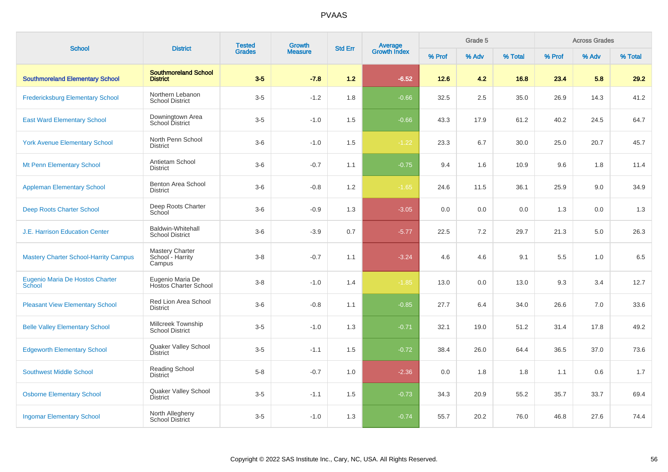| <b>School</b>                                | <b>District</b>                                    | <b>Tested</b> | <b>Growth</b>  | <b>Std Err</b> | <b>Average</b><br>Growth Index |        | Grade 5 |         |         | <b>Across Grades</b> |         |
|----------------------------------------------|----------------------------------------------------|---------------|----------------|----------------|--------------------------------|--------|---------|---------|---------|----------------------|---------|
|                                              |                                                    | <b>Grades</b> | <b>Measure</b> |                |                                | % Prof | % Adv   | % Total | % Prof  | % Adv                | % Total |
| <b>Southmoreland Elementary School</b>       | <b>Southmoreland School</b><br><b>District</b>     | $3-5$         | $-7.8$         | 1.2            | $-6.52$                        | 12.6   | 4.2     | 16.8    | 23.4    | 5.8                  | 29.2    |
| <b>Fredericksburg Elementary School</b>      | Northern Lebanon<br><b>School District</b>         | $3-5$         | $-1.2$         | 1.8            | $-0.66$                        | 32.5   | 2.5     | 35.0    | 26.9    | 14.3                 | 41.2    |
| <b>East Ward Elementary School</b>           | Downingtown Area<br><b>School District</b>         | $3-5$         | $-1.0$         | 1.5            | $-0.66$                        | 43.3   | 17.9    | 61.2    | 40.2    | 24.5                 | 64.7    |
| <b>York Avenue Elementary School</b>         | North Penn School<br>District                      | $3-6$         | $-1.0$         | 1.5            | $-1.22$                        | 23.3   | 6.7     | 30.0    | 25.0    | 20.7                 | 45.7    |
| <b>Mt Penn Elementary School</b>             | Antietam School<br><b>District</b>                 | $3-6$         | $-0.7$         | 1.1            | $-0.75$                        | 9.4    | 1.6     | 10.9    | 9.6     | 1.8                  | 11.4    |
| <b>Appleman Elementary School</b>            | Benton Area School<br><b>District</b>              | $3-6$         | $-0.8$         | 1.2            | $-1.65$                        | 24.6   | 11.5    | 36.1    | 25.9    | 9.0                  | 34.9    |
| <b>Deep Roots Charter School</b>             | Deep Roots Charter<br>School                       | $3-6$         | $-0.9$         | 1.3            | $-3.05$                        | 0.0    | 0.0     | 0.0     | 1.3     | 0.0                  | 1.3     |
| <b>J.E. Harrison Education Center</b>        | <b>Baldwin-Whitehall</b><br><b>School District</b> | $3-6$         | $-3.9$         | 0.7            | $-5.77$                        | 22.5   | 7.2     | 29.7    | 21.3    | 5.0                  | 26.3    |
| <b>Mastery Charter School-Harrity Campus</b> | Mastery Charter<br>School - Harrity<br>Campus      | $3-8$         | $-0.7$         | 1.1            | $-3.24$                        | 4.6    | 4.6     | 9.1     | $5.5\,$ | 1.0                  | 6.5     |
| Eugenio Maria De Hostos Charter<br>School    | Eugenio Maria De<br><b>Hostos Charter School</b>   | $3-8$         | $-1.0$         | 1.4            | $-1.85$                        | 13.0   | 0.0     | 13.0    | 9.3     | 3.4                  | 12.7    |
| <b>Pleasant View Elementary School</b>       | Red Lion Area School<br><b>District</b>            | $3-6$         | $-0.8$         | 1.1            | $-0.85$                        | 27.7   | 6.4     | 34.0    | 26.6    | 7.0                  | 33.6    |
| <b>Belle Valley Elementary School</b>        | Millcreek Township<br><b>School District</b>       | $3-5$         | $-1.0$         | 1.3            | $-0.71$                        | 32.1   | 19.0    | 51.2    | 31.4    | 17.8                 | 49.2    |
| <b>Edgeworth Elementary School</b>           | Quaker Valley School<br><b>District</b>            | $3-5$         | $-1.1$         | 1.5            | $-0.72$                        | 38.4   | 26.0    | 64.4    | 36.5    | 37.0                 | 73.6    |
| <b>Southwest Middle School</b>               | Reading School<br><b>District</b>                  | $5 - 8$       | $-0.7$         | 1.0            | $-2.36$                        | 0.0    | 1.8     | 1.8     | 1.1     | 0.6                  | 1.7     |
| <b>Osborne Elementary School</b>             | Quaker Valley School<br><b>District</b>            | $3-5$         | $-1.1$         | 1.5            | $-0.73$                        | 34.3   | 20.9    | 55.2    | 35.7    | 33.7                 | 69.4    |
| <b>Ingomar Elementary School</b>             | North Allegheny<br><b>School District</b>          | $3-5$         | $-1.0$         | 1.3            | $-0.74$                        | 55.7   | 20.2    | 76.0    | 46.8    | 27.6                 | 74.4    |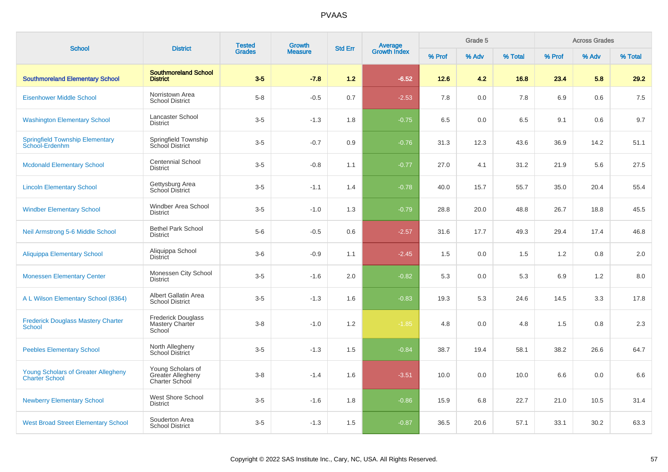| <b>School</b>                                                       | <b>District</b>                                          | <b>Tested</b> | <b>Growth</b>  | <b>Std Err</b> | Average<br>Growth Index |        | Grade 5 |         |        | <b>Across Grades</b> |         |
|---------------------------------------------------------------------|----------------------------------------------------------|---------------|----------------|----------------|-------------------------|--------|---------|---------|--------|----------------------|---------|
|                                                                     |                                                          | <b>Grades</b> | <b>Measure</b> |                |                         | % Prof | % Adv   | % Total | % Prof | % Adv                | % Total |
| <b>Southmoreland Elementary School</b>                              | <b>Southmoreland School</b><br><b>District</b>           | $3-5$         | $-7.8$         | 1.2            | $-6.52$                 | 12.6   | 4.2     | 16.8    | 23.4   | 5.8                  | 29.2    |
| <b>Eisenhower Middle School</b>                                     | Norristown Area<br><b>School District</b>                | $5-8$         | $-0.5$         | 0.7            | $-2.53$                 | 7.8    | 0.0     | 7.8     | 6.9    | 0.6                  | 7.5     |
| <b>Washington Elementary School</b>                                 | Lancaster School<br><b>District</b>                      | $3-5$         | $-1.3$         | 1.8            | $-0.75$                 | 6.5    | 0.0     | 6.5     | 9.1    | 0.6                  | 9.7     |
| <b>Springfield Township Elementary</b><br>School-Erdenhm            | Springfield Township<br>School District                  | $3-5$         | $-0.7$         | 0.9            | $-0.76$                 | 31.3   | 12.3    | 43.6    | 36.9   | 14.2                 | 51.1    |
| <b>Mcdonald Elementary School</b>                                   | <b>Centennial School</b><br><b>District</b>              | $3 - 5$       | $-0.8$         | 1.1            | $-0.77$                 | 27.0   | 4.1     | 31.2    | 21.9   | 5.6                  | 27.5    |
| <b>Lincoln Elementary School</b>                                    | Gettysburg Area<br>School District                       | $3-5$         | $-1.1$         | 1.4            | $-0.78$                 | 40.0   | 15.7    | 55.7    | 35.0   | 20.4                 | 55.4    |
| <b>Windber Elementary School</b>                                    | Windber Area School<br><b>District</b>                   | $3-5$         | $-1.0$         | 1.3            | $-0.79$                 | 28.8   | 20.0    | 48.8    | 26.7   | 18.8                 | 45.5    |
| Neil Armstrong 5-6 Middle School                                    | <b>Bethel Park School</b><br><b>District</b>             | $5-6$         | $-0.5$         | 0.6            | $-2.57$                 | 31.6   | 17.7    | 49.3    | 29.4   | 17.4                 | 46.8    |
| <b>Aliquippa Elementary School</b>                                  | Aliquippa School<br><b>District</b>                      | $3-6$         | $-0.9$         | 1.1            | $-2.45$                 | 1.5    | 0.0     | 1.5     | 1.2    | 0.8                  | 2.0     |
| <b>Monessen Elementary Center</b>                                   | Monessen City School<br><b>District</b>                  | $3-5$         | $-1.6$         | 2.0            | $-0.82$                 | 5.3    | 0.0     | 5.3     | 6.9    | 1.2                  | 8.0     |
| A L Wilson Elementary School (8364)                                 | Albert Gallatin Area<br><b>School District</b>           | $3-5$         | $-1.3$         | 1.6            | $-0.83$                 | 19.3   | 5.3     | 24.6    | 14.5   | 3.3                  | 17.8    |
| <b>Frederick Douglass Mastery Charter</b><br>School                 | <b>Frederick Douglass</b><br>Mastery Charter<br>School   | $3 - 8$       | $-1.0$         | 1.2            | $-1.85$                 | 4.8    | 0.0     | 4.8     | 1.5    | 0.8                  | 2.3     |
| <b>Peebles Elementary School</b>                                    | North Allegheny<br><b>School District</b>                | $3-5$         | $-1.3$         | 1.5            | $-0.84$                 | 38.7   | 19.4    | 58.1    | 38.2   | 26.6                 | 64.7    |
| <b>Young Scholars of Greater Allegheny</b><br><b>Charter School</b> | Young Scholars of<br>Greater Allegheny<br>Charter School | $3 - 8$       | $-1.4$         | 1.6            | $-3.51$                 | 10.0   | 0.0     | 10.0    | 6.6    | 0.0                  | 6.6     |
| <b>Newberry Elementary School</b>                                   | West Shore School<br><b>District</b>                     | $3-5$         | $-1.6$         | 1.8            | $-0.86$                 | 15.9   | 6.8     | 22.7    | 21.0   | 10.5                 | 31.4    |
| <b>West Broad Street Elementary School</b>                          | Souderton Area<br><b>School District</b>                 | $3-5$         | $-1.3$         | 1.5            | $-0.87$                 | 36.5   | 20.6    | 57.1    | 33.1   | 30.2                 | 63.3    |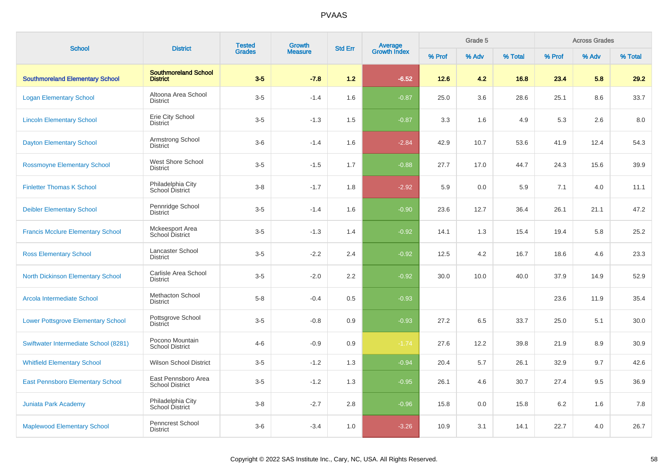|                                           |                                                | <b>Tested</b> | <b>Growth</b>  |                |                                |        | Grade 5 |         |        | <b>Across Grades</b> |         |
|-------------------------------------------|------------------------------------------------|---------------|----------------|----------------|--------------------------------|--------|---------|---------|--------|----------------------|---------|
| <b>School</b>                             | <b>District</b>                                | <b>Grades</b> | <b>Measure</b> | <b>Std Err</b> | <b>Average</b><br>Growth Index | % Prof | % Adv   | % Total | % Prof | % Adv                | % Total |
| <b>Southmoreland Elementary School</b>    | <b>Southmoreland School</b><br><b>District</b> | $3-5$         | $-7.8$         | 1.2            | $-6.52$                        | $12.6$ | 4.2     | 16.8    | 23.4   | 5.8                  | 29.2    |
| <b>Logan Elementary School</b>            | Altoona Area School<br><b>District</b>         | $3-5$         | $-1.4$         | 1.6            | $-0.87$                        | 25.0   | 3.6     | 28.6    | 25.1   | 8.6                  | 33.7    |
| <b>Lincoln Elementary School</b>          | Erie City School<br><b>District</b>            | $3-5$         | $-1.3$         | 1.5            | $-0.87$                        | 3.3    | 1.6     | 4.9     | 5.3    | 2.6                  | 8.0     |
| <b>Dayton Elementary School</b>           | Armstrong School<br><b>District</b>            | $3-6$         | $-1.4$         | 1.6            | $-2.84$                        | 42.9   | 10.7    | 53.6    | 41.9   | 12.4                 | 54.3    |
| <b>Rossmoyne Elementary School</b>        | West Shore School<br><b>District</b>           | $3-5$         | $-1.5$         | 1.7            | $-0.88$                        | 27.7   | 17.0    | 44.7    | 24.3   | 15.6                 | 39.9    |
| <b>Finletter Thomas K School</b>          | Philadelphia City<br>School District           | $3 - 8$       | $-1.7$         | 1.8            | $-2.92$                        | 5.9    | 0.0     | 5.9     | 7.1    | 4.0                  | 11.1    |
| <b>Deibler Elementary School</b>          | Pennridge School<br><b>District</b>            | $3-5$         | $-1.4$         | 1.6            | $-0.90$                        | 23.6   | 12.7    | 36.4    | 26.1   | 21.1                 | 47.2    |
| <b>Francis Mcclure Elementary School</b>  | Mckeesport Area<br>School District             | $3-5$         | $-1.3$         | 1.4            | $-0.92$                        | 14.1   | 1.3     | 15.4    | 19.4   | 5.8                  | 25.2    |
| <b>Ross Elementary School</b>             | Lancaster School<br><b>District</b>            | $3-5$         | $-2.2$         | 2.4            | $-0.92$                        | 12.5   | 4.2     | 16.7    | 18.6   | 4.6                  | 23.3    |
| <b>North Dickinson Elementary School</b>  | Carlisle Area School<br><b>District</b>        | $3-5$         | $-2.0$         | 2.2            | $-0.92$                        | 30.0   | 10.0    | 40.0    | 37.9   | 14.9                 | 52.9    |
| Arcola Intermediate School                | Methacton School<br><b>District</b>            | $5-8$         | $-0.4$         | 0.5            | $-0.93$                        |        |         |         | 23.6   | 11.9                 | 35.4    |
| <b>Lower Pottsgrove Elementary School</b> | Pottsgrove School<br><b>District</b>           | $3-5$         | $-0.8$         | 0.9            | $-0.93$                        | 27.2   | 6.5     | 33.7    | 25.0   | 5.1                  | 30.0    |
| Swiftwater Intermediate School (8281)     | Pocono Mountain<br><b>School District</b>      | $4 - 6$       | $-0.9$         | 0.9            | $-1.74$                        | 27.6   | 12.2    | 39.8    | 21.9   | 8.9                  | 30.9    |
| <b>Whitfield Elementary School</b>        | <b>Wilson School District</b>                  | $3-5$         | $-1.2$         | 1.3            | $-0.94$                        | 20.4   | 5.7     | 26.1    | 32.9   | 9.7                  | 42.6    |
| <b>East Pennsboro Elementary School</b>   | East Pennsboro Area<br><b>School District</b>  | $3-5$         | $-1.2$         | 1.3            | $-0.95$                        | 26.1   | 4.6     | 30.7    | 27.4   | 9.5                  | 36.9    |
| <b>Juniata Park Academy</b>               | Philadelphia City<br>School District           | $3-8$         | $-2.7$         | 2.8            | $-0.96$                        | 15.8   | 0.0     | 15.8    | 6.2    | 1.6                  | 7.8     |
| <b>Maplewood Elementary School</b>        | Penncrest School<br><b>District</b>            | $3-6$         | $-3.4$         | 1.0            | $-3.26$                        | 10.9   | 3.1     | 14.1    | 22.7   | 4.0                  | 26.7    |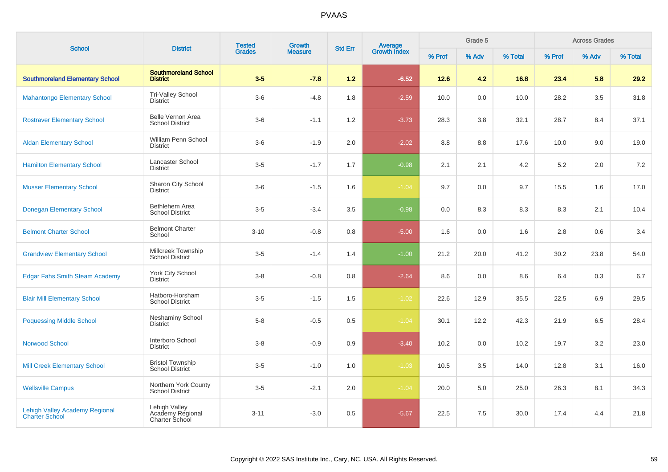| <b>School</b>                                                  | <b>District</b>                                     | <b>Tested</b><br><b>Grades</b> | <b>Growth</b>  | <b>Std Err</b> |                                |        | Grade 5 |         |        | <b>Across Grades</b> |         |
|----------------------------------------------------------------|-----------------------------------------------------|--------------------------------|----------------|----------------|--------------------------------|--------|---------|---------|--------|----------------------|---------|
|                                                                |                                                     |                                | <b>Measure</b> |                | <b>Average</b><br>Growth Index | % Prof | % Adv   | % Total | % Prof | % Adv                | % Total |
| <b>Southmoreland Elementary School</b>                         | <b>Southmoreland School</b><br><b>District</b>      | $3-5$                          | $-7.8$         | 1.2            | $-6.52$                        | 12.6   | 4.2     | 16.8    | 23.4   | 5.8                  | 29.2    |
| <b>Mahantongo Elementary School</b>                            | Tri-Valley School<br><b>District</b>                | $3-6$                          | $-4.8$         | 1.8            | $-2.59$                        | 10.0   | 0.0     | 10.0    | 28.2   | 3.5                  | 31.8    |
| <b>Rostraver Elementary School</b>                             | Belle Vernon Area<br><b>School District</b>         | $3-6$                          | $-1.1$         | 1.2            | $-3.73$                        | 28.3   | 3.8     | 32.1    | 28.7   | 8.4                  | 37.1    |
| <b>Aldan Elementary School</b>                                 | William Penn School<br><b>District</b>              | $3-6$                          | $-1.9$         | 2.0            | $-2.02$                        | 8.8    | 8.8     | 17.6    | 10.0   | 9.0                  | 19.0    |
| <b>Hamilton Elementary School</b>                              | <b>Lancaster School</b><br><b>District</b>          | $3-5$                          | $-1.7$         | 1.7            | $-0.98$                        | 2.1    | 2.1     | 4.2     | 5.2    | 2.0                  | 7.2     |
| <b>Musser Elementary School</b>                                | Sharon City School<br><b>District</b>               | $3-6$                          | $-1.5$         | 1.6            | $-1.04$                        | 9.7    | 0.0     | 9.7     | 15.5   | 1.6                  | 17.0    |
| <b>Donegan Elementary School</b>                               | Bethlehem Area<br><b>School District</b>            | $3-5$                          | $-3.4$         | 3.5            | $-0.98$                        | 0.0    | 8.3     | 8.3     | 8.3    | 2.1                  | 10.4    |
| <b>Belmont Charter School</b>                                  | <b>Belmont Charter</b><br>School                    | $3 - 10$                       | $-0.8$         | 0.8            | $-5.00$                        | 1.6    | 0.0     | 1.6     | 2.8    | 0.6                  | 3.4     |
| <b>Grandview Elementary School</b>                             | Millcreek Township<br>School District               | $3-5$                          | $-1.4$         | 1.4            | $-1.00$                        | 21.2   | 20.0    | 41.2    | 30.2   | 23.8                 | 54.0    |
| <b>Edgar Fahs Smith Steam Academy</b>                          | York City School<br>District                        | $3 - 8$                        | $-0.8$         | 0.8            | $-2.64$                        | 8.6    | 0.0     | 8.6     | 6.4    | 0.3                  | 6.7     |
| <b>Blair Mill Elementary School</b>                            | Hatboro-Horsham<br><b>School District</b>           | $3-5$                          | $-1.5$         | 1.5            | $-1.02$                        | 22.6   | 12.9    | 35.5    | 22.5   | 6.9                  | 29.5    |
| <b>Poquessing Middle School</b>                                | <b>Neshaminy School</b><br><b>District</b>          | $5 - 8$                        | $-0.5$         | 0.5            | $-1.04$                        | 30.1   | 12.2    | 42.3    | 21.9   | 6.5                  | 28.4    |
| <b>Norwood School</b>                                          | Interboro School<br><b>District</b>                 | $3-8$                          | $-0.9$         | 0.9            | $-3.40$                        | 10.2   | 0.0     | 10.2    | 19.7   | 3.2                  | 23.0    |
| <b>Mill Creek Elementary School</b>                            | <b>Bristol Township</b><br><b>School District</b>   | $3-5$                          | $-1.0$         | 1.0            | $-1.03$                        | 10.5   | 3.5     | 14.0    | 12.8   | 3.1                  | 16.0    |
| <b>Wellsville Campus</b>                                       | Northern York County<br><b>School District</b>      | $3-5$                          | $-2.1$         | 2.0            | $-1.04$                        | 20.0   | 5.0     | 25.0    | 26.3   | 8.1                  | 34.3    |
| <b>Lehigh Valley Academy Regional</b><br><b>Charter School</b> | Lehigh Valley<br>Academy Regional<br>Charter School | $3 - 11$                       | $-3.0$         | 0.5            | $-5.67$                        | 22.5   | 7.5     | 30.0    | 17.4   | 4.4                  | 21.8    |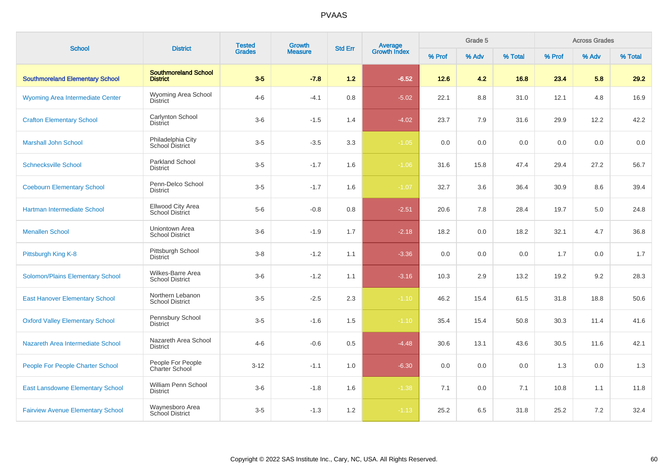| <b>School</b>                            | <b>District</b>                                | <b>Tested</b><br><b>Grades</b> | Growth         | <b>Std Err</b> |                                |        | Grade 5 |         |        | <b>Across Grades</b> |         |
|------------------------------------------|------------------------------------------------|--------------------------------|----------------|----------------|--------------------------------|--------|---------|---------|--------|----------------------|---------|
|                                          |                                                |                                | <b>Measure</b> |                | <b>Average</b><br>Growth Index | % Prof | % Adv   | % Total | % Prof | % Adv                | % Total |
| <b>Southmoreland Elementary School</b>   | <b>Southmoreland School</b><br><b>District</b> | $3-5$                          | $-7.8$         | $1.2$          | $-6.52$                        | $12.6$ | 4.2     | 16.8    | 23.4   | 5.8                  | 29.2    |
| Wyoming Area Intermediate Center         | Wyoming Area School<br>District                | $4 - 6$                        | $-4.1$         | 0.8            | $-5.02$                        | 22.1   | 8.8     | 31.0    | 12.1   | 4.8                  | 16.9    |
| <b>Crafton Elementary School</b>         | Carlynton School<br><b>District</b>            | $3-6$                          | $-1.5$         | 1.4            | $-4.02$                        | 23.7   | 7.9     | 31.6    | 29.9   | 12.2                 | 42.2    |
| <b>Marshall John School</b>              | Philadelphia City<br>School District           | $3-5$                          | $-3.5$         | 3.3            | $-1.05$                        | 0.0    | 0.0     | 0.0     | 0.0    | 0.0                  | 0.0     |
| <b>Schnecksville School</b>              | <b>Parkland School</b><br><b>District</b>      | $3-5$                          | $-1.7$         | 1.6            | $-1.06$                        | 31.6   | 15.8    | 47.4    | 29.4   | 27.2                 | 56.7    |
| <b>Coebourn Elementary School</b>        | Penn-Delco School<br><b>District</b>           | $3-5$                          | $-1.7$         | 1.6            | $-1.07$                        | 32.7   | 3.6     | 36.4    | 30.9   | 8.6                  | 39.4    |
| Hartman Intermediate School              | Ellwood City Area<br><b>School District</b>    | $5-6$                          | $-0.8$         | 0.8            | $-2.51$                        | 20.6   | 7.8     | 28.4    | 19.7   | 5.0                  | 24.8    |
| <b>Menallen School</b>                   | Uniontown Area<br><b>School District</b>       | $3-6$                          | $-1.9$         | 1.7            | $-2.18$                        | 18.2   | 0.0     | 18.2    | 32.1   | 4.7                  | 36.8    |
| Pittsburgh King K-8                      | Pittsburgh School<br><b>District</b>           | $3 - 8$                        | $-1.2$         | 1.1            | $-3.36$                        | 0.0    | 0.0     | 0.0     | 1.7    | 0.0                  | 1.7     |
| Solomon/Plains Elementary School         | Wilkes-Barre Area<br><b>School District</b>    | $3-6$                          | $-1.2$         | 1.1            | $-3.16$                        | 10.3   | 2.9     | 13.2    | 19.2   | 9.2                  | 28.3    |
| <b>East Hanover Elementary School</b>    | Northern Lebanon<br><b>School District</b>     | $3-5$                          | $-2.5$         | 2.3            | $-1.10$                        | 46.2   | 15.4    | 61.5    | 31.8   | 18.8                 | 50.6    |
| <b>Oxford Valley Elementary School</b>   | Pennsbury School<br><b>District</b>            | $3-5$                          | $-1.6$         | 1.5            | $-1.10$                        | 35.4   | 15.4    | 50.8    | 30.3   | 11.4                 | 41.6    |
| Nazareth Area Intermediate School        | Nazareth Area School<br><b>District</b>        | $4 - 6$                        | $-0.6$         | 0.5            | $-4.48$                        | 30.6   | 13.1    | 43.6    | 30.5   | 11.6                 | 42.1    |
| People For People Charter School         | People For People<br><b>Charter School</b>     | $3 - 12$                       | $-1.1$         | 1.0            | $-6.30$                        | 0.0    | 0.0     | 0.0     | 1.3    | 0.0                  | 1.3     |
| <b>East Lansdowne Elementary School</b>  | William Penn School<br>District                | $3-6$                          | $-1.8$         | 1.6            | $-1.38$                        | 7.1    | 0.0     | 7.1     | 10.8   | 1.1                  | 11.8    |
| <b>Fairview Avenue Elementary School</b> | Waynesboro Area<br>School District             | $3-5$                          | $-1.3$         | 1.2            | $-1.13$                        | 25.2   | 6.5     | 31.8    | 25.2   | 7.2                  | 32.4    |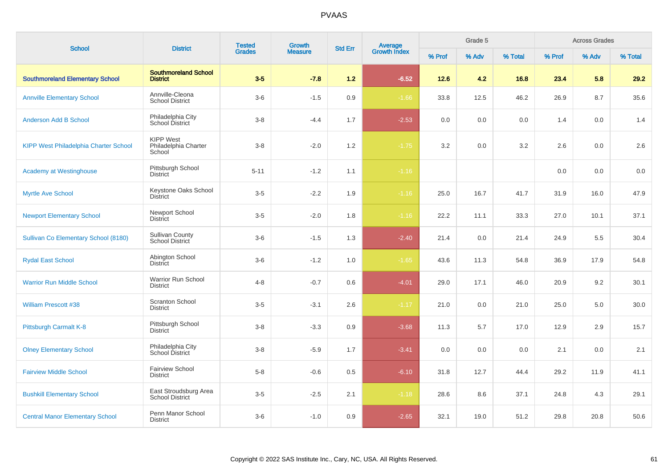| <b>School</b>                                | <b>District</b>                                    | <b>Tested</b><br><b>Grades</b> | Growth         | <b>Std Err</b> |                                |        | Grade 5 |         |        | <b>Across Grades</b> |         |
|----------------------------------------------|----------------------------------------------------|--------------------------------|----------------|----------------|--------------------------------|--------|---------|---------|--------|----------------------|---------|
|                                              |                                                    |                                | <b>Measure</b> |                | <b>Average</b><br>Growth Index | % Prof | % Adv   | % Total | % Prof | % Adv                | % Total |
| <b>Southmoreland Elementary School</b>       | <b>Southmoreland School</b><br><b>District</b>     | $3-5$                          | $-7.8$         | 1.2            | $-6.52$                        | $12.6$ | 4.2     | 16.8    | 23.4   | 5.8                  | 29.2    |
| <b>Annville Elementary School</b>            | Annville-Cleona<br><b>School District</b>          | $3-6$                          | $-1.5$         | 0.9            | $-1.66$                        | 33.8   | 12.5    | 46.2    | 26.9   | 8.7                  | 35.6    |
| <b>Anderson Add B School</b>                 | Philadelphia City<br>School District               | $3 - 8$                        | $-4.4$         | 1.7            | $-2.53$                        | 0.0    | 0.0     | 0.0     | 1.4    | 0.0                  | 1.4     |
| <b>KIPP West Philadelphia Charter School</b> | <b>KIPP West</b><br>Philadelphia Charter<br>School | $3 - 8$                        | $-2.0$         | 1.2            | $-1.75$                        | 3.2    | 0.0     | 3.2     | 2.6    | 0.0                  | 2.6     |
| <b>Academy at Westinghouse</b>               | Pittsburgh School<br>District                      | $5 - 11$                       | $-1.2$         | 1.1            | $-1.16$                        |        |         |         | 0.0    | 0.0                  | 0.0     |
| <b>Myrtle Ave School</b>                     | Keystone Oaks School<br>District                   | $3-5$                          | $-2.2$         | 1.9            | $-1.16$                        | 25.0   | 16.7    | 41.7    | 31.9   | 16.0                 | 47.9    |
| <b>Newport Elementary School</b>             | Newport School<br>District                         | $3-5$                          | $-2.0$         | 1.8            | $-1.16$                        | 22.2   | 11.1    | 33.3    | 27.0   | 10.1                 | 37.1    |
| Sullivan Co Elementary School (8180)         | <b>Sullivan County</b><br>School District          | $3-6$                          | $-1.5$         | 1.3            | $-2.40$                        | 21.4   | 0.0     | 21.4    | 24.9   | 5.5                  | 30.4    |
| <b>Rydal East School</b>                     | Abington School<br><b>District</b>                 | $3-6$                          | $-1.2$         | 1.0            | $-1.65$                        | 43.6   | 11.3    | 54.8    | 36.9   | 17.9                 | 54.8    |
| <b>Warrior Run Middle School</b>             | Warrior Run School<br><b>District</b>              | $4 - 8$                        | $-0.7$         | 0.6            | $-4.01$                        | 29.0   | 17.1    | 46.0    | 20.9   | 9.2                  | 30.1    |
| <b>William Prescott #38</b>                  | <b>Scranton School</b><br><b>District</b>          | $3-5$                          | $-3.1$         | 2.6            | $-1.17$                        | 21.0   | 0.0     | 21.0    | 25.0   | 5.0                  | 30.0    |
| Pittsburgh Carmalt K-8                       | Pittsburgh School<br><b>District</b>               | $3-8$                          | $-3.3$         | 0.9            | $-3.68$                        | 11.3   | 5.7     | 17.0    | 12.9   | 2.9                  | 15.7    |
| <b>Olney Elementary School</b>               | Philadelphia City<br>School District               | $3 - 8$                        | $-5.9$         | 1.7            | $-3.41$                        | 0.0    | 0.0     | 0.0     | 2.1    | 0.0                  | 2.1     |
| <b>Fairview Middle School</b>                | <b>Fairview School</b><br><b>District</b>          | $5 - 8$                        | $-0.6$         | 0.5            | $-6.10$                        | 31.8   | 12.7    | 44.4    | 29.2   | 11.9                 | 41.1    |
| <b>Bushkill Elementary School</b>            | East Stroudsburg Area<br><b>School District</b>    | $3-5$                          | $-2.5$         | 2.1            | $-1.18$                        | 28.6   | 8.6     | 37.1    | 24.8   | 4.3                  | 29.1    |
| <b>Central Manor Elementary School</b>       | Penn Manor School<br><b>District</b>               | $3-6$                          | $-1.0$         | 0.9            | $-2.65$                        | 32.1   | 19.0    | 51.2    | 29.8   | 20.8                 | 50.6    |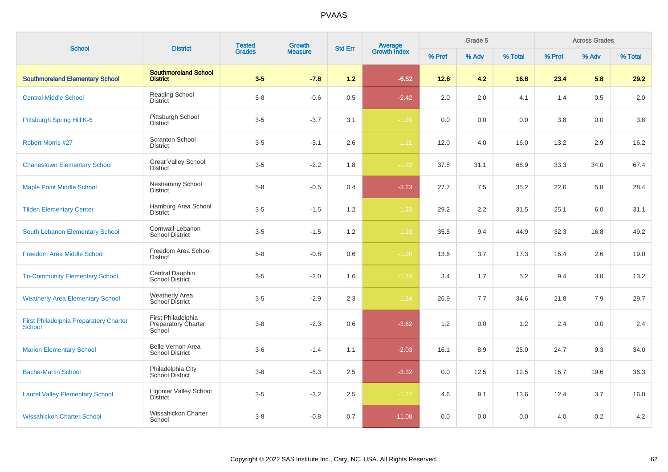| <b>School</b>                                                  | <b>District</b>                                     | <b>Tested</b><br><b>Growth</b> |                | <b>Average</b><br>Growth Index<br><b>Std Err</b> |          | Grade 5 |       |         | <b>Across Grades</b> |       |         |
|----------------------------------------------------------------|-----------------------------------------------------|--------------------------------|----------------|--------------------------------------------------|----------|---------|-------|---------|----------------------|-------|---------|
|                                                                |                                                     | <b>Grades</b>                  | <b>Measure</b> |                                                  |          | % Prof  | % Adv | % Total | % Prof               | % Adv | % Total |
| <b>Southmoreland Elementary School</b>                         | <b>Southmoreland School</b><br><b>District</b>      | $3-5$                          | $-7.8$         | 1.2                                              | $-6.52$  | 12.6    | 4.2   | 16.8    | 23.4                 | 5.8   | 29.2    |
| <b>Central Middle School</b>                                   | <b>Reading School</b><br><b>District</b>            | $5 - 8$                        | $-0.6$         | 0.5                                              | $-2.42$  | 2.0     | 2.0   | 4.1     | 1.4                  | 0.5   | 2.0     |
| Pittsburgh Spring Hill K-5                                     | Pittsburgh School<br><b>District</b>                | $3-5$                          | $-3.7$         | 3.1                                              | $-1.20$  | 0.0     | 0.0   | 0.0     | 3.8                  | 0.0   | 3.8     |
| <b>Robert Morris #27</b>                                       | <b>Scranton School</b><br><b>District</b>           | $3-5$                          | $-3.1$         | 2.6                                              | $-1.21$  | 12.0    | 4.0   | 16.0    | 13.2                 | 2.9   | 16.2    |
| <b>Charlestown Elementary School</b>                           | <b>Great Valley School</b><br>District              | $3-5$                          | $-2.2$         | 1.8                                              | $-1.22$  | 37.8    | 31.1  | 68.9    | 33.3                 | 34.0  | 67.4    |
| <b>Maple Point Middle School</b>                               | <b>Neshaminy School</b><br><b>District</b>          | $5 - 8$                        | $-0.5$         | 0.4                                              | $-3.23$  | 27.7    | 7.5   | 35.2    | 22.6                 | 5.8   | 28.4    |
| <b>Tilden Elementary Center</b>                                | Hamburg Area School<br><b>District</b>              | $3-5$                          | $-1.5$         | 1.2                                              | $-1.23$  | 29.2    | 2.2   | 31.5    | 25.1                 | 6.0   | 31.1    |
| South Lebanon Elementary School                                | Cornwall-Lebanon<br><b>School District</b>          | $3-5$                          | $-1.5$         | 1.2                                              | $-1.23$  | 35.5    | 9.4   | 44.9    | 32.3                 | 16.8  | 49.2    |
| <b>Freedom Area Middle School</b>                              | Freedom Area School<br><b>District</b>              | $5-8$                          | $-0.8$         | 0.6                                              | $-1.28$  | 13.6    | 3.7   | 17.3    | 16.4                 | 2.6   | 19.0    |
| <b>Tri-Community Elementary School</b>                         | Central Dauphin<br>School District                  | $3-5$                          | $-2.0$         | 1.6                                              | $-1.24$  | 3.4     | 1.7   | 5.2     | 9.4                  | 3.8   | 13.2    |
| <b>Weatherly Area Elementary School</b>                        | <b>Weatherly Area</b><br>School District            | $3-5$                          | $-2.9$         | 2.3                                              | $-1.24$  | 26.9    | 7.7   | 34.6    | 21.8                 | 7.9   | 29.7    |
| <b>First Philadelphia Preparatory Charter</b><br><b>School</b> | First Philadelphia<br>Preparatory Charter<br>School | $3 - 8$                        | $-2.3$         | 0.6                                              | $-3.62$  | 1.2     | 0.0   | 1.2     | 2.4                  | 0.0   | 2.4     |
| <b>Marion Elementary School</b>                                | Belle Vernon Area<br><b>School District</b>         | $3-6$                          | $-1.4$         | 1.1                                              | $-2.03$  | 16.1    | 8.9   | 25.0    | 24.7                 | 9.3   | 34.0    |
| <b>Bache-Martin School</b>                                     | Philadelphia City<br>School District                | $3 - 8$                        | $-8.3$         | 2.5                                              | $-3.32$  | 0.0     | 12.5  | 12.5    | 16.7                 | 19.6  | 36.3    |
| <b>Laurel Valley Elementary School</b>                         | Ligonier Valley School<br><b>District</b>           | $3-5$                          | $-3.2$         | 2.5                                              | $-1.27$  | 4.6     | 9.1   | 13.6    | 12.4                 | 3.7   | 16.0    |
| <b>Wissahickon Charter School</b>                              | Wissahickon Charter<br>School                       | $3-8$                          | $-0.8$         | 0.7                                              | $-11.08$ | 0.0     | 0.0   | 0.0     | 4.0                  | 0.2   | 4.2     |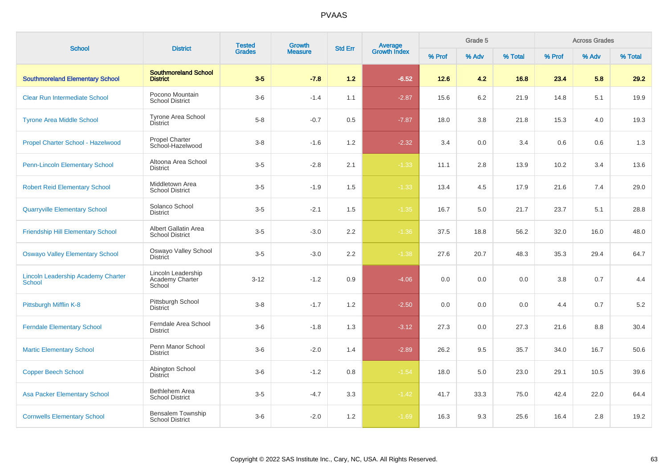| <b>School</b>                                              | <b>District</b>                                 | <b>Tested</b> | Growth         |         | <b>Average</b><br>Growth Index<br><b>Std Err</b> |        | Grade 5 |         |         | <b>Across Grades</b> |         |
|------------------------------------------------------------|-------------------------------------------------|---------------|----------------|---------|--------------------------------------------------|--------|---------|---------|---------|----------------------|---------|
|                                                            |                                                 | <b>Grades</b> | <b>Measure</b> |         |                                                  | % Prof | % Adv   | % Total | % Prof  | % Adv                | % Total |
| <b>Southmoreland Elementary School</b>                     | <b>Southmoreland School</b><br><b>District</b>  | $3-5$         | $-7.8$         | 1.2     | $-6.52$                                          | 12.6   | 4.2     | 16.8    | 23.4    | 5.8                  | 29.2    |
| <b>Clear Run Intermediate School</b>                       | Pocono Mountain<br><b>School District</b>       | $3-6$         | $-1.4$         | 1.1     | $-2.87$                                          | 15.6   | 6.2     | 21.9    | 14.8    | 5.1                  | 19.9    |
| <b>Tyrone Area Middle School</b>                           | <b>Tyrone Area School</b><br><b>District</b>    | $5 - 8$       | $-0.7$         | 0.5     | $-7.87$                                          | 18.0   | 3.8     | 21.8    | 15.3    | 4.0                  | 19.3    |
| Propel Charter School - Hazelwood                          | <b>Propel Charter</b><br>School-Hazelwood       | $3 - 8$       | $-1.6$         | 1.2     | $-2.32$                                          | 3.4    | 0.0     | 3.4     | 0.6     | 0.6                  | 1.3     |
| <b>Penn-Lincoln Elementary School</b>                      | Altoona Area School<br><b>District</b>          | $3-5$         | $-2.8$         | 2.1     | $-1.33$                                          | 11.1   | 2.8     | 13.9    | 10.2    | 3.4                  | 13.6    |
| <b>Robert Reid Elementary School</b>                       | Middletown Area<br><b>School District</b>       | $3-5$         | $-1.9$         | 1.5     | $-1.33$                                          | 13.4   | 4.5     | 17.9    | 21.6    | 7.4                  | 29.0    |
| <b>Quarryville Elementary School</b>                       | Solanco School<br><b>District</b>               | $3-5$         | $-2.1$         | 1.5     | $-1.35$                                          | 16.7   | 5.0     | 21.7    | 23.7    | 5.1                  | 28.8    |
| <b>Friendship Hill Elementary School</b>                   | Albert Gallatin Area<br><b>School District</b>  | $3-5$         | $-3.0$         | 2.2     | $-1.36$                                          | 37.5   | 18.8    | 56.2    | 32.0    | 16.0                 | 48.0    |
| <b>Oswayo Valley Elementary School</b>                     | Oswayo Valley School<br><b>District</b>         | $3 - 5$       | $-3.0$         | 2.2     | $-1.38$                                          | 27.6   | 20.7    | 48.3    | 35.3    | 29.4                 | 64.7    |
| <b>Lincoln Leadership Academy Charter</b><br><b>School</b> | Lincoln Leadership<br>Academy Charter<br>School | $3 - 12$      | $-1.2$         | $0.9\,$ | $-4.06$                                          | 0.0    | 0.0     | $0.0\,$ | $3.8\,$ | 0.7                  | 4.4     |
| Pittsburgh Mifflin K-8                                     | Pittsburgh School<br><b>District</b>            | $3 - 8$       | $-1.7$         | 1.2     | $-2.50$                                          | 0.0    | 0.0     | 0.0     | 4.4     | 0.7                  | 5.2     |
| <b>Ferndale Elementary School</b>                          | Ferndale Area School<br><b>District</b>         | $3-6$         | $-1.8$         | 1.3     | $-3.12$                                          | 27.3   | 0.0     | 27.3    | 21.6    | 8.8                  | 30.4    |
| <b>Martic Elementary School</b>                            | Penn Manor School<br><b>District</b>            | $3-6$         | $-2.0$         | 1.4     | $-2.89$                                          | 26.2   | 9.5     | 35.7    | 34.0    | 16.7                 | 50.6    |
| <b>Copper Beech School</b>                                 | Abington School<br><b>District</b>              | $3-6$         | $-1.2$         | 0.8     | $-1.54$                                          | 18.0   | 5.0     | 23.0    | 29.1    | 10.5                 | 39.6    |
| <b>Asa Packer Elementary School</b>                        | Bethlehem Area<br><b>School District</b>        | $3-5$         | $-4.7$         | 3.3     | $-1.42$                                          | 41.7   | 33.3    | 75.0    | 42.4    | 22.0                 | 64.4    |
| <b>Cornwells Elementary School</b>                         | Bensalem Township<br><b>School District</b>     | $3-6$         | $-2.0$         | 1.2     | $-1.69$                                          | 16.3   | 9.3     | 25.6    | 16.4    | 2.8                  | 19.2    |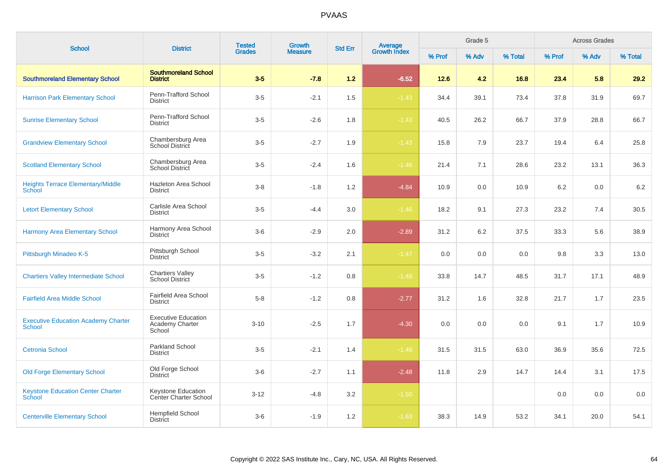| <b>School</b>                                             | <b>District</b>                                         | <b>Tested</b> | <b>Growth</b>  | Average<br>Growth Index<br><b>Std Err</b> |         |        | Grade 5 |         |         | <b>Across Grades</b> |         |
|-----------------------------------------------------------|---------------------------------------------------------|---------------|----------------|-------------------------------------------|---------|--------|---------|---------|---------|----------------------|---------|
|                                                           |                                                         | <b>Grades</b> | <b>Measure</b> |                                           |         | % Prof | % Adv   | % Total | % Prof  | % Adv                | % Total |
| <b>Southmoreland Elementary School</b>                    | <b>Southmoreland School</b><br><b>District</b>          | $3-5$         | $-7.8$         | 1.2                                       | $-6.52$ | 12.6   | 4.2     | 16.8    | 23.4    | 5.8                  | 29.2    |
| <b>Harrison Park Elementary School</b>                    | Penn-Trafford School<br><b>District</b>                 | $3-5$         | $-2.1$         | 1.5                                       | $-1.43$ | 34.4   | 39.1    | 73.4    | 37.8    | 31.9                 | 69.7    |
| <b>Sunrise Elementary School</b>                          | Penn-Trafford School<br><b>District</b>                 | $3-5$         | $-2.6$         | 1.8                                       | $-1.43$ | 40.5   | 26.2    | 66.7    | 37.9    | 28.8                 | 66.7    |
| <b>Grandview Elementary School</b>                        | Chambersburg Area<br>School District                    | $3-5$         | $-2.7$         | 1.9                                       | $-1.43$ | 15.8   | 7.9     | 23.7    | 19.4    | 6.4                  | 25.8    |
| <b>Scotland Elementary School</b>                         | Chambersburg Area<br><b>School District</b>             | $3-5$         | $-2.4$         | 1.6                                       | $-1.46$ | 21.4   | 7.1     | 28.6    | 23.2    | 13.1                 | 36.3    |
| <b>Heights Terrace Elementary/Middle</b><br><b>School</b> | Hazleton Area School<br><b>District</b>                 | $3 - 8$       | $-1.8$         | 1.2                                       | $-4.84$ | 10.9   | 0.0     | 10.9    | $6.2\,$ | 0.0                  | 6.2     |
| <b>Letort Elementary School</b>                           | Carlisle Area School<br><b>District</b>                 | $3-5$         | $-4.4$         | 3.0                                       | $-1.46$ | 18.2   | 9.1     | 27.3    | 23.2    | 7.4                  | 30.5    |
| <b>Harmony Area Elementary School</b>                     | Harmony Area School<br><b>District</b>                  | $3-6$         | $-2.9$         | 2.0                                       | $-2.89$ | 31.2   | 6.2     | 37.5    | 33.3    | 5.6                  | 38.9    |
| Pittsburgh Minadeo K-5                                    | Pittsburgh School<br><b>District</b>                    | $3-5$         | $-3.2$         | 2.1                                       | $-1.47$ | 0.0    | 0.0     | 0.0     | 9.8     | 3.3                  | 13.0    |
| <b>Chartiers Valley Intermediate School</b>               | <b>Chartiers Valley</b><br><b>School District</b>       | $3-5$         | $-1.2$         | 0.8                                       | $-1.48$ | 33.8   | 14.7    | 48.5    | 31.7    | 17.1                 | 48.9    |
| <b>Fairfield Area Middle School</b>                       | <b>Fairfield Area School</b><br><b>District</b>         | $5 - 8$       | $-1.2$         | 0.8                                       | $-2.77$ | 31.2   | 1.6     | 32.8    | 21.7    | 1.7                  | 23.5    |
| <b>Executive Education Academy Charter</b><br>School      | <b>Executive Education</b><br>Academy Charter<br>School | $3 - 10$      | $-2.5$         | 1.7                                       | $-4.30$ | 0.0    | 0.0     | 0.0     | 9.1     | 1.7                  | 10.9    |
| <b>Cetronia School</b>                                    | Parkland School<br><b>District</b>                      | $3-5$         | $-2.1$         | 1.4                                       | $-1.49$ | 31.5   | 31.5    | 63.0    | 36.9    | 35.6                 | 72.5    |
| <b>Old Forge Elementary School</b>                        | Old Forge School<br><b>District</b>                     | $3-6$         | $-2.7$         | 1.1                                       | $-2.48$ | 11.8   | 2.9     | 14.7    | 14.4    | 3.1                  | 17.5    |
| <b>Keystone Education Center Charter</b><br>School        | Keystone Education<br>Center Charter School             | $3 - 12$      | $-4.8$         | 3.2                                       | $-1.50$ |        |         |         | 0.0     | 0.0                  | 0.0     |
| <b>Centerville Elementary School</b>                      | Hempfield School<br><b>District</b>                     | $3-6$         | $-1.9$         | 1.2                                       | $-1.63$ | 38.3   | 14.9    | 53.2    | 34.1    | 20.0                 | 54.1    |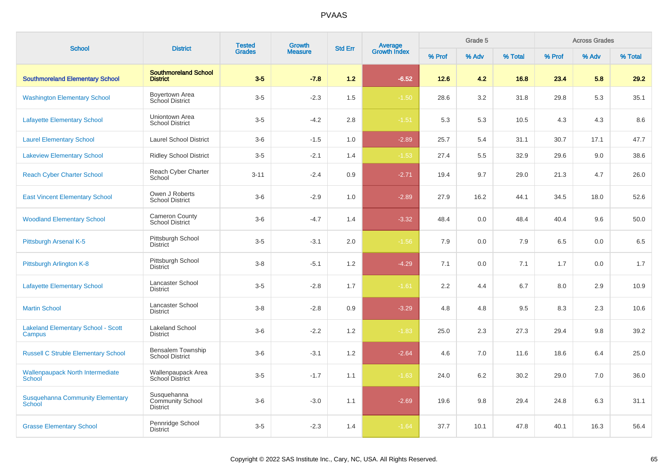| <b>School</b>                                            | <b>District</b>                                           | Growth<br><b>Tested</b><br><b>Std Err</b><br><b>Grades</b><br><b>Measure</b> |        |     | Grade 5                        |        |       | <b>Across Grades</b> |        |       |         |
|----------------------------------------------------------|-----------------------------------------------------------|------------------------------------------------------------------------------|--------|-----|--------------------------------|--------|-------|----------------------|--------|-------|---------|
|                                                          |                                                           |                                                                              |        |     | <b>Average</b><br>Growth Index | % Prof | % Adv | % Total              | % Prof | % Adv | % Total |
| <b>Southmoreland Elementary School</b>                   | <b>Southmoreland School</b><br><b>District</b>            | $3-5$                                                                        | $-7.8$ | 1.2 | $-6.52$                        | $12.6$ | 4.2   | 16.8                 | 23.4   | 5.8   | 29.2    |
| <b>Washington Elementary School</b>                      | Boyertown Area<br>School District                         | $3-5$                                                                        | $-2.3$ | 1.5 | $-1.50$                        | 28.6   | 3.2   | 31.8                 | 29.8   | 5.3   | 35.1    |
| <b>Lafayette Elementary School</b>                       | Uniontown Area<br><b>School District</b>                  | $3-5$                                                                        | $-4.2$ | 2.8 | $-1.51$                        | 5.3    | 5.3   | 10.5                 | 4.3    | 4.3   | 8.6     |
| <b>Laurel Elementary School</b>                          | <b>Laurel School District</b>                             | $3-6$                                                                        | $-1.5$ | 1.0 | $-2.89$                        | 25.7   | 5.4   | 31.1                 | 30.7   | 17.1  | 47.7    |
| <b>Lakeview Elementary School</b>                        | <b>Ridley School District</b>                             | $3-5$                                                                        | $-2.1$ | 1.4 | $-1.53$                        | 27.4   | 5.5   | 32.9                 | 29.6   | 9.0   | 38.6    |
| <b>Reach Cyber Charter School</b>                        | Reach Cyber Charter<br>School                             | $3 - 11$                                                                     | $-2.4$ | 0.9 | $-2.71$                        | 19.4   | 9.7   | 29.0                 | 21.3   | 4.7   | 26.0    |
| <b>East Vincent Elementary School</b>                    | Owen J Roberts<br><b>School District</b>                  | $3-6$                                                                        | $-2.9$ | 1.0 | $-2.89$                        | 27.9   | 16.2  | 44.1                 | 34.5   | 18.0  | 52.6    |
| <b>Woodland Elementary School</b>                        | <b>Cameron County</b><br><b>School District</b>           | $3-6$                                                                        | $-4.7$ | 1.4 | $-3.32$                        | 48.4   | 0.0   | 48.4                 | 40.4   | 9.6   | 50.0    |
| Pittsburgh Arsenal K-5                                   | Pittsburgh School<br><b>District</b>                      | $3-5$                                                                        | $-3.1$ | 2.0 | $-1.56$                        | 7.9    | 0.0   | 7.9                  | 6.5    | 0.0   | 6.5     |
| Pittsburgh Arlington K-8                                 | Pittsburgh School<br><b>District</b>                      | $3 - 8$                                                                      | $-5.1$ | 1.2 | $-4.29$                        | 7.1    | 0.0   | 7.1                  | 1.7    | 0.0   | 1.7     |
| <b>Lafayette Elementary School</b>                       | Lancaster School<br><b>District</b>                       | $3-5$                                                                        | $-2.8$ | 1.7 | $-1.61$                        | 2.2    | 4.4   | 6.7                  | 8.0    | 2.9   | 10.9    |
| <b>Martin School</b>                                     | Lancaster School<br>District                              | $3 - 8$                                                                      | $-2.8$ | 0.9 | $-3.29$                        | 4.8    | 4.8   | 9.5                  | 8.3    | 2.3   | 10.6    |
| <b>Lakeland Elementary School - Scott</b><br>Campus      | <b>Lakeland School</b><br><b>District</b>                 | $3-6$                                                                        | $-2.2$ | 1.2 | $-1.83$                        | 25.0   | 2.3   | 27.3                 | 29.4   | 9.8   | 39.2    |
| <b>Russell C Struble Elementary School</b>               | Bensalem Township<br><b>School District</b>               | $3-6$                                                                        | $-3.1$ | 1.2 | $-2.64$                        | 4.6    | 7.0   | 11.6                 | 18.6   | 6.4   | 25.0    |
| <b>Wallenpaupack North Intermediate</b><br>School        | Wallenpaupack Area<br>School District                     | $3-5$                                                                        | $-1.7$ | 1.1 | $-1.63$                        | 24.0   | 6.2   | 30.2                 | 29.0   | 7.0   | 36.0    |
| <b>Susquehanna Community Elementary</b><br><b>School</b> | Susquehanna<br><b>Community School</b><br><b>District</b> | $3-6$                                                                        | $-3.0$ | 1.1 | $-2.69$                        | 19.6   | 9.8   | 29.4                 | 24.8   | 6.3   | 31.1    |
| <b>Grasse Elementary School</b>                          | Pennridge School<br><b>District</b>                       | $3-5$                                                                        | $-2.3$ | 1.4 | $-1.64$                        | 37.7   | 10.1  | 47.8                 | 40.1   | 16.3  | 56.4    |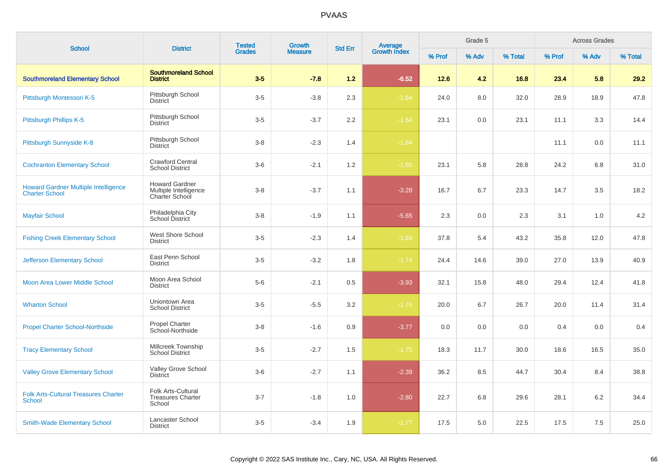| <b>School</b>                                                        | <b>District</b>                                                  | <b>Tested</b> | <b>Growth</b>  |                | Average<br>Growth Index |        | Grade 5 |         |        | <b>Across Grades</b> |         |
|----------------------------------------------------------------------|------------------------------------------------------------------|---------------|----------------|----------------|-------------------------|--------|---------|---------|--------|----------------------|---------|
|                                                                      |                                                                  | <b>Grades</b> | <b>Measure</b> | <b>Std Err</b> |                         | % Prof | % Adv   | % Total | % Prof | % Adv                | % Total |
| <b>Southmoreland Elementary School</b>                               | <b>Southmoreland School</b><br><b>District</b>                   | $3-5$         | $-7.8$         | 1.2            | $-6.52$                 | 12.6   | 4.2     | 16.8    | 23.4   | 5.8                  | 29.2    |
| Pittsburgh Montessori K-5                                            | Pittsburgh School<br><b>District</b>                             | $3-5$         | $-3.8$         | 2.3            | $-1.64$                 | 24.0   | 8.0     | 32.0    | 28.9   | 18.9                 | 47.8    |
| Pittsburgh Phillips K-5                                              | Pittsburgh School<br><b>District</b>                             | $3-5$         | $-3.7$         | 2.2            | $-1.64$                 | 23.1   | 0.0     | 23.1    | 11.1   | 3.3                  | 14.4    |
| Pittsburgh Sunnyside K-8                                             | Pittsburgh School<br><b>District</b>                             | $3 - 8$       | $-2.3$         | 1.4            | $-1.64$                 |        |         |         | 11.1   | 0.0                  | 11.1    |
| <b>Cochranton Elementary School</b>                                  | <b>Crawford Central</b><br><b>School District</b>                | $3-6$         | $-2.1$         | 1.2            | $-1.80$                 | 23.1   | 5.8     | 28.8    | 24.2   | 6.8                  | 31.0    |
| <b>Howard Gardner Multiple Intelligence</b><br><b>Charter School</b> | <b>Howard Gardner</b><br>Multiple Intelligence<br>Charter School | $3 - 8$       | $-3.7$         | 1.1            | $-3.28$                 | 16.7   | 6.7     | 23.3    | 14.7   | 3.5                  | 18.2    |
| <b>Mayfair School</b>                                                | Philadelphia City<br>School District                             | $3 - 8$       | $-1.9$         | 1.1            | $-5.65$                 | 2.3    | 0.0     | 2.3     | 3.1    | 1.0                  | 4.2     |
| <b>Fishing Creek Elementary School</b>                               | West Shore School<br><b>District</b>                             | $3-5$         | $-2.3$         | 1.4            | $-1.69$                 | 37.8   | 5.4     | 43.2    | 35.8   | 12.0                 | 47.8    |
| <b>Jefferson Elementary School</b>                                   | East Penn School<br><b>District</b>                              | $3 - 5$       | $-3.2$         | 1.8            | $-1.74$                 | 24.4   | 14.6    | 39.0    | 27.0   | 13.9                 | 40.9    |
| Moon Area Lower Middle School                                        | Moon Area School<br><b>District</b>                              | $5-6$         | $-2.1$         | 0.5            | $-3.93$                 | 32.1   | 15.8    | 48.0    | 29.4   | 12.4                 | 41.8    |
| <b>Wharton School</b>                                                | Uniontown Area<br><b>School District</b>                         | $3-5$         | $-5.5$         | 3.2            | $-1.74$                 | 20.0   | 6.7     | 26.7    | 20.0   | 11.4                 | 31.4    |
| <b>Propel Charter School-Northside</b>                               | <b>Propel Charter</b><br>School-Northside                        | $3 - 8$       | $-1.6$         | 0.9            | $-3.77$                 | 0.0    | 0.0     | 0.0     | 0.4    | 0.0                  | 0.4     |
| <b>Tracy Elementary School</b>                                       | Millcreek Township<br><b>School District</b>                     | $3-5$         | $-2.7$         | 1.5            | $-1.75$                 | 18.3   | 11.7    | 30.0    | 18.6   | 16.5                 | 35.0    |
| <b>Valley Grove Elementary School</b>                                | Valley Grove School<br><b>District</b>                           | $3-6$         | $-2.7$         | 1.1            | $-2.39$                 | 36.2   | 8.5     | 44.7    | 30.4   | 8.4                  | 38.8    |
| <b>Folk Arts-Cultural Treasures Charter</b><br><b>School</b>         | Folk Arts-Cultural<br><b>Treasures Charter</b><br>School         | $3 - 7$       | $-1.8$         | 1.0            | $-2.80$                 | 22.7   | 6.8     | 29.6    | 28.1   | 6.2                  | 34.4    |
| <b>Smith-Wade Elementary School</b>                                  | Lancaster School<br><b>District</b>                              | $3-5$         | $-3.4$         | 1.9            | $-1.77$                 | 17.5   | 5.0     | 22.5    | 17.5   | 7.5                  | 25.0    |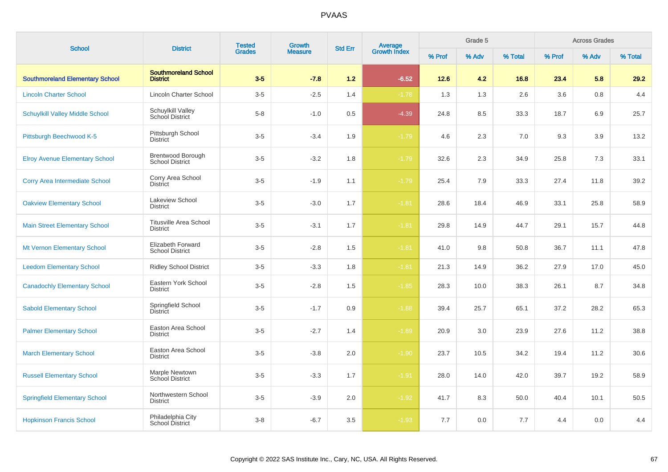| <b>School</b>                          | <b>District</b>                                    | <b>Tested</b> | Growth<br><b>Std Err</b> |     |                                |        | Grade 5 |         |        | <b>Across Grades</b> |         |
|----------------------------------------|----------------------------------------------------|---------------|--------------------------|-----|--------------------------------|--------|---------|---------|--------|----------------------|---------|
|                                        |                                                    | <b>Grades</b> | <b>Measure</b>           |     | <b>Average</b><br>Growth Index | % Prof | % Adv   | % Total | % Prof | % Adv                | % Total |
| <b>Southmoreland Elementary School</b> | <b>Southmoreland School</b><br><b>District</b>     | $3-5$         | $-7.8$                   | 1.2 | $-6.52$                        | 12.6   | 4.2     | 16.8    | 23.4   | 5.8                  | 29.2    |
| <b>Lincoln Charter School</b>          | <b>Lincoln Charter School</b>                      | $3-5$         | $-2.5$                   | 1.4 | $-1.78$                        | 1.3    | 1.3     | 2.6     | 3.6    | 0.8                  | 4.4     |
| <b>Schuylkill Valley Middle School</b> | Schuylkill Valley<br>School District               | $5 - 8$       | $-1.0$                   | 0.5 | $-4.39$                        | 24.8   | 8.5     | 33.3    | 18.7   | 6.9                  | 25.7    |
| Pittsburgh Beechwood K-5               | Pittsburgh School<br>District                      | $3-5$         | $-3.4$                   | 1.9 | $-1.79$                        | 4.6    | 2.3     | 7.0     | 9.3    | 3.9                  | 13.2    |
| <b>Elroy Avenue Elementary School</b>  | <b>Brentwood Borough</b><br><b>School District</b> | $3-5$         | $-3.2$                   | 1.8 | $-1.79$                        | 32.6   | 2.3     | 34.9    | 25.8   | 7.3                  | 33.1    |
| <b>Corry Area Intermediate School</b>  | Corry Area School<br>District                      | $3-5$         | $-1.9$                   | 1.1 | $-1.79$                        | 25.4   | 7.9     | 33.3    | 27.4   | 11.8                 | 39.2    |
| <b>Oakview Elementary School</b>       | Lakeview School<br><b>District</b>                 | $3-5$         | $-3.0$                   | 1.7 | $-1.81$                        | 28.6   | 18.4    | 46.9    | 33.1   | 25.8                 | 58.9    |
| <b>Main Street Elementary School</b>   | <b>Titusville Area School</b><br><b>District</b>   | $3-5$         | $-3.1$                   | 1.7 | $-1.81$                        | 29.8   | 14.9    | 44.7    | 29.1   | 15.7                 | 44.8    |
| <b>Mt Vernon Elementary School</b>     | <b>Elizabeth Forward</b><br><b>School District</b> | $3-5$         | $-2.8$                   | 1.5 | $-1.81$                        | 41.0   | 9.8     | 50.8    | 36.7   | 11.1                 | 47.8    |
| <b>Leedom Elementary School</b>        | <b>Ridley School District</b>                      | $3-5$         | $-3.3$                   | 1.8 | $-1.81$                        | 21.3   | 14.9    | 36.2    | 27.9   | 17.0                 | 45.0    |
| <b>Canadochly Elementary School</b>    | Eastern York School<br><b>District</b>             | $3-5$         | $-2.8$                   | 1.5 | $-1.85$                        | 28.3   | 10.0    | 38.3    | 26.1   | 8.7                  | 34.8    |
| <b>Sabold Elementary School</b>        | Springfield School<br>District                     | $3-5$         | $-1.7$                   | 0.9 | $-1.88$                        | 39.4   | 25.7    | 65.1    | 37.2   | 28.2                 | 65.3    |
| <b>Palmer Elementary School</b>        | Easton Area School<br><b>District</b>              | $3-5$         | $-2.7$                   | 1.4 | $-1.89$                        | 20.9   | 3.0     | 23.9    | 27.6   | 11.2                 | 38.8    |
| <b>March Elementary School</b>         | Easton Area School<br><b>District</b>              | $3-5$         | $-3.8$                   | 2.0 | $-1.90$                        | 23.7   | 10.5    | 34.2    | 19.4   | 11.2                 | 30.6    |
| <b>Russell Elementary School</b>       | Marple Newtown<br><b>School District</b>           | $3-5$         | $-3.3$                   | 1.7 | $-1.91$                        | 28.0   | 14.0    | 42.0    | 39.7   | 19.2                 | 58.9    |
| <b>Springfield Elementary School</b>   | Northwestern School<br><b>District</b>             | $3-5$         | $-3.9$                   | 2.0 | $-1.92$                        | 41.7   | 8.3     | 50.0    | 40.4   | 10.1                 | 50.5    |
| <b>Hopkinson Francis School</b>        | Philadelphia City<br>School District               | $3 - 8$       | $-6.7$                   | 3.5 | $-1.93$                        | 7.7    | 0.0     | 7.7     | 4.4    | 0.0                  | 4.4     |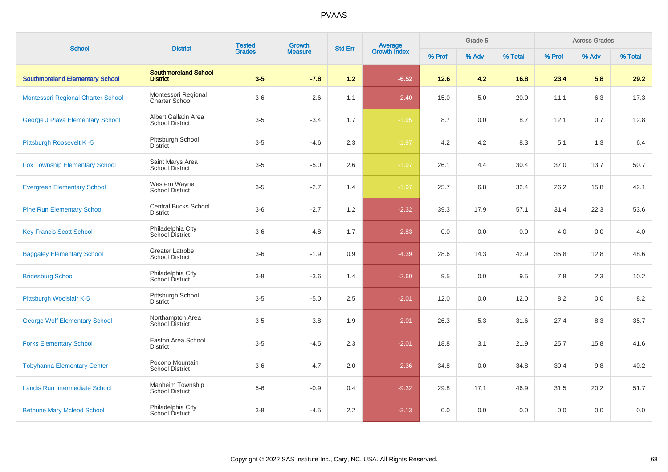| <b>School</b>                          | <b>District</b>                                  | <b>Tested</b> | Growth         | <b>Std Err</b> | <b>Average</b><br>Growth Index |        | Grade 5 |         |        | <b>Across Grades</b> |         |
|----------------------------------------|--------------------------------------------------|---------------|----------------|----------------|--------------------------------|--------|---------|---------|--------|----------------------|---------|
|                                        |                                                  | <b>Grades</b> | <b>Measure</b> |                |                                | % Prof | % Adv   | % Total | % Prof | % Adv                | % Total |
| <b>Southmoreland Elementary School</b> | <b>Southmoreland School</b><br><b>District</b>   | $3-5$         | $-7.8$         | $1.2$          | $-6.52$                        | $12.6$ | 4.2     | 16.8    | 23.4   | 5.8                  | 29.2    |
| Montessori Regional Charter School     | Montessori Regional<br><b>Charter School</b>     | $3-6$         | $-2.6$         | 1.1            | $-2.40$                        | 15.0   | 5.0     | 20.0    | 11.1   | 6.3                  | 17.3    |
| George J Plava Elementary School       | Albert Gallatin Area<br><b>School District</b>   | $3-5$         | $-3.4$         | 1.7            | $-1.95$                        | 8.7    | 0.0     | 8.7     | 12.1   | 0.7                  | 12.8    |
| Pittsburgh Roosevelt K-5               | Pittsburgh School<br><b>District</b>             | $3-5$         | $-4.6$         | 2.3            | $-1.97$                        | 4.2    | 4.2     | 8.3     | 5.1    | 1.3                  | 6.4     |
| <b>Fox Township Elementary School</b>  | Saint Marys Area<br><b>School District</b>       | $3-5$         | $-5.0$         | 2.6            | $-1.97$                        | 26.1   | 4.4     | 30.4    | 37.0   | 13.7                 | 50.7    |
| <b>Evergreen Elementary School</b>     | Western Wayne<br>School District                 | $3-5$         | $-2.7$         | 1.4            | $-1.97$                        | 25.7   | 6.8     | 32.4    | 26.2   | 15.8                 | 42.1    |
| <b>Pine Run Elementary School</b>      | <b>Central Bucks School</b><br><b>District</b>   | $3-6$         | $-2.7$         | 1.2            | $-2.32$                        | 39.3   | 17.9    | 57.1    | 31.4   | 22.3                 | 53.6    |
| <b>Key Francis Scott School</b>        | Philadelphia City<br>School District             | $3-6$         | $-4.8$         | 1.7            | $-2.83$                        | 0.0    | 0.0     | 0.0     | 4.0    | 0.0                  | 4.0     |
| <b>Baggaley Elementary School</b>      | <b>Greater Latrobe</b><br><b>School District</b> | $3-6$         | $-1.9$         | 0.9            | $-4.39$                        | 28.6   | 14.3    | 42.9    | 35.8   | 12.8                 | 48.6    |
| <b>Bridesburg School</b>               | Philadelphia City<br>School District             | $3-8$         | $-3.6$         | 1.4            | $-2.60$                        | 9.5    | 0.0     | 9.5     | 7.8    | 2.3                  | 10.2    |
| Pittsburgh Woolslair K-5               | Pittsburgh School<br><b>District</b>             | $3-5$         | $-5.0$         | 2.5            | $-2.01$                        | 12.0   | 0.0     | 12.0    | 8.2    | 0.0                  | 8.2     |
| <b>George Wolf Elementary School</b>   | Northampton Area<br><b>School District</b>       | $3-5$         | $-3.8$         | 1.9            | $-2.01$                        | 26.3   | 5.3     | 31.6    | 27.4   | 8.3                  | 35.7    |
| <b>Forks Elementary School</b>         | Easton Area School<br><b>District</b>            | $3-5$         | $-4.5$         | 2.3            | $-2.01$                        | 18.8   | 3.1     | 21.9    | 25.7   | 15.8                 | 41.6    |
| <b>Tobyhanna Elementary Center</b>     | Pocono Mountain<br><b>School District</b>        | $3-6$         | $-4.7$         | 2.0            | $-2.36$                        | 34.8   | 0.0     | 34.8    | 30.4   | 9.8                  | 40.2    |
| Landis Run Intermediate School         | Manheim Township<br><b>School District</b>       | $5-6$         | $-0.9$         | 0.4            | $-9.32$                        | 29.8   | 17.1    | 46.9    | 31.5   | 20.2                 | 51.7    |
| <b>Bethune Mary Mcleod School</b>      | Philadelphia City<br>School District             | $3-8$         | $-4.5$         | 2.2            | $-3.13$                        | 0.0    | 0.0     | 0.0     | 0.0    | 0.0                  | 0.0     |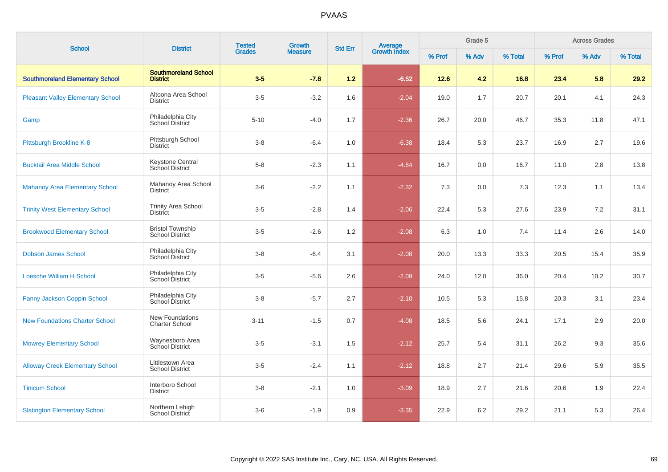| <b>School</b>                            | <b>District</b>                                   | <b>Tested</b><br><b>Grades</b> | Growth         | <b>Std Err</b> |                                |        | Grade 5 |         |        | <b>Across Grades</b> |         |
|------------------------------------------|---------------------------------------------------|--------------------------------|----------------|----------------|--------------------------------|--------|---------|---------|--------|----------------------|---------|
|                                          |                                                   |                                | <b>Measure</b> |                | <b>Average</b><br>Growth Index | % Prof | % Adv   | % Total | % Prof | % Adv                | % Total |
| <b>Southmoreland Elementary School</b>   | <b>Southmoreland School</b><br><b>District</b>    | $3 - 5$                        | $-7.8$         | 1.2            | $-6.52$                        | $12.6$ | 4.2     | 16.8    | 23.4   | 5.8                  | 29.2    |
| <b>Pleasant Valley Elementary School</b> | Altoona Area School<br>District                   | $3-5$                          | $-3.2$         | 1.6            | $-2.04$                        | 19.0   | 1.7     | 20.7    | 20.1   | 4.1                  | 24.3    |
| Gamp                                     | Philadelphia City<br>School District              | $5 - 10$                       | $-4.0$         | 1.7            | $-2.36$                        | 26.7   | 20.0    | 46.7    | 35.3   | 11.8                 | 47.1    |
| Pittsburgh Brookline K-8                 | Pittsburgh School<br><b>District</b>              | $3 - 8$                        | $-6.4$         | 1.0            | $-6.38$                        | 18.4   | 5.3     | 23.7    | 16.9   | 2.7                  | 19.6    |
| <b>Bucktail Area Middle School</b>       | <b>Keystone Central</b><br>School District        | $5-8$                          | $-2.3$         | 1.1            | $-4.84$                        | 16.7   | 0.0     | 16.7    | 11.0   | 2.8                  | 13.8    |
| <b>Mahanoy Area Elementary School</b>    | Mahanoy Area School<br>District                   | $3-6$                          | $-2.2$         | 1.1            | $-2.32$                        | 7.3    | 0.0     | 7.3     | 12.3   | 1.1                  | 13.4    |
| <b>Trinity West Elementary School</b>    | <b>Trinity Area School</b><br><b>District</b>     | $3-5$                          | $-2.8$         | 1.4            | $-2.06$                        | 22.4   | 5.3     | 27.6    | 23.9   | 7.2                  | 31.1    |
| <b>Brookwood Elementary School</b>       | <b>Bristol Township</b><br><b>School District</b> | $3-5$                          | $-2.6$         | 1.2            | $-2.08$                        | 6.3    | 1.0     | 7.4     | 11.4   | 2.6                  | 14.0    |
| <b>Dobson James School</b>               | Philadelphia City<br>School District              | $3 - 8$                        | $-6.4$         | 3.1            | $-2.08$                        | 20.0   | 13.3    | 33.3    | 20.5   | 15.4                 | 35.9    |
| <b>Loesche William H School</b>          | Philadelphia City<br>School District              | $3-5$                          | $-5.6$         | 2.6            | $-2.09$                        | 24.0   | 12.0    | 36.0    | 20.4   | 10.2                 | 30.7    |
| Fanny Jackson Coppin School              | Philadelphia City<br>School District              | $3 - 8$                        | $-5.7$         | 2.7            | $-2.10$                        | 10.5   | 5.3     | 15.8    | 20.3   | 3.1                  | 23.4    |
| <b>New Foundations Charter School</b>    | <b>New Foundations</b><br><b>Charter School</b>   | $3 - 11$                       | $-1.5$         | 0.7            | $-4.08$                        | 18.5   | 5.6     | 24.1    | 17.1   | 2.9                  | 20.0    |
| <b>Mowrey Elementary School</b>          | Waynesboro Area<br>School District                | $3-5$                          | $-3.1$         | 1.5            | $-2.12$                        | 25.7   | 5.4     | 31.1    | 26.2   | 9.3                  | 35.6    |
| <b>Alloway Creek Elementary School</b>   | Littlestown Area<br><b>School District</b>        | $3-5$                          | $-2.4$         | 1.1            | $-2.12$                        | 18.8   | 2.7     | 21.4    | 29.6   | 5.9                  | 35.5    |
| <b>Tinicum School</b>                    | Interboro School<br>District                      | $3 - 8$                        | $-2.1$         | 1.0            | $-3.09$                        | 18.9   | 2.7     | 21.6    | 20.6   | 1.9                  | 22.4    |
| <b>Slatington Elementary School</b>      | Northern Lehigh<br>School District                | $3-6$                          | $-1.9$         | 0.9            | $-3.35$                        | 22.9   | 6.2     | 29.2    | 21.1   | 5.3                  | 26.4    |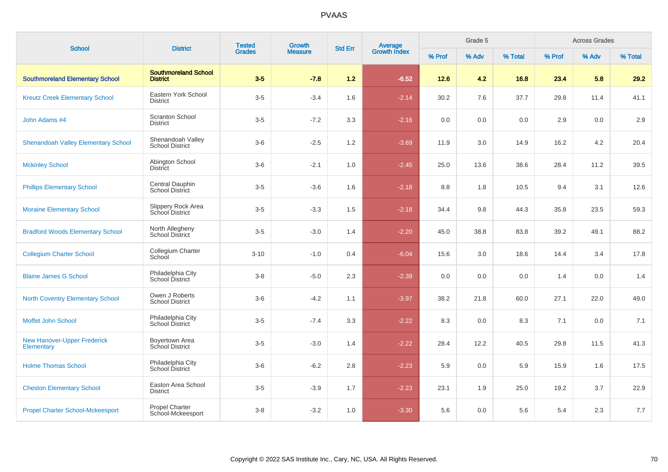| <b>School</b>                                    | <b>District</b>                                | <b>Tested</b> | Growth         |                | Average<br>Growth Index |         | Grade 5 |         |        | <b>Across Grades</b> |         |
|--------------------------------------------------|------------------------------------------------|---------------|----------------|----------------|-------------------------|---------|---------|---------|--------|----------------------|---------|
|                                                  |                                                | <b>Grades</b> | <b>Measure</b> | <b>Std Err</b> |                         | % Prof  | % Adv   | % Total | % Prof | % Adv                | % Total |
| <b>Southmoreland Elementary School</b>           | <b>Southmoreland School</b><br><b>District</b> | $3-5$         | $-7.8$         | 1.2            | $-6.52$                 | $12.6$  | 4.2     | 16.8    | 23.4   | 5.8                  | 29.2    |
| <b>Kreutz Creek Elementary School</b>            | Eastern York School<br><b>District</b>         | $3-5$         | $-3.4$         | 1.6            | $-2.14$                 | 30.2    | 7.6     | 37.7    | 29.8   | 11.4                 | 41.1    |
| John Adams #4                                    | <b>Scranton School</b><br><b>District</b>      | $3-5$         | $-7.2$         | 3.3            | $-2.16$                 | 0.0     | 0.0     | 0.0     | 2.9    | 0.0                  | 2.9     |
| <b>Shenandoah Valley Elementary School</b>       | Shenandoah Valley<br><b>School District</b>    | $3-6$         | $-2.5$         | 1.2            | $-3.69$                 | 11.9    | 3.0     | 14.9    | 16.2   | 4.2                  | 20.4    |
| <b>Mckinley School</b>                           | Abington School<br><b>District</b>             | $3-6$         | $-2.1$         | 1.0            | $-2.45$                 | 25.0    | 13.6    | 38.6    | 28.4   | 11.2                 | 39.5    |
| <b>Phillips Elementary School</b>                | Central Dauphin<br>School District             | $3-5$         | $-3.6$         | 1.6            | $-2.18$                 | $8.8\,$ | 1.8     | 10.5    | 9.4    | 3.1                  | 12.6    |
| <b>Moraine Elementary School</b>                 | Slippery Rock Area<br>School District          | $3-5$         | $-3.3$         | 1.5            | $-2.18$                 | 34.4    | 9.8     | 44.3    | 35.8   | 23.5                 | 59.3    |
| <b>Bradford Woods Elementary School</b>          | North Allegheny<br>School District             | $3-5$         | $-3.0$         | 1.4            | $-2.20$                 | 45.0    | 38.8    | 83.8    | 39.2   | 49.1                 | 88.2    |
| <b>Collegium Charter School</b>                  | Collegium Charter<br>School                    | $3 - 10$      | $-1.0$         | 0.4            | $-6.04$                 | 15.6    | 3.0     | 18.6    | 14.4   | 3.4                  | 17.8    |
| <b>Blaine James G School</b>                     | Philadelphia City<br>School District           | $3 - 8$       | $-5.0$         | 2.3            | $-2.39$                 | 0.0     | 0.0     | 0.0     | 1.4    | 0.0                  | 1.4     |
| <b>North Coventry Elementary School</b>          | Owen J Roberts<br><b>School District</b>       | $3-6$         | $-4.2$         | 1.1            | $-3.97$                 | 38.2    | 21.8    | 60.0    | 27.1   | 22.0                 | 49.0    |
| Moffet John School                               | Philadelphia City<br>School District           | $3-5$         | $-7.4$         | 3.3            | $-2.22$                 | 8.3     | 0.0     | 8.3     | 7.1    | 0.0                  | 7.1     |
| <b>New Hanover-Upper Frederick</b><br>Elementary | Boyertown Area<br>School District              | $3-5$         | $-3.0$         | 1.4            | $-2.22$                 | 28.4    | 12.2    | 40.5    | 29.8   | 11.5                 | 41.3    |
| <b>Holme Thomas School</b>                       | Philadelphia City<br>School District           | $3-6$         | $-6.2$         | 2.8            | $-2.23$                 | 5.9     | 0.0     | 5.9     | 15.9   | 1.6                  | 17.5    |
| <b>Cheston Elementary School</b>                 | Easton Area School<br><b>District</b>          | $3-5$         | $-3.9$         | 1.7            | $-2.23$                 | 23.1    | 1.9     | 25.0    | 19.2   | 3.7                  | 22.9    |
| <b>Propel Charter School-Mckeesport</b>          | Propel Charter<br>School-Mckeesport            | $3-8$         | $-3.2$         | 1.0            | $-3.30$                 | 5.6     | 0.0     | 5.6     | 5.4    | 2.3                  | 7.7     |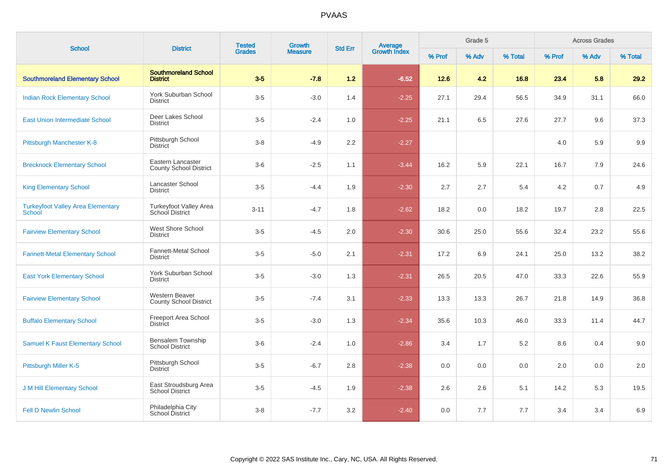| <b>School</b>                                      | <b>District</b>                                    | <b>Tested</b> | Growth<br><b>Measure</b> | <b>Average</b><br>Growth Index<br><b>Std Err</b> |         |        | Grade 5 |         |        | <b>Across Grades</b> |         |
|----------------------------------------------------|----------------------------------------------------|---------------|--------------------------|--------------------------------------------------|---------|--------|---------|---------|--------|----------------------|---------|
|                                                    |                                                    | <b>Grades</b> |                          |                                                  |         | % Prof | % Adv   | % Total | % Prof | % Adv                | % Total |
| <b>Southmoreland Elementary School</b>             | <b>Southmoreland School</b><br><b>District</b>     | $3-5$         | $-7.8$                   | 1.2                                              | $-6.52$ | $12.6$ | 4.2     | 16.8    | 23.4   | 5.8                  | 29.2    |
| <b>Indian Rock Elementary School</b>               | York Suburban School<br><b>District</b>            | $3-5$         | $-3.0$                   | 1.4                                              | $-2.25$ | 27.1   | 29.4    | 56.5    | 34.9   | 31.1                 | 66.0    |
| <b>East Union Intermediate School</b>              | Deer Lakes School<br><b>District</b>               | $3-5$         | $-2.4$                   | 1.0                                              | $-2.25$ | 21.1   | 6.5     | 27.6    | 27.7   | 9.6                  | 37.3    |
| Pittsburgh Manchester K-8                          | Pittsburgh School<br><b>District</b>               | $3 - 8$       | $-4.9$                   | 2.2                                              | $-2.27$ |        |         |         | 4.0    | 5.9                  | 9.9     |
| <b>Brecknock Elementary School</b>                 | Eastern Lancaster<br><b>County School District</b> | $3-6$         | $-2.5$                   | 1.1                                              | $-3.44$ | 16.2   | 5.9     | 22.1    | 16.7   | 7.9                  | 24.6    |
| <b>King Elementary School</b>                      | Lancaster School<br><b>District</b>                | $3-5$         | $-4.4$                   | 1.9                                              | $-2.30$ | 2.7    | 2.7     | 5.4     | 4.2    | 0.7                  | 4.9     |
| <b>Turkeyfoot Valley Area Elementary</b><br>School | Turkeyfoot Valley Area<br>School District          | $3 - 11$      | $-4.7$                   | 1.8                                              | $-2.62$ | 18.2   | 0.0     | 18.2    | 19.7   | 2.8                  | 22.5    |
| <b>Fairview Elementary School</b>                  | West Shore School<br><b>District</b>               | $3-5$         | $-4.5$                   | 2.0                                              | $-2.30$ | 30.6   | 25.0    | 55.6    | 32.4   | 23.2                 | 55.6    |
| <b>Fannett-Metal Elementary School</b>             | <b>Fannett-Metal School</b><br><b>District</b>     | $3-5$         | $-5.0$                   | 2.1                                              | $-2.31$ | 17.2   | 6.9     | 24.1    | 25.0   | 13.2                 | 38.2    |
| <b>East York Elementary School</b>                 | York Suburban School<br><b>District</b>            | $3-5$         | $-3.0$                   | 1.3                                              | $-2.31$ | 26.5   | 20.5    | 47.0    | 33.3   | 22.6                 | 55.9    |
| <b>Fairview Elementary School</b>                  | Western Beaver<br><b>County School District</b>    | $3-5$         | $-7.4$                   | 3.1                                              | $-2.33$ | 13.3   | 13.3    | 26.7    | 21.8   | 14.9                 | 36.8    |
| <b>Buffalo Elementary School</b>                   | Freeport Area School<br>District                   | $3-5$         | $-3.0$                   | 1.3                                              | $-2.34$ | 35.6   | 10.3    | 46.0    | 33.3   | 11.4                 | 44.7    |
| <b>Samuel K Faust Elementary School</b>            | <b>Bensalem Township</b><br><b>School District</b> | $3-6$         | $-2.4$                   | 1.0                                              | $-2.86$ | 3.4    | 1.7     | 5.2     | 8.6    | 0.4                  | 9.0     |
| Pittsburgh Miller K-5                              | Pittsburgh School<br><b>District</b>               | $3-5$         | $-6.7$                   | 2.8                                              | $-2.38$ | 0.0    | 0.0     | 0.0     | 2.0    | 0.0                  | 2.0     |
| <b>J M Hill Elementary School</b>                  | East Stroudsburg Area<br><b>School District</b>    | $3-5$         | $-4.5$                   | 1.9                                              | $-2.38$ | 2.6    | 2.6     | 5.1     | 14.2   | 5.3                  | 19.5    |
| <b>Fell D Newlin School</b>                        | Philadelphia City<br>School District               | $3 - 8$       | $-7.7$                   | 3.2                                              | $-2.40$ | 0.0    | 7.7     | 7.7     | 3.4    | 3.4                  | 6.9     |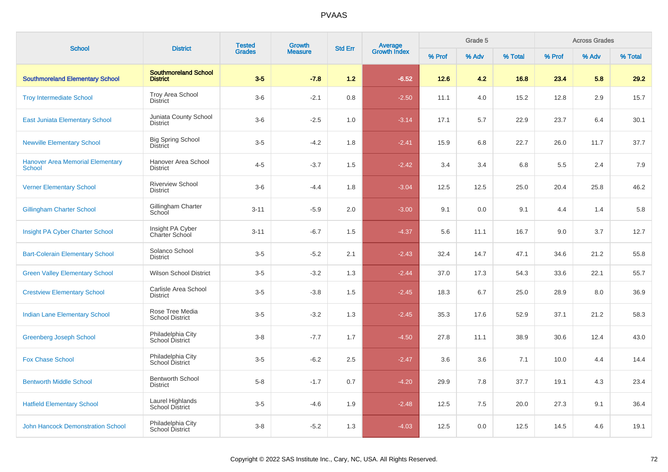| <b>School</b>                                            |                                                | <b>Tested</b> | <b>Growth</b>  |                |                                |        | Grade 5 |         |        | <b>Across Grades</b> |         |
|----------------------------------------------------------|------------------------------------------------|---------------|----------------|----------------|--------------------------------|--------|---------|---------|--------|----------------------|---------|
|                                                          | <b>District</b>                                | <b>Grades</b> | <b>Measure</b> | <b>Std Err</b> | <b>Average</b><br>Growth Index | % Prof | % Adv   | % Total | % Prof | % Adv                | % Total |
| <b>Southmoreland Elementary School</b>                   | <b>Southmoreland School</b><br><b>District</b> | $3-5$         | $-7.8$         | 1.2            | $-6.52$                        | $12.6$ | 4.2     | 16.8    | 23.4   | 5.8                  | 29.2    |
| <b>Troy Intermediate School</b>                          | Troy Area School<br><b>District</b>            | $3-6$         | $-2.1$         | 0.8            | $-2.50$                        | 11.1   | 4.0     | 15.2    | 12.8   | 2.9                  | 15.7    |
| East Juniata Elementary School                           | Juniata County School<br>District              | $3-6$         | $-2.5$         | 1.0            | $-3.14$                        | 17.1   | 5.7     | 22.9    | 23.7   | 6.4                  | 30.1    |
| <b>Newville Elementary School</b>                        | <b>Big Spring School</b><br><b>District</b>    | $3-5$         | $-4.2$         | 1.8            | $-2.41$                        | 15.9   | 6.8     | 22.7    | 26.0   | 11.7                 | 37.7    |
| <b>Hanover Area Memorial Elementary</b><br><b>School</b> | Hanover Area School<br><b>District</b>         | $4 - 5$       | $-3.7$         | 1.5            | $-2.42$                        | 3.4    | 3.4     | 6.8     | 5.5    | 2.4                  | 7.9     |
| <b>Verner Elementary School</b>                          | <b>Riverview School</b><br><b>District</b>     | $3-6$         | $-4.4$         | 1.8            | $-3.04$                        | 12.5   | 12.5    | 25.0    | 20.4   | 25.8                 | 46.2    |
| <b>Gillingham Charter School</b>                         | Gillingham Charter<br>School                   | $3 - 11$      | $-5.9$         | 2.0            | $-3.00$                        | 9.1    | 0.0     | 9.1     | 4.4    | 1.4                  | 5.8     |
| Insight PA Cyber Charter School                          | Insight PA Cyber<br>Charter School             | $3 - 11$      | $-6.7$         | 1.5            | $-4.37$                        | 5.6    | 11.1    | 16.7    | 9.0    | 3.7                  | 12.7    |
| <b>Bart-Colerain Elementary School</b>                   | Solanco School<br><b>District</b>              | $3-5$         | $-5.2$         | 2.1            | $-2.43$                        | 32.4   | 14.7    | 47.1    | 34.6   | 21.2                 | 55.8    |
| <b>Green Valley Elementary School</b>                    | <b>Wilson School District</b>                  | $3-5$         | $-3.2$         | 1.3            | $-2.44$                        | 37.0   | 17.3    | 54.3    | 33.6   | 22.1                 | 55.7    |
| <b>Crestview Elementary School</b>                       | Carlisle Area School<br><b>District</b>        | $3-5$         | $-3.8$         | 1.5            | $-2.45$                        | 18.3   | 6.7     | 25.0    | 28.9   | 8.0                  | 36.9    |
| <b>Indian Lane Elementary School</b>                     | Rose Tree Media<br><b>School District</b>      | $3-5$         | $-3.2$         | 1.3            | $-2.45$                        | 35.3   | 17.6    | 52.9    | 37.1   | 21.2                 | 58.3    |
| <b>Greenberg Joseph School</b>                           | Philadelphia City<br>School District           | $3 - 8$       | $-7.7$         | 1.7            | $-4.50$                        | 27.8   | 11.1    | 38.9    | 30.6   | 12.4                 | 43.0    |
| <b>Fox Chase School</b>                                  | Philadelphia City<br>School District           | $3-5$         | $-6.2$         | 2.5            | $-2.47$                        | 3.6    | 3.6     | 7.1     | 10.0   | 4.4                  | 14.4    |
| <b>Bentworth Middle School</b>                           | <b>Bentworth School</b><br><b>District</b>     | $5 - 8$       | $-1.7$         | 0.7            | $-4.20$                        | 29.9   | 7.8     | 37.7    | 19.1   | 4.3                  | 23.4    |
| <b>Hatfield Elementary School</b>                        | Laurel Highlands<br><b>School District</b>     | $3-5$         | $-4.6$         | 1.9            | $-2.48$                        | 12.5   | 7.5     | 20.0    | 27.3   | 9.1                  | 36.4    |
| <b>John Hancock Demonstration School</b>                 | Philadelphia City<br>School District           | $3 - 8$       | $-5.2$         | 1.3            | $-4.03$                        | 12.5   | 0.0     | 12.5    | 14.5   | 4.6                  | 19.1    |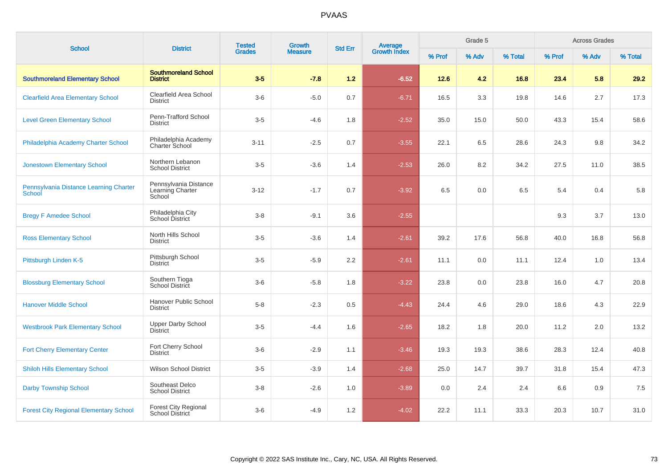| <b>School</b>                                    | <b>District</b>                                       | <b>Tested</b><br><b>Grades</b> | Growth         | <b>Std Err</b> | <b>Average</b><br>Growth Index |        | Grade 5 |         |        | <b>Across Grades</b> |         |
|--------------------------------------------------|-------------------------------------------------------|--------------------------------|----------------|----------------|--------------------------------|--------|---------|---------|--------|----------------------|---------|
|                                                  |                                                       |                                | <b>Measure</b> |                |                                | % Prof | % Adv   | % Total | % Prof | % Adv                | % Total |
| <b>Southmoreland Elementary School</b>           | <b>Southmoreland School</b><br><b>District</b>        | $3-5$                          | $-7.8$         | 1.2            | $-6.52$                        | $12.6$ | 4.2     | 16.8    | 23.4   | 5.8                  | 29.2    |
| <b>Clearfield Area Elementary School</b>         | Clearfield Area School<br><b>District</b>             | $3-6$                          | $-5.0$         | 0.7            | $-6.71$                        | 16.5   | 3.3     | 19.8    | 14.6   | 2.7                  | 17.3    |
| <b>Level Green Elementary School</b>             | Penn-Trafford School<br><b>District</b>               | $3-5$                          | $-4.6$         | 1.8            | $-2.52$                        | 35.0   | 15.0    | 50.0    | 43.3   | 15.4                 | 58.6    |
| Philadelphia Academy Charter School              | Philadelphia Academy<br><b>Charter School</b>         | $3 - 11$                       | $-2.5$         | 0.7            | $-3.55$                        | 22.1   | 6.5     | 28.6    | 24.3   | 9.8                  | 34.2    |
| <b>Jonestown Elementary School</b>               | Northern Lebanon<br><b>School District</b>            | $3-5$                          | $-3.6$         | 1.4            | $-2.53$                        | 26.0   | 8.2     | 34.2    | 27.5   | 11.0                 | 38.5    |
| Pennsylvania Distance Learning Charter<br>School | Pennsylvania Distance<br>Learning Charter<br>School   | $3 - 12$                       | $-1.7$         | 0.7            | $-3.92$                        | 6.5    | 0.0     | 6.5     | 5.4    | 0.4                  | 5.8     |
| <b>Bregy F Amedee School</b>                     | Philadelphia City<br>School District                  | $3 - 8$                        | $-9.1$         | 3.6            | $-2.55$                        |        |         |         | 9.3    | 3.7                  | 13.0    |
| <b>Ross Elementary School</b>                    | North Hills School<br><b>District</b>                 | $3-5$                          | $-3.6$         | 1.4            | $-2.61$                        | 39.2   | 17.6    | 56.8    | 40.0   | 16.8                 | 56.8    |
| Pittsburgh Linden K-5                            | Pittsburgh School<br><b>District</b>                  | $3-5$                          | $-5.9$         | 2.2            | $-2.61$                        | 11.1   | 0.0     | 11.1    | 12.4   | 1.0                  | 13.4    |
| <b>Blossburg Elementary School</b>               | Southern Tioga<br>School District                     | $3-6$                          | $-5.8$         | 1.8            | $-3.22$                        | 23.8   | 0.0     | 23.8    | 16.0   | 4.7                  | 20.8    |
| <b>Hanover Middle School</b>                     | Hanover Public School<br><b>District</b>              | $5-8$                          | $-2.3$         | 0.5            | $-4.43$                        | 24.4   | 4.6     | 29.0    | 18.6   | 4.3                  | 22.9    |
| <b>Westbrook Park Elementary School</b>          | <b>Upper Darby School</b><br><b>District</b>          | $3-5$                          | $-4.4$         | 1.6            | $-2.65$                        | 18.2   | 1.8     | 20.0    | 11.2   | 2.0                  | 13.2    |
| <b>Fort Cherry Elementary Center</b>             | Fort Cherry School<br><b>District</b>                 | $3-6$                          | $-2.9$         | 1.1            | $-3.46$                        | 19.3   | 19.3    | 38.6    | 28.3   | 12.4                 | 40.8    |
| <b>Shiloh Hills Elementary School</b>            | <b>Wilson School District</b>                         | $3-5$                          | $-3.9$         | 1.4            | $-2.68$                        | 25.0   | 14.7    | 39.7    | 31.8   | 15.4                 | 47.3    |
| <b>Darby Township School</b>                     | Southeast Delco<br><b>School District</b>             | $3-8$                          | $-2.6$         | 1.0            | $-3.89$                        | 0.0    | 2.4     | 2.4     | 6.6    | 0.9                  | 7.5     |
| <b>Forest City Regional Elementary School</b>    | <b>Forest City Regional</b><br><b>School District</b> | $3-6$                          | $-4.9$         | 1.2            | $-4.02$                        | 22.2   | 11.1    | 33.3    | 20.3   | 10.7                 | 31.0    |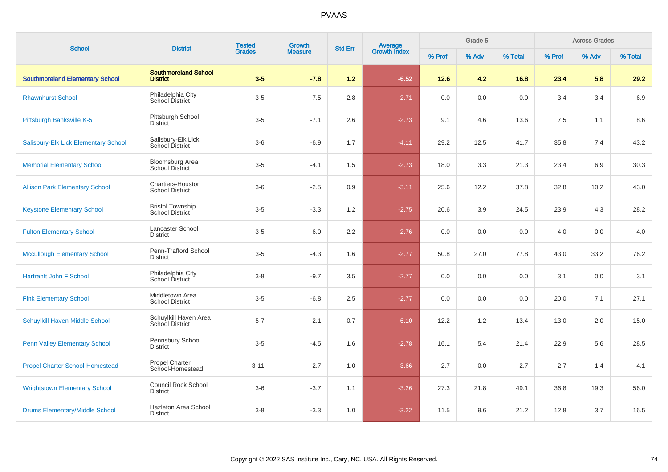| <b>School</b>                          | <b>District</b>                                   | <b>Tested</b> | Growth         | <b>Std Err</b> |                                |        | Grade 5 |         |        | <b>Across Grades</b> |         |
|----------------------------------------|---------------------------------------------------|---------------|----------------|----------------|--------------------------------|--------|---------|---------|--------|----------------------|---------|
|                                        |                                                   | <b>Grades</b> | <b>Measure</b> |                | <b>Average</b><br>Growth Index | % Prof | % Adv   | % Total | % Prof | % Adv                | % Total |
| <b>Southmoreland Elementary School</b> | <b>Southmoreland School</b><br><b>District</b>    | $3-5$         | $-7.8$         | 1.2            | $-6.52$                        | $12.6$ | 4.2     | 16.8    | 23.4   | 5.8                  | 29.2    |
| <b>Rhawnhurst School</b>               | Philadelphia City<br>School District              | $3-5$         | $-7.5$         | 2.8            | $-2.71$                        | 0.0    | 0.0     | 0.0     | 3.4    | 3.4                  | 6.9     |
| Pittsburgh Banksville K-5              | Pittsburgh School<br><b>District</b>              | $3-5$         | $-7.1$         | 2.6            | $-2.73$                        | 9.1    | 4.6     | 13.6    | 7.5    | 1.1                  | 8.6     |
| Salisbury-Elk Lick Elementary School   | Salisbury-Elk Lick<br>School District             | $3-6$         | $-6.9$         | 1.7            | $-4.11$                        | 29.2   | 12.5    | 41.7    | 35.8   | 7.4                  | 43.2    |
| <b>Memorial Elementary School</b>      | Bloomsburg Area<br>School District                | $3-5$         | $-4.1$         | 1.5            | $-2.73$                        | 18.0   | 3.3     | 21.3    | 23.4   | 6.9                  | 30.3    |
| <b>Allison Park Elementary School</b>  | Chartiers-Houston<br><b>School District</b>       | $3-6$         | $-2.5$         | 0.9            | $-3.11$                        | 25.6   | 12.2    | 37.8    | 32.8   | 10.2                 | 43.0    |
| <b>Keystone Elementary School</b>      | <b>Bristol Township</b><br><b>School District</b> | $3-5$         | $-3.3$         | 1.2            | $-2.75$                        | 20.6   | 3.9     | 24.5    | 23.9   | 4.3                  | 28.2    |
| <b>Fulton Elementary School</b>        | Lancaster School<br><b>District</b>               | $3-5$         | $-6.0$         | 2.2            | $-2.76$                        | 0.0    | 0.0     | 0.0     | 4.0    | 0.0                  | 4.0     |
| <b>Mccullough Elementary School</b>    | Penn-Trafford School<br><b>District</b>           | $3-5$         | $-4.3$         | 1.6            | $-2.77$                        | 50.8   | 27.0    | 77.8    | 43.0   | 33.2                 | 76.2    |
| <b>Hartranft John F School</b>         | Philadelphia City<br>School District              | $3 - 8$       | $-9.7$         | 3.5            | $-2.77$                        | 0.0    | 0.0     | 0.0     | 3.1    | 0.0                  | 3.1     |
| <b>Fink Elementary School</b>          | Middletown Area<br><b>School District</b>         | $3-5$         | $-6.8$         | 2.5            | $-2.77$                        | 0.0    | 0.0     | 0.0     | 20.0   | 7.1                  | 27.1    |
| Schuylkill Haven Middle School         | Schuylkill Haven Area<br>School District          | $5 - 7$       | $-2.1$         | 0.7            | $-6.10$                        | 12.2   | 1.2     | 13.4    | 13.0   | 2.0                  | 15.0    |
| <b>Penn Valley Elementary School</b>   | Pennsbury School<br><b>District</b>               | $3-5$         | $-4.5$         | 1.6            | $-2.78$                        | 16.1   | 5.4     | 21.4    | 22.9   | 5.6                  | 28.5    |
| <b>Propel Charter School-Homestead</b> | <b>Propel Charter</b><br>School-Homestead         | $3 - 11$      | $-2.7$         | 1.0            | $-3.66$                        | 2.7    | 0.0     | 2.7     | 2.7    | 1.4                  | 4.1     |
| <b>Wrightstown Elementary School</b>   | <b>Council Rock School</b><br><b>District</b>     | $3-6$         | $-3.7$         | 1.1            | $-3.26$                        | 27.3   | 21.8    | 49.1    | 36.8   | 19.3                 | 56.0    |
| <b>Drums Elementary/Middle School</b>  | <b>Hazleton Area School</b><br><b>District</b>    | $3-8$         | $-3.3$         | 1.0            | $-3.22$                        | 11.5   | 9.6     | 21.2    | 12.8   | 3.7                  | 16.5    |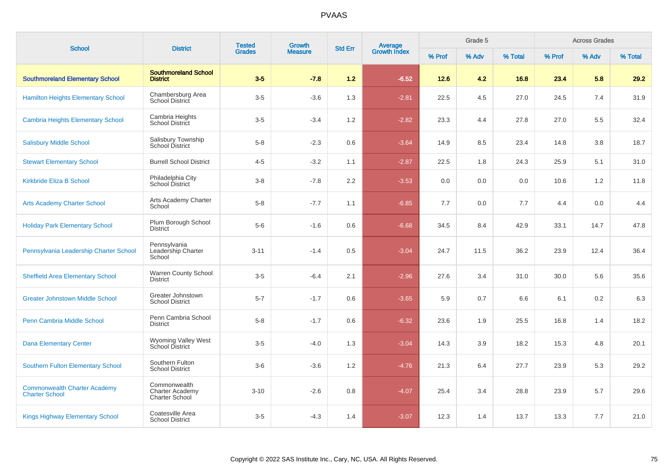| <b>School</b>                                                | <b>District</b>                                                 | <b>Tested</b> | Growth         | Average<br>Growth Index<br><b>Std Err</b> |         | Grade 5 |       |         | <b>Across Grades</b> |       |         |
|--------------------------------------------------------------|-----------------------------------------------------------------|---------------|----------------|-------------------------------------------|---------|---------|-------|---------|----------------------|-------|---------|
|                                                              |                                                                 | <b>Grades</b> | <b>Measure</b> |                                           |         | % Prof  | % Adv | % Total | % Prof               | % Adv | % Total |
| <b>Southmoreland Elementary School</b>                       | <b>Southmoreland School</b><br><b>District</b>                  | $3-5$         | $-7.8$         | 1.2                                       | $-6.52$ | 12.6    | 4.2   | 16.8    | 23.4                 | 5.8   | 29.2    |
| <b>Hamilton Heights Elementary School</b>                    | Chambersburg Area<br><b>School District</b>                     | $3-5$         | $-3.6$         | 1.3                                       | $-2.81$ | 22.5    | 4.5   | 27.0    | 24.5                 | 7.4   | 31.9    |
| <b>Cambria Heights Elementary School</b>                     | Cambria Heights<br><b>School District</b>                       | $3-5$         | $-3.4$         | 1.2                                       | $-2.82$ | 23.3    | 4.4   | 27.8    | 27.0                 | 5.5   | 32.4    |
| <b>Salisbury Middle School</b>                               | Salisbury Township<br>School District                           | $5 - 8$       | $-2.3$         | 0.6                                       | $-3.64$ | 14.9    | 8.5   | 23.4    | 14.8                 | 3.8   | 18.7    |
| <b>Stewart Elementary School</b>                             | <b>Burrell School District</b>                                  | $4 - 5$       | $-3.2$         | 1.1                                       | $-2.87$ | 22.5    | 1.8   | 24.3    | 25.9                 | 5.1   | 31.0    |
| <b>Kirkbride Eliza B School</b>                              | Philadelphia City<br><b>School District</b>                     | $3 - 8$       | $-7.8$         | $2.2\phantom{0}$                          | $-3.53$ | 0.0     | 0.0   | 0.0     | 10.6                 | 1.2   | 11.8    |
| <b>Arts Academy Charter School</b>                           | Arts Academy Charter<br>School                                  | $5 - 8$       | $-7.7$         | 1.1                                       | $-6.85$ | 7.7     | 0.0   | 7.7     | 4.4                  | 0.0   | 4.4     |
| <b>Holiday Park Elementary School</b>                        | Plum Borough School<br><b>District</b>                          | $5-6$         | $-1.6$         | 0.6                                       | $-6.68$ | 34.5    | 8.4   | 42.9    | 33.1                 | 14.7  | 47.8    |
| Pennsylvania Leadership Charter School                       | Pennsylvania<br>Leadership Charter<br>School                    | $3 - 11$      | $-1.4$         | 0.5                                       | $-3.04$ | 24.7    | 11.5  | 36.2    | 23.9                 | 12.4  | 36.4    |
| <b>Sheffield Area Elementary School</b>                      | Warren County School<br><b>District</b>                         | $3-5$         | $-6.4$         | 2.1                                       | $-2.96$ | 27.6    | 3.4   | 31.0    | 30.0                 | 5.6   | 35.6    |
| <b>Greater Johnstown Middle School</b>                       | Greater Johnstown<br><b>School District</b>                     | $5 - 7$       | $-1.7$         | 0.6                                       | $-3.65$ | 5.9     | 0.7   | 6.6     | 6.1                  | 0.2   | 6.3     |
| Penn Cambria Middle School                                   | Penn Cambria School<br><b>District</b>                          | $5 - 8$       | $-1.7$         | 0.6                                       | $-6.32$ | 23.6    | 1.9   | 25.5    | 16.8                 | 1.4   | 18.2    |
| <b>Dana Elementary Center</b>                                | Wyoming Valley West<br>School District                          | $3-5$         | $-4.0$         | 1.3                                       | $-3.04$ | 14.3    | 3.9   | 18.2    | 15.3                 | 4.8   | 20.1    |
| <b>Southern Fulton Elementary School</b>                     | Southern Fulton<br><b>School District</b>                       | $3-6$         | $-3.6$         | 1.2                                       | $-4.76$ | 21.3    | 6.4   | 27.7    | 23.9                 | 5.3   | 29.2    |
| <b>Commonwealth Charter Academy</b><br><b>Charter School</b> | Commonwealth<br><b>Charter Academy</b><br><b>Charter School</b> | $3 - 10$      | $-2.6$         | 0.8                                       | $-4.07$ | 25.4    | 3.4   | 28.8    | 23.9                 | 5.7   | 29.6    |
| <b>Kings Highway Elementary School</b>                       | Coatesville Area<br><b>School District</b>                      | $3-5$         | $-4.3$         | 1.4                                       | $-3.07$ | 12.3    | 1.4   | 13.7    | 13.3                 | 7.7   | 21.0    |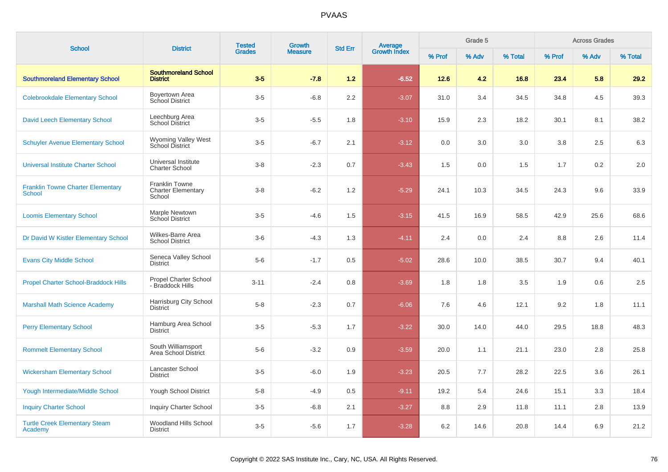|                                                    |                                                              | <b>Tested</b> | Growth         | <b>Std Err</b>   | Average<br>Growth Index |        | Grade 5 |         |        | <b>Across Grades</b> |         |
|----------------------------------------------------|--------------------------------------------------------------|---------------|----------------|------------------|-------------------------|--------|---------|---------|--------|----------------------|---------|
| <b>School</b>                                      | <b>District</b>                                              | <b>Grades</b> | <b>Measure</b> |                  |                         | % Prof | % Adv   | % Total | % Prof | % Adv                | % Total |
| <b>Southmoreland Elementary School</b>             | <b>Southmoreland School</b><br><b>District</b>               | $3-5$         | $-7.8$         | $1.2$            | $-6.52$                 | 12.6   | 4.2     | 16.8    | 23.4   | 5.8                  | 29.2    |
| <b>Colebrookdale Elementary School</b>             | Boyertown Area<br>School District                            | $3-5$         | $-6.8$         | $2.2\phantom{0}$ | $-3.07$                 | 31.0   | 3.4     | 34.5    | 34.8   | 4.5                  | 39.3    |
| <b>David Leech Elementary School</b>               | Leechburg Area<br>School District                            | $3-5$         | $-5.5$         | 1.8              | $-3.10$                 | 15.9   | 2.3     | 18.2    | 30.1   | 8.1                  | 38.2    |
| <b>Schuyler Avenue Elementary School</b>           | <b>Wyoming Valley West</b><br>School District                | $3-5$         | $-6.7$         | 2.1              | $-3.12$                 | 0.0    | 3.0     | 3.0     | 3.8    | 2.5                  | 6.3     |
| <b>Universal Institute Charter School</b>          | Universal Institute<br><b>Charter School</b>                 | $3 - 8$       | $-2.3$         | 0.7              | $-3.43$                 | 1.5    | 0.0     | 1.5     | 1.7    | 0.2                  | 2.0     |
| <b>Franklin Towne Charter Elementary</b><br>School | <b>Franklin Towne</b><br><b>Charter Elementary</b><br>School | $3 - 8$       | $-6.2$         | 1.2              | $-5.29$                 | 24.1   | 10.3    | 34.5    | 24.3   | 9.6                  | 33.9    |
| <b>Loomis Elementary School</b>                    | Marple Newtown<br>School District                            | $3-5$         | $-4.6$         | 1.5              | $-3.15$                 | 41.5   | 16.9    | 58.5    | 42.9   | 25.6                 | 68.6    |
| Dr David W Kistler Elementary School               | Wilkes-Barre Area<br><b>School District</b>                  | $3-6$         | $-4.3$         | 1.3              | $-4.11$                 | 2.4    | 0.0     | 2.4     | 8.8    | 2.6                  | 11.4    |
| <b>Evans City Middle School</b>                    | Seneca Valley School<br><b>District</b>                      | $5-6$         | $-1.7$         | 0.5              | $-5.02$                 | 28.6   | 10.0    | 38.5    | 30.7   | 9.4                  | 40.1    |
| <b>Propel Charter School-Braddock Hills</b>        | <b>Propel Charter School</b><br>- Braddock Hills             | $3 - 11$      | $-2.4$         | 0.8              | $-3.69$                 | 1.8    | 1.8     | 3.5     | 1.9    | 0.6                  | 2.5     |
| <b>Marshall Math Science Academy</b>               | Harrisburg City School<br><b>District</b>                    | $5 - 8$       | $-2.3$         | 0.7              | $-6.06$                 | 7.6    | 4.6     | 12.1    | 9.2    | 1.8                  | 11.1    |
| <b>Perry Elementary School</b>                     | Hamburg Area School<br><b>District</b>                       | $3-5$         | $-5.3$         | 1.7              | $-3.22$                 | 30.0   | 14.0    | 44.0    | 29.5   | 18.8                 | 48.3    |
| <b>Rommelt Elementary School</b>                   | South Williamsport<br>Area School District                   | $5-6$         | $-3.2$         | 0.9              | $-3.59$                 | 20.0   | 1.1     | 21.1    | 23.0   | 2.8                  | 25.8    |
| <b>Wickersham Elementary School</b>                | Lancaster School<br><b>District</b>                          | $3-5$         | $-6.0$         | 1.9              | $-3.23$                 | 20.5   | 7.7     | 28.2    | 22.5   | 3.6                  | 26.1    |
| Yough Intermediate/Middle School                   | <b>Yough School District</b>                                 | $5-8$         | $-4.9$         | 0.5              | $-9.11$                 | 19.2   | 5.4     | 24.6    | 15.1   | 3.3                  | 18.4    |
| <b>Inquiry Charter School</b>                      | <b>Inquiry Charter School</b>                                | $3-5$         | $-6.8$         | 2.1              | $-3.27$                 | 8.8    | 2.9     | 11.8    | 11.1   | 2.8                  | 13.9    |
| <b>Turtle Creek Elementary Steam</b><br>Academy    | <b>Woodland Hills School</b><br><b>District</b>              | $3-5$         | $-5.6$         | 1.7              | $-3.28$                 | 6.2    | 14.6    | 20.8    | 14.4   | 6.9                  | 21.2    |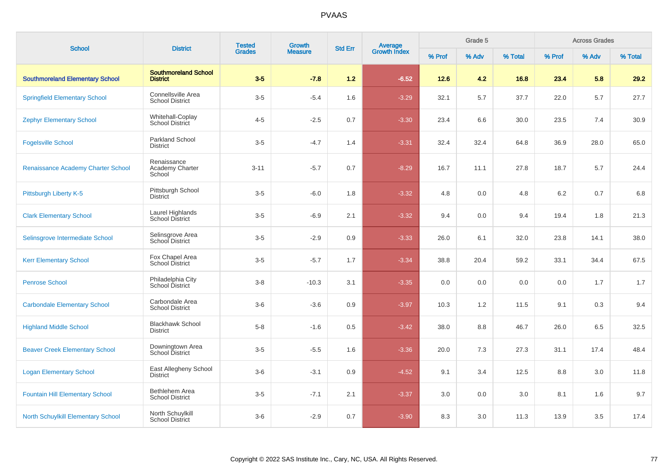| <b>School</b>                             | <b>District</b>                                | <b>Tested</b> | <b>Growth</b>  | <b>Std Err</b> |                                |        | Grade 5 |         |         | <b>Across Grades</b> |         |
|-------------------------------------------|------------------------------------------------|---------------|----------------|----------------|--------------------------------|--------|---------|---------|---------|----------------------|---------|
|                                           |                                                | <b>Grades</b> | <b>Measure</b> |                | <b>Average</b><br>Growth Index | % Prof | % Adv   | % Total | % Prof  | % Adv                | % Total |
| <b>Southmoreland Elementary School</b>    | <b>Southmoreland School</b><br><b>District</b> | $3-5$         | $-7.8$         | 1.2            | $-6.52$                        | 12.6   | 4.2     | 16.8    | 23.4    | 5.8                  | 29.2    |
| <b>Springfield Elementary School</b>      | Connellsville Area<br><b>School District</b>   | $3-5$         | $-5.4$         | 1.6            | $-3.29$                        | 32.1   | 5.7     | 37.7    | 22.0    | 5.7                  | 27.7    |
| <b>Zephyr Elementary School</b>           | Whitehall-Coplay<br><b>School District</b>     | $4 - 5$       | $-2.5$         | 0.7            | $-3.30$                        | 23.4   | 6.6     | 30.0    | 23.5    | 7.4                  | 30.9    |
| <b>Fogelsville School</b>                 | <b>Parkland School</b><br><b>District</b>      | $3-5$         | $-4.7$         | 1.4            | $-3.31$                        | 32.4   | 32.4    | 64.8    | 36.9    | 28.0                 | 65.0    |
| <b>Renaissance Academy Charter School</b> | Renaissance<br>Academy Charter<br>School       | $3 - 11$      | $-5.7$         | 0.7            | $-8.29$                        | 16.7   | 11.1    | 27.8    | 18.7    | 5.7                  | 24.4    |
| Pittsburgh Liberty K-5                    | Pittsburgh School<br><b>District</b>           | $3-5$         | $-6.0$         | 1.8            | $-3.32$                        | 4.8    | 0.0     | 4.8     | $6.2\,$ | 0.7                  | 6.8     |
| <b>Clark Elementary School</b>            | Laurel Highlands<br><b>School District</b>     | $3-5$         | $-6.9$         | 2.1            | $-3.32$                        | 9.4    | 0.0     | 9.4     | 19.4    | 1.8                  | 21.3    |
| Selinsgrove Intermediate School           | Selinsgrove Area<br>School District            | $3-5$         | $-2.9$         | 0.9            | $-3.33$                        | 26.0   | 6.1     | 32.0    | 23.8    | 14.1                 | 38.0    |
| <b>Kerr Elementary School</b>             | Fox Chapel Area<br><b>School District</b>      | $3-5$         | $-5.7$         | 1.7            | $-3.34$                        | 38.8   | 20.4    | 59.2    | 33.1    | 34.4                 | 67.5    |
| <b>Penrose School</b>                     | Philadelphia City<br>School District           | $3-8$         | $-10.3$        | 3.1            | $-3.35$                        | 0.0    | 0.0     | 0.0     | 0.0     | 1.7                  | 1.7     |
| <b>Carbondale Elementary School</b>       | Carbondale Area<br><b>School District</b>      | $3-6$         | $-3.6$         | 0.9            | $-3.97$                        | 10.3   | 1.2     | 11.5    | 9.1     | 0.3                  | 9.4     |
| <b>Highland Middle School</b>             | <b>Blackhawk School</b><br><b>District</b>     | $5-8$         | $-1.6$         | 0.5            | $-3.42$                        | 38.0   | 8.8     | 46.7    | 26.0    | 6.5                  | 32.5    |
| <b>Beaver Creek Elementary School</b>     | Downingtown Area<br><b>School District</b>     | $3-5$         | $-5.5$         | 1.6            | $-3.36$                        | 20.0   | 7.3     | 27.3    | 31.1    | 17.4                 | 48.4    |
| <b>Logan Elementary School</b>            | East Allegheny School<br><b>District</b>       | $3-6$         | $-3.1$         | 0.9            | $-4.52$                        | 9.1    | 3.4     | 12.5    | 8.8     | 3.0                  | 11.8    |
| <b>Fountain Hill Elementary School</b>    | Bethlehem Area<br><b>School District</b>       | $3-5$         | $-7.1$         | 2.1            | $-3.37$                        | 3.0    | 0.0     | 3.0     | 8.1     | 1.6                  | 9.7     |
| <b>North Schuylkill Elementary School</b> | North Schuylkill<br><b>School District</b>     | $3-6$         | $-2.9$         | 0.7            | $-3.90$                        | 8.3    | 3.0     | 11.3    | 13.9    | 3.5                  | 17.4    |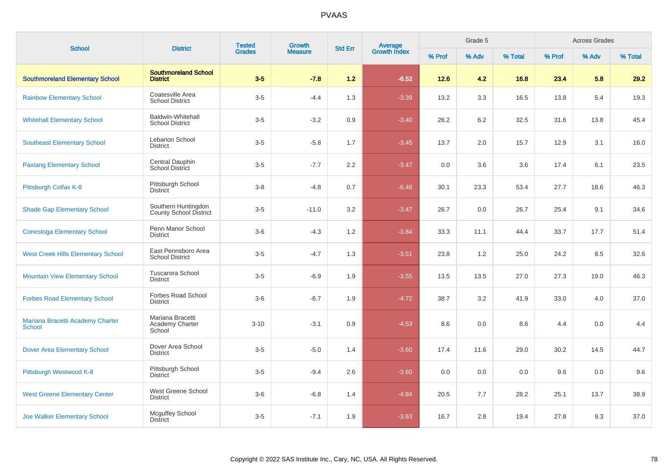| <b>School</b>                                     | <b>District</b>                                    | <b>Tested</b> | <b>Growth</b>  | <b>Std Err</b> | Average<br>Growth Index |        | Grade 5 |         |        | <b>Across Grades</b> |         |
|---------------------------------------------------|----------------------------------------------------|---------------|----------------|----------------|-------------------------|--------|---------|---------|--------|----------------------|---------|
|                                                   |                                                    | <b>Grades</b> | <b>Measure</b> |                |                         | % Prof | % Adv   | % Total | % Prof | % Adv                | % Total |
| <b>Southmoreland Elementary School</b>            | <b>Southmoreland School</b><br><b>District</b>     | $3-5$         | $-7.8$         | 1.2            | $-6.52$                 | 12.6   | 4.2     | 16.8    | 23.4   | 5.8                  | 29.2    |
| <b>Rainbow Elementary School</b>                  | Coatesville Area<br><b>School District</b>         | $3-5$         | $-4.4$         | 1.3            | $-3.39$                 | 13.2   | 3.3     | 16.5    | 13.8   | 5.4                  | 19.3    |
| <b>Whitehall Elementary School</b>                | <b>Baldwin-Whitehall</b><br><b>School District</b> | $3-5$         | $-3.2$         | 0.9            | $-3.40$                 | 26.2   | 6.2     | 32.5    | 31.6   | 13.8                 | 45.4    |
| <b>Southeast Elementary School</b>                | Lebanon School<br><b>District</b>                  | $3-5$         | $-5.8$         | 1.7            | $-3.45$                 | 13.7   | 2.0     | 15.7    | 12.9   | 3.1                  | 16.0    |
| <b>Paxtang Elementary School</b>                  | Central Dauphin<br>School District                 | $3-5$         | $-7.7$         | 2.2            | $-3.47$                 | 0.0    | 3.6     | 3.6     | 17.4   | 6.1                  | 23.5    |
| Pittsburgh Colfax K-8                             | Pittsburgh School<br><b>District</b>               | $3-8$         | $-4.8$         | 0.7            | $-6.48$                 | 30.1   | 23.3    | 53.4    | 27.7   | 18.6                 | 46.3    |
| <b>Shade Gap Elementary School</b>                | Southern Huntingdon<br>County School District      | $3-5$         | $-11.0$        | 3.2            | $-3.47$                 | 26.7   | 0.0     | 26.7    | 25.4   | 9.1                  | 34.6    |
| <b>Conestoga Elementary School</b>                | Penn Manor School<br><b>District</b>               | $3-6$         | $-4.3$         | 1.2            | $-3.84$                 | 33.3   | 11.1    | 44.4    | 33.7   | 17.7                 | 51.4    |
| <b>West Creek Hills Elementary School</b>         | East Pennsboro Area<br><b>School District</b>      | $3-5$         | $-4.7$         | 1.3            | $-3.51$                 | 23.8   | 1.2     | 25.0    | 24.2   | 8.5                  | 32.6    |
| <b>Mountain View Elementary School</b>            | Tuscarora School<br><b>District</b>                | $3-5$         | $-6.9$         | 1.9            | $-3.55$                 | 13.5   | 13.5    | 27.0    | 27.3   | 19.0                 | 46.3    |
| <b>Forbes Road Elementary School</b>              | Forbes Road School<br><b>District</b>              | $3-6$         | $-6.7$         | 1.9            | $-4.72$                 | 38.7   | 3.2     | 41.9    | 33.0   | 4.0                  | 37.0    |
| Mariana Bracetti Academy Charter<br><b>School</b> | Mariana Bracetti<br>Academy Charter<br>School      | $3 - 10$      | $-3.1$         | 0.9            | $-4.53$                 | 8.6    | 0.0     | 8.6     | 4.4    | 0.0                  | 4.4     |
| <b>Dover Area Elementary School</b>               | Dover Area School<br><b>District</b>               | $3-5$         | $-5.0$         | 1.4            | $-3.60$                 | 17.4   | 11.6    | 29.0    | 30.2   | 14.5                 | 44.7    |
| Pittsburgh Westwood K-8                           | Pittsburgh School<br><b>District</b>               | $3-5$         | $-9.4$         | 2.6            | $-3.60$                 | 0.0    | 0.0     | 0.0     | 9.6    | 0.0                  | 9.6     |
| <b>West Greene Elementary Center</b>              | West Greene School<br><b>District</b>              | $3-6$         | $-6.8$         | 1.4            | $-4.84$                 | 20.5   | 7.7     | 28.2    | 25.1   | 13.7                 | 38.9    |
| <b>Joe Walker Elementary School</b>               | Mcguffey School<br><b>District</b>                 | $3-5$         | $-7.1$         | 1.9            | $-3.63$                 | 16.7   | 2.8     | 19.4    | 27.8   | 9.3                  | 37.0    |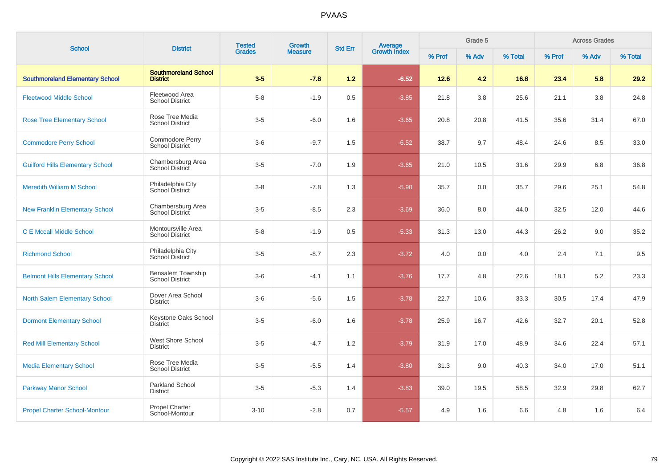| <b>School</b>                           | <b>District</b>                                    | <b>Tested</b> | Growth         | <b>Std Err</b> |                                |        | Grade 5 |         |        | <b>Across Grades</b> |         |
|-----------------------------------------|----------------------------------------------------|---------------|----------------|----------------|--------------------------------|--------|---------|---------|--------|----------------------|---------|
|                                         |                                                    | <b>Grades</b> | <b>Measure</b> |                | <b>Average</b><br>Growth Index | % Prof | % Adv   | % Total | % Prof | % Adv                | % Total |
| <b>Southmoreland Elementary School</b>  | <b>Southmoreland School</b><br><b>District</b>     | $3 - 5$       | $-7.8$         | 1.2            | $-6.52$                        | $12.6$ | 4.2     | 16.8    | 23.4   | 5.8                  | 29.2    |
| <b>Fleetwood Middle School</b>          | Fleetwood Area<br><b>School District</b>           | $5 - 8$       | $-1.9$         | 0.5            | $-3.85$                        | 21.8   | 3.8     | 25.6    | 21.1   | 3.8                  | 24.8    |
| <b>Rose Tree Elementary School</b>      | Rose Tree Media<br><b>School District</b>          | $3-5$         | $-6.0$         | 1.6            | $-3.65$                        | 20.8   | 20.8    | 41.5    | 35.6   | 31.4                 | 67.0    |
| <b>Commodore Perry School</b>           | Commodore Perry<br><b>School District</b>          | $3-6$         | $-9.7$         | 1.5            | $-6.52$                        | 38.7   | 9.7     | 48.4    | 24.6   | 8.5                  | 33.0    |
| <b>Guilford Hills Elementary School</b> | Chambersburg Area<br>School District               | $3-5$         | $-7.0$         | 1.9            | $-3.65$                        | 21.0   | 10.5    | 31.6    | 29.9   | 6.8                  | 36.8    |
| <b>Meredith William M School</b>        | Philadelphia City<br>School District               | $3 - 8$       | $-7.8$         | 1.3            | $-5.90$                        | 35.7   | 0.0     | 35.7    | 29.6   | 25.1                 | 54.8    |
| <b>New Franklin Elementary School</b>   | Chambersburg Area<br>School District               | $3-5$         | $-8.5$         | 2.3            | $-3.69$                        | 36.0   | 8.0     | 44.0    | 32.5   | 12.0                 | 44.6    |
| <b>C E Mccall Middle School</b>         | Montoursville Area<br><b>School District</b>       | $5 - 8$       | $-1.9$         | 0.5            | $-5.33$                        | 31.3   | 13.0    | 44.3    | 26.2   | 9.0                  | 35.2    |
| <b>Richmond School</b>                  | Philadelphia City<br>School District               | $3-5$         | $-8.7$         | 2.3            | $-3.72$                        | 4.0    | 0.0     | 4.0     | 2.4    | 7.1                  | 9.5     |
| <b>Belmont Hills Elementary School</b>  | <b>Bensalem Township</b><br><b>School District</b> | $3-6$         | $-4.1$         | 1.1            | $-3.76$                        | 17.7   | 4.8     | 22.6    | 18.1   | 5.2                  | 23.3    |
| <b>North Salem Elementary School</b>    | Dover Area School<br><b>District</b>               | $3-6$         | $-5.6$         | 1.5            | $-3.78$                        | 22.7   | 10.6    | 33.3    | 30.5   | 17.4                 | 47.9    |
| <b>Dormont Elementary School</b>        | Keystone Oaks School<br><b>District</b>            | $3-5$         | $-6.0$         | 1.6            | $-3.78$                        | 25.9   | 16.7    | 42.6    | 32.7   | 20.1                 | 52.8    |
| <b>Red Mill Elementary School</b>       | West Shore School<br><b>District</b>               | $3-5$         | $-4.7$         | 1.2            | $-3.79$                        | 31.9   | 17.0    | 48.9    | 34.6   | 22.4                 | 57.1    |
| <b>Media Elementary School</b>          | Rose Tree Media<br><b>School District</b>          | $3-5$         | $-5.5$         | 1.4            | $-3.80$                        | 31.3   | 9.0     | 40.3    | 34.0   | 17.0                 | 51.1    |
| <b>Parkway Manor School</b>             | <b>Parkland School</b><br><b>District</b>          | $3-5$         | $-5.3$         | 1.4            | $-3.83$                        | 39.0   | 19.5    | 58.5    | 32.9   | 29.8                 | 62.7    |
| <b>Propel Charter School-Montour</b>    | Propel Charter<br>School-Montour                   | $3 - 10$      | $-2.8$         | 0.7            | $-5.57$                        | 4.9    | 1.6     | 6.6     | 4.8    | 1.6                  | 6.4     |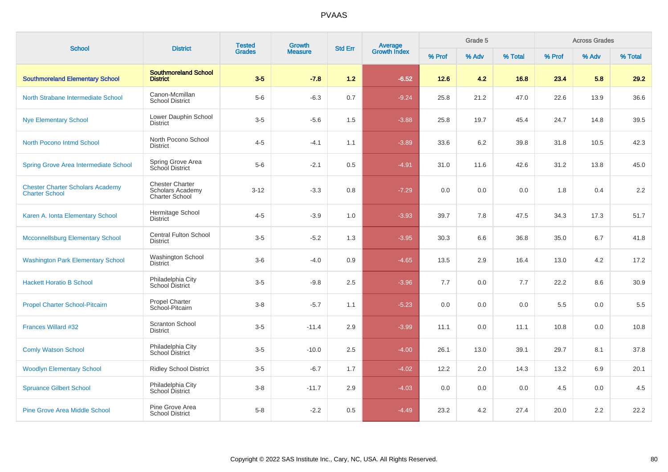| <b>School</b>                                                    | <b>District</b>                                                            | <b>Tested</b><br><b>Grades</b> | <b>Growth</b>  | <b>Std Err</b> |                                |        | Grade 5 |         |        | <b>Across Grades</b> |         |
|------------------------------------------------------------------|----------------------------------------------------------------------------|--------------------------------|----------------|----------------|--------------------------------|--------|---------|---------|--------|----------------------|---------|
|                                                                  |                                                                            |                                | <b>Measure</b> |                | <b>Average</b><br>Growth Index | % Prof | % Adv   | % Total | % Prof | % Adv                | % Total |
| <b>Southmoreland Elementary School</b>                           | <b>Southmoreland School</b><br><b>District</b>                             | $3-5$                          | $-7.8$         | 1.2            | $-6.52$                        | 12.6   | 4.2     | 16.8    | 23.4   | 5.8                  | 29.2    |
| North Strabane Intermediate School                               | Canon-Mcmillan<br><b>School District</b>                                   | $5-6$                          | $-6.3$         | 0.7            | $-9.24$                        | 25.8   | 21.2    | 47.0    | 22.6   | 13.9                 | 36.6    |
| <b>Nye Elementary School</b>                                     | Lower Dauphin School<br><b>District</b>                                    | $3-5$                          | $-5.6$         | 1.5            | $-3.88$                        | 25.8   | 19.7    | 45.4    | 24.7   | 14.8                 | 39.5    |
| North Pocono Intmd School                                        | North Pocono School<br><b>District</b>                                     | $4 - 5$                        | $-4.1$         | 1.1            | $-3.89$                        | 33.6   | 6.2     | 39.8    | 31.8   | 10.5                 | 42.3    |
| <b>Spring Grove Area Intermediate School</b>                     | Spring Grove Area<br>School District                                       | $5-6$                          | $-2.1$         | 0.5            | $-4.91$                        | 31.0   | 11.6    | 42.6    | 31.2   | 13.8                 | 45.0    |
| <b>Chester Charter Scholars Academy</b><br><b>Charter School</b> | <b>Chester Charter</b><br><b>Scholars Academy</b><br><b>Charter School</b> | $3 - 12$                       | $-3.3$         | 0.8            | $-7.29$                        | 0.0    | 0.0     | 0.0     | 1.8    | 0.4                  | 2.2     |
| Karen A. Ionta Elementary School                                 | Hermitage School<br><b>District</b>                                        | $4 - 5$                        | $-3.9$         | 1.0            | $-3.93$                        | 39.7   | 7.8     | 47.5    | 34.3   | 17.3                 | 51.7    |
| <b>Mcconnellsburg Elementary School</b>                          | <b>Central Fulton School</b><br><b>District</b>                            | $3-5$                          | $-5.2$         | 1.3            | $-3.95$                        | 30.3   | 6.6     | 36.8    | 35.0   | 6.7                  | 41.8    |
| <b>Washington Park Elementary School</b>                         | Washington School<br><b>District</b>                                       | $3-6$                          | $-4.0$         | 0.9            | $-4.65$                        | 13.5   | 2.9     | 16.4    | 13.0   | 4.2                  | 17.2    |
| <b>Hackett Horatio B School</b>                                  | Philadelphia City<br>School District                                       | $3-5$                          | $-9.8$         | 2.5            | $-3.96$                        | 7.7    | 0.0     | 7.7     | 22.2   | 8.6                  | 30.9    |
| <b>Propel Charter School-Pitcairn</b>                            | <b>Propel Charter</b><br>School-Pitcairn                                   | $3-8$                          | $-5.7$         | 1.1            | $-5.23$                        | 0.0    | 0.0     | 0.0     | 5.5    | 0.0                  | 5.5     |
| <b>Frances Willard #32</b>                                       | <b>Scranton School</b><br><b>District</b>                                  | $3-5$                          | $-11.4$        | 2.9            | $-3.99$                        | 11.1   | 0.0     | 11.1    | 10.8   | 0.0                  | 10.8    |
| <b>Comly Watson School</b>                                       | Philadelphia City<br>School District                                       | $3-5$                          | $-10.0$        | 2.5            | $-4.00$                        | 26.1   | 13.0    | 39.1    | 29.7   | 8.1                  | 37.8    |
| <b>Woodlyn Elementary School</b>                                 | <b>Ridley School District</b>                                              | $3-5$                          | $-6.7$         | 1.7            | $-4.02$                        | 12.2   | 2.0     | 14.3    | 13.2   | 6.9                  | 20.1    |
| <b>Spruance Gilbert School</b>                                   | Philadelphia City<br>School District                                       | $3-8$                          | $-11.7$        | 2.9            | $-4.03$                        | 0.0    | 0.0     | 0.0     | 4.5    | 0.0                  | 4.5     |
| <b>Pine Grove Area Middle School</b>                             | Pine Grove Area<br><b>School District</b>                                  | $5-8$                          | $-2.2$         | 0.5            | $-4.49$                        | 23.2   | 4.2     | 27.4    | 20.0   | 2.2                  | 22.2    |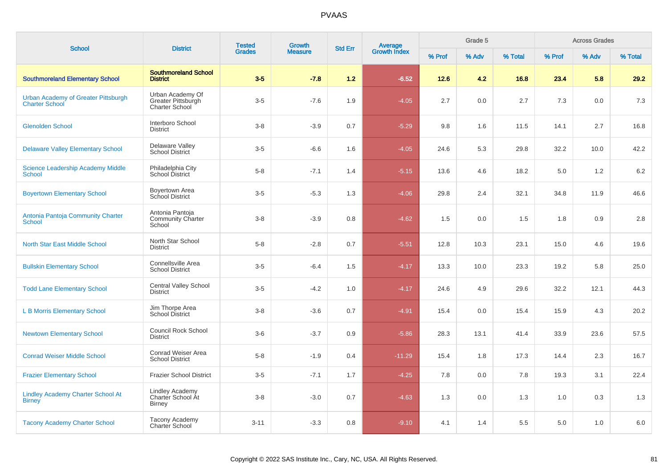| <b>School</b>                                                | <b>District</b>                                                 | <b>Tested</b><br><b>Grades</b> | <b>Growth</b>  |                |                         |        | Grade 5 |         |        | <b>Across Grades</b> |         |
|--------------------------------------------------------------|-----------------------------------------------------------------|--------------------------------|----------------|----------------|-------------------------|--------|---------|---------|--------|----------------------|---------|
|                                                              |                                                                 |                                | <b>Measure</b> | <b>Std Err</b> | Average<br>Growth Index | % Prof | % Adv   | % Total | % Prof | % Adv                | % Total |
| <b>Southmoreland Elementary School</b>                       | <b>Southmoreland School</b><br><b>District</b>                  | $3-5$                          | $-7.8$         | $1.2$          | $-6.52$                 | $12.6$ | 4.2     | 16.8    | 23.4   | 5.8                  | 29.2    |
| Urban Academy of Greater Pittsburgh<br><b>Charter School</b> | Urban Academy Of<br>Greater Pittsburgh<br><b>Charter School</b> | $3-5$                          | $-7.6$         | 1.9            | $-4.05$                 | 2.7    | 0.0     | 2.7     | 7.3    | 0.0                  | 7.3     |
| <b>Glenolden School</b>                                      | Interboro School<br><b>District</b>                             | $3 - 8$                        | $-3.9$         | 0.7            | $-5.29$                 | 9.8    | 1.6     | 11.5    | 14.1   | 2.7                  | 16.8    |
| <b>Delaware Valley Elementary School</b>                     | Delaware Valley<br><b>School District</b>                       | $3-5$                          | $-6.6$         | 1.6            | $-4.05$                 | 24.6   | 5.3     | 29.8    | 32.2   | 10.0                 | 42.2    |
| <b>Science Leadership Academy Middle</b><br><b>School</b>    | Philadelphia City<br>School District                            | $5 - 8$                        | $-7.1$         | 1.4            | $-5.15$                 | 13.6   | 4.6     | 18.2    | 5.0    | 1.2                  | 6.2     |
| <b>Boyertown Elementary School</b>                           | Boyertown Area<br>School District                               | $3-5$                          | $-5.3$         | 1.3            | $-4.06$                 | 29.8   | 2.4     | 32.1    | 34.8   | 11.9                 | 46.6    |
| Antonia Pantoja Community Charter<br><b>School</b>           | Antonia Pantoja<br><b>Community Charter</b><br>School           | $3 - 8$                        | $-3.9$         | 0.8            | $-4.62$                 | 1.5    | 0.0     | 1.5     | 1.8    | 0.9                  | $2.8\,$ |
| <b>North Star East Middle School</b>                         | North Star School<br><b>District</b>                            | $5 - 8$                        | $-2.8$         | 0.7            | $-5.51$                 | 12.8   | 10.3    | 23.1    | 15.0   | 4.6                  | 19.6    |
| <b>Bullskin Elementary School</b>                            | Connellsville Area<br><b>School District</b>                    | $3-5$                          | $-6.4$         | 1.5            | $-4.17$                 | 13.3   | 10.0    | 23.3    | 19.2   | 5.8                  | 25.0    |
| <b>Todd Lane Elementary School</b>                           | <b>Central Valley School</b><br><b>District</b>                 | $3-5$                          | $-4.2$         | 1.0            | $-4.17$                 | 24.6   | 4.9     | 29.6    | 32.2   | 12.1                 | 44.3    |
| <b>L B Morris Elementary School</b>                          | Jim Thorpe Area<br><b>School District</b>                       | $3 - 8$                        | $-3.6$         | 0.7            | $-4.91$                 | 15.4   | 0.0     | 15.4    | 15.9   | 4.3                  | 20.2    |
| <b>Newtown Elementary School</b>                             | <b>Council Rock School</b><br><b>District</b>                   | $3-6$                          | $-3.7$         | 0.9            | $-5.86$                 | 28.3   | 13.1    | 41.4    | 33.9   | 23.6                 | 57.5    |
| <b>Conrad Weiser Middle School</b>                           | Conrad Weiser Area<br><b>School District</b>                    | $5 - 8$                        | $-1.9$         | 0.4            | $-11.29$                | 15.4   | 1.8     | 17.3    | 14.4   | 2.3                  | 16.7    |
| <b>Frazier Elementary School</b>                             | <b>Frazier School District</b>                                  | $3-5$                          | $-7.1$         | 1.7            | $-4.25$                 | 7.8    | 0.0     | 7.8     | 19.3   | 3.1                  | 22.4    |
| <b>Lindley Academy Charter School At</b><br><b>Birney</b>    | <b>Lindley Academy</b><br>Charter School At<br><b>Birney</b>    | $3 - 8$                        | $-3.0$         | 0.7            | $-4.63$                 | 1.3    | 0.0     | 1.3     | 1.0    | 0.3                  | 1.3     |
| <b>Tacony Academy Charter School</b>                         | Tacony Academy<br><b>Charter School</b>                         | $3 - 11$                       | $-3.3$         | 0.8            | $-9.10$                 | 4.1    | 1.4     | 5.5     | 5.0    | 1.0                  | 6.0     |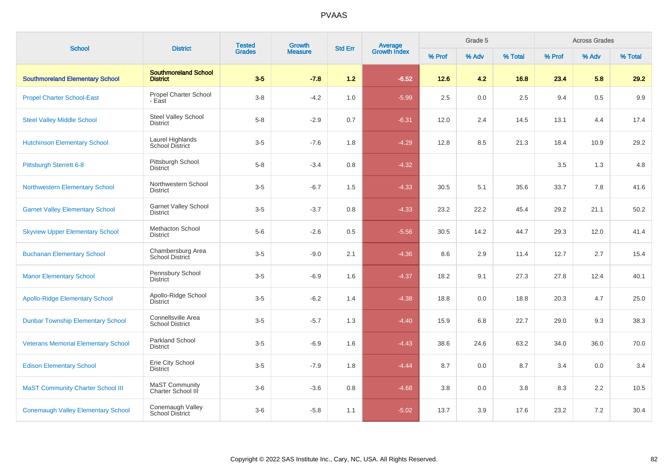| <b>School</b>                              | <b>District</b>                                | <b>Tested</b><br><b>Grades</b> | Growth         | <b>Std Err</b> | <b>Average</b><br>Growth Index |        | Grade 5 |         |        | <b>Across Grades</b> |         |
|--------------------------------------------|------------------------------------------------|--------------------------------|----------------|----------------|--------------------------------|--------|---------|---------|--------|----------------------|---------|
|                                            |                                                |                                | <b>Measure</b> |                |                                | % Prof | % Adv   | % Total | % Prof | % Adv                | % Total |
| <b>Southmoreland Elementary School</b>     | <b>Southmoreland School</b><br><b>District</b> | $3-5$                          | $-7.8$         | 1.2            | $-6.52$                        | $12.6$ | 4.2     | 16.8    | 23.4   | 5.8                  | 29.2    |
| <b>Propel Charter School-East</b>          | Propel Charter School<br>- East                | $3-8$                          | $-4.2$         | 1.0            | $-5.99$                        | 2.5    | 0.0     | 2.5     | 9.4    | 0.5                  | 9.9     |
| <b>Steel Valley Middle School</b>          | Steel Valley School<br><b>District</b>         | $5 - 8$                        | $-2.9$         | 0.7            | $-6.31$                        | 12.0   | 2.4     | 14.5    | 13.1   | 4.4                  | 17.4    |
| <b>Hutchinson Elementary School</b>        | Laurel Highlands<br>School District            | $3-5$                          | $-7.6$         | 1.8            | $-4.29$                        | 12.8   | 8.5     | 21.3    | 18.4   | 10.9                 | 29.2    |
| Pittsburgh Sterrett 6-8                    | Pittsburgh School<br><b>District</b>           | $5-8$                          | $-3.4$         | 0.8            | $-4.32$                        |        |         |         | 3.5    | 1.3                  | 4.8     |
| <b>Northwestern Elementary School</b>      | Northwestern School<br><b>District</b>         | $3-5$                          | $-6.7$         | 1.5            | $-4.33$                        | 30.5   | 5.1     | 35.6    | 33.7   | 7.8                  | 41.6    |
| <b>Garnet Valley Elementary School</b>     | <b>Garnet Valley School</b><br><b>District</b> | $3-5$                          | $-3.7$         | 0.8            | $-4.33$                        | 23.2   | 22.2    | 45.4    | 29.2   | 21.1                 | 50.2    |
| <b>Skyview Upper Elementary School</b>     | <b>Methacton School</b><br><b>District</b>     | $5-6$                          | $-2.6$         | 0.5            | $-5.56$                        | 30.5   | 14.2    | 44.7    | 29.3   | 12.0                 | 41.4    |
| <b>Buchanan Elementary School</b>          | Chambersburg Area<br>School District           | $3-5$                          | $-9.0$         | 2.1            | $-4.36$                        | 8.6    | 2.9     | 11.4    | 12.7   | 2.7                  | 15.4    |
| <b>Manor Elementary School</b>             | Pennsbury School<br><b>District</b>            | $3-5$                          | $-6.9$         | 1.6            | $-4.37$                        | 18.2   | 9.1     | 27.3    | 27.8   | 12.4                 | 40.1    |
| <b>Apollo-Ridge Elementary School</b>      | Apollo-Ridge School<br><b>District</b>         | $3-5$                          | $-6.2$         | 1.4            | $-4.38$                        | 18.8   | 0.0     | 18.8    | 20.3   | 4.7                  | 25.0    |
| <b>Dunbar Township Elementary School</b>   | Connellsville Area<br><b>School District</b>   | $3-5$                          | $-5.7$         | 1.3            | $-4.40$                        | 15.9   | 6.8     | 22.7    | 29.0   | 9.3                  | 38.3    |
| <b>Veterans Memorial Elementary School</b> | Parkland School<br><b>District</b>             | $3-5$                          | $-6.9$         | 1.6            | $-4.43$                        | 38.6   | 24.6    | 63.2    | 34.0   | 36.0                 | 70.0    |
| <b>Edison Elementary School</b>            | Erie City School<br><b>District</b>            | $3-5$                          | $-7.9$         | 1.8            | $-4.44$                        | 8.7    | 0.0     | 8.7     | 3.4    | 0.0                  | 3.4     |
| <b>MaST Community Charter School III</b>   | MaST Community<br>Charter School III           | $3-6$                          | $-3.6$         | 0.8            | $-4.68$                        | 3.8    | 0.0     | 3.8     | 8.3    | 2.2                  | 10.5    |
| <b>Conemaugh Valley Elementary School</b>  | Conemaugh Valley<br><b>School District</b>     | $3-6$                          | $-5.8$         | 1.1            | $-5.02$                        | 13.7   | 3.9     | 17.6    | 23.2   | 7.2                  | 30.4    |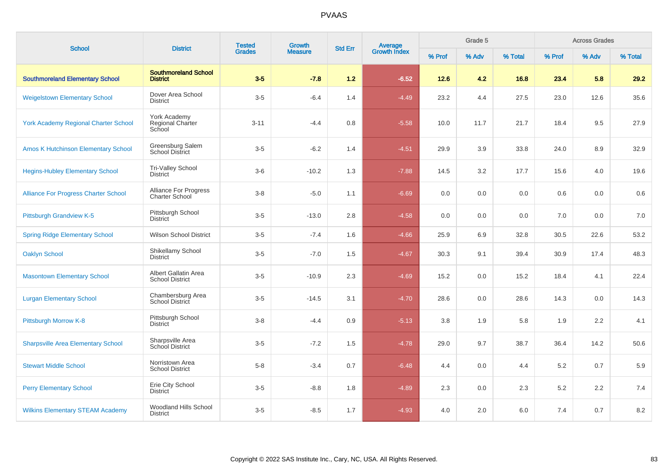| <b>School</b>                               | <b>District</b>                                       | <b>Tested</b> | Growth         | <b>Std Err</b> | Average<br>Growth Index |        | Grade 5 |         |         | <b>Across Grades</b> |         |
|---------------------------------------------|-------------------------------------------------------|---------------|----------------|----------------|-------------------------|--------|---------|---------|---------|----------------------|---------|
|                                             |                                                       | <b>Grades</b> | <b>Measure</b> |                |                         | % Prof | % Adv   | % Total | % Prof  | % Adv                | % Total |
| <b>Southmoreland Elementary School</b>      | <b>Southmoreland School</b><br><b>District</b>        | $3-5$         | $-7.8$         | 1.2            | $-6.52$                 | $12.6$ | 4.2     | 16.8    | 23.4    | 5.8                  | 29.2    |
| <b>Weigelstown Elementary School</b>        | Dover Area School<br><b>District</b>                  | $3-5$         | $-6.4$         | 1.4            | $-4.49$                 | 23.2   | 4.4     | 27.5    | 23.0    | 12.6                 | 35.6    |
| <b>York Academy Regional Charter School</b> | York Academy<br>Regional Charter<br>School            | $3 - 11$      | $-4.4$         | 0.8            | $-5.58$                 | 10.0   | 11.7    | 21.7    | 18.4    | 9.5                  | 27.9    |
| <b>Amos K Hutchinson Elementary School</b>  | Greensburg Salem<br><b>School District</b>            | $3-5$         | $-6.2$         | 1.4            | $-4.51$                 | 29.9   | 3.9     | 33.8    | 24.0    | 8.9                  | 32.9    |
| <b>Hegins-Hubley Elementary School</b>      | Tri-Valley School<br><b>District</b>                  | $3-6$         | $-10.2$        | 1.3            | $-7.88$                 | 14.5   | 3.2     | 17.7    | 15.6    | 4.0                  | 19.6    |
| <b>Alliance For Progress Charter School</b> | <b>Alliance For Progress</b><br><b>Charter School</b> | $3 - 8$       | $-5.0$         | 1.1            | $-6.69$                 | 0.0    | 0.0     | 0.0     | 0.6     | 0.0                  | 0.6     |
| <b>Pittsburgh Grandview K-5</b>             | Pittsburgh School<br><b>District</b>                  | $3-5$         | $-13.0$        | 2.8            | $-4.58$                 | 0.0    | 0.0     | 0.0     | 7.0     | 0.0                  | 7.0     |
| <b>Spring Ridge Elementary School</b>       | <b>Wilson School District</b>                         | $3-5$         | $-7.4$         | 1.6            | $-4.66$                 | 25.9   | 6.9     | 32.8    | 30.5    | 22.6                 | 53.2    |
| <b>Oaklyn School</b>                        | Shikellamy School<br><b>District</b>                  | $3-5$         | $-7.0$         | 1.5            | $-4.67$                 | 30.3   | 9.1     | 39.4    | 30.9    | 17.4                 | 48.3    |
| <b>Masontown Elementary School</b>          | Albert Gallatin Area<br><b>School District</b>        | $3-5$         | $-10.9$        | 2.3            | $-4.69$                 | 15.2   | 0.0     | 15.2    | 18.4    | 4.1                  | 22.4    |
| <b>Lurgan Elementary School</b>             | Chambersburg Area<br><b>School District</b>           | $3-5$         | $-14.5$        | 3.1            | $-4.70$                 | 28.6   | 0.0     | 28.6    | 14.3    | 0.0                  | 14.3    |
| Pittsburgh Morrow K-8                       | Pittsburgh School<br><b>District</b>                  | $3 - 8$       | $-4.4$         | 0.9            | $-5.13$                 | 3.8    | 1.9     | 5.8     | 1.9     | 2.2                  | 4.1     |
| <b>Sharpsville Area Elementary School</b>   | Sharpsville Area<br>School District                   | $3-5$         | $-7.2$         | 1.5            | $-4.78$                 | 29.0   | 9.7     | 38.7    | 36.4    | 14.2                 | 50.6    |
| <b>Stewart Middle School</b>                | Norristown Area<br><b>School District</b>             | $5-8$         | $-3.4$         | 0.7            | $-6.48$                 | 4.4    | 0.0     | 4.4     | 5.2     | 0.7                  | 5.9     |
| <b>Perry Elementary School</b>              | Erie City School<br><b>District</b>                   | $3-5$         | $-8.8$         | 1.8            | $-4.89$                 | 2.3    | 0.0     | 2.3     | $5.2\,$ | 2.2                  | 7.4     |
| <b>Wilkins Elementary STEAM Academy</b>     | <b>Woodland Hills School</b><br><b>District</b>       | $3-5$         | $-8.5$         | 1.7            | $-4.93$                 | 4.0    | 2.0     | 6.0     | 7.4     | 0.7                  | 8.2     |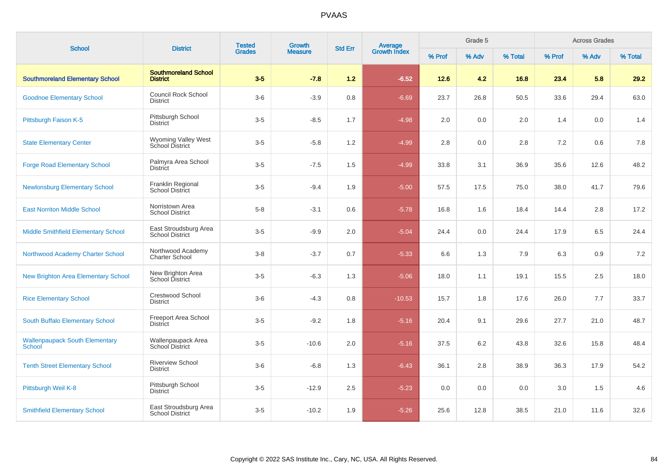| <b>School</b>                                   | <b>District</b>                                 | <b>Tested</b> | Growth         | <b>Std Err</b> |                                |        | Grade 5 |         |         | <b>Across Grades</b> |         |
|-------------------------------------------------|-------------------------------------------------|---------------|----------------|----------------|--------------------------------|--------|---------|---------|---------|----------------------|---------|
|                                                 |                                                 | <b>Grades</b> | <b>Measure</b> |                | <b>Average</b><br>Growth Index | % Prof | % Adv   | % Total | % Prof  | % Adv                | % Total |
| <b>Southmoreland Elementary School</b>          | <b>Southmoreland School</b><br><b>District</b>  | $3 - 5$       | $-7.8$         | 1.2            | $-6.52$                        | $12.6$ | 4.2     | 16.8    | 23.4    | 5.8                  | 29.2    |
| <b>Goodnoe Elementary School</b>                | <b>Council Rock School</b><br><b>District</b>   | $3-6$         | $-3.9$         | 0.8            | $-6.69$                        | 23.7   | 26.8    | 50.5    | 33.6    | 29.4                 | 63.0    |
| Pittsburgh Faison K-5                           | Pittsburgh School<br><b>District</b>            | $3-5$         | $-8.5$         | 1.7            | $-4.98$                        | 2.0    | 0.0     | 2.0     | 1.4     | 0.0                  | 1.4     |
| <b>State Elementary Center</b>                  | Wyoming Valley West<br>School District          | $3-5$         | $-5.8$         | 1.2            | $-4.99$                        | 2.8    | 0.0     | 2.8     | 7.2     | 0.6                  | 7.8     |
| <b>Forge Road Elementary School</b>             | Palmyra Area School<br><b>District</b>          | $3-5$         | $-7.5$         | 1.5            | $-4.99$                        | 33.8   | 3.1     | 36.9    | 35.6    | 12.6                 | 48.2    |
| <b>Newlonsburg Elementary School</b>            | Franklin Regional<br>School District            | $3-5$         | $-9.4$         | 1.9            | $-5.00$                        | 57.5   | 17.5    | 75.0    | 38.0    | 41.7                 | 79.6    |
| <b>East Norriton Middle School</b>              | Norristown Area<br><b>School District</b>       | $5 - 8$       | $-3.1$         | 0.6            | $-5.78$                        | 16.8   | 1.6     | 18.4    | 14.4    | 2.8                  | 17.2    |
| <b>Middle Smithfield Elementary School</b>      | East Stroudsburg Area<br><b>School District</b> | $3-5$         | $-9.9$         | 2.0            | $-5.04$                        | 24.4   | 0.0     | 24.4    | 17.9    | 6.5                  | 24.4    |
| Northwood Academy Charter School                | Northwood Academy<br>Charter School             | $3 - 8$       | $-3.7$         | 0.7            | $-5.33$                        | 6.6    | 1.3     | 7.9     | 6.3     | 0.9                  | 7.2     |
| <b>New Brighton Area Elementary School</b>      | New Brighton Area<br>School District            | $3-5$         | $-6.3$         | 1.3            | $-5.06$                        | 18.0   | 1.1     | 19.1    | 15.5    | 2.5                  | 18.0    |
| <b>Rice Elementary School</b>                   | <b>Crestwood School</b><br><b>District</b>      | $3-6$         | $-4.3$         | 0.8            | $-10.53$                       | 15.7   | 1.8     | 17.6    | 26.0    | 7.7                  | 33.7    |
| South Buffalo Elementary School                 | Freeport Area School<br><b>District</b>         | $3-5$         | $-9.2$         | 1.8            | $-5.16$                        | 20.4   | 9.1     | 29.6    | 27.7    | 21.0                 | 48.7    |
| <b>Wallenpaupack South Elementary</b><br>School | Wallenpaupack Area<br>School District           | $3-5$         | $-10.6$        | 2.0            | $-5.16$                        | 37.5   | 6.2     | 43.8    | 32.6    | 15.8                 | 48.4    |
| <b>Tenth Street Elementary School</b>           | <b>Riverview School</b><br><b>District</b>      | $3-6$         | $-6.8$         | 1.3            | $-6.43$                        | 36.1   | 2.8     | 38.9    | 36.3    | 17.9                 | 54.2    |
| Pittsburgh Weil K-8                             | Pittsburgh School<br><b>District</b>            | $3-5$         | $-12.9$        | $2.5\,$        | $-5.23$                        | 0.0    | 0.0     | 0.0     | $3.0\,$ | 1.5                  | 4.6     |
| <b>Smithfield Elementary School</b>             | East Stroudsburg Area<br><b>School District</b> | $3-5$         | $-10.2$        | 1.9            | $-5.26$                        | 25.6   | 12.8    | 38.5    | 21.0    | 11.6                 | 32.6    |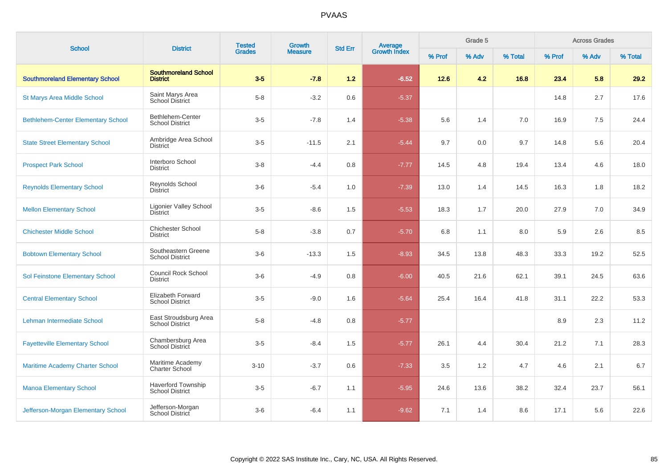| <b>School</b>                             | <b>District</b>                                     | <b>Tested</b> | Growth         | <b>Std Err</b> |                                |        | Grade 5 |         | <b>Across Grades</b> |       |         |  |
|-------------------------------------------|-----------------------------------------------------|---------------|----------------|----------------|--------------------------------|--------|---------|---------|----------------------|-------|---------|--|
|                                           |                                                     | <b>Grades</b> | <b>Measure</b> |                | <b>Average</b><br>Growth Index | % Prof | % Adv   | % Total | % Prof               | % Adv | % Total |  |
| <b>Southmoreland Elementary School</b>    | <b>Southmoreland School</b><br><b>District</b>      | $3 - 5$       | $-7.8$         | 1.2            | $-6.52$                        | $12.6$ | 4.2     | 16.8    | 23.4                 | 5.8   | 29.2    |  |
| <b>St Marys Area Middle School</b>        | Saint Marys Area<br><b>School District</b>          | $5 - 8$       | $-3.2$         | 0.6            | $-5.37$                        |        |         |         | 14.8                 | 2.7   | 17.6    |  |
| <b>Bethlehem-Center Elementary School</b> | Bethlehem-Center<br><b>School District</b>          | $3-5$         | $-7.8$         | 1.4            | $-5.38$                        | 5.6    | 1.4     | 7.0     | 16.9                 | 7.5   | 24.4    |  |
| <b>State Street Elementary School</b>     | Ambridge Area School<br><b>District</b>             | $3-5$         | $-11.5$        | 2.1            | $-5.44$                        | 9.7    | 0.0     | 9.7     | 14.8                 | 5.6   | 20.4    |  |
| <b>Prospect Park School</b>               | Interboro School<br><b>District</b>                 | $3 - 8$       | $-4.4$         | 0.8            | $-7.77$                        | 14.5   | 4.8     | 19.4    | 13.4                 | 4.6   | 18.0    |  |
| <b>Reynolds Elementary School</b>         | Reynolds School<br><b>District</b>                  | $3-6$         | $-5.4$         | 1.0            | $-7.39$                        | 13.0   | 1.4     | 14.5    | 16.3                 | 1.8   | 18.2    |  |
| <b>Mellon Elementary School</b>           | Ligonier Valley School<br><b>District</b>           | $3-5$         | $-8.6$         | 1.5            | $-5.53$                        | 18.3   | 1.7     | 20.0    | 27.9                 | 7.0   | 34.9    |  |
| <b>Chichester Middle School</b>           | <b>Chichester School</b><br><b>District</b>         | $5 - 8$       | $-3.8$         | 0.7            | $-5.70$                        | 6.8    | 1.1     | 8.0     | 5.9                  | 2.6   | 8.5     |  |
| <b>Bobtown Elementary School</b>          | Southeastern Greene<br><b>School District</b>       | $3-6$         | $-13.3$        | 1.5            | $-8.93$                        | 34.5   | 13.8    | 48.3    | 33.3                 | 19.2  | 52.5    |  |
| Sol Feinstone Elementary School           | <b>Council Rock School</b><br><b>District</b>       | $3-6$         | $-4.9$         | 0.8            | $-6.00$                        | 40.5   | 21.6    | 62.1    | 39.1                 | 24.5  | 63.6    |  |
| <b>Central Elementary School</b>          | <b>Elizabeth Forward</b><br><b>School District</b>  | $3-5$         | $-9.0$         | 1.6            | $-5.64$                        | 25.4   | 16.4    | 41.8    | 31.1                 | 22.2  | 53.3    |  |
| Lehman Intermediate School                | East Stroudsburg Area<br><b>School District</b>     | $5 - 8$       | $-4.8$         | 0.8            | $-5.77$                        |        |         |         | 8.9                  | 2.3   | 11.2    |  |
| <b>Fayetteville Elementary School</b>     | Chambersburg Area<br>School District                | $3-5$         | $-8.4$         | 1.5            | $-5.77$                        | 26.1   | 4.4     | 30.4    | 21.2                 | 7.1   | 28.3    |  |
| <b>Maritime Academy Charter School</b>    | Maritime Academy<br><b>Charter School</b>           | $3 - 10$      | $-3.7$         | 0.6            | $-7.33$                        | 3.5    | 1.2     | 4.7     | 4.6                  | 2.1   | 6.7     |  |
| <b>Manoa Elementary School</b>            | <b>Haverford Township</b><br><b>School District</b> | $3-5$         | $-6.7$         | 1.1            | $-5.95$                        | 24.6   | 13.6    | 38.2    | 32.4                 | 23.7  | 56.1    |  |
| Jefferson-Morgan Elementary School        | Jefferson-Morgan<br>School District                 | $3-6$         | $-6.4$         | 1.1            | $-9.62$                        | 7.1    | 1.4     | 8.6     | 17.1                 | 5.6   | 22.6    |  |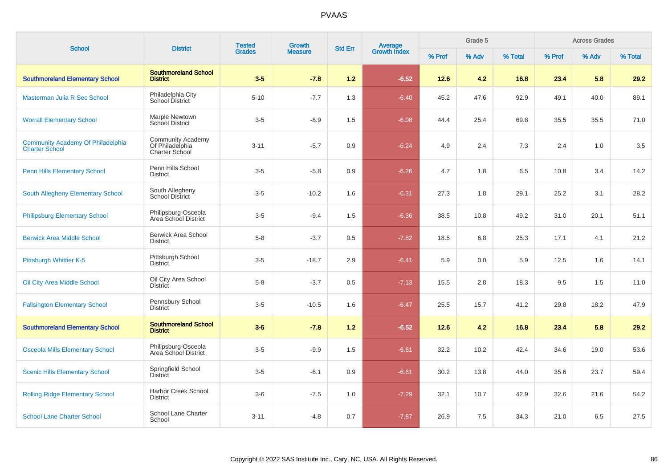| <b>School</b>                                                     | <b>District</b>                                                      | <b>Tested</b> | Growth         | <b>Std Err</b> |                                |        | Grade 5 |         | <b>Across Grades</b> |       |         |  |
|-------------------------------------------------------------------|----------------------------------------------------------------------|---------------|----------------|----------------|--------------------------------|--------|---------|---------|----------------------|-------|---------|--|
|                                                                   |                                                                      | <b>Grades</b> | <b>Measure</b> |                | <b>Average</b><br>Growth Index | % Prof | % Adv   | % Total | % Prof               | % Adv | % Total |  |
| <b>Southmoreland Elementary School</b>                            | <b>Southmoreland School</b><br><b>District</b>                       | $3-5$         | $-7.8$         | 1.2            | $-6.52$                        | 12.6   | 4.2     | 16.8    | 23.4                 | 5.8   | 29.2    |  |
| Masterman Julia R Sec School                                      | Philadelphia City<br>School District                                 | $5 - 10$      | $-7.7$         | 1.3            | $-6.40$                        | 45.2   | 47.6    | 92.9    | 49.1                 | 40.0  | 89.1    |  |
| <b>Worrall Elementary School</b>                                  | Marple Newtown<br>School District                                    | $3-5$         | $-8.9$         | 1.5            | $-6.08$                        | 44.4   | 25.4    | 69.8    | 35.5                 | 35.5  | 71.0    |  |
| <b>Community Academy Of Philadelphia</b><br><b>Charter School</b> | <b>Community Academy</b><br>Of Philadelphia<br><b>Charter School</b> | $3 - 11$      | $-5.7$         | 0.9            | $-6.24$                        | 4.9    | 2.4     | 7.3     | 2.4                  | 1.0   | 3.5     |  |
| <b>Penn Hills Elementary School</b>                               | Penn Hills School<br><b>District</b>                                 | $3-5$         | $-5.8$         | 0.9            | $-6.26$                        | 4.7    | 1.8     | 6.5     | 10.8                 | 3.4   | 14.2    |  |
| South Allegheny Elementary School                                 | South Allegheny<br><b>School District</b>                            | $3-5$         | $-10.2$        | 1.6            | $-6.31$                        | 27.3   | 1.8     | 29.1    | 25.2                 | 3.1   | 28.2    |  |
| <b>Philipsburg Elementary School</b>                              | Philipsburg-Osceola<br>Area School District                          | $3-5$         | $-9.4$         | 1.5            | $-6.36$                        | 38.5   | 10.8    | 49.2    | 31.0                 | 20.1  | 51.1    |  |
| <b>Berwick Area Middle School</b>                                 | <b>Berwick Area School</b><br><b>District</b>                        | $5-8$         | $-3.7$         | 0.5            | $-7.82$                        | 18.5   | 6.8     | 25.3    | 17.1                 | 4.1   | 21.2    |  |
| Pittsburgh Whittier K-5                                           | Pittsburgh School<br><b>District</b>                                 | $3-5$         | $-18.7$        | 2.9            | $-6.41$                        | 5.9    | 0.0     | 5.9     | 12.5                 | 1.6   | 14.1    |  |
| Oil City Area Middle School                                       | Oil City Area School<br><b>District</b>                              | $5 - 8$       | $-3.7$         | 0.5            | $-7.13$                        | 15.5   | 2.8     | 18.3    | 9.5                  | 1.5   | 11.0    |  |
| <b>Fallsington Elementary School</b>                              | Pennsbury School<br><b>District</b>                                  | $3-5$         | $-10.5$        | 1.6            | $-6.47$                        | 25.5   | 15.7    | 41.2    | 29.8                 | 18.2  | 47.9    |  |
| <b>Southmoreland Elementary School</b>                            | <b>Southmoreland School</b><br><b>District</b>                       | $3-5$         | $-7.8$         | 1.2            | $-6.52$                        | 12.6   | 4.2     | 16.8    | 23.4                 | 5.8   | 29.2    |  |
| <b>Osceola Mills Elementary School</b>                            | Philipsburg-Osceola<br>Area School District                          | $3-5$         | $-9.9$         | 1.5            | $-6.61$                        | 32.2   | 10.2    | 42.4    | 34.6                 | 19.0  | 53.6    |  |
| <b>Scenic Hills Elementary School</b>                             | Springfield School<br>District                                       | $3-5$         | $-6.1$         | 0.9            | $-6.61$                        | 30.2   | 13.8    | 44.0    | 35.6                 | 23.7  | 59.4    |  |
| <b>Rolling Ridge Elementary School</b>                            | <b>Harbor Creek School</b><br><b>District</b>                        | $3-6$         | $-7.5$         | 1.0            | $-7.29$                        | 32.1   | 10.7    | 42.9    | 32.6                 | 21.6  | 54.2    |  |
| <b>School Lane Charter School</b>                                 | School Lane Charter<br>School                                        | $3 - 11$      | $-4.8$         | 0.7            | $-7.87$                        | 26.9   | 7.5     | 34.3    | 21.0                 | 6.5   | 27.5    |  |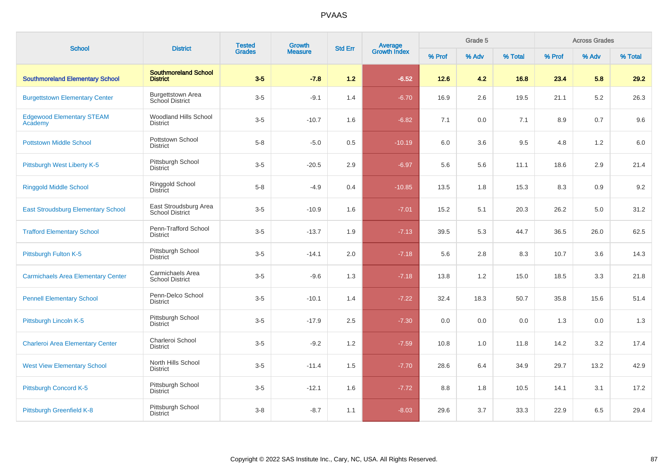| <b>School</b>                               | <b>District</b>                                    | <b>Tested</b> | Growth<br><b>Measure</b> | <b>Std Err</b> | Average<br>Growth Index |        | Grade 5 |         | <b>Across Grades</b> |       |         |  |
|---------------------------------------------|----------------------------------------------------|---------------|--------------------------|----------------|-------------------------|--------|---------|---------|----------------------|-------|---------|--|
|                                             |                                                    | <b>Grades</b> |                          |                |                         | % Prof | % Adv   | % Total | % Prof               | % Adv | % Total |  |
| <b>Southmoreland Elementary School</b>      | <b>Southmoreland School</b><br><b>District</b>     | $3-5$         | $-7.8$                   | 1.2            | $-6.52$                 | $12.6$ | 4.2     | 16.8    | 23.4                 | 5.8   | 29.2    |  |
| <b>Burgettstown Elementary Center</b>       | <b>Burgettstown Area</b><br><b>School District</b> | $3-5$         | $-9.1$                   | 1.4            | $-6.70$                 | 16.9   | 2.6     | 19.5    | 21.1                 | 5.2   | 26.3    |  |
| <b>Edgewood Elementary STEAM</b><br>Academy | <b>Woodland Hills School</b><br><b>District</b>    | $3-5$         | $-10.7$                  | 1.6            | $-6.82$                 | 7.1    | 0.0     | 7.1     | 8.9                  | 0.7   | 9.6     |  |
| <b>Pottstown Middle School</b>              | Pottstown School<br><b>District</b>                | $5 - 8$       | $-5.0$                   | 0.5            | $-10.19$                | 6.0    | 3.6     | 9.5     | 4.8                  | 1.2   | 6.0     |  |
| Pittsburgh West Liberty K-5                 | Pittsburgh School<br><b>District</b>               | $3-5$         | $-20.5$                  | 2.9            | $-6.97$                 | 5.6    | 5.6     | 11.1    | 18.6                 | 2.9   | 21.4    |  |
| <b>Ringgold Middle School</b>               | Ringgold School<br><b>District</b>                 | $5 - 8$       | $-4.9$                   | 0.4            | $-10.85$                | 13.5   | 1.8     | 15.3    | 8.3                  | 0.9   | 9.2     |  |
| <b>East Stroudsburg Elementary School</b>   | East Stroudsburg Area<br><b>School District</b>    | $3-5$         | $-10.9$                  | 1.6            | $-7.01$                 | 15.2   | 5.1     | 20.3    | 26.2                 | 5.0   | 31.2    |  |
| <b>Trafford Elementary School</b>           | Penn-Trafford School<br><b>District</b>            | $3-5$         | $-13.7$                  | 1.9            | $-7.13$                 | 39.5   | 5.3     | 44.7    | 36.5                 | 26.0  | 62.5    |  |
| Pittsburgh Fulton K-5                       | Pittsburgh School<br><b>District</b>               | $3-5$         | $-14.1$                  | 2.0            | $-7.18$                 | 5.6    | 2.8     | 8.3     | 10.7                 | 3.6   | 14.3    |  |
| <b>Carmichaels Area Elementary Center</b>   | Carmichaels Area<br><b>School District</b>         | $3-5$         | $-9.6$                   | 1.3            | $-7.18$                 | 13.8   | 1.2     | 15.0    | 18.5                 | 3.3   | 21.8    |  |
| <b>Pennell Elementary School</b>            | Penn-Delco School<br><b>District</b>               | $3-5$         | $-10.1$                  | 1.4            | $-7.22$                 | 32.4   | 18.3    | 50.7    | 35.8                 | 15.6  | 51.4    |  |
| Pittsburgh Lincoln K-5                      | Pittsburgh School<br><b>District</b>               | $3-5$         | $-17.9$                  | 2.5            | $-7.30$                 | 0.0    | 0.0     | 0.0     | 1.3                  | 0.0   | 1.3     |  |
| <b>Charleroi Area Elementary Center</b>     | Charleroi School<br><b>District</b>                | $3-5$         | $-9.2$                   | 1.2            | $-7.59$                 | 10.8   | 1.0     | 11.8    | 14.2                 | 3.2   | 17.4    |  |
| <b>West View Elementary School</b>          | North Hills School<br><b>District</b>              | $3-5$         | $-11.4$                  | 1.5            | $-7.70$                 | 28.6   | 6.4     | 34.9    | 29.7                 | 13.2  | 42.9    |  |
| Pittsburgh Concord K-5                      | Pittsburgh School<br><b>District</b>               | $3-5$         | $-12.1$                  | 1.6            | $-7.72$                 | 8.8    | 1.8     | 10.5    | 14.1                 | 3.1   | 17.2    |  |
| Pittsburgh Greenfield K-8                   | Pittsburgh School<br><b>District</b>               | $3 - 8$       | $-8.7$                   | 1.1            | $-8.03$                 | 29.6   | 3.7     | 33.3    | 22.9                 | 6.5   | 29.4    |  |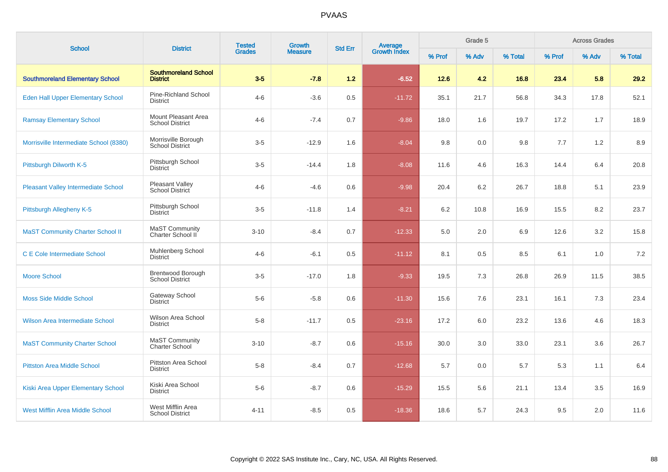| <b>School</b>                              | <b>District</b>                                | <b>Tested</b> | Growth         | <b>Std Err</b> |                                |        | Grade 5 |         | <b>Across Grades</b> |       |         |  |
|--------------------------------------------|------------------------------------------------|---------------|----------------|----------------|--------------------------------|--------|---------|---------|----------------------|-------|---------|--|
|                                            |                                                | <b>Grades</b> | <b>Measure</b> |                | <b>Average</b><br>Growth Index | % Prof | % Adv   | % Total | % Prof               | % Adv | % Total |  |
| <b>Southmoreland Elementary School</b>     | <b>Southmoreland School</b><br><b>District</b> | $3 - 5$       | $-7.8$         | 1.2            | $-6.52$                        | $12.6$ | 4.2     | 16.8    | 23.4                 | 5.8   | 29.2    |  |
| <b>Eden Hall Upper Elementary School</b>   | Pine-Richland School<br>District               | $4 - 6$       | $-3.6$         | 0.5            | $-11.72$                       | 35.1   | 21.7    | 56.8    | 34.3                 | 17.8  | 52.1    |  |
| <b>Ramsay Elementary School</b>            | Mount Pleasant Area<br><b>School District</b>  | $4 - 6$       | $-7.4$         | 0.7            | $-9.86$                        | 18.0   | 1.6     | 19.7    | 17.2                 | 1.7   | 18.9    |  |
| Morrisville Intermediate School (8380)     | Morrisville Borough<br><b>School District</b>  | $3-5$         | $-12.9$        | 1.6            | $-8.04$                        | 9.8    | 0.0     | 9.8     | 7.7                  | 1.2   | 8.9     |  |
| Pittsburgh Dilworth K-5                    | Pittsburgh School<br><b>District</b>           | $3-5$         | $-14.4$        | 1.8            | $-8.08$                        | 11.6   | 4.6     | 16.3    | 14.4                 | 6.4   | 20.8    |  |
| <b>Pleasant Valley Intermediate School</b> | Pleasant Valley<br>School District             | $4 - 6$       | $-4.6$         | 0.6            | $-9.98$                        | 20.4   | 6.2     | 26.7    | 18.8                 | 5.1   | 23.9    |  |
| Pittsburgh Allegheny K-5                   | Pittsburgh School<br><b>District</b>           | $3-5$         | $-11.8$        | 1.4            | $-8.21$                        | 6.2    | 10.8    | 16.9    | 15.5                 | 8.2   | 23.7    |  |
| <b>MaST Community Charter School II</b>    | <b>MaST Community</b><br>Charter School II     | $3 - 10$      | $-8.4$         | 0.7            | $-12.33$                       | 5.0    | 2.0     | 6.9     | 12.6                 | 3.2   | 15.8    |  |
| C E Cole Intermediate School               | Muhlenberg School<br><b>District</b>           | $4 - 6$       | $-6.1$         | 0.5            | $-11.12$                       | 8.1    | 0.5     | 8.5     | 6.1                  | 1.0   | 7.2     |  |
| <b>Moore School</b>                        | Brentwood Borough<br><b>School District</b>    | $3-5$         | $-17.0$        | 1.8            | $-9.33$                        | 19.5   | 7.3     | 26.8    | 26.9                 | 11.5  | 38.5    |  |
| <b>Moss Side Middle School</b>             | Gateway School<br><b>District</b>              | $5-6$         | $-5.8$         | 0.6            | $-11.30$                       | 15.6   | 7.6     | 23.1    | 16.1                 | 7.3   | 23.4    |  |
| Wilson Area Intermediate School            | Wilson Area School<br><b>District</b>          | $5 - 8$       | $-11.7$        | 0.5            | $-23.16$                       | 17.2   | 6.0     | 23.2    | 13.6                 | 4.6   | 18.3    |  |
| <b>MaST Community Charter School</b>       | MaST Community<br><b>Charter School</b>        | $3 - 10$      | $-8.7$         | 0.6            | $-15.16$                       | 30.0   | 3.0     | 33.0    | 23.1                 | 3.6   | 26.7    |  |
| <b>Pittston Area Middle School</b>         | Pittston Area School<br><b>District</b>        | $5 - 8$       | $-8.4$         | 0.7            | $-12.68$                       | 5.7    | 0.0     | 5.7     | 5.3                  | 1.1   | 6.4     |  |
| Kiski Area Upper Elementary School         | Kiski Area School<br><b>District</b>           | $5-6$         | $-8.7$         | 0.6            | $-15.29$                       | 15.5   | 5.6     | 21.1    | 13.4                 | 3.5   | 16.9    |  |
| <b>West Mifflin Area Middle School</b>     | West Mifflin Area<br><b>School District</b>    | $4 - 11$      | $-8.5$         | 0.5            | $-18.36$                       | 18.6   | 5.7     | 24.3    | $9.5\,$              | 2.0   | 11.6    |  |